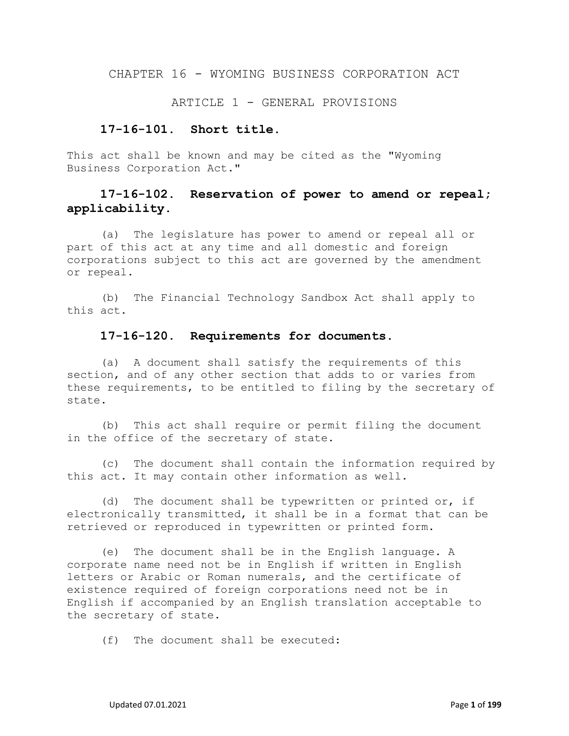CHAPTER 16 - WYOMING BUSINESS CORPORATION ACT

ARTICLE 1 - GENERAL PROVISIONS

### **17-16-101. Short title.**

This act shall be known and may be cited as the "Wyoming Business Corporation Act."

# **17-16-102. Reservation of power to amend or repeal; applicability.**

(a) The legislature has power to amend or repeal all or part of this act at any time and all domestic and foreign corporations subject to this act are governed by the amendment or repeal.

(b) The Financial Technology Sandbox Act shall apply to this act.

#### **17-16-120. Requirements for documents.**

(a) A document shall satisfy the requirements of this section, and of any other section that adds to or varies from these requirements, to be entitled to filing by the secretary of state.

(b) This act shall require or permit filing the document in the office of the secretary of state.

(c) The document shall contain the information required by this act. It may contain other information as well.

(d) The document shall be typewritten or printed or, if electronically transmitted, it shall be in a format that can be retrieved or reproduced in typewritten or printed form.

(e) The document shall be in the English language. A corporate name need not be in English if written in English letters or Arabic or Roman numerals, and the certificate of existence required of foreign corporations need not be in English if accompanied by an English translation acceptable to the secretary of state.

(f) The document shall be executed: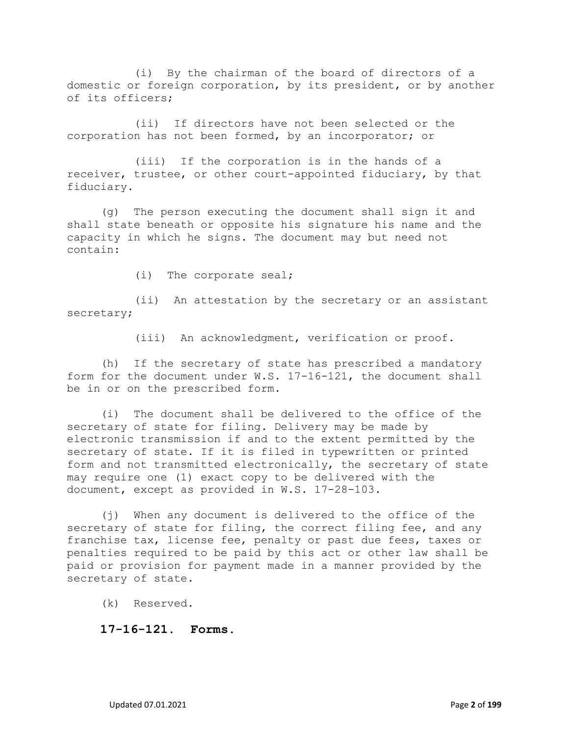(i) By the chairman of the board of directors of a domestic or foreign corporation, by its president, or by another of its officers;

(ii) If directors have not been selected or the corporation has not been formed, by an incorporator; or

(iii) If the corporation is in the hands of a receiver, trustee, or other court-appointed fiduciary, by that fiduciary.

(g) The person executing the document shall sign it and shall state beneath or opposite his signature his name and the capacity in which he signs. The document may but need not contain:

(i) The corporate seal;

(ii) An attestation by the secretary or an assistant secretary;

(iii) An acknowledgment, verification or proof.

(h) If the secretary of state has prescribed a mandatory form for the document under W.S. 17-16-121, the document shall be in or on the prescribed form.

(i) The document shall be delivered to the office of the secretary of state for filing. Delivery may be made by electronic transmission if and to the extent permitted by the secretary of state. If it is filed in typewritten or printed form and not transmitted electronically, the secretary of state may require one (1) exact copy to be delivered with the document, except as provided in W.S. 17-28-103.

(j) When any document is delivered to the office of the secretary of state for filing, the correct filing fee, and any franchise tax, license fee, penalty or past due fees, taxes or penalties required to be paid by this act or other law shall be paid or provision for payment made in a manner provided by the secretary of state.

(k) Reserved.

## **17-16-121. Forms.**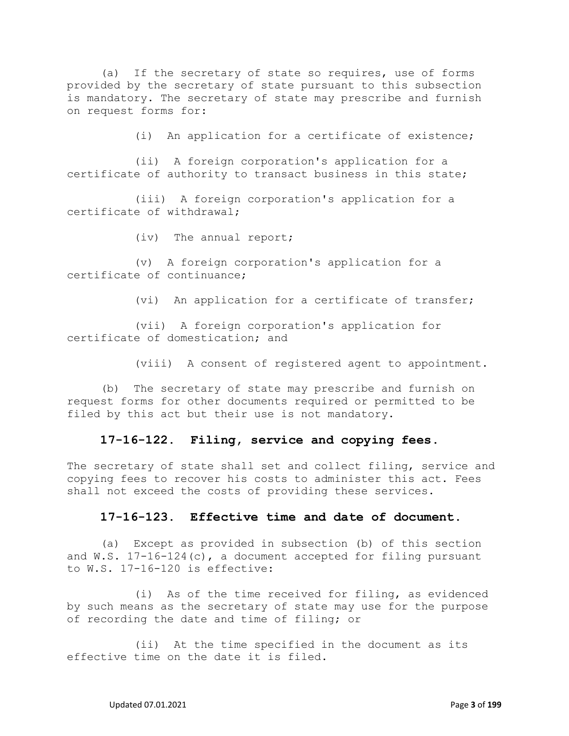(a) If the secretary of state so requires, use of forms provided by the secretary of state pursuant to this subsection is mandatory. The secretary of state may prescribe and furnish on request forms for:

(i) An application for a certificate of existence;

(ii) A foreign corporation's application for a certificate of authority to transact business in this state;

(iii) A foreign corporation's application for a certificate of withdrawal;

(iv) The annual report;

(v) A foreign corporation's application for a certificate of continuance;

(vi) An application for a certificate of transfer;

(vii) A foreign corporation's application for certificate of domestication; and

(viii) A consent of registered agent to appointment.

(b) The secretary of state may prescribe and furnish on request forms for other documents required or permitted to be filed by this act but their use is not mandatory.

### **17-16-122. Filing, service and copying fees.**

The secretary of state shall set and collect filing, service and copying fees to recover his costs to administer this act. Fees shall not exceed the costs of providing these services.

#### **17-16-123. Effective time and date of document.**

(a) Except as provided in subsection (b) of this section and W.S. 17-16-124(c), a document accepted for filing pursuant to W.S. 17-16-120 is effective:

(i) As of the time received for filing, as evidenced by such means as the secretary of state may use for the purpose of recording the date and time of filing; or

(ii) At the time specified in the document as its effective time on the date it is filed.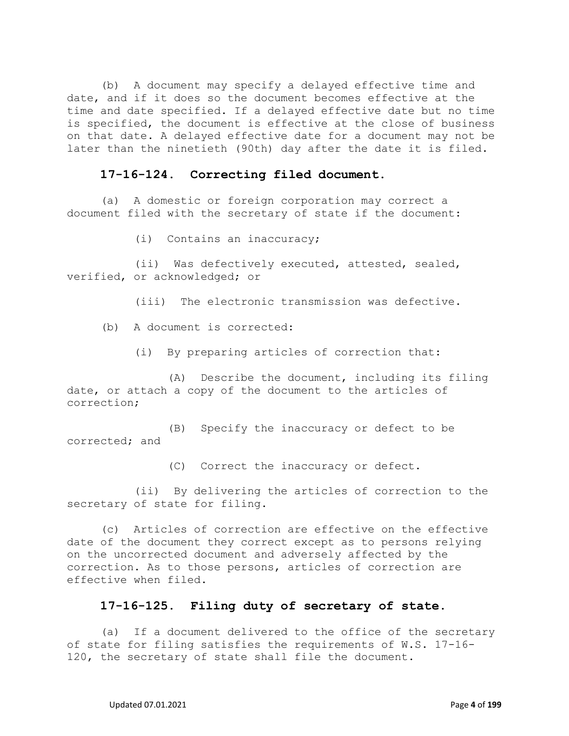(b) A document may specify a delayed effective time and date, and if it does so the document becomes effective at the time and date specified. If a delayed effective date but no time is specified, the document is effective at the close of business on that date. A delayed effective date for a document may not be later than the ninetieth (90th) day after the date it is filed.

### **17-16-124. Correcting filed document.**

(a) A domestic or foreign corporation may correct a document filed with the secretary of state if the document:

(i) Contains an inaccuracy;

(ii) Was defectively executed, attested, sealed, verified, or acknowledged; or

(iii) The electronic transmission was defective.

(b) A document is corrected:

(i) By preparing articles of correction that:

(A) Describe the document, including its filing date, or attach a copy of the document to the articles of correction;

(B) Specify the inaccuracy or defect to be corrected; and

(C) Correct the inaccuracy or defect.

(ii) By delivering the articles of correction to the secretary of state for filing.

(c) Articles of correction are effective on the effective date of the document they correct except as to persons relying on the uncorrected document and adversely affected by the correction. As to those persons, articles of correction are effective when filed.

### **17-16-125. Filing duty of secretary of state.**

(a) If a document delivered to the office of the secretary of state for filing satisfies the requirements of W.S. 17-16- 120, the secretary of state shall file the document.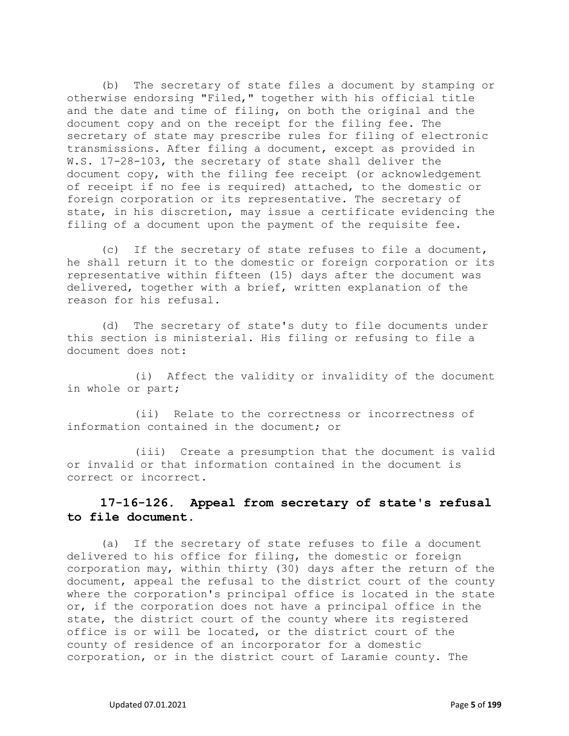(b) The secretary of state files a document by stamping or otherwise endorsing "Filed," together with his official title and the date and time of filing, on both the original and the document copy and on the receipt for the filing fee. The secretary of state may prescribe rules for filing of electronic transmissions. After filing a document, except as provided in W.S. 17-28-103, the secretary of state shall deliver the document copy, with the filing fee receipt (or acknowledgement of receipt if no fee is required) attached, to the domestic or foreign corporation or its representative. The secretary of state, in his discretion, may issue a certificate evidencing the filing of a document upon the payment of the requisite fee.

(c) If the secretary of state refuses to file a document, he shall return it to the domestic or foreign corporation or its representative within fifteen (15) days after the document was delivered, together with a brief, written explanation of the reason for his refusal.

(d) The secretary of state's duty to file documents under this section is ministerial. His filing or refusing to file a document does not:

(i) Affect the validity or invalidity of the document in whole or part;

(ii) Relate to the correctness or incorrectness of information contained in the document; or

(iii) Create a presumption that the document is valid or invalid or that information contained in the document is correct or incorrect.

**17-16-126. Appeal from secretary of state's refusal to file document.**

(a) If the secretary of state refuses to file a document delivered to his office for filing, the domestic or foreign corporation may, within thirty (30) days after the return of the document, appeal the refusal to the district court of the county where the corporation's principal office is located in the state or, if the corporation does not have a principal office in the state, the district court of the county where its registered office is or will be located, or the district court of the county of residence of an incorporator for a domestic corporation, or in the district court of Laramie county. The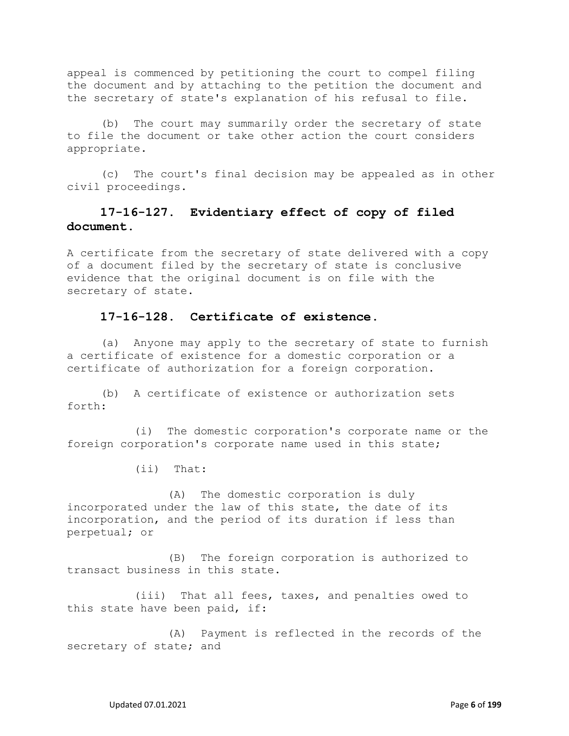appeal is commenced by petitioning the court to compel filing the document and by attaching to the petition the document and the secretary of state's explanation of his refusal to file.

(b) The court may summarily order the secretary of state to file the document or take other action the court considers appropriate.

(c) The court's final decision may be appealed as in other civil proceedings.

# **17-16-127. Evidentiary effect of copy of filed document.**

A certificate from the secretary of state delivered with a copy of a document filed by the secretary of state is conclusive evidence that the original document is on file with the secretary of state.

### **17-16-128. Certificate of existence.**

(a) Anyone may apply to the secretary of state to furnish a certificate of existence for a domestic corporation or a certificate of authorization for a foreign corporation.

(b) A certificate of existence or authorization sets forth:

(i) The domestic corporation's corporate name or the foreign corporation's corporate name used in this state;

(ii) That:

(A) The domestic corporation is duly incorporated under the law of this state, the date of its incorporation, and the period of its duration if less than perpetual; or

(B) The foreign corporation is authorized to transact business in this state.

(iii) That all fees, taxes, and penalties owed to this state have been paid, if:

(A) Payment is reflected in the records of the secretary of state; and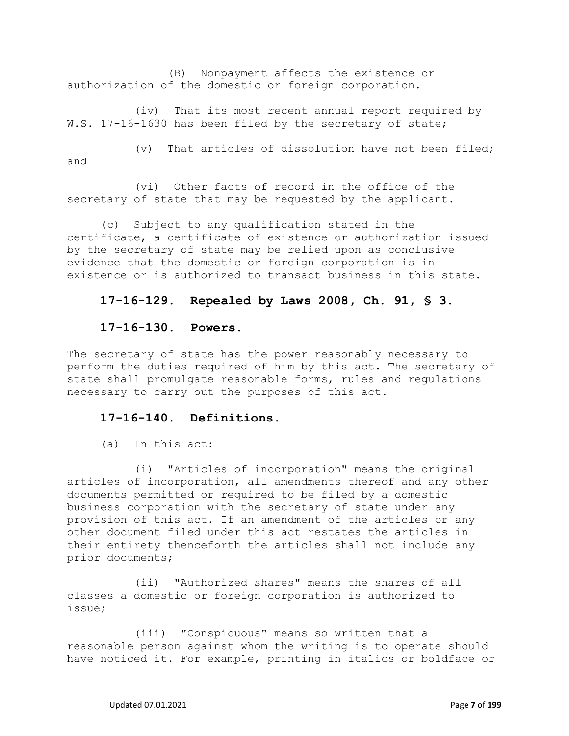(B) Nonpayment affects the existence or authorization of the domestic or foreign corporation.

(iv) That its most recent annual report required by W.S. 17-16-1630 has been filed by the secretary of state;

(v) That articles of dissolution have not been filed; and

(vi) Other facts of record in the office of the secretary of state that may be requested by the applicant.

(c) Subject to any qualification stated in the certificate, a certificate of existence or authorization issued by the secretary of state may be relied upon as conclusive evidence that the domestic or foreign corporation is in existence or is authorized to transact business in this state.

## **17-16-129. Repealed by Laws 2008, Ch. 91, § 3.**

## **17-16-130. Powers.**

The secretary of state has the power reasonably necessary to perform the duties required of him by this act. The secretary of state shall promulgate reasonable forms, rules and regulations necessary to carry out the purposes of this act.

### **17-16-140. Definitions.**

(a) In this act:

(i) "Articles of incorporation" means the original articles of incorporation, all amendments thereof and any other documents permitted or required to be filed by a domestic business corporation with the secretary of state under any provision of this act. If an amendment of the articles or any other document filed under this act restates the articles in their entirety thenceforth the articles shall not include any prior documents;

(ii) "Authorized shares" means the shares of all classes a domestic or foreign corporation is authorized to issue;

(iii) "Conspicuous" means so written that a reasonable person against whom the writing is to operate should have noticed it. For example, printing in italics or boldface or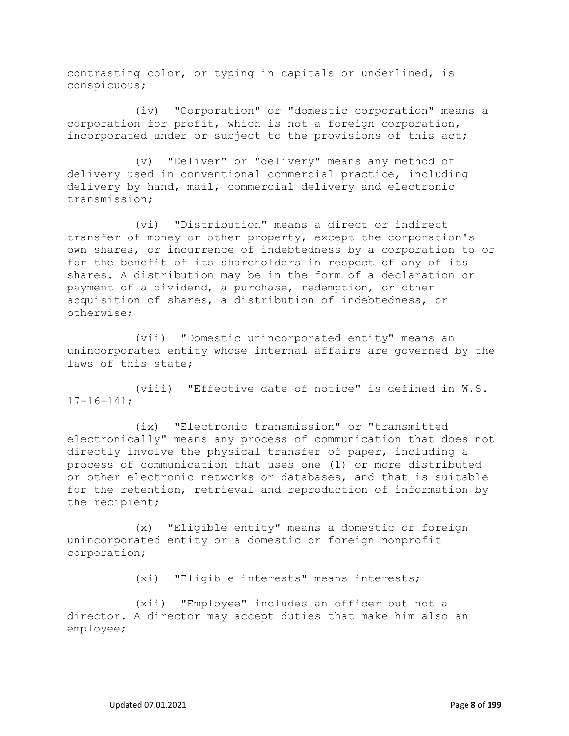contrasting color, or typing in capitals or underlined, is conspicuous;

(iv) "Corporation" or "domestic corporation" means a corporation for profit, which is not a foreign corporation, incorporated under or subject to the provisions of this act;

(v) "Deliver" or "delivery" means any method of delivery used in conventional commercial practice, including delivery by hand, mail, commercial delivery and electronic transmission;

(vi) "Distribution" means a direct or indirect transfer of money or other property, except the corporation's own shares, or incurrence of indebtedness by a corporation to or for the benefit of its shareholders in respect of any of its shares. A distribution may be in the form of a declaration or payment of a dividend, a purchase, redemption, or other acquisition of shares, a distribution of indebtedness, or otherwise;

(vii) "Domestic unincorporated entity" means an unincorporated entity whose internal affairs are governed by the laws of this state;

(viii) "Effective date of notice" is defined in W.S. 17-16-141;

(ix) "Electronic transmission" or "transmitted electronically" means any process of communication that does not directly involve the physical transfer of paper, including a process of communication that uses one (1) or more distributed or other electronic networks or databases, and that is suitable for the retention, retrieval and reproduction of information by the recipient;

(x) "Eligible entity" means a domestic or foreign unincorporated entity or a domestic or foreign nonprofit corporation;

(xi) "Eligible interests" means interests;

(xii) "Employee" includes an officer but not a director. A director may accept duties that make him also an employee;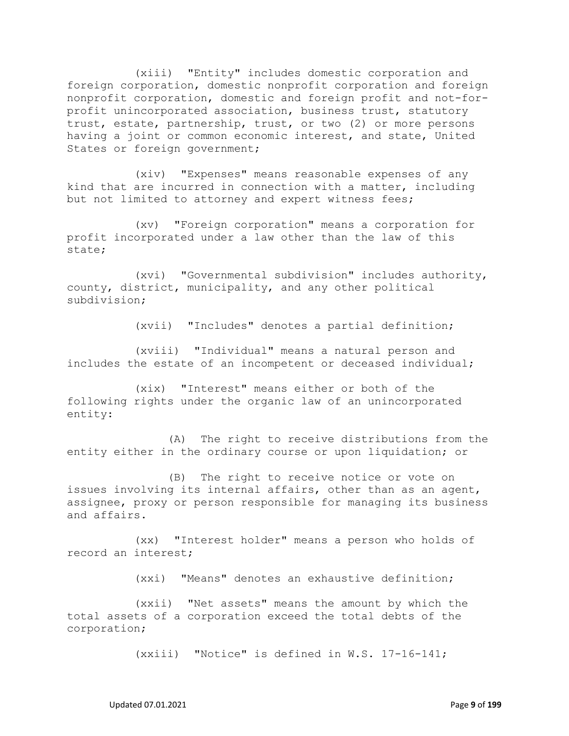(xiii) "Entity" includes domestic corporation and foreign corporation, domestic nonprofit corporation and foreign nonprofit corporation, domestic and foreign profit and not-forprofit unincorporated association, business trust, statutory trust, estate, partnership, trust, or two (2) or more persons having a joint or common economic interest, and state, United States or foreign government;

(xiv) "Expenses" means reasonable expenses of any kind that are incurred in connection with a matter, including but not limited to attorney and expert witness fees;

(xv) "Foreign corporation" means a corporation for profit incorporated under a law other than the law of this state;

(xvi) "Governmental subdivision" includes authority, county, district, municipality, and any other political subdivision;

(xvii) "Includes" denotes a partial definition;

(xviii) "Individual" means a natural person and includes the estate of an incompetent or deceased individual;

(xix) "Interest" means either or both of the following rights under the organic law of an unincorporated entity:

(A) The right to receive distributions from the entity either in the ordinary course or upon liquidation; or

(B) The right to receive notice or vote on issues involving its internal affairs, other than as an agent, assignee, proxy or person responsible for managing its business and affairs.

(xx) "Interest holder" means a person who holds of record an interest;

(xxi) "Means" denotes an exhaustive definition;

(xxii) "Net assets" means the amount by which the total assets of a corporation exceed the total debts of the corporation;

(xxiii) "Notice" is defined in W.S. 17-16-141;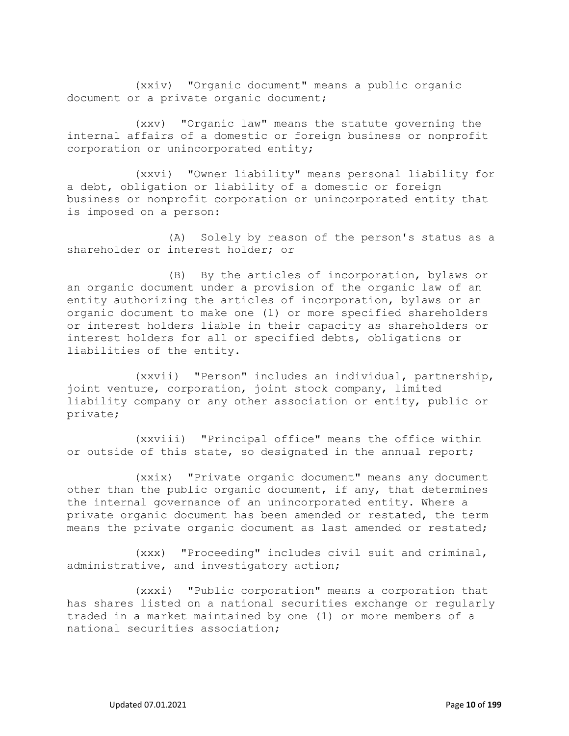(xxiv) "Organic document" means a public organic document or a private organic document;

(xxv) "Organic law" means the statute governing the internal affairs of a domestic or foreign business or nonprofit corporation or unincorporated entity;

(xxvi) "Owner liability" means personal liability for a debt, obligation or liability of a domestic or foreign business or nonprofit corporation or unincorporated entity that is imposed on a person:

(A) Solely by reason of the person's status as a shareholder or interest holder; or

(B) By the articles of incorporation, bylaws or an organic document under a provision of the organic law of an entity authorizing the articles of incorporation, bylaws or an organic document to make one (1) or more specified shareholders or interest holders liable in their capacity as shareholders or interest holders for all or specified debts, obligations or liabilities of the entity.

(xxvii) "Person" includes an individual, partnership, joint venture, corporation, joint stock company, limited liability company or any other association or entity, public or private;

(xxviii) "Principal office" means the office within or outside of this state, so designated in the annual report;

(xxix) "Private organic document" means any document other than the public organic document, if any, that determines the internal governance of an unincorporated entity. Where a private organic document has been amended or restated, the term means the private organic document as last amended or restated;

(xxx) "Proceeding" includes civil suit and criminal, administrative, and investigatory action;

(xxxi) "Public corporation" means a corporation that has shares listed on a national securities exchange or regularly traded in a market maintained by one (1) or more members of a national securities association;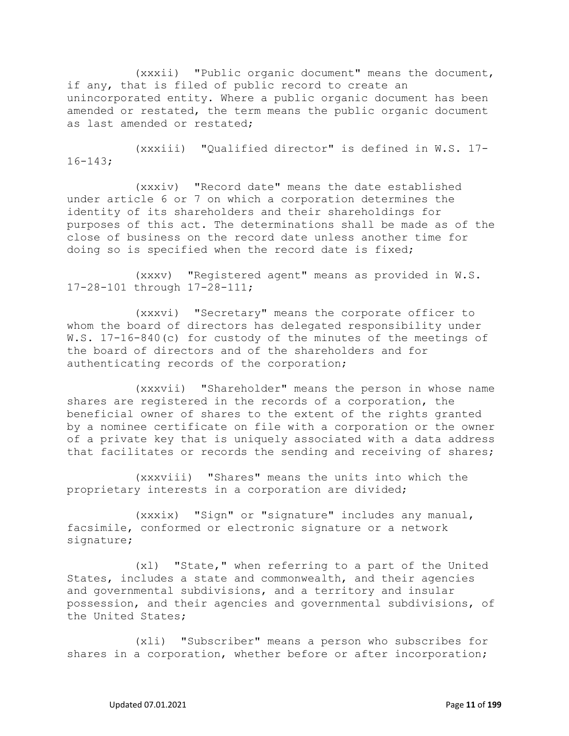(xxxii) "Public organic document" means the document, if any, that is filed of public record to create an unincorporated entity. Where a public organic document has been amended or restated, the term means the public organic document as last amended or restated;

(xxxiii) "Qualified director" is defined in W.S. 17- 16-143;

(xxxiv) "Record date" means the date established under article 6 or 7 on which a corporation determines the identity of its shareholders and their shareholdings for purposes of this act. The determinations shall be made as of the close of business on the record date unless another time for doing so is specified when the record date is fixed;

(xxxv) "Registered agent" means as provided in W.S. 17-28-101 through 17-28-111;

(xxxvi) "Secretary" means the corporate officer to whom the board of directors has delegated responsibility under W.S. 17-16-840(c) for custody of the minutes of the meetings of the board of directors and of the shareholders and for authenticating records of the corporation;

(xxxvii) "Shareholder" means the person in whose name shares are registered in the records of a corporation, the beneficial owner of shares to the extent of the rights granted by a nominee certificate on file with a corporation or the owner of a private key that is uniquely associated with a data address that facilitates or records the sending and receiving of shares;

(xxxviii) "Shares" means the units into which the proprietary interests in a corporation are divided;

(xxxix) "Sign" or "signature" includes any manual, facsimile, conformed or electronic signature or a network signature;

(xl) "State," when referring to a part of the United States, includes a state and commonwealth, and their agencies and governmental subdivisions, and a territory and insular possession, and their agencies and governmental subdivisions, of the United States;

(xli) "Subscriber" means a person who subscribes for shares in a corporation, whether before or after incorporation;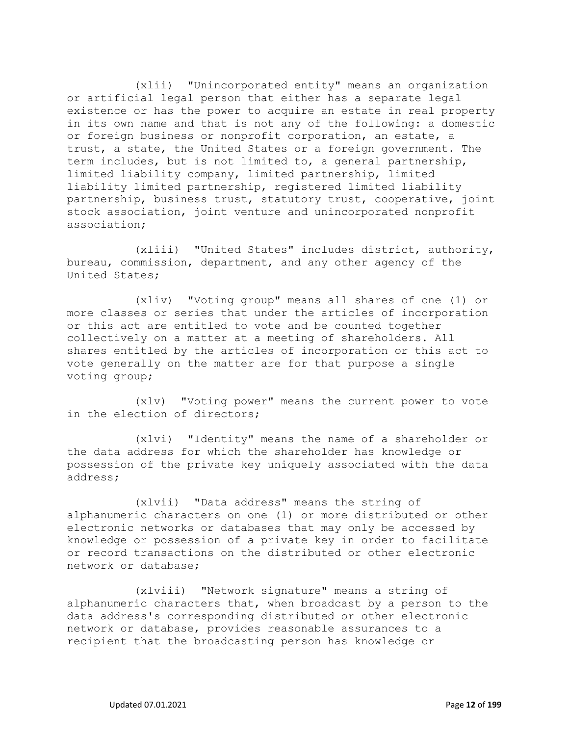(xlii) "Unincorporated entity" means an organization or artificial legal person that either has a separate legal existence or has the power to acquire an estate in real property in its own name and that is not any of the following: a domestic or foreign business or nonprofit corporation, an estate, a trust, a state, the United States or a foreign government. The term includes, but is not limited to, a general partnership, limited liability company, limited partnership, limited liability limited partnership, registered limited liability partnership, business trust, statutory trust, cooperative, joint stock association, joint venture and unincorporated nonprofit association;

(xliii) "United States" includes district, authority, bureau, commission, department, and any other agency of the United States;

(xliv) "Voting group" means all shares of one (1) or more classes or series that under the articles of incorporation or this act are entitled to vote and be counted together collectively on a matter at a meeting of shareholders. All shares entitled by the articles of incorporation or this act to vote generally on the matter are for that purpose a single voting group;

(xlv) "Voting power" means the current power to vote in the election of directors;

(xlvi) "Identity" means the name of a shareholder or the data address for which the shareholder has knowledge or possession of the private key uniquely associated with the data address;

(xlvii) "Data address" means the string of alphanumeric characters on one (1) or more distributed or other electronic networks or databases that may only be accessed by knowledge or possession of a private key in order to facilitate or record transactions on the distributed or other electronic network or database;

(xlviii) "Network signature" means a string of alphanumeric characters that, when broadcast by a person to the data address's corresponding distributed or other electronic network or database, provides reasonable assurances to a recipient that the broadcasting person has knowledge or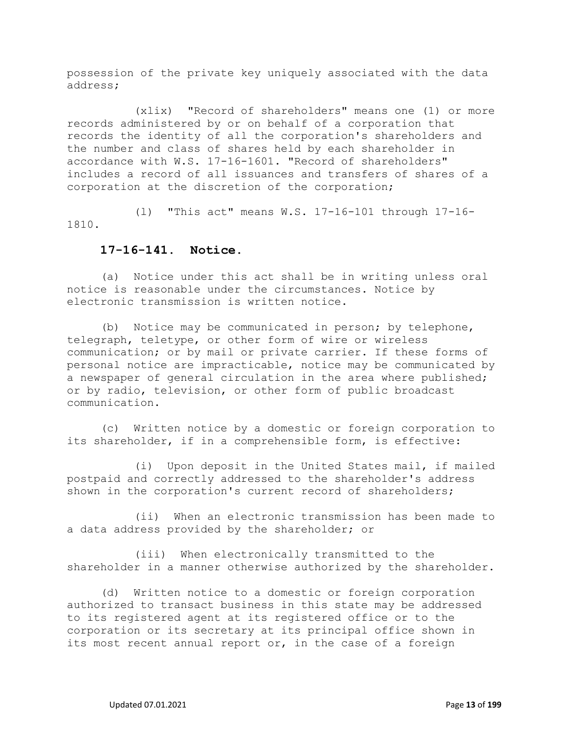possession of the private key uniquely associated with the data address;

(xlix) "Record of shareholders" means one (1) or more records administered by or on behalf of a corporation that records the identity of all the corporation's shareholders and the number and class of shares held by each shareholder in accordance with W.S. 17-16-1601. "Record of shareholders" includes a record of all issuances and transfers of shares of a corporation at the discretion of the corporation;

(l) "This act" means W.S. 17-16-101 through 17-16- 1810.

### **17-16-141. Notice.**

(a) Notice under this act shall be in writing unless oral notice is reasonable under the circumstances. Notice by electronic transmission is written notice.

(b) Notice may be communicated in person; by telephone, telegraph, teletype, or other form of wire or wireless communication; or by mail or private carrier. If these forms of personal notice are impracticable, notice may be communicated by a newspaper of general circulation in the area where published; or by radio, television, or other form of public broadcast communication.

(c) Written notice by a domestic or foreign corporation to its shareholder, if in a comprehensible form, is effective:

(i) Upon deposit in the United States mail, if mailed postpaid and correctly addressed to the shareholder's address shown in the corporation's current record of shareholders;

(ii) When an electronic transmission has been made to a data address provided by the shareholder; or

(iii) When electronically transmitted to the shareholder in a manner otherwise authorized by the shareholder.

(d) Written notice to a domestic or foreign corporation authorized to transact business in this state may be addressed to its registered agent at its registered office or to the corporation or its secretary at its principal office shown in its most recent annual report or, in the case of a foreign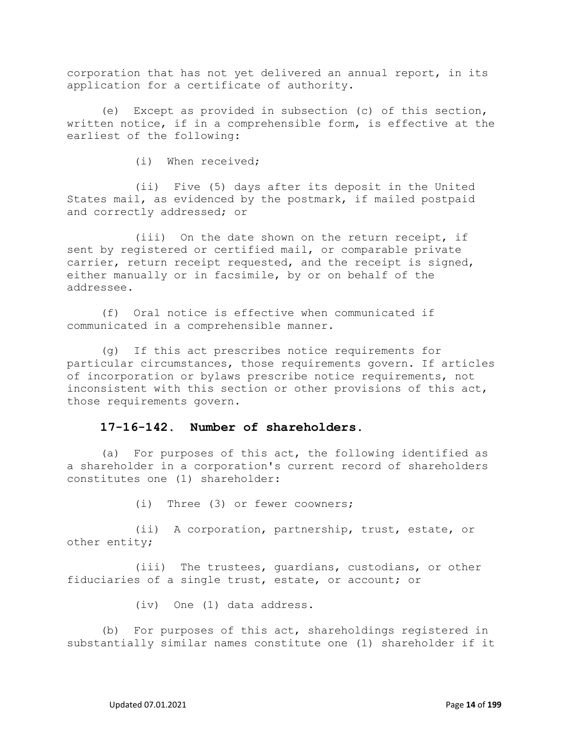corporation that has not yet delivered an annual report, in its application for a certificate of authority.

(e) Except as provided in subsection (c) of this section, written notice, if in a comprehensible form, is effective at the earliest of the following:

(i) When received;

(ii) Five (5) days after its deposit in the United States mail, as evidenced by the postmark, if mailed postpaid and correctly addressed; or

(iii) On the date shown on the return receipt, if sent by registered or certified mail, or comparable private carrier, return receipt requested, and the receipt is signed, either manually or in facsimile, by or on behalf of the addressee.

(f) Oral notice is effective when communicated if communicated in a comprehensible manner.

(g) If this act prescribes notice requirements for particular circumstances, those requirements govern. If articles of incorporation or bylaws prescribe notice requirements, not inconsistent with this section or other provisions of this act, those requirements govern.

### **17-16-142. Number of shareholders.**

(a) For purposes of this act, the following identified as a shareholder in a corporation's current record of shareholders constitutes one (1) shareholder:

(i) Three (3) or fewer coowners;

(ii) A corporation, partnership, trust, estate, or other entity;

(iii) The trustees, guardians, custodians, or other fiduciaries of a single trust, estate, or account; or

(iv) One (1) data address.

(b) For purposes of this act, shareholdings registered in substantially similar names constitute one (1) shareholder if it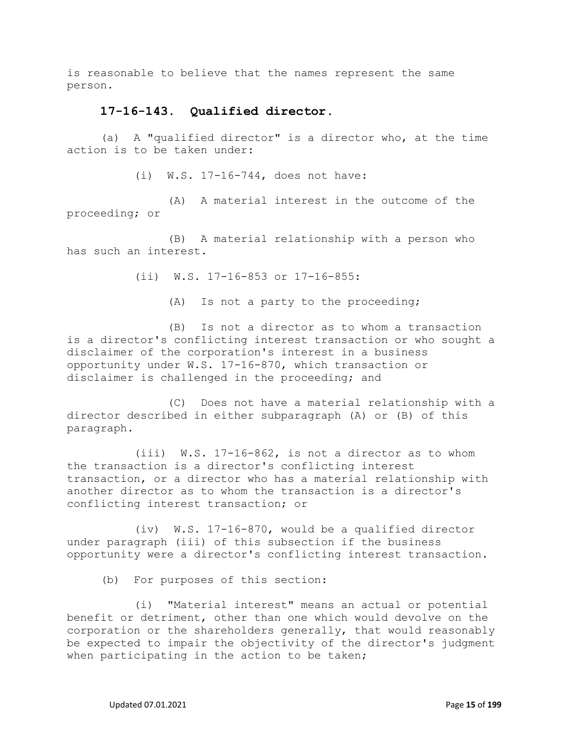is reasonable to believe that the names represent the same person.

### **17-16-143. Qualified director.**

(a) A "qualified director" is a director who, at the time action is to be taken under:

(i) W.S. 17-16-744, does not have:

(A) A material interest in the outcome of the proceeding; or

(B) A material relationship with a person who has such an interest.

(ii) W.S. 17-16-853 or 17-16-855:

(A) Is not a party to the proceeding;

(B) Is not a director as to whom a transaction is a director's conflicting interest transaction or who sought a disclaimer of the corporation's interest in a business opportunity under W.S. 17-16-870, which transaction or disclaimer is challenged in the proceeding; and

(C) Does not have a material relationship with a director described in either subparagraph (A) or (B) of this paragraph.

(iii) W.S. 17-16-862, is not a director as to whom the transaction is a director's conflicting interest transaction, or a director who has a material relationship with another director as to whom the transaction is a director's conflicting interest transaction; or

(iv) W.S. 17-16-870, would be a qualified director under paragraph (iii) of this subsection if the business opportunity were a director's conflicting interest transaction.

(b) For purposes of this section:

(i) "Material interest" means an actual or potential benefit or detriment, other than one which would devolve on the corporation or the shareholders generally, that would reasonably be expected to impair the objectivity of the director's judgment when participating in the action to be taken;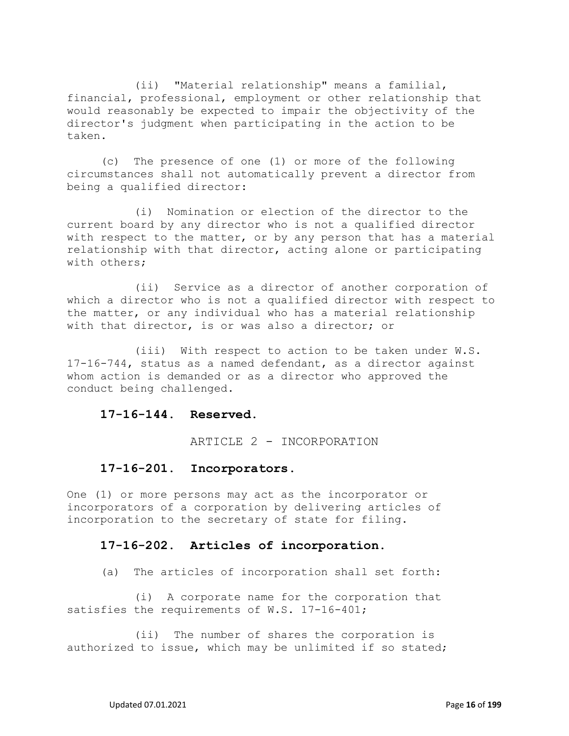(ii) "Material relationship" means a familial, financial, professional, employment or other relationship that would reasonably be expected to impair the objectivity of the director's judgment when participating in the action to be taken.

(c) The presence of one (1) or more of the following circumstances shall not automatically prevent a director from being a qualified director:

(i) Nomination or election of the director to the current board by any director who is not a qualified director with respect to the matter, or by any person that has a material relationship with that director, acting alone or participating with others;

(ii) Service as a director of another corporation of which a director who is not a qualified director with respect to the matter, or any individual who has a material relationship with that director, is or was also a director; or

(iii) With respect to action to be taken under W.S. 17-16-744, status as a named defendant, as a director against whom action is demanded or as a director who approved the conduct being challenged.

#### **17-16-144. Reserved.**

ARTICLE 2 - INCORPORATION

## **17-16-201. Incorporators.**

One (1) or more persons may act as the incorporator or incorporators of a corporation by delivering articles of incorporation to the secretary of state for filing.

#### **17-16-202. Articles of incorporation.**

(a) The articles of incorporation shall set forth:

(i) A corporate name for the corporation that satisfies the requirements of W.S. 17-16-401;

(ii) The number of shares the corporation is authorized to issue, which may be unlimited if so stated;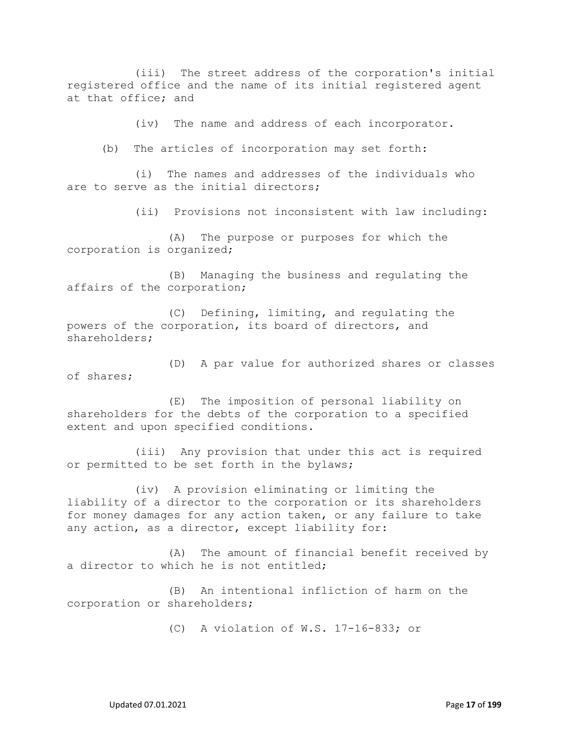(iii) The street address of the corporation's initial registered office and the name of its initial registered agent at that office; and

(iv) The name and address of each incorporator.

(b) The articles of incorporation may set forth:

(i) The names and addresses of the individuals who are to serve as the initial directors;

(ii) Provisions not inconsistent with law including:

(A) The purpose or purposes for which the corporation is organized;

(B) Managing the business and regulating the affairs of the corporation;

(C) Defining, limiting, and regulating the powers of the corporation, its board of directors, and shareholders;

(D) A par value for authorized shares or classes of shares;

(E) The imposition of personal liability on shareholders for the debts of the corporation to a specified extent and upon specified conditions.

(iii) Any provision that under this act is required or permitted to be set forth in the bylaws;

(iv) A provision eliminating or limiting the liability of a director to the corporation or its shareholders for money damages for any action taken, or any failure to take any action, as a director, except liability for:

(A) The amount of financial benefit received by a director to which he is not entitled;

(B) An intentional infliction of harm on the corporation or shareholders;

(C) A violation of W.S. 17-16-833; or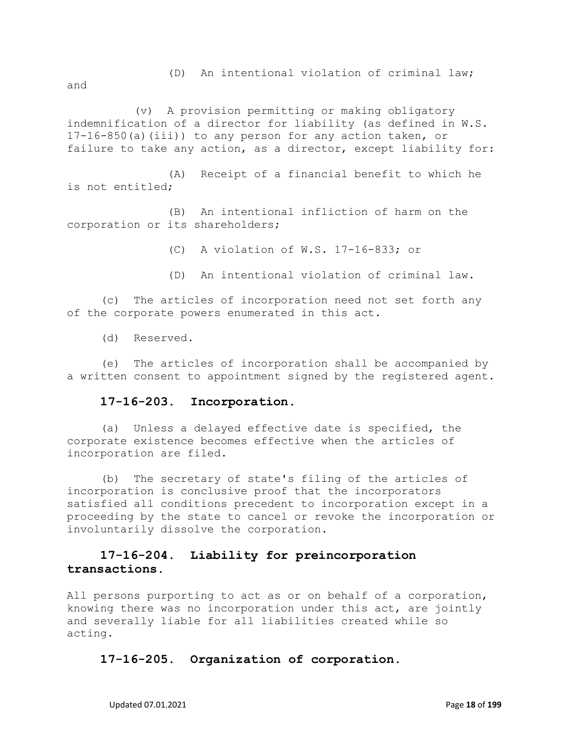(D) An intentional violation of criminal law;

and

(v) A provision permitting or making obligatory indemnification of a director for liability (as defined in W.S. 17-16-850(a)(iii)) to any person for any action taken, or failure to take any action, as a director, except liability for:

(A) Receipt of a financial benefit to which he is not entitled;

(B) An intentional infliction of harm on the corporation or its shareholders;

(C) A violation of W.S. 17-16-833; or

(D) An intentional violation of criminal law.

(c) The articles of incorporation need not set forth any of the corporate powers enumerated in this act.

(d) Reserved.

(e) The articles of incorporation shall be accompanied by a written consent to appointment signed by the registered agent.

#### **17-16-203. Incorporation.**

(a) Unless a delayed effective date is specified, the corporate existence becomes effective when the articles of incorporation are filed.

(b) The secretary of state's filing of the articles of incorporation is conclusive proof that the incorporators satisfied all conditions precedent to incorporation except in a proceeding by the state to cancel or revoke the incorporation or involuntarily dissolve the corporation.

# **17-16-204. Liability for preincorporation transactions.**

All persons purporting to act as or on behalf of a corporation, knowing there was no incorporation under this act, are jointly and severally liable for all liabilities created while so acting.

### **17-16-205. Organization of corporation.**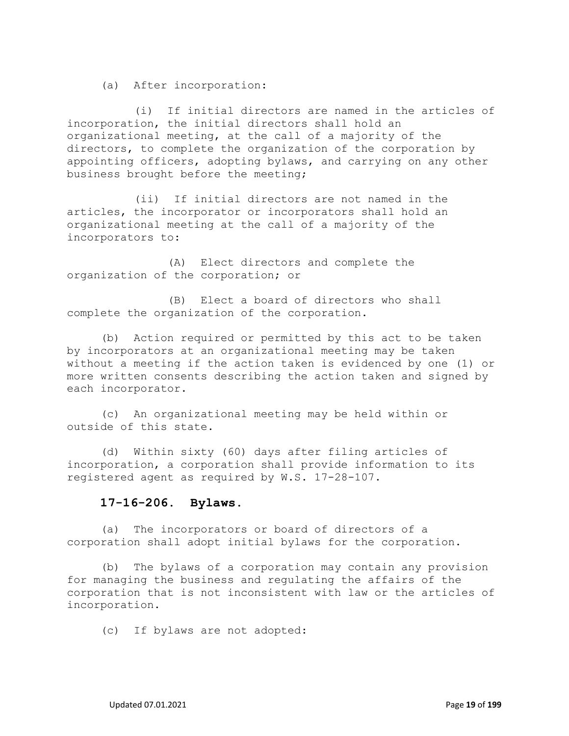(a) After incorporation:

(i) If initial directors are named in the articles of incorporation, the initial directors shall hold an organizational meeting, at the call of a majority of the directors, to complete the organization of the corporation by appointing officers, adopting bylaws, and carrying on any other business brought before the meeting;

(ii) If initial directors are not named in the articles, the incorporator or incorporators shall hold an organizational meeting at the call of a majority of the incorporators to:

(A) Elect directors and complete the organization of the corporation; or

(B) Elect a board of directors who shall complete the organization of the corporation.

(b) Action required or permitted by this act to be taken by incorporators at an organizational meeting may be taken without a meeting if the action taken is evidenced by one (1) or more written consents describing the action taken and signed by each incorporator.

(c) An organizational meeting may be held within or outside of this state.

(d) Within sixty (60) days after filing articles of incorporation, a corporation shall provide information to its registered agent as required by W.S. 17-28-107.

# **17-16-206. Bylaws.**

(a) The incorporators or board of directors of a corporation shall adopt initial bylaws for the corporation.

(b) The bylaws of a corporation may contain any provision for managing the business and regulating the affairs of the corporation that is not inconsistent with law or the articles of incorporation.

(c) If bylaws are not adopted: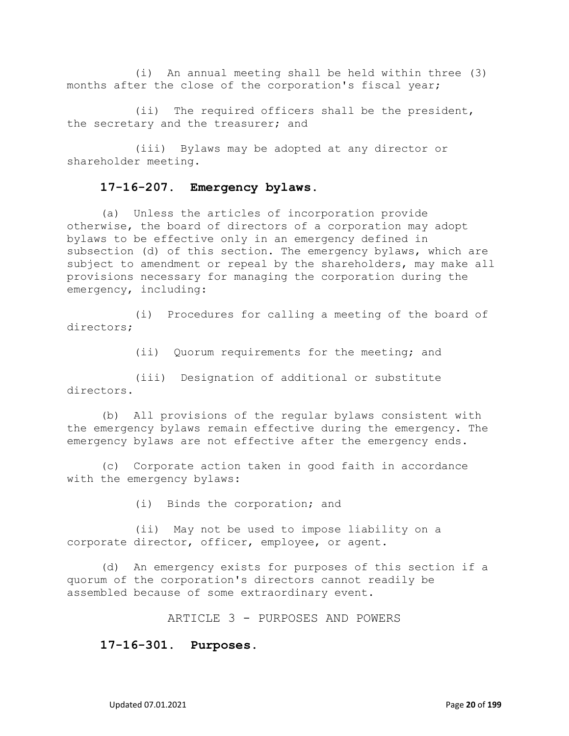(i) An annual meeting shall be held within three (3) months after the close of the corporation's fiscal year;

(ii) The required officers shall be the president, the secretary and the treasurer; and

(iii) Bylaws may be adopted at any director or shareholder meeting.

#### **17-16-207. Emergency bylaws.**

(a) Unless the articles of incorporation provide otherwise, the board of directors of a corporation may adopt bylaws to be effective only in an emergency defined in subsection (d) of this section. The emergency bylaws, which are subject to amendment or repeal by the shareholders, may make all provisions necessary for managing the corporation during the emergency, including:

(i) Procedures for calling a meeting of the board of directors;

(ii) Quorum requirements for the meeting; and

(iii) Designation of additional or substitute directors.

(b) All provisions of the regular bylaws consistent with the emergency bylaws remain effective during the emergency. The emergency bylaws are not effective after the emergency ends.

(c) Corporate action taken in good faith in accordance with the emergency bylaws:

(i) Binds the corporation; and

(ii) May not be used to impose liability on a corporate director, officer, employee, or agent.

(d) An emergency exists for purposes of this section if a quorum of the corporation's directors cannot readily be assembled because of some extraordinary event.

ARTICLE 3 - PURPOSES AND POWERS

### **17-16-301. Purposes.**

Updated 07.01.2021 Page **20** of **199**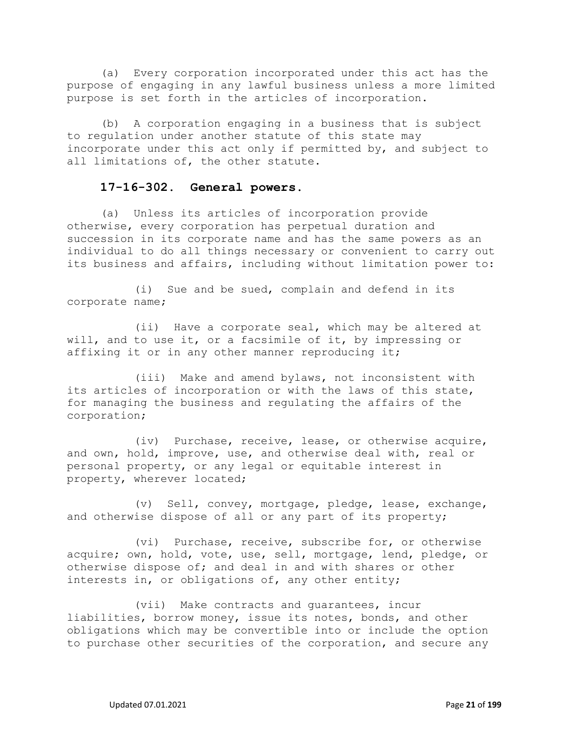(a) Every corporation incorporated under this act has the purpose of engaging in any lawful business unless a more limited purpose is set forth in the articles of incorporation.

(b) A corporation engaging in a business that is subject to regulation under another statute of this state may incorporate under this act only if permitted by, and subject to all limitations of, the other statute.

## **17-16-302. General powers.**

(a) Unless its articles of incorporation provide otherwise, every corporation has perpetual duration and succession in its corporate name and has the same powers as an individual to do all things necessary or convenient to carry out its business and affairs, including without limitation power to:

(i) Sue and be sued, complain and defend in its corporate name;

(ii) Have a corporate seal, which may be altered at will, and to use it, or a facsimile of it, by impressing or affixing it or in any other manner reproducing it;

(iii) Make and amend bylaws, not inconsistent with its articles of incorporation or with the laws of this state, for managing the business and regulating the affairs of the corporation;

(iv) Purchase, receive, lease, or otherwise acquire, and own, hold, improve, use, and otherwise deal with, real or personal property, or any legal or equitable interest in property, wherever located;

(v) Sell, convey, mortgage, pledge, lease, exchange, and otherwise dispose of all or any part of its property;

(vi) Purchase, receive, subscribe for, or otherwise acquire; own, hold, vote, use, sell, mortgage, lend, pledge, or otherwise dispose of; and deal in and with shares or other interests in, or obligations of, any other entity;

(vii) Make contracts and guarantees, incur liabilities, borrow money, issue its notes, bonds, and other obligations which may be convertible into or include the option to purchase other securities of the corporation, and secure any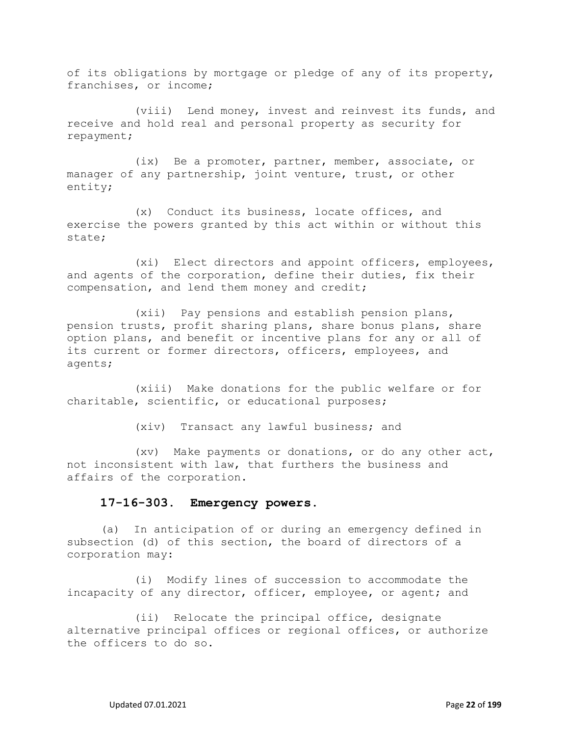of its obligations by mortgage or pledge of any of its property, franchises, or income;

(viii) Lend money, invest and reinvest its funds, and receive and hold real and personal property as security for repayment;

(ix) Be a promoter, partner, member, associate, or manager of any partnership, joint venture, trust, or other entity;

(x) Conduct its business, locate offices, and exercise the powers granted by this act within or without this state;

(xi) Elect directors and appoint officers, employees, and agents of the corporation, define their duties, fix their compensation, and lend them money and credit;

(xii) Pay pensions and establish pension plans, pension trusts, profit sharing plans, share bonus plans, share option plans, and benefit or incentive plans for any or all of its current or former directors, officers, employees, and agents;

(xiii) Make donations for the public welfare or for charitable, scientific, or educational purposes;

(xiv) Transact any lawful business; and

(xv) Make payments or donations, or do any other act, not inconsistent with law, that furthers the business and affairs of the corporation.

#### **17-16-303. Emergency powers.**

(a) In anticipation of or during an emergency defined in subsection (d) of this section, the board of directors of a corporation may:

(i) Modify lines of succession to accommodate the incapacity of any director, officer, employee, or agent; and

(ii) Relocate the principal office, designate alternative principal offices or regional offices, or authorize the officers to do so.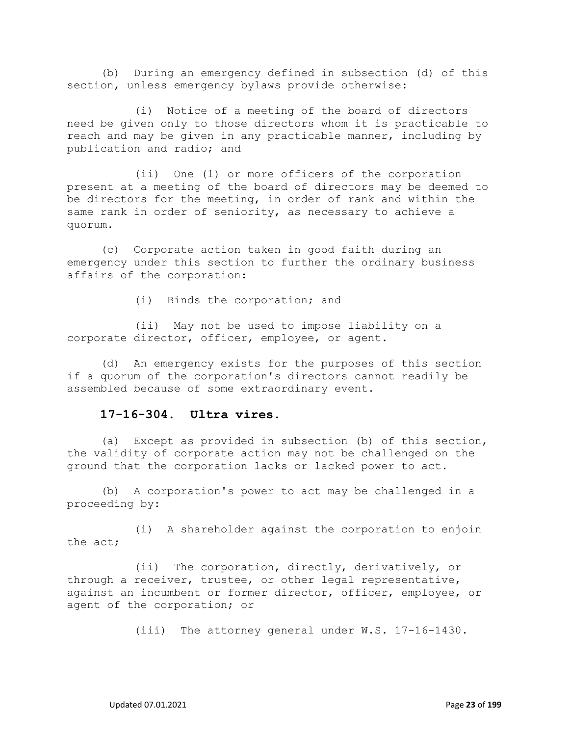(b) During an emergency defined in subsection (d) of this section, unless emergency bylaws provide otherwise:

(i) Notice of a meeting of the board of directors need be given only to those directors whom it is practicable to reach and may be given in any practicable manner, including by publication and radio; and

(ii) One (1) or more officers of the corporation present at a meeting of the board of directors may be deemed to be directors for the meeting, in order of rank and within the same rank in order of seniority, as necessary to achieve a quorum.

(c) Corporate action taken in good faith during an emergency under this section to further the ordinary business affairs of the corporation:

(i) Binds the corporation; and

(ii) May not be used to impose liability on a corporate director, officer, employee, or agent.

(d) An emergency exists for the purposes of this section if a quorum of the corporation's directors cannot readily be assembled because of some extraordinary event.

### **17-16-304. Ultra vires.**

(a) Except as provided in subsection (b) of this section, the validity of corporate action may not be challenged on the ground that the corporation lacks or lacked power to act.

(b) A corporation's power to act may be challenged in a proceeding by:

(i) A shareholder against the corporation to enjoin the act;

(ii) The corporation, directly, derivatively, or through a receiver, trustee, or other legal representative, against an incumbent or former director, officer, employee, or agent of the corporation; or

(iii) The attorney general under W.S. 17-16-1430.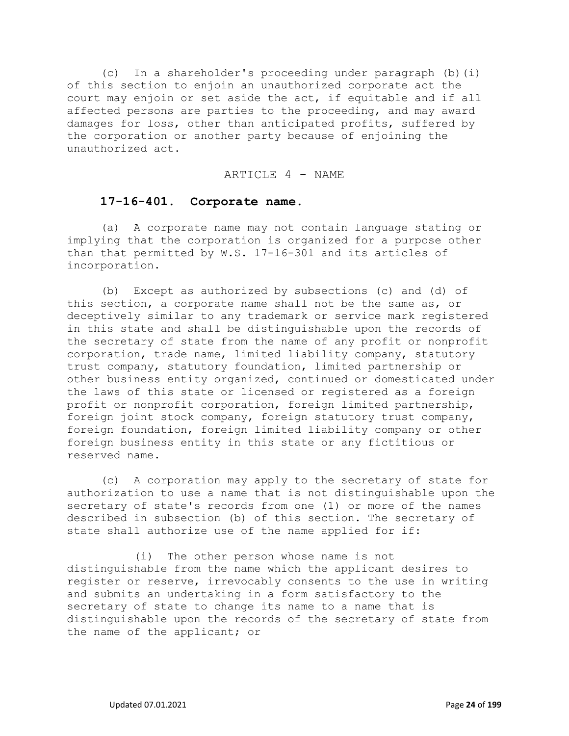(c) In a shareholder's proceeding under paragraph (b)(i) of this section to enjoin an unauthorized corporate act the court may enjoin or set aside the act, if equitable and if all affected persons are parties to the proceeding, and may award damages for loss, other than anticipated profits, suffered by the corporation or another party because of enjoining the unauthorized act.

### ARTICLE 4 - NAME

### **17-16-401. Corporate name.**

(a) A corporate name may not contain language stating or implying that the corporation is organized for a purpose other than that permitted by W.S. 17-16-301 and its articles of incorporation.

(b) Except as authorized by subsections (c) and (d) of this section, a corporate name shall not be the same as, or deceptively similar to any trademark or service mark registered in this state and shall be distinguishable upon the records of the secretary of state from the name of any profit or nonprofit corporation, trade name, limited liability company, statutory trust company, statutory foundation, limited partnership or other business entity organized, continued or domesticated under the laws of this state or licensed or registered as a foreign profit or nonprofit corporation, foreign limited partnership, foreign joint stock company, foreign statutory trust company, foreign foundation, foreign limited liability company or other foreign business entity in this state or any fictitious or reserved name.

(c) A corporation may apply to the secretary of state for authorization to use a name that is not distinguishable upon the secretary of state's records from one (1) or more of the names described in subsection (b) of this section. The secretary of state shall authorize use of the name applied for if:

(i) The other person whose name is not distinguishable from the name which the applicant desires to register or reserve, irrevocably consents to the use in writing and submits an undertaking in a form satisfactory to the secretary of state to change its name to a name that is distinguishable upon the records of the secretary of state from the name of the applicant; or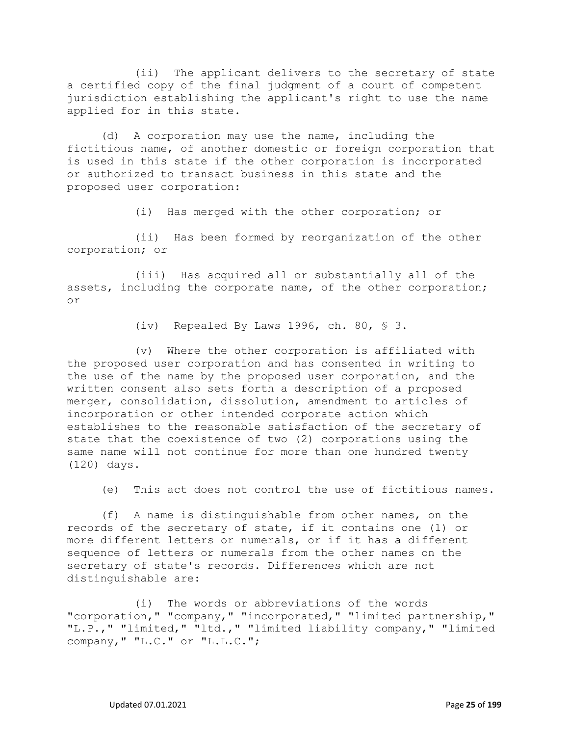(ii) The applicant delivers to the secretary of state a certified copy of the final judgment of a court of competent jurisdiction establishing the applicant's right to use the name applied for in this state.

(d) A corporation may use the name, including the fictitious name, of another domestic or foreign corporation that is used in this state if the other corporation is incorporated or authorized to transact business in this state and the proposed user corporation:

(i) Has merged with the other corporation; or

(ii) Has been formed by reorganization of the other corporation; or

(iii) Has acquired all or substantially all of the assets, including the corporate name, of the other corporation; or

(iv) Repealed By Laws 1996, ch. 80, § 3.

(v) Where the other corporation is affiliated with the proposed user corporation and has consented in writing to the use of the name by the proposed user corporation, and the written consent also sets forth a description of a proposed merger, consolidation, dissolution, amendment to articles of incorporation or other intended corporate action which establishes to the reasonable satisfaction of the secretary of state that the coexistence of two (2) corporations using the same name will not continue for more than one hundred twenty (120) days.

(e) This act does not control the use of fictitious names.

(f) A name is distinguishable from other names, on the records of the secretary of state, if it contains one (1) or more different letters or numerals, or if it has a different sequence of letters or numerals from the other names on the secretary of state's records. Differences which are not distinguishable are:

(i) The words or abbreviations of the words "corporation," "company," "incorporated," "limited partnership," "L.P.," "limited," "ltd.," "limited liability company," "limited company," "L.C." or "L.L.C.";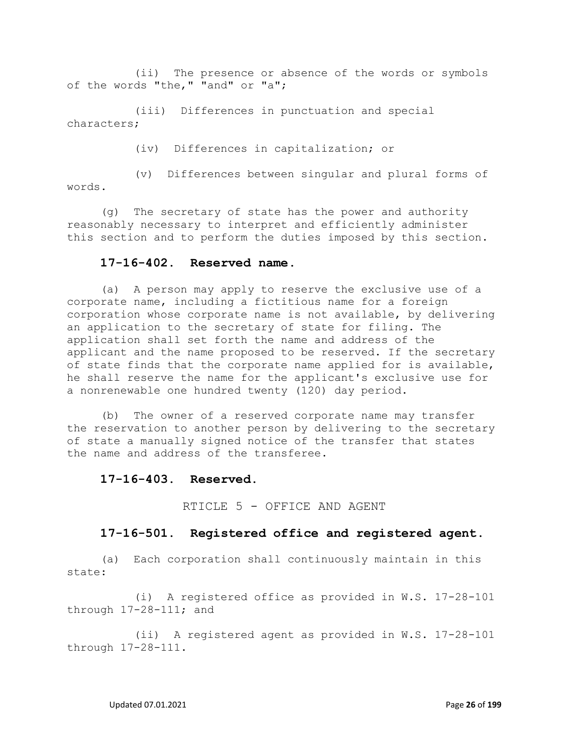(ii) The presence or absence of the words or symbols of the words "the," "and" or "a";

(iii) Differences in punctuation and special characters;

(iv) Differences in capitalization; or

(v) Differences between singular and plural forms of words.

(g) The secretary of state has the power and authority reasonably necessary to interpret and efficiently administer this section and to perform the duties imposed by this section.

### **17-16-402. Reserved name.**

(a) A person may apply to reserve the exclusive use of a corporate name, including a fictitious name for a foreign corporation whose corporate name is not available, by delivering an application to the secretary of state for filing. The application shall set forth the name and address of the applicant and the name proposed to be reserved. If the secretary of state finds that the corporate name applied for is available, he shall reserve the name for the applicant's exclusive use for a nonrenewable one hundred twenty (120) day period.

(b) The owner of a reserved corporate name may transfer the reservation to another person by delivering to the secretary of state a manually signed notice of the transfer that states the name and address of the transferee.

### **17-16-403. Reserved.**

RTICLE 5 - OFFICE AND AGENT

#### **17-16-501. Registered office and registered agent.**

(a) Each corporation shall continuously maintain in this state:

(i) A registered office as provided in W.S. 17-28-101 through  $17-28-111$ ; and

(ii) A registered agent as provided in W.S. 17-28-101 through 17-28-111.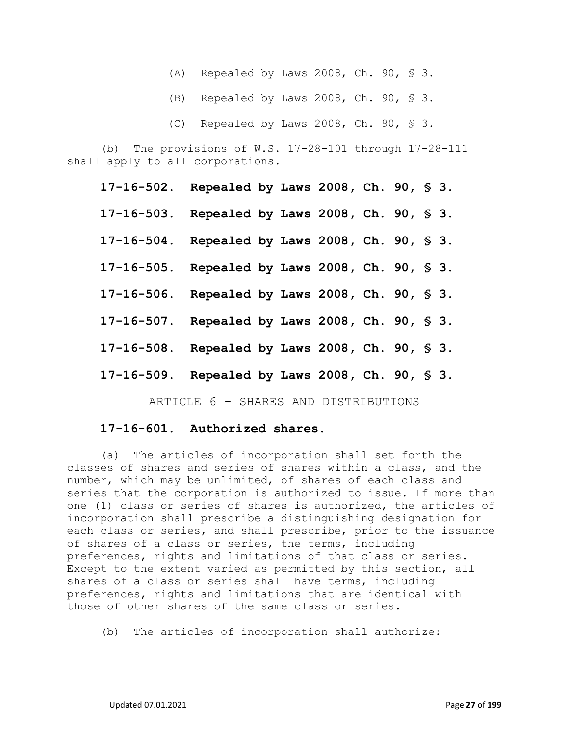- (A) Repealed by Laws 2008, Ch. 90, § 3.
- (B) Repealed by Laws 2008, Ch. 90, § 3.
- (C) Repealed by Laws 2008, Ch. 90, § 3.

(b) The provisions of W.S. 17-28-101 through 17-28-111 shall apply to all corporations.

**17-16-502. Repealed by Laws 2008, Ch. 90, § 3. 17-16-503. Repealed by Laws 2008, Ch. 90, § 3. 17-16-504. Repealed by Laws 2008, Ch. 90, § 3. 17-16-505. Repealed by Laws 2008, Ch. 90, § 3. 17-16-506. Repealed by Laws 2008, Ch. 90, § 3. 17-16-507. Repealed by Laws 2008, Ch. 90, § 3. 17-16-508. Repealed by Laws 2008, Ch. 90, § 3. 17-16-509. Repealed by Laws 2008, Ch. 90, § 3.**

ARTICLE 6 - SHARES AND DISTRIBUTIONS

### **17-16-601. Authorized shares.**

(a) The articles of incorporation shall set forth the classes of shares and series of shares within a class, and the number, which may be unlimited, of shares of each class and series that the corporation is authorized to issue. If more than one (1) class or series of shares is authorized, the articles of incorporation shall prescribe a distinguishing designation for each class or series, and shall prescribe, prior to the issuance of shares of a class or series, the terms, including preferences, rights and limitations of that class or series. Except to the extent varied as permitted by this section, all shares of a class or series shall have terms, including preferences, rights and limitations that are identical with those of other shares of the same class or series.

(b) The articles of incorporation shall authorize: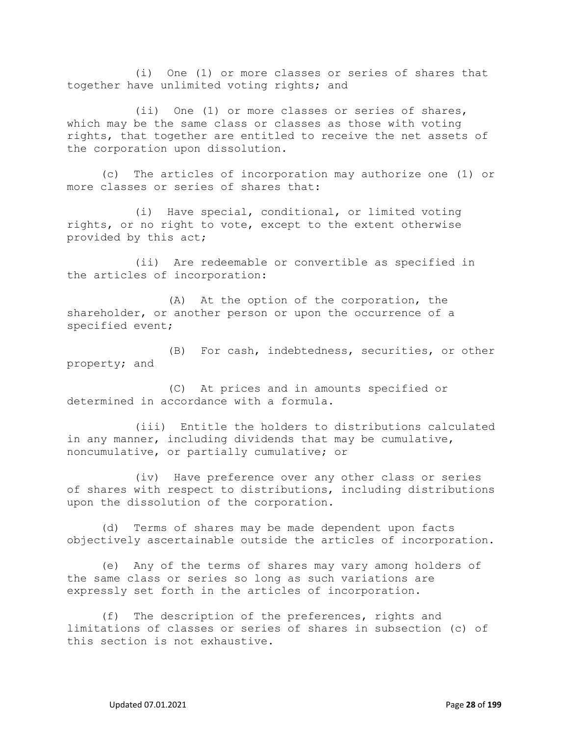(i) One (1) or more classes or series of shares that together have unlimited voting rights; and

(ii) One (1) or more classes or series of shares, which may be the same class or classes as those with voting rights, that together are entitled to receive the net assets of the corporation upon dissolution.

(c) The articles of incorporation may authorize one (1) or more classes or series of shares that:

(i) Have special, conditional, or limited voting rights, or no right to vote, except to the extent otherwise provided by this act;

(ii) Are redeemable or convertible as specified in the articles of incorporation:

(A) At the option of the corporation, the shareholder, or another person or upon the occurrence of a specified event;

(B) For cash, indebtedness, securities, or other property; and

(C) At prices and in amounts specified or determined in accordance with a formula.

(iii) Entitle the holders to distributions calculated in any manner, including dividends that may be cumulative, noncumulative, or partially cumulative; or

(iv) Have preference over any other class or series of shares with respect to distributions, including distributions upon the dissolution of the corporation.

(d) Terms of shares may be made dependent upon facts objectively ascertainable outside the articles of incorporation.

(e) Any of the terms of shares may vary among holders of the same class or series so long as such variations are expressly set forth in the articles of incorporation.

(f) The description of the preferences, rights and limitations of classes or series of shares in subsection (c) of this section is not exhaustive.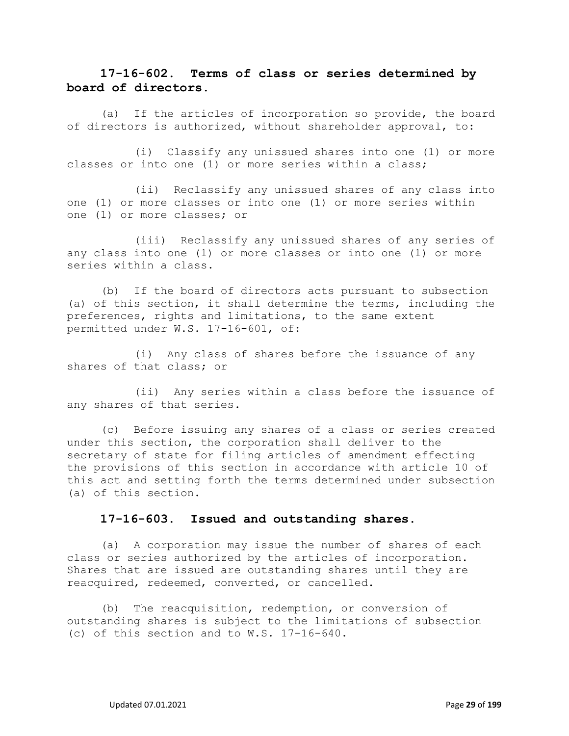# **17-16-602. Terms of class or series determined by board of directors.**

(a) If the articles of incorporation so provide, the board of directors is authorized, without shareholder approval, to:

(i) Classify any unissued shares into one (1) or more classes or into one (1) or more series within a class;

(ii) Reclassify any unissued shares of any class into one (1) or more classes or into one (1) or more series within one (1) or more classes; or

(iii) Reclassify any unissued shares of any series of any class into one (1) or more classes or into one (1) or more series within a class.

(b) If the board of directors acts pursuant to subsection (a) of this section, it shall determine the terms, including the preferences, rights and limitations, to the same extent permitted under W.S. 17-16-601, of:

(i) Any class of shares before the issuance of any shares of that class; or

(ii) Any series within a class before the issuance of any shares of that series.

(c) Before issuing any shares of a class or series created under this section, the corporation shall deliver to the secretary of state for filing articles of amendment effecting the provisions of this section in accordance with article 10 of this act and setting forth the terms determined under subsection (a) of this section.

#### **17-16-603. Issued and outstanding shares.**

(a) A corporation may issue the number of shares of each class or series authorized by the articles of incorporation. Shares that are issued are outstanding shares until they are reacquired, redeemed, converted, or cancelled.

(b) The reacquisition, redemption, or conversion of outstanding shares is subject to the limitations of subsection (c) of this section and to W.S. 17-16-640.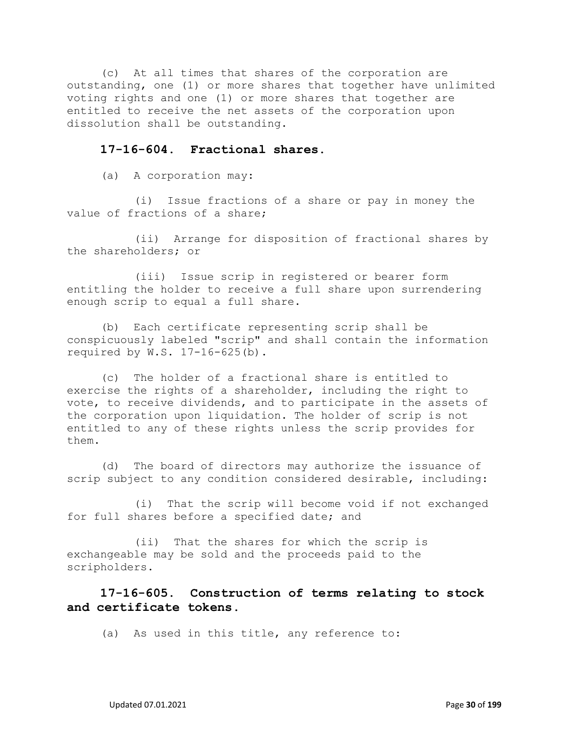(c) At all times that shares of the corporation are outstanding, one (1) or more shares that together have unlimited voting rights and one (1) or more shares that together are entitled to receive the net assets of the corporation upon dissolution shall be outstanding.

### **17-16-604. Fractional shares.**

(a) A corporation may:

(i) Issue fractions of a share or pay in money the value of fractions of a share;

(ii) Arrange for disposition of fractional shares by the shareholders; or

(iii) Issue scrip in registered or bearer form entitling the holder to receive a full share upon surrendering enough scrip to equal a full share.

(b) Each certificate representing scrip shall be conspicuously labeled "scrip" and shall contain the information required by W.S. 17-16-625(b).

(c) The holder of a fractional share is entitled to exercise the rights of a shareholder, including the right to vote, to receive dividends, and to participate in the assets of the corporation upon liquidation. The holder of scrip is not entitled to any of these rights unless the scrip provides for them.

(d) The board of directors may authorize the issuance of scrip subject to any condition considered desirable, including:

(i) That the scrip will become void if not exchanged for full shares before a specified date; and

(ii) That the shares for which the scrip is exchangeable may be sold and the proceeds paid to the scripholders.

**17-16-605. Construction of terms relating to stock and certificate tokens.**

(a) As used in this title, any reference to: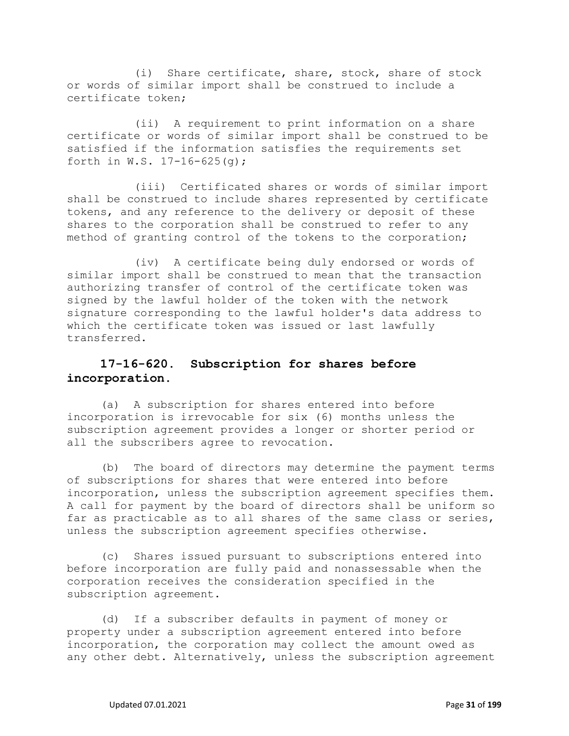(i) Share certificate, share, stock, share of stock or words of similar import shall be construed to include a certificate token;

(ii) A requirement to print information on a share certificate or words of similar import shall be construed to be satisfied if the information satisfies the requirements set forth in W.S. 17-16-625(g);

(iii) Certificated shares or words of similar import shall be construed to include shares represented by certificate tokens, and any reference to the delivery or deposit of these shares to the corporation shall be construed to refer to any method of granting control of the tokens to the corporation;

(iv) A certificate being duly endorsed or words of similar import shall be construed to mean that the transaction authorizing transfer of control of the certificate token was signed by the lawful holder of the token with the network signature corresponding to the lawful holder's data address to which the certificate token was issued or last lawfully transferred.

# **17-16-620. Subscription for shares before incorporation.**

(a) A subscription for shares entered into before incorporation is irrevocable for six (6) months unless the subscription agreement provides a longer or shorter period or all the subscribers agree to revocation.

(b) The board of directors may determine the payment terms of subscriptions for shares that were entered into before incorporation, unless the subscription agreement specifies them. A call for payment by the board of directors shall be uniform so far as practicable as to all shares of the same class or series, unless the subscription agreement specifies otherwise.

(c) Shares issued pursuant to subscriptions entered into before incorporation are fully paid and nonassessable when the corporation receives the consideration specified in the subscription agreement.

(d) If a subscriber defaults in payment of money or property under a subscription agreement entered into before incorporation, the corporation may collect the amount owed as any other debt. Alternatively, unless the subscription agreement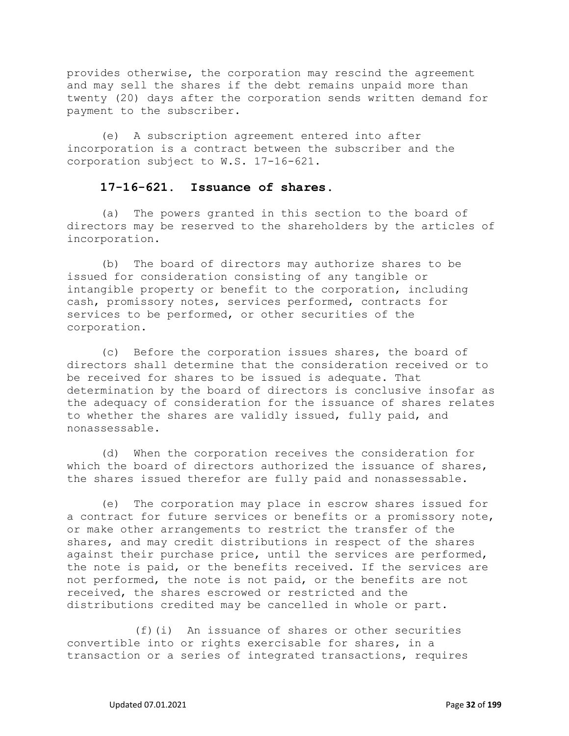provides otherwise, the corporation may rescind the agreement and may sell the shares if the debt remains unpaid more than twenty (20) days after the corporation sends written demand for payment to the subscriber.

(e) A subscription agreement entered into after incorporation is a contract between the subscriber and the corporation subject to W.S. 17-16-621.

#### **17-16-621. Issuance of shares.**

(a) The powers granted in this section to the board of directors may be reserved to the shareholders by the articles of incorporation.

(b) The board of directors may authorize shares to be issued for consideration consisting of any tangible or intangible property or benefit to the corporation, including cash, promissory notes, services performed, contracts for services to be performed, or other securities of the corporation.

(c) Before the corporation issues shares, the board of directors shall determine that the consideration received or to be received for shares to be issued is adequate. That determination by the board of directors is conclusive insofar as the adequacy of consideration for the issuance of shares relates to whether the shares are validly issued, fully paid, and nonassessable.

(d) When the corporation receives the consideration for which the board of directors authorized the issuance of shares, the shares issued therefor are fully paid and nonassessable.

(e) The corporation may place in escrow shares issued for a contract for future services or benefits or a promissory note, or make other arrangements to restrict the transfer of the shares, and may credit distributions in respect of the shares against their purchase price, until the services are performed, the note is paid, or the benefits received. If the services are not performed, the note is not paid, or the benefits are not received, the shares escrowed or restricted and the distributions credited may be cancelled in whole or part.

(f)(i) An issuance of shares or other securities convertible into or rights exercisable for shares, in a transaction or a series of integrated transactions, requires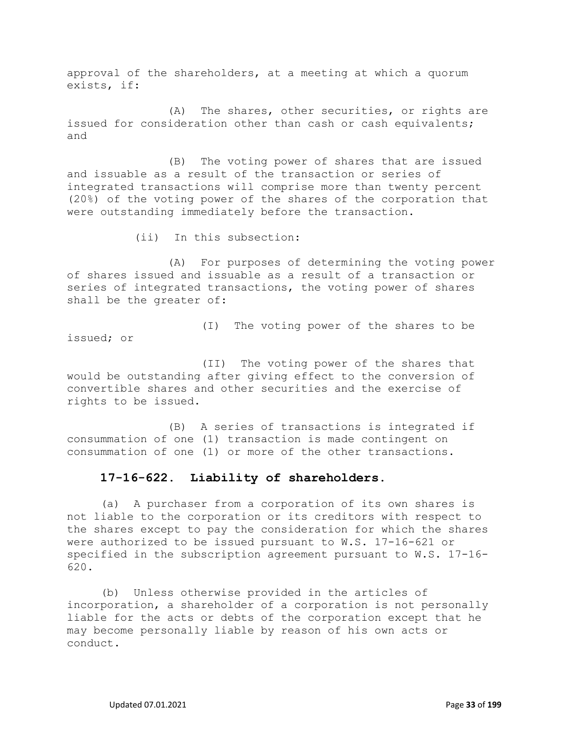approval of the shareholders, at a meeting at which a quorum exists, if:

(A) The shares, other securities, or rights are issued for consideration other than cash or cash equivalents; and

(B) The voting power of shares that are issued and issuable as a result of the transaction or series of integrated transactions will comprise more than twenty percent (20%) of the voting power of the shares of the corporation that were outstanding immediately before the transaction.

(ii) In this subsection:

(A) For purposes of determining the voting power of shares issued and issuable as a result of a transaction or series of integrated transactions, the voting power of shares shall be the greater of:

issued; or

(I) The voting power of the shares to be

(II) The voting power of the shares that would be outstanding after giving effect to the conversion of convertible shares and other securities and the exercise of rights to be issued.

(B) A series of transactions is integrated if consummation of one (1) transaction is made contingent on consummation of one (1) or more of the other transactions.

### **17-16-622. Liability of shareholders.**

(a) A purchaser from a corporation of its own shares is not liable to the corporation or its creditors with respect to the shares except to pay the consideration for which the shares were authorized to be issued pursuant to W.S. 17-16-621 or specified in the subscription agreement pursuant to W.S. 17-16- 620.

(b) Unless otherwise provided in the articles of incorporation, a shareholder of a corporation is not personally liable for the acts or debts of the corporation except that he may become personally liable by reason of his own acts or conduct.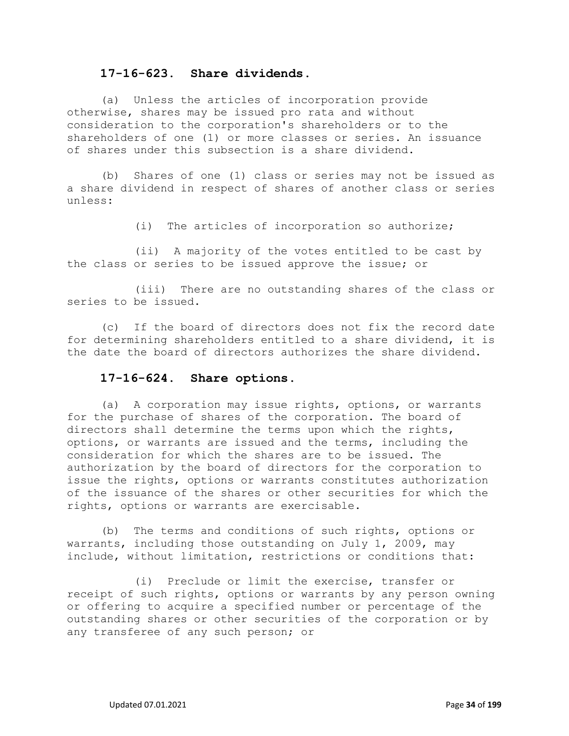### **17-16-623. Share dividends.**

(a) Unless the articles of incorporation provide otherwise, shares may be issued pro rata and without consideration to the corporation's shareholders or to the shareholders of one (1) or more classes or series. An issuance of shares under this subsection is a share dividend.

(b) Shares of one (1) class or series may not be issued as a share dividend in respect of shares of another class or series unless:

(i) The articles of incorporation so authorize;

(ii) A majority of the votes entitled to be cast by the class or series to be issued approve the issue; or

(iii) There are no outstanding shares of the class or series to be issued.

(c) If the board of directors does not fix the record date for determining shareholders entitled to a share dividend, it is the date the board of directors authorizes the share dividend.

#### **17-16-624. Share options.**

(a) A corporation may issue rights, options, or warrants for the purchase of shares of the corporation. The board of directors shall determine the terms upon which the rights, options, or warrants are issued and the terms, including the consideration for which the shares are to be issued. The authorization by the board of directors for the corporation to issue the rights, options or warrants constitutes authorization of the issuance of the shares or other securities for which the rights, options or warrants are exercisable.

(b) The terms and conditions of such rights, options or warrants, including those outstanding on July 1, 2009, may include, without limitation, restrictions or conditions that:

(i) Preclude or limit the exercise, transfer or receipt of such rights, options or warrants by any person owning or offering to acquire a specified number or percentage of the outstanding shares or other securities of the corporation or by any transferee of any such person; or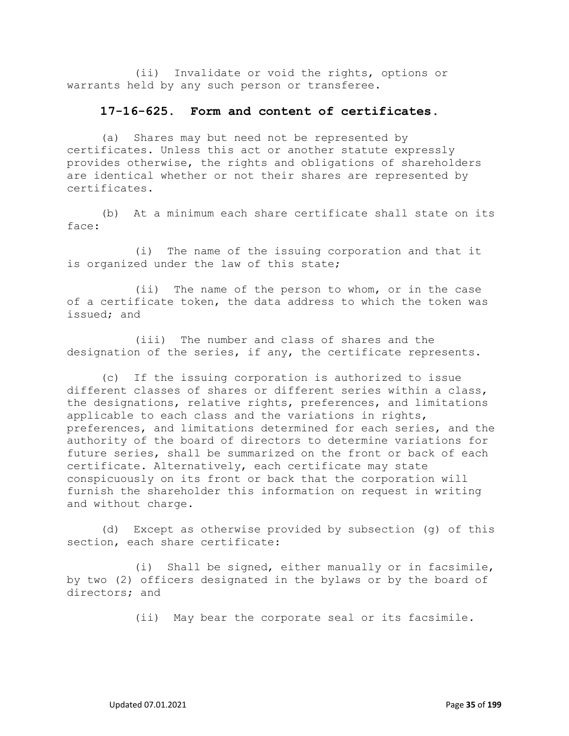(ii) Invalidate or void the rights, options or warrants held by any such person or transferee.

#### **17-16-625. Form and content of certificates.**

(a) Shares may but need not be represented by certificates. Unless this act or another statute expressly provides otherwise, the rights and obligations of shareholders are identical whether or not their shares are represented by certificates.

(b) At a minimum each share certificate shall state on its face:

(i) The name of the issuing corporation and that it is organized under the law of this state;

(ii) The name of the person to whom, or in the case of a certificate token, the data address to which the token was issued; and

(iii) The number and class of shares and the designation of the series, if any, the certificate represents.

(c) If the issuing corporation is authorized to issue different classes of shares or different series within a class, the designations, relative rights, preferences, and limitations applicable to each class and the variations in rights, preferences, and limitations determined for each series, and the authority of the board of directors to determine variations for future series, shall be summarized on the front or back of each certificate. Alternatively, each certificate may state conspicuously on its front or back that the corporation will furnish the shareholder this information on request in writing and without charge.

(d) Except as otherwise provided by subsection (g) of this section, each share certificate:

(i) Shall be signed, either manually or in facsimile, by two (2) officers designated in the bylaws or by the board of directors; and

(ii) May bear the corporate seal or its facsimile.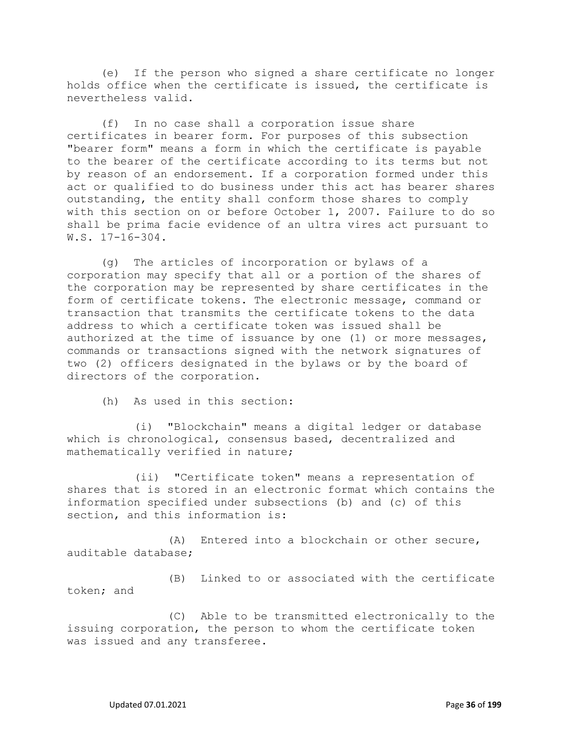(e) If the person who signed a share certificate no longer holds office when the certificate is issued, the certificate is nevertheless valid.

(f) In no case shall a corporation issue share certificates in bearer form. For purposes of this subsection "bearer form" means a form in which the certificate is payable to the bearer of the certificate according to its terms but not by reason of an endorsement. If a corporation formed under this act or qualified to do business under this act has bearer shares outstanding, the entity shall conform those shares to comply with this section on or before October 1, 2007. Failure to do so shall be prima facie evidence of an ultra vires act pursuant to W.S. 17-16-304.

(g) The articles of incorporation or bylaws of a corporation may specify that all or a portion of the shares of the corporation may be represented by share certificates in the form of certificate tokens. The electronic message, command or transaction that transmits the certificate tokens to the data address to which a certificate token was issued shall be authorized at the time of issuance by one (1) or more messages, commands or transactions signed with the network signatures of two (2) officers designated in the bylaws or by the board of directors of the corporation.

(h) As used in this section:

(i) "Blockchain" means a digital ledger or database which is chronological, consensus based, decentralized and mathematically verified in nature;

(ii) "Certificate token" means a representation of shares that is stored in an electronic format which contains the information specified under subsections (b) and (c) of this section, and this information is:

(A) Entered into a blockchain or other secure, auditable database;

(B) Linked to or associated with the certificate token; and

(C) Able to be transmitted electronically to the issuing corporation, the person to whom the certificate token was issued and any transferee.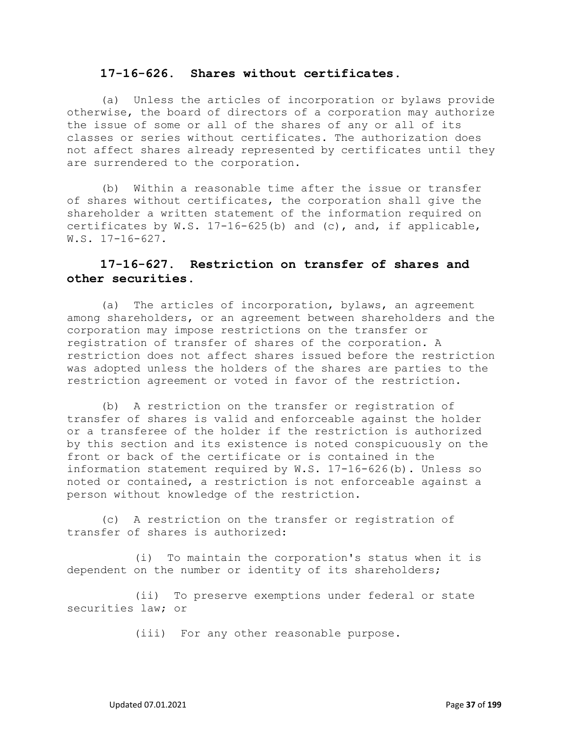### **17-16-626. Shares without certificates.**

(a) Unless the articles of incorporation or bylaws provide otherwise, the board of directors of a corporation may authorize the issue of some or all of the shares of any or all of its classes or series without certificates. The authorization does not affect shares already represented by certificates until they are surrendered to the corporation.

(b) Within a reasonable time after the issue or transfer of shares without certificates, the corporation shall give the shareholder a written statement of the information required on certificates by  $W.S. 17-16-625(b)$  and (c), and, if applicable, W.S. 17-16-627.

# **17-16-627. Restriction on transfer of shares and other securities.**

(a) The articles of incorporation, bylaws, an agreement among shareholders, or an agreement between shareholders and the corporation may impose restrictions on the transfer or registration of transfer of shares of the corporation. A restriction does not affect shares issued before the restriction was adopted unless the holders of the shares are parties to the restriction agreement or voted in favor of the restriction.

(b) A restriction on the transfer or registration of transfer of shares is valid and enforceable against the holder or a transferee of the holder if the restriction is authorized by this section and its existence is noted conspicuously on the front or back of the certificate or is contained in the information statement required by W.S. 17-16-626(b). Unless so noted or contained, a restriction is not enforceable against a person without knowledge of the restriction.

(c) A restriction on the transfer or registration of transfer of shares is authorized:

(i) To maintain the corporation's status when it is dependent on the number or identity of its shareholders;

(ii) To preserve exemptions under federal or state securities law; or

(iii) For any other reasonable purpose.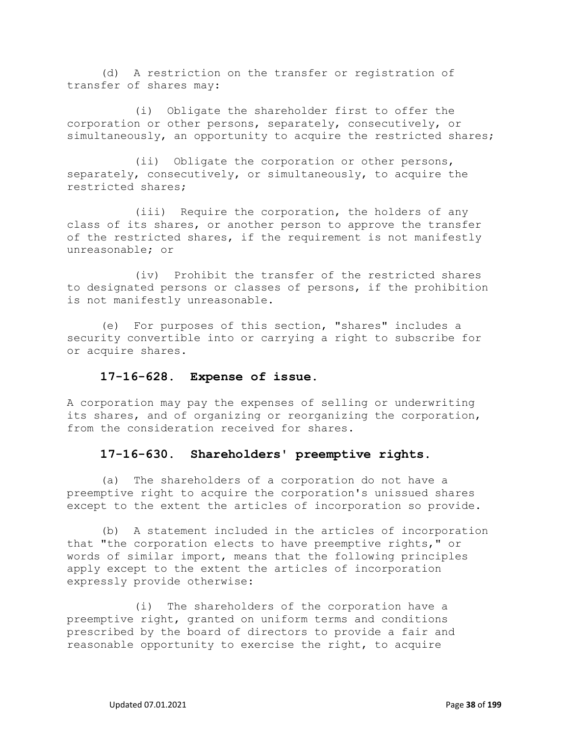(d) A restriction on the transfer or registration of transfer of shares may:

(i) Obligate the shareholder first to offer the corporation or other persons, separately, consecutively, or simultaneously, an opportunity to acquire the restricted shares;

(ii) Obligate the corporation or other persons, separately, consecutively, or simultaneously, to acquire the restricted shares;

(iii) Require the corporation, the holders of any class of its shares, or another person to approve the transfer of the restricted shares, if the requirement is not manifestly unreasonable; or

(iv) Prohibit the transfer of the restricted shares to designated persons or classes of persons, if the prohibition is not manifestly unreasonable.

(e) For purposes of this section, "shares" includes a security convertible into or carrying a right to subscribe for or acquire shares.

### **17-16-628. Expense of issue.**

A corporation may pay the expenses of selling or underwriting its shares, and of organizing or reorganizing the corporation, from the consideration received for shares.

### **17-16-630. Shareholders' preemptive rights.**

(a) The shareholders of a corporation do not have a preemptive right to acquire the corporation's unissued shares except to the extent the articles of incorporation so provide.

(b) A statement included in the articles of incorporation that "the corporation elects to have preemptive rights," or words of similar import, means that the following principles apply except to the extent the articles of incorporation expressly provide otherwise:

(i) The shareholders of the corporation have a preemptive right, granted on uniform terms and conditions prescribed by the board of directors to provide a fair and reasonable opportunity to exercise the right, to acquire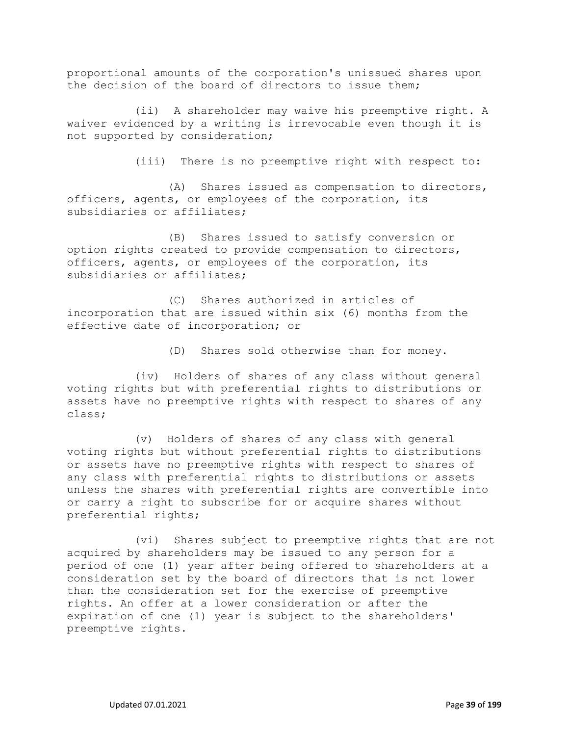proportional amounts of the corporation's unissued shares upon the decision of the board of directors to issue them;

(ii) A shareholder may waive his preemptive right. A waiver evidenced by a writing is irrevocable even though it is not supported by consideration;

(iii) There is no preemptive right with respect to:

(A) Shares issued as compensation to directors, officers, agents, or employees of the corporation, its subsidiaries or affiliates;

(B) Shares issued to satisfy conversion or option rights created to provide compensation to directors, officers, agents, or employees of the corporation, its subsidiaries or affiliates;

(C) Shares authorized in articles of incorporation that are issued within six (6) months from the effective date of incorporation; or

(D) Shares sold otherwise than for money.

(iv) Holders of shares of any class without general voting rights but with preferential rights to distributions or assets have no preemptive rights with respect to shares of any class;

(v) Holders of shares of any class with general voting rights but without preferential rights to distributions or assets have no preemptive rights with respect to shares of any class with preferential rights to distributions or assets unless the shares with preferential rights are convertible into or carry a right to subscribe for or acquire shares without preferential rights;

(vi) Shares subject to preemptive rights that are not acquired by shareholders may be issued to any person for a period of one (1) year after being offered to shareholders at a consideration set by the board of directors that is not lower than the consideration set for the exercise of preemptive rights. An offer at a lower consideration or after the expiration of one (1) year is subject to the shareholders' preemptive rights.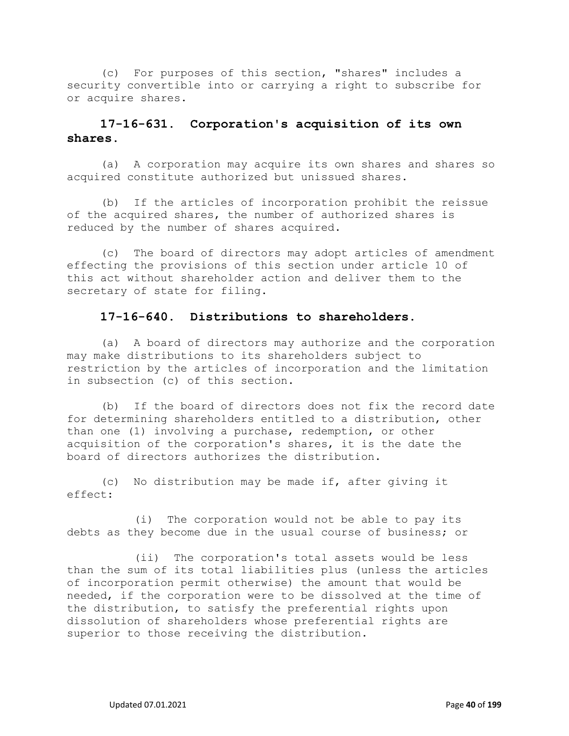(c) For purposes of this section, "shares" includes a security convertible into or carrying a right to subscribe for or acquire shares.

# **17-16-631. Corporation's acquisition of its own shares.**

(a) A corporation may acquire its own shares and shares so acquired constitute authorized but unissued shares.

(b) If the articles of incorporation prohibit the reissue of the acquired shares, the number of authorized shares is reduced by the number of shares acquired.

(c) The board of directors may adopt articles of amendment effecting the provisions of this section under article 10 of this act without shareholder action and deliver them to the secretary of state for filing.

# **17-16-640. Distributions to shareholders.**

(a) A board of directors may authorize and the corporation may make distributions to its shareholders subject to restriction by the articles of incorporation and the limitation in subsection (c) of this section.

(b) If the board of directors does not fix the record date for determining shareholders entitled to a distribution, other than one (1) involving a purchase, redemption, or other acquisition of the corporation's shares, it is the date the board of directors authorizes the distribution.

(c) No distribution may be made if, after giving it effect:

(i) The corporation would not be able to pay its debts as they become due in the usual course of business; or

(ii) The corporation's total assets would be less than the sum of its total liabilities plus (unless the articles of incorporation permit otherwise) the amount that would be needed, if the corporation were to be dissolved at the time of the distribution, to satisfy the preferential rights upon dissolution of shareholders whose preferential rights are superior to those receiving the distribution.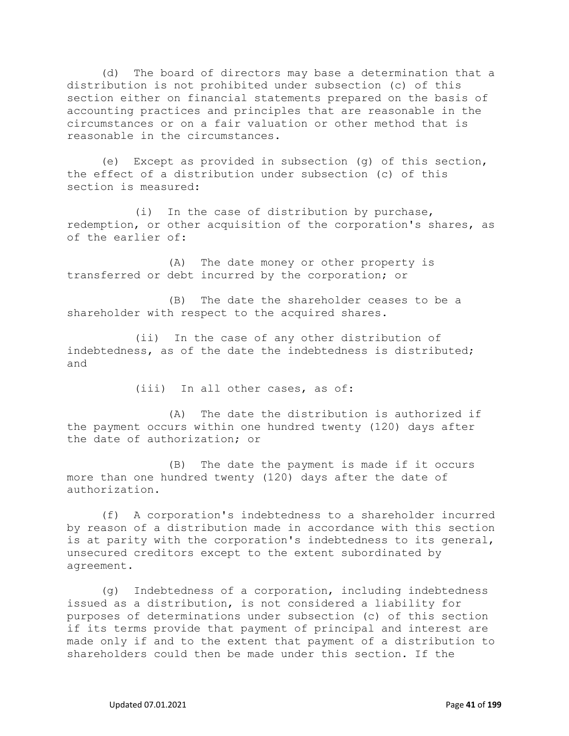(d) The board of directors may base a determination that a distribution is not prohibited under subsection (c) of this section either on financial statements prepared on the basis of accounting practices and principles that are reasonable in the circumstances or on a fair valuation or other method that is reasonable in the circumstances.

(e) Except as provided in subsection (g) of this section, the effect of a distribution under subsection (c) of this section is measured:

(i) In the case of distribution by purchase, redemption, or other acquisition of the corporation's shares, as of the earlier of:

(A) The date money or other property is transferred or debt incurred by the corporation; or

(B) The date the shareholder ceases to be a shareholder with respect to the acquired shares.

(ii) In the case of any other distribution of indebtedness, as of the date the indebtedness is distributed; and

(iii) In all other cases, as of:

(A) The date the distribution is authorized if the payment occurs within one hundred twenty (120) days after the date of authorization; or

(B) The date the payment is made if it occurs more than one hundred twenty (120) days after the date of authorization.

(f) A corporation's indebtedness to a shareholder incurred by reason of a distribution made in accordance with this section is at parity with the corporation's indebtedness to its general, unsecured creditors except to the extent subordinated by agreement.

(g) Indebtedness of a corporation, including indebtedness issued as a distribution, is not considered a liability for purposes of determinations under subsection (c) of this section if its terms provide that payment of principal and interest are made only if and to the extent that payment of a distribution to shareholders could then be made under this section. If the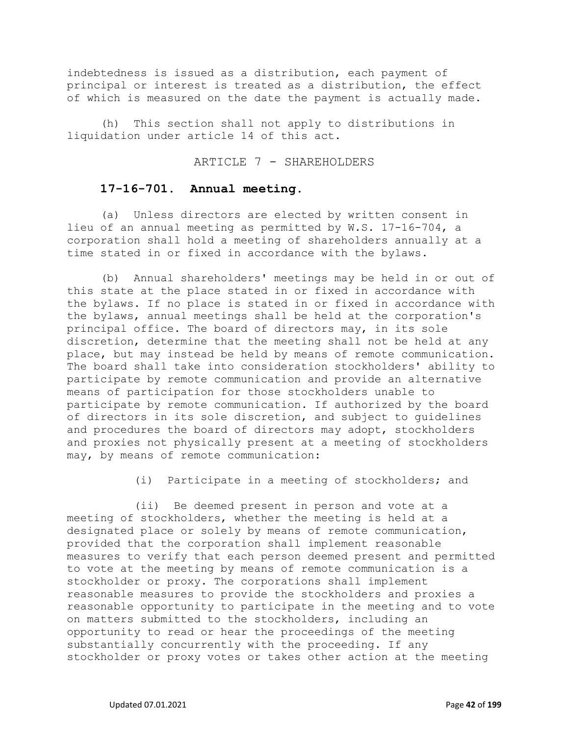indebtedness is issued as a distribution, each payment of principal or interest is treated as a distribution, the effect of which is measured on the date the payment is actually made.

(h) This section shall not apply to distributions in liquidation under article 14 of this act.

### ARTICLE 7 - SHAREHOLDERS

### **17-16-701. Annual meeting.**

(a) Unless directors are elected by written consent in lieu of an annual meeting as permitted by W.S. 17-16-704, a corporation shall hold a meeting of shareholders annually at a time stated in or fixed in accordance with the bylaws.

(b) Annual shareholders' meetings may be held in or out of this state at the place stated in or fixed in accordance with the bylaws. If no place is stated in or fixed in accordance with the bylaws, annual meetings shall be held at the corporation's principal office. The board of directors may, in its sole discretion, determine that the meeting shall not be held at any place, but may instead be held by means of remote communication. The board shall take into consideration stockholders' ability to participate by remote communication and provide an alternative means of participation for those stockholders unable to participate by remote communication. If authorized by the board of directors in its sole discretion, and subject to guidelines and procedures the board of directors may adopt, stockholders and proxies not physically present at a meeting of stockholders may, by means of remote communication:

(i) Participate in a meeting of stockholders; and

(ii) Be deemed present in person and vote at a meeting of stockholders, whether the meeting is held at a designated place or solely by means of remote communication, provided that the corporation shall implement reasonable measures to verify that each person deemed present and permitted to vote at the meeting by means of remote communication is a stockholder or proxy. The corporations shall implement reasonable measures to provide the stockholders and proxies a reasonable opportunity to participate in the meeting and to vote on matters submitted to the stockholders, including an opportunity to read or hear the proceedings of the meeting substantially concurrently with the proceeding. If any stockholder or proxy votes or takes other action at the meeting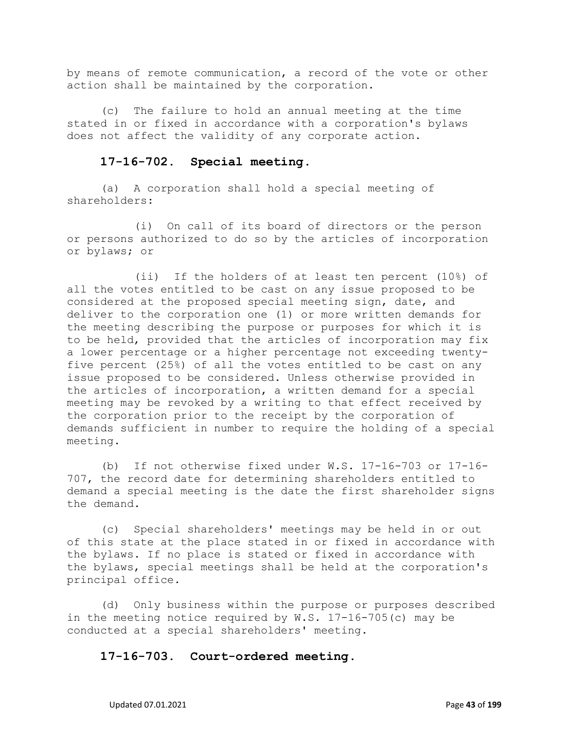by means of remote communication, a record of the vote or other action shall be maintained by the corporation.

(c) The failure to hold an annual meeting at the time stated in or fixed in accordance with a corporation's bylaws does not affect the validity of any corporate action.

### **17-16-702. Special meeting.**

(a) A corporation shall hold a special meeting of shareholders:

(i) On call of its board of directors or the person or persons authorized to do so by the articles of incorporation or bylaws; or

(ii) If the holders of at least ten percent (10%) of all the votes entitled to be cast on any issue proposed to be considered at the proposed special meeting sign, date, and deliver to the corporation one (1) or more written demands for the meeting describing the purpose or purposes for which it is to be held, provided that the articles of incorporation may fix a lower percentage or a higher percentage not exceeding twentyfive percent (25%) of all the votes entitled to be cast on any issue proposed to be considered. Unless otherwise provided in the articles of incorporation, a written demand for a special meeting may be revoked by a writing to that effect received by the corporation prior to the receipt by the corporation of demands sufficient in number to require the holding of a special meeting.

(b) If not otherwise fixed under W.S. 17-16-703 or 17-16- 707, the record date for determining shareholders entitled to demand a special meeting is the date the first shareholder signs the demand.

(c) Special shareholders' meetings may be held in or out of this state at the place stated in or fixed in accordance with the bylaws. If no place is stated or fixed in accordance with the bylaws, special meetings shall be held at the corporation's principal office.

(d) Only business within the purpose or purposes described in the meeting notice required by W.S. 17-16-705(c) may be conducted at a special shareholders' meeting.

### **17-16-703. Court-ordered meeting.**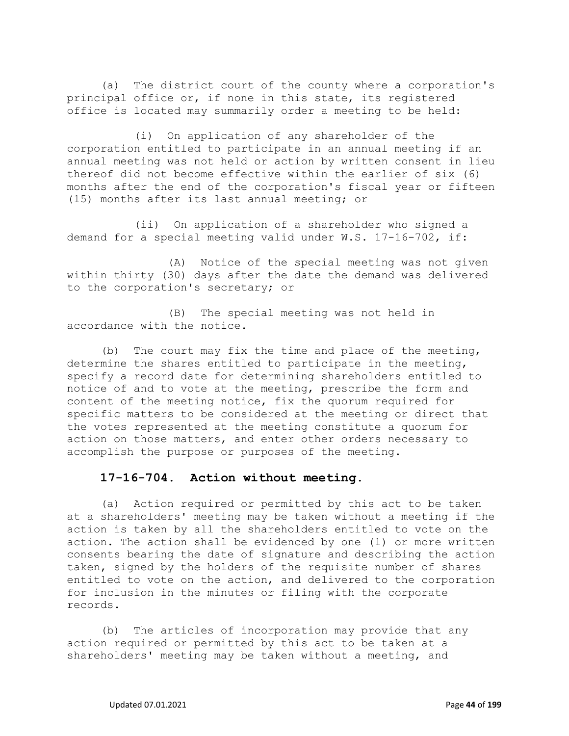(a) The district court of the county where a corporation's principal office or, if none in this state, its registered office is located may summarily order a meeting to be held:

(i) On application of any shareholder of the corporation entitled to participate in an annual meeting if an annual meeting was not held or action by written consent in lieu thereof did not become effective within the earlier of six (6) months after the end of the corporation's fiscal year or fifteen (15) months after its last annual meeting; or

(ii) On application of a shareholder who signed a demand for a special meeting valid under W.S. 17-16-702, if:

(A) Notice of the special meeting was not given within thirty (30) days after the date the demand was delivered to the corporation's secretary; or

(B) The special meeting was not held in accordance with the notice.

(b) The court may fix the time and place of the meeting, determine the shares entitled to participate in the meeting, specify a record date for determining shareholders entitled to notice of and to vote at the meeting, prescribe the form and content of the meeting notice, fix the quorum required for specific matters to be considered at the meeting or direct that the votes represented at the meeting constitute a quorum for action on those matters, and enter other orders necessary to accomplish the purpose or purposes of the meeting.

### **17-16-704. Action without meeting.**

(a) Action required or permitted by this act to be taken at a shareholders' meeting may be taken without a meeting if the action is taken by all the shareholders entitled to vote on the action. The action shall be evidenced by one (1) or more written consents bearing the date of signature and describing the action taken, signed by the holders of the requisite number of shares entitled to vote on the action, and delivered to the corporation for inclusion in the minutes or filing with the corporate records.

(b) The articles of incorporation may provide that any action required or permitted by this act to be taken at a shareholders' meeting may be taken without a meeting, and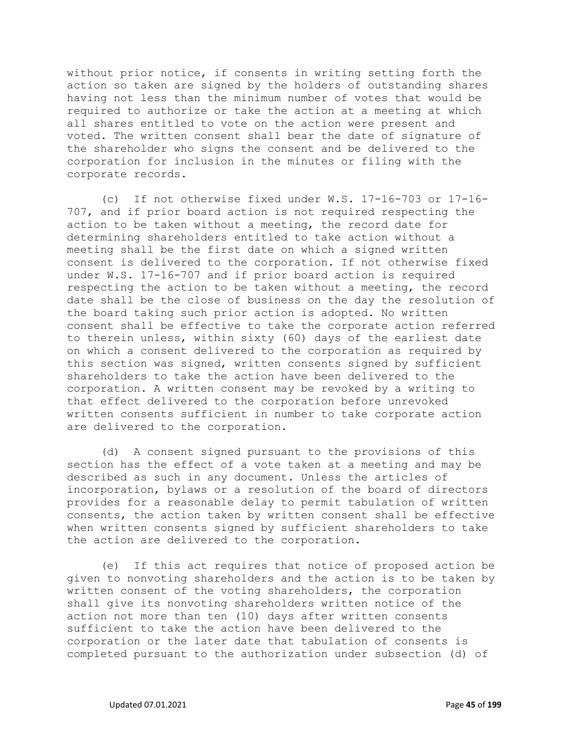without prior notice, if consents in writing setting forth the action so taken are signed by the holders of outstanding shares having not less than the minimum number of votes that would be required to authorize or take the action at a meeting at which all shares entitled to vote on the action were present and voted. The written consent shall bear the date of signature of the shareholder who signs the consent and be delivered to the corporation for inclusion in the minutes or filing with the corporate records.

(c) If not otherwise fixed under W.S. 17-16-703 or 17-16- 707, and if prior board action is not required respecting the action to be taken without a meeting, the record date for determining shareholders entitled to take action without a meeting shall be the first date on which a signed written consent is delivered to the corporation. If not otherwise fixed under W.S. 17-16-707 and if prior board action is required respecting the action to be taken without a meeting, the record date shall be the close of business on the day the resolution of the board taking such prior action is adopted. No written consent shall be effective to take the corporate action referred to therein unless, within sixty (60) days of the earliest date on which a consent delivered to the corporation as required by this section was signed, written consents signed by sufficient shareholders to take the action have been delivered to the corporation. A written consent may be revoked by a writing to that effect delivered to the corporation before unrevoked written consents sufficient in number to take corporate action are delivered to the corporation.

(d) A consent signed pursuant to the provisions of this section has the effect of a vote taken at a meeting and may be described as such in any document. Unless the articles of incorporation, bylaws or a resolution of the board of directors provides for a reasonable delay to permit tabulation of written consents, the action taken by written consent shall be effective when written consents signed by sufficient shareholders to take the action are delivered to the corporation.

(e) If this act requires that notice of proposed action be given to nonvoting shareholders and the action is to be taken by written consent of the voting shareholders, the corporation shall give its nonvoting shareholders written notice of the action not more than ten (10) days after written consents sufficient to take the action have been delivered to the corporation or the later date that tabulation of consents is completed pursuant to the authorization under subsection (d) of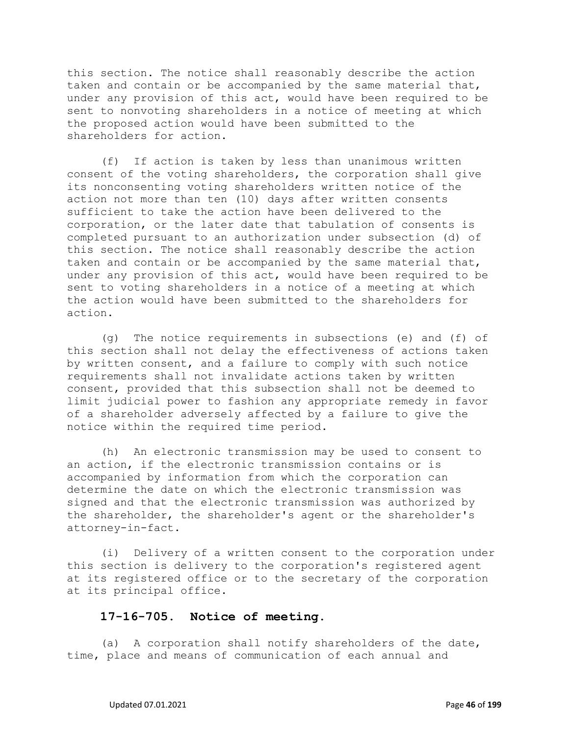this section. The notice shall reasonably describe the action taken and contain or be accompanied by the same material that, under any provision of this act, would have been required to be sent to nonvoting shareholders in a notice of meeting at which the proposed action would have been submitted to the shareholders for action.

(f) If action is taken by less than unanimous written consent of the voting shareholders, the corporation shall give its nonconsenting voting shareholders written notice of the action not more than ten (10) days after written consents sufficient to take the action have been delivered to the corporation, or the later date that tabulation of consents is completed pursuant to an authorization under subsection (d) of this section. The notice shall reasonably describe the action taken and contain or be accompanied by the same material that, under any provision of this act, would have been required to be sent to voting shareholders in a notice of a meeting at which the action would have been submitted to the shareholders for action.

(g) The notice requirements in subsections (e) and (f) of this section shall not delay the effectiveness of actions taken by written consent, and a failure to comply with such notice requirements shall not invalidate actions taken by written consent, provided that this subsection shall not be deemed to limit judicial power to fashion any appropriate remedy in favor of a shareholder adversely affected by a failure to give the notice within the required time period.

(h) An electronic transmission may be used to consent to an action, if the electronic transmission contains or is accompanied by information from which the corporation can determine the date on which the electronic transmission was signed and that the electronic transmission was authorized by the shareholder, the shareholder's agent or the shareholder's attorney-in-fact.

(i) Delivery of a written consent to the corporation under this section is delivery to the corporation's registered agent at its registered office or to the secretary of the corporation at its principal office.

### **17-16-705. Notice of meeting.**

(a) A corporation shall notify shareholders of the date, time, place and means of communication of each annual and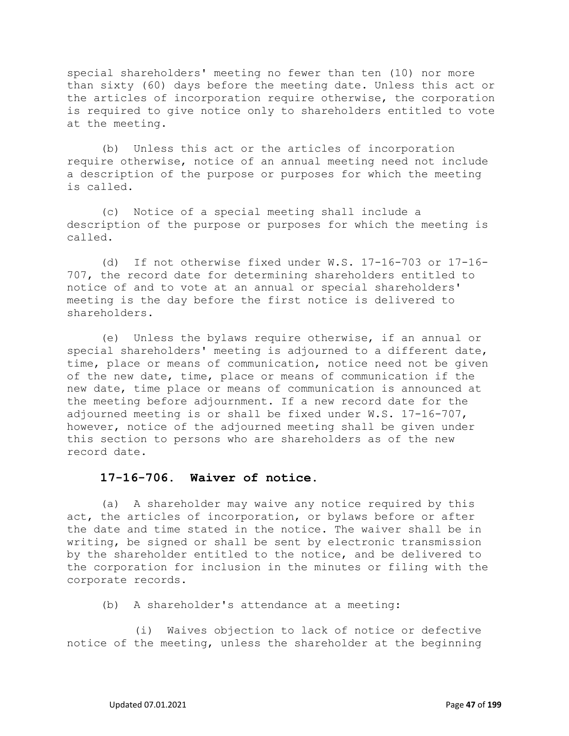special shareholders' meeting no fewer than ten (10) nor more than sixty (60) days before the meeting date. Unless this act or the articles of incorporation require otherwise, the corporation is required to give notice only to shareholders entitled to vote at the meeting.

(b) Unless this act or the articles of incorporation require otherwise, notice of an annual meeting need not include a description of the purpose or purposes for which the meeting is called.

(c) Notice of a special meeting shall include a description of the purpose or purposes for which the meeting is called.

(d) If not otherwise fixed under W.S. 17-16-703 or 17-16- 707, the record date for determining shareholders entitled to notice of and to vote at an annual or special shareholders' meeting is the day before the first notice is delivered to shareholders.

(e) Unless the bylaws require otherwise, if an annual or special shareholders' meeting is adjourned to a different date, time, place or means of communication, notice need not be given of the new date, time, place or means of communication if the new date, time place or means of communication is announced at the meeting before adjournment. If a new record date for the adjourned meeting is or shall be fixed under W.S. 17-16-707, however, notice of the adjourned meeting shall be given under this section to persons who are shareholders as of the new record date.

### **17-16-706. Waiver of notice.**

(a) A shareholder may waive any notice required by this act, the articles of incorporation, or bylaws before or after the date and time stated in the notice. The waiver shall be in writing, be signed or shall be sent by electronic transmission by the shareholder entitled to the notice, and be delivered to the corporation for inclusion in the minutes or filing with the corporate records.

(b) A shareholder's attendance at a meeting:

(i) Waives objection to lack of notice or defective notice of the meeting, unless the shareholder at the beginning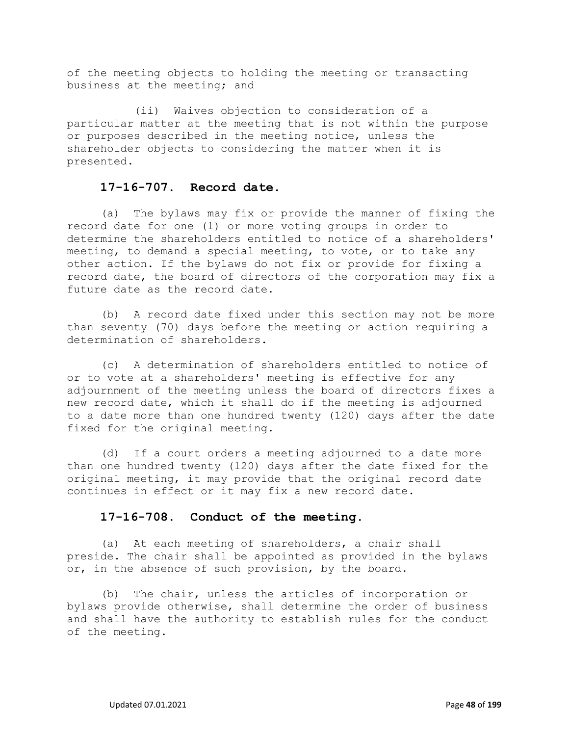of the meeting objects to holding the meeting or transacting business at the meeting; and

(ii) Waives objection to consideration of a particular matter at the meeting that is not within the purpose or purposes described in the meeting notice, unless the shareholder objects to considering the matter when it is presented.

## **17-16-707. Record date.**

(a) The bylaws may fix or provide the manner of fixing the record date for one (1) or more voting groups in order to determine the shareholders entitled to notice of a shareholders' meeting, to demand a special meeting, to vote, or to take any other action. If the bylaws do not fix or provide for fixing a record date, the board of directors of the corporation may fix a future date as the record date.

(b) A record date fixed under this section may not be more than seventy (70) days before the meeting or action requiring a determination of shareholders.

(c) A determination of shareholders entitled to notice of or to vote at a shareholders' meeting is effective for any adjournment of the meeting unless the board of directors fixes a new record date, which it shall do if the meeting is adjourned to a date more than one hundred twenty (120) days after the date fixed for the original meeting.

(d) If a court orders a meeting adjourned to a date more than one hundred twenty (120) days after the date fixed for the original meeting, it may provide that the original record date continues in effect or it may fix a new record date.

# **17-16-708. Conduct of the meeting.**

(a) At each meeting of shareholders, a chair shall preside. The chair shall be appointed as provided in the bylaws or, in the absence of such provision, by the board.

(b) The chair, unless the articles of incorporation or bylaws provide otherwise, shall determine the order of business and shall have the authority to establish rules for the conduct of the meeting.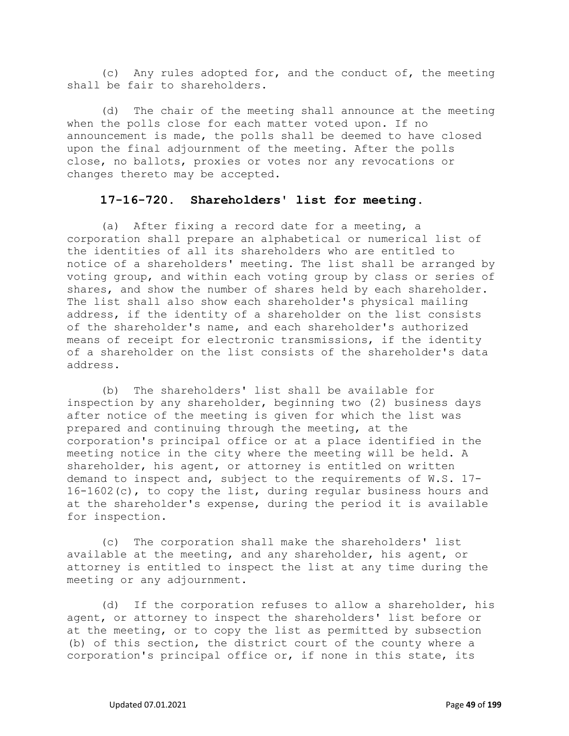(c) Any rules adopted for, and the conduct of, the meeting shall be fair to shareholders.

(d) The chair of the meeting shall announce at the meeting when the polls close for each matter voted upon. If no announcement is made, the polls shall be deemed to have closed upon the final adjournment of the meeting. After the polls close, no ballots, proxies or votes nor any revocations or changes thereto may be accepted.

### **17-16-720. Shareholders' list for meeting.**

(a) After fixing a record date for a meeting, a corporation shall prepare an alphabetical or numerical list of the identities of all its shareholders who are entitled to notice of a shareholders' meeting. The list shall be arranged by voting group, and within each voting group by class or series of shares, and show the number of shares held by each shareholder. The list shall also show each shareholder's physical mailing address, if the identity of a shareholder on the list consists of the shareholder's name, and each shareholder's authorized means of receipt for electronic transmissions, if the identity of a shareholder on the list consists of the shareholder's data address.

(b) The shareholders' list shall be available for inspection by any shareholder, beginning two (2) business days after notice of the meeting is given for which the list was prepared and continuing through the meeting, at the corporation's principal office or at a place identified in the meeting notice in the city where the meeting will be held. A shareholder, his agent, or attorney is entitled on written demand to inspect and, subject to the requirements of W.S. 17-  $16-1602(c)$ , to copy the list, during regular business hours and at the shareholder's expense, during the period it is available for inspection.

(c) The corporation shall make the shareholders' list available at the meeting, and any shareholder, his agent, or attorney is entitled to inspect the list at any time during the meeting or any adjournment.

(d) If the corporation refuses to allow a shareholder, his agent, or attorney to inspect the shareholders' list before or at the meeting, or to copy the list as permitted by subsection (b) of this section, the district court of the county where a corporation's principal office or, if none in this state, its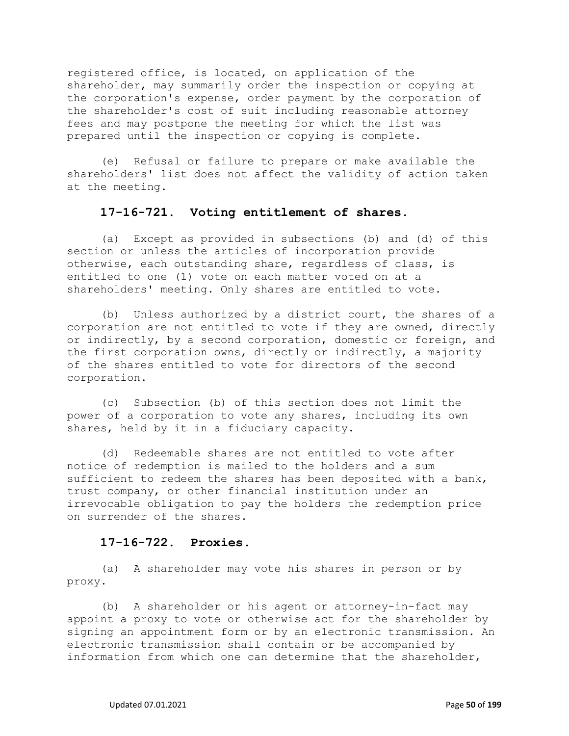registered office, is located, on application of the shareholder, may summarily order the inspection or copying at the corporation's expense, order payment by the corporation of the shareholder's cost of suit including reasonable attorney fees and may postpone the meeting for which the list was prepared until the inspection or copying is complete.

(e) Refusal or failure to prepare or make available the shareholders' list does not affect the validity of action taken at the meeting.

# **17-16-721. Voting entitlement of shares.**

(a) Except as provided in subsections (b) and (d) of this section or unless the articles of incorporation provide otherwise, each outstanding share, regardless of class, is entitled to one (1) vote on each matter voted on at a shareholders' meeting. Only shares are entitled to vote.

(b) Unless authorized by a district court, the shares of a corporation are not entitled to vote if they are owned, directly or indirectly, by a second corporation, domestic or foreign, and the first corporation owns, directly or indirectly, a majority of the shares entitled to vote for directors of the second corporation.

(c) Subsection (b) of this section does not limit the power of a corporation to vote any shares, including its own shares, held by it in a fiduciary capacity.

(d) Redeemable shares are not entitled to vote after notice of redemption is mailed to the holders and a sum sufficient to redeem the shares has been deposited with a bank, trust company, or other financial institution under an irrevocable obligation to pay the holders the redemption price on surrender of the shares.

# **17-16-722. Proxies.**

(a) A shareholder may vote his shares in person or by proxy.

(b) A shareholder or his agent or attorney-in-fact may appoint a proxy to vote or otherwise act for the shareholder by signing an appointment form or by an electronic transmission. An electronic transmission shall contain or be accompanied by information from which one can determine that the shareholder,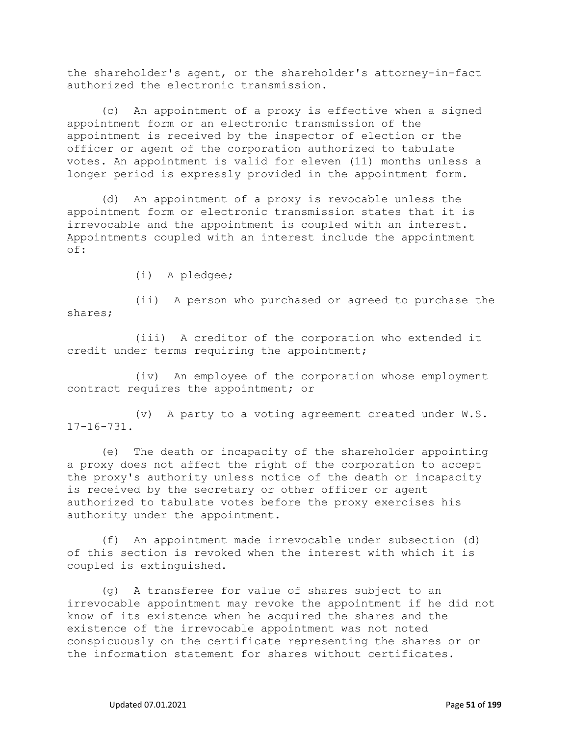the shareholder's agent, or the shareholder's attorney-in-fact authorized the electronic transmission.

(c) An appointment of a proxy is effective when a signed appointment form or an electronic transmission of the appointment is received by the inspector of election or the officer or agent of the corporation authorized to tabulate votes. An appointment is valid for eleven (11) months unless a longer period is expressly provided in the appointment form.

(d) An appointment of a proxy is revocable unless the appointment form or electronic transmission states that it is irrevocable and the appointment is coupled with an interest. Appointments coupled with an interest include the appointment of:

(i) A pledgee;

(ii) A person who purchased or agreed to purchase the shares;

(iii) A creditor of the corporation who extended it credit under terms requiring the appointment;

(iv) An employee of the corporation whose employment contract requires the appointment; or

(v) A party to a voting agreement created under W.S. 17-16-731.

(e) The death or incapacity of the shareholder appointing a proxy does not affect the right of the corporation to accept the proxy's authority unless notice of the death or incapacity is received by the secretary or other officer or agent authorized to tabulate votes before the proxy exercises his authority under the appointment.

(f) An appointment made irrevocable under subsection (d) of this section is revoked when the interest with which it is coupled is extinguished.

(g) A transferee for value of shares subject to an irrevocable appointment may revoke the appointment if he did not know of its existence when he acquired the shares and the existence of the irrevocable appointment was not noted conspicuously on the certificate representing the shares or on the information statement for shares without certificates.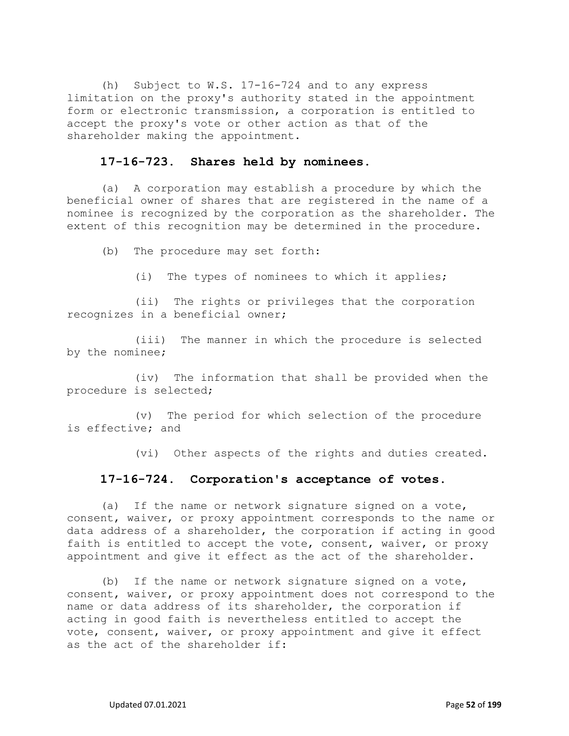(h) Subject to W.S. 17-16-724 and to any express limitation on the proxy's authority stated in the appointment form or electronic transmission, a corporation is entitled to accept the proxy's vote or other action as that of the shareholder making the appointment.

### **17-16-723. Shares held by nominees.**

(a) A corporation may establish a procedure by which the beneficial owner of shares that are registered in the name of a nominee is recognized by the corporation as the shareholder. The extent of this recognition may be determined in the procedure.

(b) The procedure may set forth:

(i) The types of nominees to which it applies;

(ii) The rights or privileges that the corporation recognizes in a beneficial owner;

(iii) The manner in which the procedure is selected by the nominee;

(iv) The information that shall be provided when the procedure is selected;

(v) The period for which selection of the procedure is effective; and

(vi) Other aspects of the rights and duties created.

#### **17-16-724. Corporation's acceptance of votes.**

(a) If the name or network signature signed on a vote, consent, waiver, or proxy appointment corresponds to the name or data address of a shareholder, the corporation if acting in good faith is entitled to accept the vote, consent, waiver, or proxy appointment and give it effect as the act of the shareholder.

(b) If the name or network signature signed on a vote, consent, waiver, or proxy appointment does not correspond to the name or data address of its shareholder, the corporation if acting in good faith is nevertheless entitled to accept the vote, consent, waiver, or proxy appointment and give it effect as the act of the shareholder if: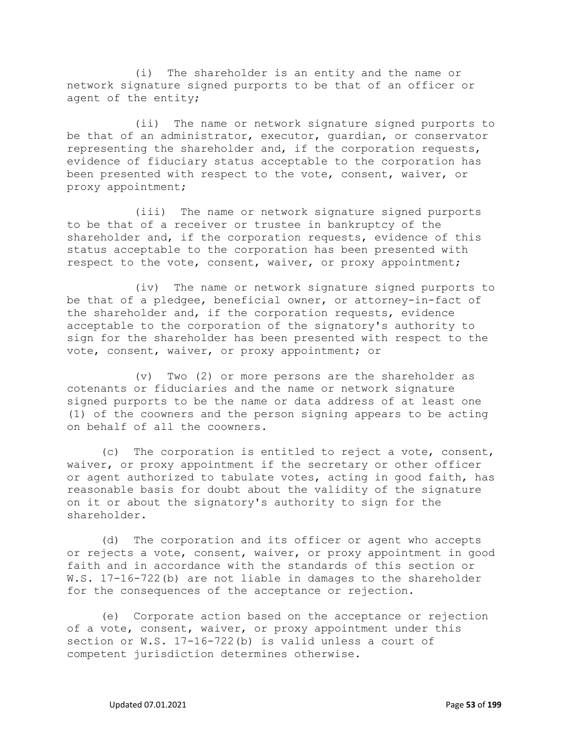(i) The shareholder is an entity and the name or network signature signed purports to be that of an officer or agent of the entity;

(ii) The name or network signature signed purports to be that of an administrator, executor, guardian, or conservator representing the shareholder and, if the corporation requests, evidence of fiduciary status acceptable to the corporation has been presented with respect to the vote, consent, waiver, or proxy appointment;

(iii) The name or network signature signed purports to be that of a receiver or trustee in bankruptcy of the shareholder and, if the corporation requests, evidence of this status acceptable to the corporation has been presented with respect to the vote, consent, waiver, or proxy appointment;

(iv) The name or network signature signed purports to be that of a pledgee, beneficial owner, or attorney-in-fact of the shareholder and, if the corporation requests, evidence acceptable to the corporation of the signatory's authority to sign for the shareholder has been presented with respect to the vote, consent, waiver, or proxy appointment; or

(v) Two (2) or more persons are the shareholder as cotenants or fiduciaries and the name or network signature signed purports to be the name or data address of at least one (1) of the coowners and the person signing appears to be acting on behalf of all the coowners.

(c) The corporation is entitled to reject a vote, consent, waiver, or proxy appointment if the secretary or other officer or agent authorized to tabulate votes, acting in good faith, has reasonable basis for doubt about the validity of the signature on it or about the signatory's authority to sign for the shareholder.

(d) The corporation and its officer or agent who accepts or rejects a vote, consent, waiver, or proxy appointment in good faith and in accordance with the standards of this section or W.S. 17-16-722(b) are not liable in damages to the shareholder for the consequences of the acceptance or rejection.

(e) Corporate action based on the acceptance or rejection of a vote, consent, waiver, or proxy appointment under this section or W.S. 17-16-722(b) is valid unless a court of competent jurisdiction determines otherwise.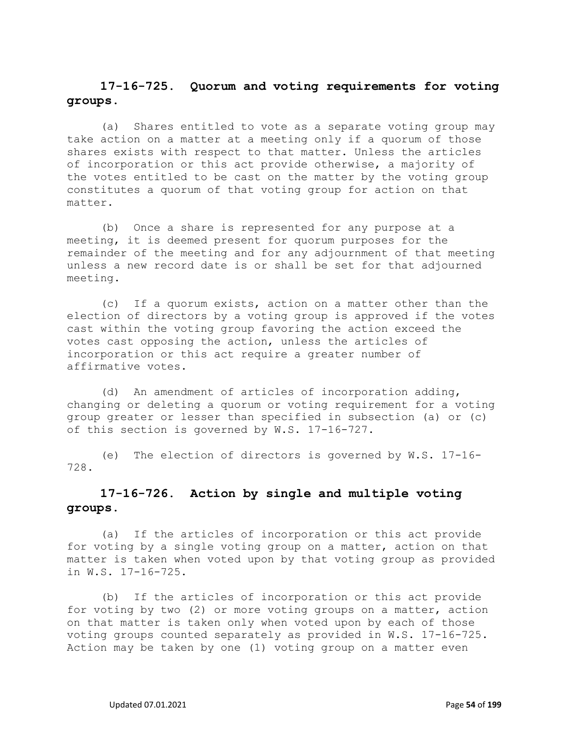# **17-16-725. Quorum and voting requirements for voting groups.**

(a) Shares entitled to vote as a separate voting group may take action on a matter at a meeting only if a quorum of those shares exists with respect to that matter. Unless the articles of incorporation or this act provide otherwise, a majority of the votes entitled to be cast on the matter by the voting group constitutes a quorum of that voting group for action on that matter.

(b) Once a share is represented for any purpose at a meeting, it is deemed present for quorum purposes for the remainder of the meeting and for any adjournment of that meeting unless a new record date is or shall be set for that adjourned meeting.

(c) If a quorum exists, action on a matter other than the election of directors by a voting group is approved if the votes cast within the voting group favoring the action exceed the votes cast opposing the action, unless the articles of incorporation or this act require a greater number of affirmative votes.

(d) An amendment of articles of incorporation adding, changing or deleting a quorum or voting requirement for a voting group greater or lesser than specified in subsection (a) or (c) of this section is governed by W.S. 17-16-727.

(e) The election of directors is governed by W.S. 17-16- 728.

# **17-16-726. Action by single and multiple voting groups.**

(a) If the articles of incorporation or this act provide for voting by a single voting group on a matter, action on that matter is taken when voted upon by that voting group as provided in W.S. 17-16-725.

(b) If the articles of incorporation or this act provide for voting by two (2) or more voting groups on a matter, action on that matter is taken only when voted upon by each of those voting groups counted separately as provided in W.S. 17-16-725. Action may be taken by one (1) voting group on a matter even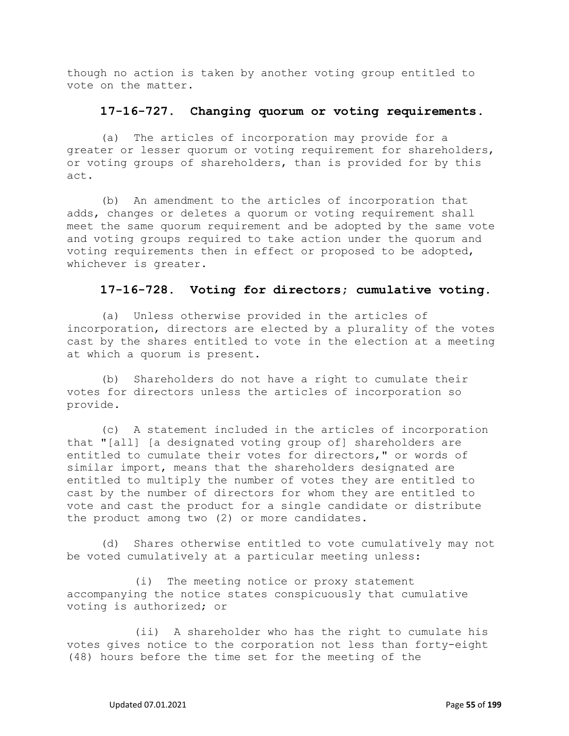though no action is taken by another voting group entitled to vote on the matter.

### **17-16-727. Changing quorum or voting requirements.**

(a) The articles of incorporation may provide for a greater or lesser quorum or voting requirement for shareholders, or voting groups of shareholders, than is provided for by this act.

(b) An amendment to the articles of incorporation that adds, changes or deletes a quorum or voting requirement shall meet the same quorum requirement and be adopted by the same vote and voting groups required to take action under the quorum and voting requirements then in effect or proposed to be adopted, whichever is greater.

### **17-16-728. Voting for directors; cumulative voting.**

(a) Unless otherwise provided in the articles of incorporation, directors are elected by a plurality of the votes cast by the shares entitled to vote in the election at a meeting at which a quorum is present.

(b) Shareholders do not have a right to cumulate their votes for directors unless the articles of incorporation so provide.

(c) A statement included in the articles of incorporation that "[all] [a designated voting group of] shareholders are entitled to cumulate their votes for directors," or words of similar import, means that the shareholders designated are entitled to multiply the number of votes they are entitled to cast by the number of directors for whom they are entitled to vote and cast the product for a single candidate or distribute the product among two (2) or more candidates.

(d) Shares otherwise entitled to vote cumulatively may not be voted cumulatively at a particular meeting unless:

(i) The meeting notice or proxy statement accompanying the notice states conspicuously that cumulative voting is authorized; or

(ii) A shareholder who has the right to cumulate his votes gives notice to the corporation not less than forty-eight (48) hours before the time set for the meeting of the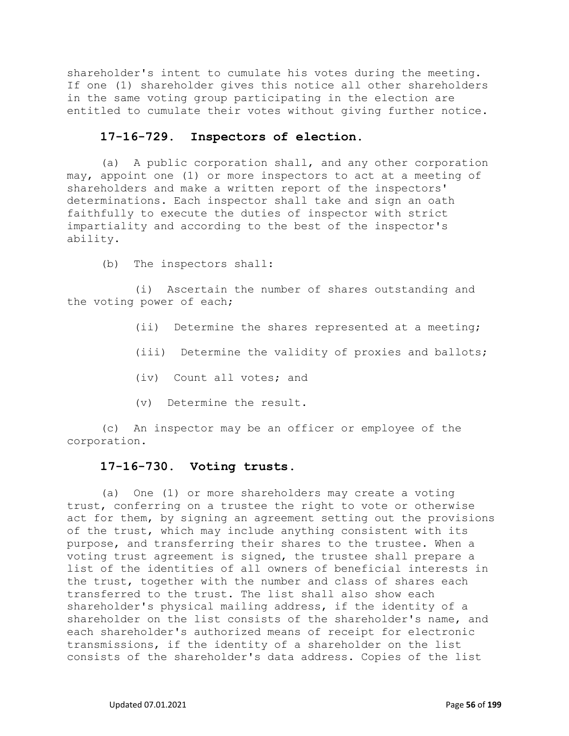shareholder's intent to cumulate his votes during the meeting. If one (1) shareholder gives this notice all other shareholders in the same voting group participating in the election are entitled to cumulate their votes without giving further notice.

# **17-16-729. Inspectors of election.**

(a) A public corporation shall, and any other corporation may, appoint one (1) or more inspectors to act at a meeting of shareholders and make a written report of the inspectors' determinations. Each inspector shall take and sign an oath faithfully to execute the duties of inspector with strict impartiality and according to the best of the inspector's ability.

(b) The inspectors shall:

(i) Ascertain the number of shares outstanding and the voting power of each;

- (ii) Determine the shares represented at a meeting;
- (iii) Determine the validity of proxies and ballots;
- (iv) Count all votes; and
- (v) Determine the result.

(c) An inspector may be an officer or employee of the corporation.

# **17-16-730. Voting trusts.**

(a) One (1) or more shareholders may create a voting trust, conferring on a trustee the right to vote or otherwise act for them, by signing an agreement setting out the provisions of the trust, which may include anything consistent with its purpose, and transferring their shares to the trustee. When a voting trust agreement is signed, the trustee shall prepare a list of the identities of all owners of beneficial interests in the trust, together with the number and class of shares each transferred to the trust. The list shall also show each shareholder's physical mailing address, if the identity of a shareholder on the list consists of the shareholder's name, and each shareholder's authorized means of receipt for electronic transmissions, if the identity of a shareholder on the list consists of the shareholder's data address. Copies of the list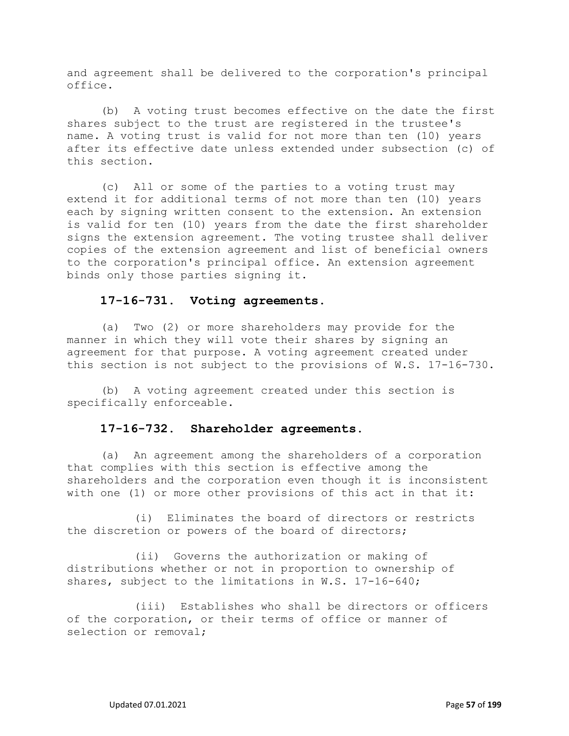and agreement shall be delivered to the corporation's principal office.

(b) A voting trust becomes effective on the date the first shares subject to the trust are registered in the trustee's name. A voting trust is valid for not more than ten (10) years after its effective date unless extended under subsection (c) of this section.

(c) All or some of the parties to a voting trust may extend it for additional terms of not more than ten (10) years each by signing written consent to the extension. An extension is valid for ten (10) years from the date the first shareholder signs the extension agreement. The voting trustee shall deliver copies of the extension agreement and list of beneficial owners to the corporation's principal office. An extension agreement binds only those parties signing it.

# **17-16-731. Voting agreements.**

(a) Two (2) or more shareholders may provide for the manner in which they will vote their shares by signing an agreement for that purpose. A voting agreement created under this section is not subject to the provisions of W.S. 17-16-730.

(b) A voting agreement created under this section is specifically enforceable.

# **17-16-732. Shareholder agreements.**

(a) An agreement among the shareholders of a corporation that complies with this section is effective among the shareholders and the corporation even though it is inconsistent with one (1) or more other provisions of this act in that it:

(i) Eliminates the board of directors or restricts the discretion or powers of the board of directors;

(ii) Governs the authorization or making of distributions whether or not in proportion to ownership of shares, subject to the limitations in W.S. 17-16-640;

(iii) Establishes who shall be directors or officers of the corporation, or their terms of office or manner of selection or removal;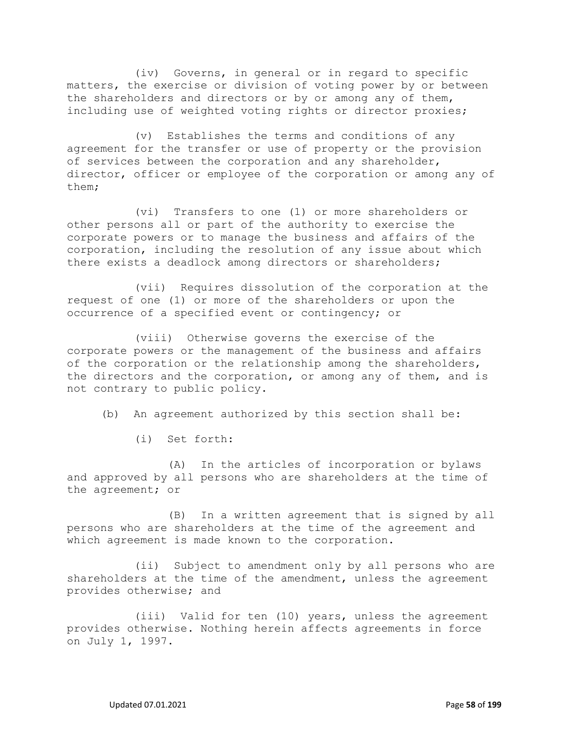(iv) Governs, in general or in regard to specific matters, the exercise or division of voting power by or between the shareholders and directors or by or among any of them, including use of weighted voting rights or director proxies;

(v) Establishes the terms and conditions of any agreement for the transfer or use of property or the provision of services between the corporation and any shareholder, director, officer or employee of the corporation or among any of them;

(vi) Transfers to one (1) or more shareholders or other persons all or part of the authority to exercise the corporate powers or to manage the business and affairs of the corporation, including the resolution of any issue about which there exists a deadlock among directors or shareholders;

(vii) Requires dissolution of the corporation at the request of one (1) or more of the shareholders or upon the occurrence of a specified event or contingency; or

(viii) Otherwise governs the exercise of the corporate powers or the management of the business and affairs of the corporation or the relationship among the shareholders, the directors and the corporation, or among any of them, and is not contrary to public policy.

(b) An agreement authorized by this section shall be:

(i) Set forth:

(A) In the articles of incorporation or bylaws and approved by all persons who are shareholders at the time of the agreement; or

(B) In a written agreement that is signed by all persons who are shareholders at the time of the agreement and which agreement is made known to the corporation.

(ii) Subject to amendment only by all persons who are shareholders at the time of the amendment, unless the agreement provides otherwise; and

(iii) Valid for ten (10) years, unless the agreement provides otherwise. Nothing herein affects agreements in force on July 1, 1997.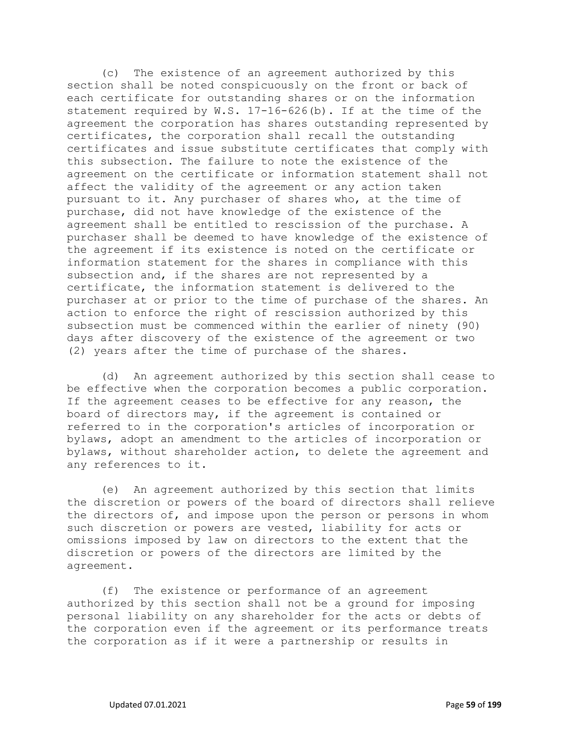(c) The existence of an agreement authorized by this section shall be noted conspicuously on the front or back of each certificate for outstanding shares or on the information statement required by W.S. 17-16-626(b). If at the time of the agreement the corporation has shares outstanding represented by certificates, the corporation shall recall the outstanding certificates and issue substitute certificates that comply with this subsection. The failure to note the existence of the agreement on the certificate or information statement shall not affect the validity of the agreement or any action taken pursuant to it. Any purchaser of shares who, at the time of purchase, did not have knowledge of the existence of the agreement shall be entitled to rescission of the purchase. A purchaser shall be deemed to have knowledge of the existence of the agreement if its existence is noted on the certificate or information statement for the shares in compliance with this subsection and, if the shares are not represented by a certificate, the information statement is delivered to the purchaser at or prior to the time of purchase of the shares. An action to enforce the right of rescission authorized by this subsection must be commenced within the earlier of ninety (90) days after discovery of the existence of the agreement or two (2) years after the time of purchase of the shares.

(d) An agreement authorized by this section shall cease to be effective when the corporation becomes a public corporation. If the agreement ceases to be effective for any reason, the board of directors may, if the agreement is contained or referred to in the corporation's articles of incorporation or bylaws, adopt an amendment to the articles of incorporation or bylaws, without shareholder action, to delete the agreement and any references to it.

(e) An agreement authorized by this section that limits the discretion or powers of the board of directors shall relieve the directors of, and impose upon the person or persons in whom such discretion or powers are vested, liability for acts or omissions imposed by law on directors to the extent that the discretion or powers of the directors are limited by the agreement.

(f) The existence or performance of an agreement authorized by this section shall not be a ground for imposing personal liability on any shareholder for the acts or debts of the corporation even if the agreement or its performance treats the corporation as if it were a partnership or results in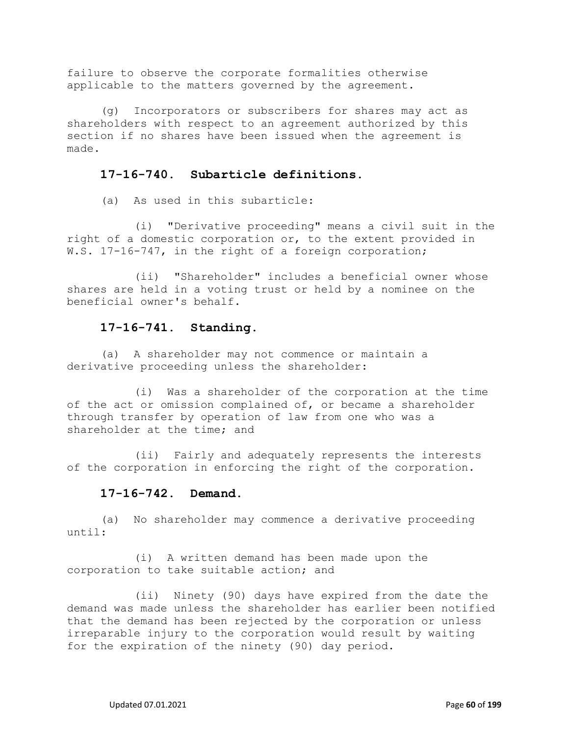failure to observe the corporate formalities otherwise applicable to the matters governed by the agreement.

(g) Incorporators or subscribers for shares may act as shareholders with respect to an agreement authorized by this section if no shares have been issued when the agreement is made.

# **17-16-740. Subarticle definitions.**

(a) As used in this subarticle:

(i) "Derivative proceeding" means a civil suit in the right of a domestic corporation or, to the extent provided in W.S. 17-16-747, in the right of a foreign corporation;

(ii) "Shareholder" includes a beneficial owner whose shares are held in a voting trust or held by a nominee on the beneficial owner's behalf.

# **17-16-741. Standing.**

(a) A shareholder may not commence or maintain a derivative proceeding unless the shareholder:

(i) Was a shareholder of the corporation at the time of the act or omission complained of, or became a shareholder through transfer by operation of law from one who was a shareholder at the time; and

(ii) Fairly and adequately represents the interests of the corporation in enforcing the right of the corporation.

# **17-16-742. Demand.**

(a) No shareholder may commence a derivative proceeding until:

(i) A written demand has been made upon the corporation to take suitable action; and

(ii) Ninety (90) days have expired from the date the demand was made unless the shareholder has earlier been notified that the demand has been rejected by the corporation or unless irreparable injury to the corporation would result by waiting for the expiration of the ninety (90) day period.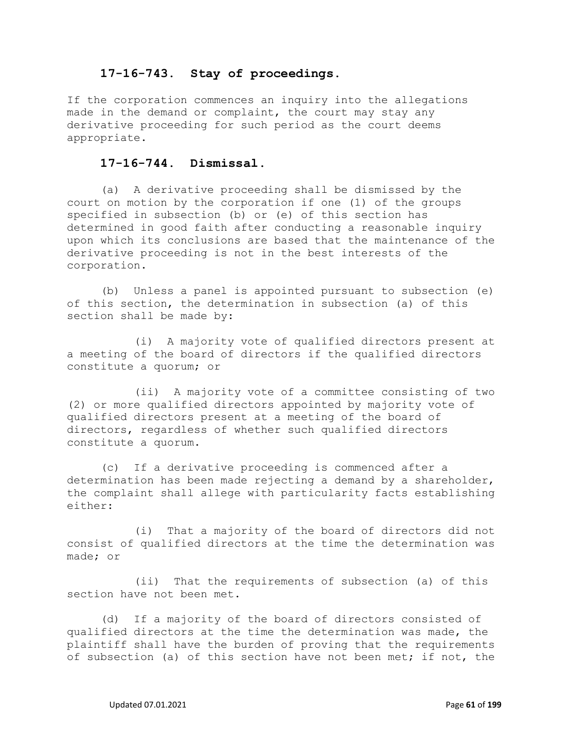# **17-16-743. Stay of proceedings.**

If the corporation commences an inquiry into the allegations made in the demand or complaint, the court may stay any derivative proceeding for such period as the court deems appropriate.

### **17-16-744. Dismissal.**

(a) A derivative proceeding shall be dismissed by the court on motion by the corporation if one (1) of the groups specified in subsection (b) or (e) of this section has determined in good faith after conducting a reasonable inquiry upon which its conclusions are based that the maintenance of the derivative proceeding is not in the best interests of the corporation.

(b) Unless a panel is appointed pursuant to subsection (e) of this section, the determination in subsection (a) of this section shall be made by:

(i) A majority vote of qualified directors present at a meeting of the board of directors if the qualified directors constitute a quorum; or

(ii) A majority vote of a committee consisting of two (2) or more qualified directors appointed by majority vote of qualified directors present at a meeting of the board of directors, regardless of whether such qualified directors constitute a quorum.

(c) If a derivative proceeding is commenced after a determination has been made rejecting a demand by a shareholder, the complaint shall allege with particularity facts establishing either:

(i) That a majority of the board of directors did not consist of qualified directors at the time the determination was made; or

(ii) That the requirements of subsection (a) of this section have not been met.

(d) If a majority of the board of directors consisted of qualified directors at the time the determination was made, the plaintiff shall have the burden of proving that the requirements of subsection (a) of this section have not been met; if not, the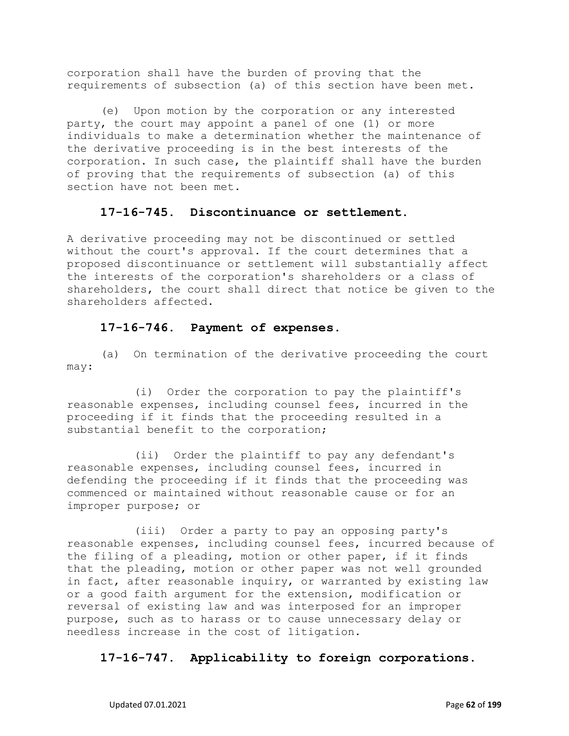corporation shall have the burden of proving that the requirements of subsection (a) of this section have been met.

(e) Upon motion by the corporation or any interested party, the court may appoint a panel of one (1) or more individuals to make a determination whether the maintenance of the derivative proceeding is in the best interests of the corporation. In such case, the plaintiff shall have the burden of proving that the requirements of subsection (a) of this section have not been met.

# **17-16-745. Discontinuance or settlement.**

A derivative proceeding may not be discontinued or settled without the court's approval. If the court determines that a proposed discontinuance or settlement will substantially affect the interests of the corporation's shareholders or a class of shareholders, the court shall direct that notice be given to the shareholders affected.

# **17-16-746. Payment of expenses.**

(a) On termination of the derivative proceeding the court may:

(i) Order the corporation to pay the plaintiff's reasonable expenses, including counsel fees, incurred in the proceeding if it finds that the proceeding resulted in a substantial benefit to the corporation;

(ii) Order the plaintiff to pay any defendant's reasonable expenses, including counsel fees, incurred in defending the proceeding if it finds that the proceeding was commenced or maintained without reasonable cause or for an improper purpose; or

(iii) Order a party to pay an opposing party's reasonable expenses, including counsel fees, incurred because of the filing of a pleading, motion or other paper, if it finds that the pleading, motion or other paper was not well grounded in fact, after reasonable inquiry, or warranted by existing law or a good faith argument for the extension, modification or reversal of existing law and was interposed for an improper purpose, such as to harass or to cause unnecessary delay or needless increase in the cost of litigation.

# **17-16-747. Applicability to foreign corporations.**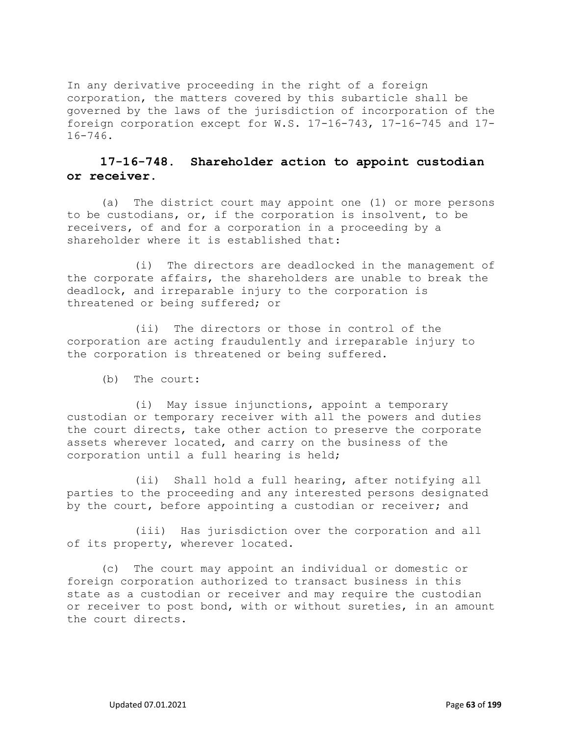In any derivative proceeding in the right of a foreign corporation, the matters covered by this subarticle shall be governed by the laws of the jurisdiction of incorporation of the foreign corporation except for W.S. 17-16-743, 17-16-745 and 17- 16-746.

# **17-16-748. Shareholder action to appoint custodian or receiver.**

(a) The district court may appoint one (1) or more persons to be custodians, or, if the corporation is insolvent, to be receivers, of and for a corporation in a proceeding by a shareholder where it is established that:

(i) The directors are deadlocked in the management of the corporate affairs, the shareholders are unable to break the deadlock, and irreparable injury to the corporation is threatened or being suffered; or

(ii) The directors or those in control of the corporation are acting fraudulently and irreparable injury to the corporation is threatened or being suffered.

(b) The court:

(i) May issue injunctions, appoint a temporary custodian or temporary receiver with all the powers and duties the court directs, take other action to preserve the corporate assets wherever located, and carry on the business of the corporation until a full hearing is held;

(ii) Shall hold a full hearing, after notifying all parties to the proceeding and any interested persons designated by the court, before appointing a custodian or receiver; and

(iii) Has jurisdiction over the corporation and all of its property, wherever located.

(c) The court may appoint an individual or domestic or foreign corporation authorized to transact business in this state as a custodian or receiver and may require the custodian or receiver to post bond, with or without sureties, in an amount the court directs.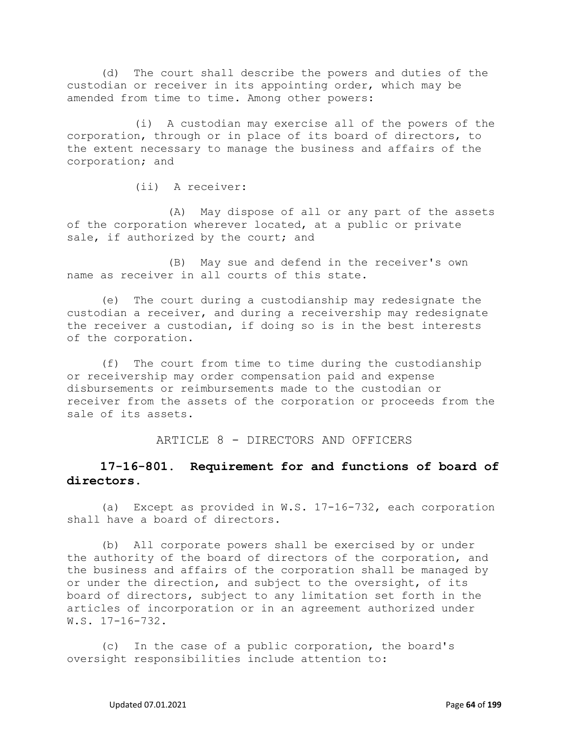(d) The court shall describe the powers and duties of the custodian or receiver in its appointing order, which may be amended from time to time. Among other powers:

(i) A custodian may exercise all of the powers of the corporation, through or in place of its board of directors, to the extent necessary to manage the business and affairs of the corporation; and

(ii) A receiver:

(A) May dispose of all or any part of the assets of the corporation wherever located, at a public or private sale, if authorized by the court; and

(B) May sue and defend in the receiver's own name as receiver in all courts of this state.

(e) The court during a custodianship may redesignate the custodian a receiver, and during a receivership may redesignate the receiver a custodian, if doing so is in the best interests of the corporation.

(f) The court from time to time during the custodianship or receivership may order compensation paid and expense disbursements or reimbursements made to the custodian or receiver from the assets of the corporation or proceeds from the sale of its assets.

ARTICLE 8 - DIRECTORS AND OFFICERS

# **17-16-801. Requirement for and functions of board of directors.**

(a) Except as provided in W.S. 17-16-732, each corporation shall have a board of directors.

(b) All corporate powers shall be exercised by or under the authority of the board of directors of the corporation, and the business and affairs of the corporation shall be managed by or under the direction, and subject to the oversight, of its board of directors, subject to any limitation set forth in the articles of incorporation or in an agreement authorized under W.S. 17-16-732.

(c) In the case of a public corporation, the board's oversight responsibilities include attention to: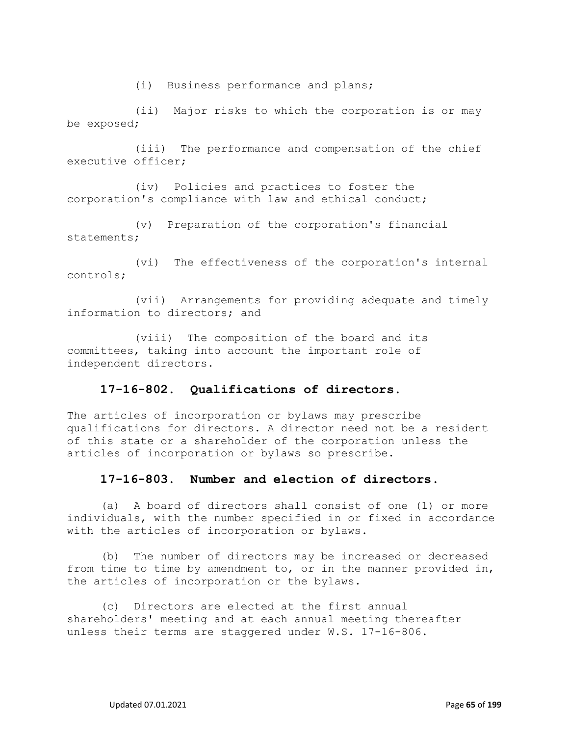(i) Business performance and plans;

(ii) Major risks to which the corporation is or may be exposed;

(iii) The performance and compensation of the chief executive officer;

(iv) Policies and practices to foster the corporation's compliance with law and ethical conduct;

(v) Preparation of the corporation's financial statements;

(vi) The effectiveness of the corporation's internal controls;

(vii) Arrangements for providing adequate and timely information to directors; and

(viii) The composition of the board and its committees, taking into account the important role of independent directors.

### **17-16-802. Qualifications of directors.**

The articles of incorporation or bylaws may prescribe qualifications for directors. A director need not be a resident of this state or a shareholder of the corporation unless the articles of incorporation or bylaws so prescribe.

### **17-16-803. Number and election of directors.**

(a) A board of directors shall consist of one (1) or more individuals, with the number specified in or fixed in accordance with the articles of incorporation or bylaws.

(b) The number of directors may be increased or decreased from time to time by amendment to, or in the manner provided in, the articles of incorporation or the bylaws.

(c) Directors are elected at the first annual shareholders' meeting and at each annual meeting thereafter unless their terms are staggered under W.S. 17-16-806.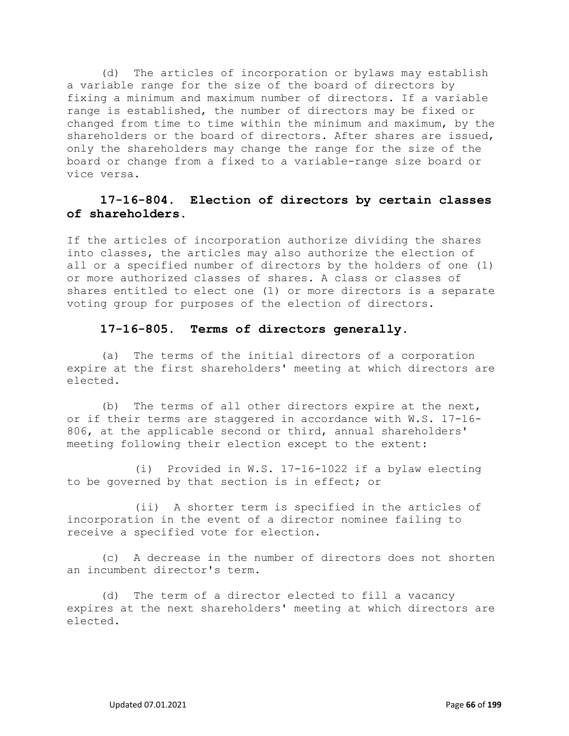(d) The articles of incorporation or bylaws may establish a variable range for the size of the board of directors by fixing a minimum and maximum number of directors. If a variable range is established, the number of directors may be fixed or changed from time to time within the minimum and maximum, by the shareholders or the board of directors. After shares are issued, only the shareholders may change the range for the size of the board or change from a fixed to a variable-range size board or vice versa.

# **17-16-804. Election of directors by certain classes of shareholders.**

If the articles of incorporation authorize dividing the shares into classes, the articles may also authorize the election of all or a specified number of directors by the holders of one (1) or more authorized classes of shares. A class or classes of shares entitled to elect one (1) or more directors is a separate voting group for purposes of the election of directors.

# **17-16-805. Terms of directors generally.**

(a) The terms of the initial directors of a corporation expire at the first shareholders' meeting at which directors are elected.

(b) The terms of all other directors expire at the next, or if their terms are staggered in accordance with W.S. 17-16- 806, at the applicable second or third, annual shareholders' meeting following their election except to the extent:

(i) Provided in W.S. 17-16-1022 if a bylaw electing to be governed by that section is in effect; or

(ii) A shorter term is specified in the articles of incorporation in the event of a director nominee failing to receive a specified vote for election.

(c) A decrease in the number of directors does not shorten an incumbent director's term.

(d) The term of a director elected to fill a vacancy expires at the next shareholders' meeting at which directors are elected.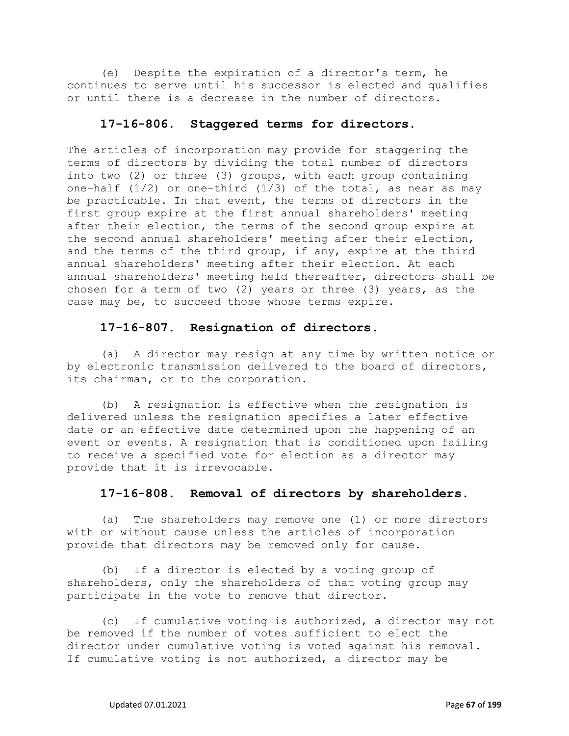(e) Despite the expiration of a director's term, he continues to serve until his successor is elected and qualifies or until there is a decrease in the number of directors.

### **17-16-806. Staggered terms for directors.**

The articles of incorporation may provide for staggering the terms of directors by dividing the total number of directors into two (2) or three (3) groups, with each group containing one-half  $(1/2)$  or one-third  $(1/3)$  of the total, as near as may be practicable. In that event, the terms of directors in the first group expire at the first annual shareholders' meeting after their election, the terms of the second group expire at the second annual shareholders' meeting after their election, and the terms of the third group, if any, expire at the third annual shareholders' meeting after their election. At each annual shareholders' meeting held thereafter, directors shall be chosen for a term of two (2) years or three (3) years, as the case may be, to succeed those whose terms expire.

# **17-16-807. Resignation of directors.**

(a) A director may resign at any time by written notice or by electronic transmission delivered to the board of directors, its chairman, or to the corporation.

(b) A resignation is effective when the resignation is delivered unless the resignation specifies a later effective date or an effective date determined upon the happening of an event or events. A resignation that is conditioned upon failing to receive a specified vote for election as a director may provide that it is irrevocable.

# **17-16-808. Removal of directors by shareholders.**

(a) The shareholders may remove one (1) or more directors with or without cause unless the articles of incorporation provide that directors may be removed only for cause.

(b) If a director is elected by a voting group of shareholders, only the shareholders of that voting group may participate in the vote to remove that director.

(c) If cumulative voting is authorized, a director may not be removed if the number of votes sufficient to elect the director under cumulative voting is voted against his removal. If cumulative voting is not authorized, a director may be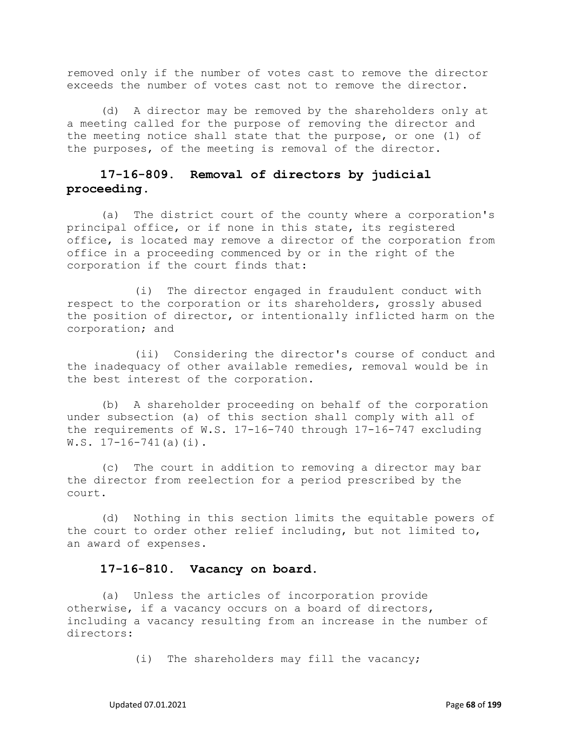removed only if the number of votes cast to remove the director exceeds the number of votes cast not to remove the director.

(d) A director may be removed by the shareholders only at a meeting called for the purpose of removing the director and the meeting notice shall state that the purpose, or one (1) of the purposes, of the meeting is removal of the director.

# **17-16-809. Removal of directors by judicial proceeding.**

(a) The district court of the county where a corporation's principal office, or if none in this state, its registered office, is located may remove a director of the corporation from office in a proceeding commenced by or in the right of the corporation if the court finds that:

(i) The director engaged in fraudulent conduct with respect to the corporation or its shareholders, grossly abused the position of director, or intentionally inflicted harm on the corporation; and

(ii) Considering the director's course of conduct and the inadequacy of other available remedies, removal would be in the best interest of the corporation.

(b) A shareholder proceeding on behalf of the corporation under subsection (a) of this section shall comply with all of the requirements of W.S. 17-16-740 through 17-16-747 excluding  $W.S. 17-16-741(a)(i)$ .

(c) The court in addition to removing a director may bar the director from reelection for a period prescribed by the court.

(d) Nothing in this section limits the equitable powers of the court to order other relief including, but not limited to, an award of expenses.

# **17-16-810. Vacancy on board.**

(a) Unless the articles of incorporation provide otherwise, if a vacancy occurs on a board of directors, including a vacancy resulting from an increase in the number of directors:

(i) The shareholders may fill the vacancy;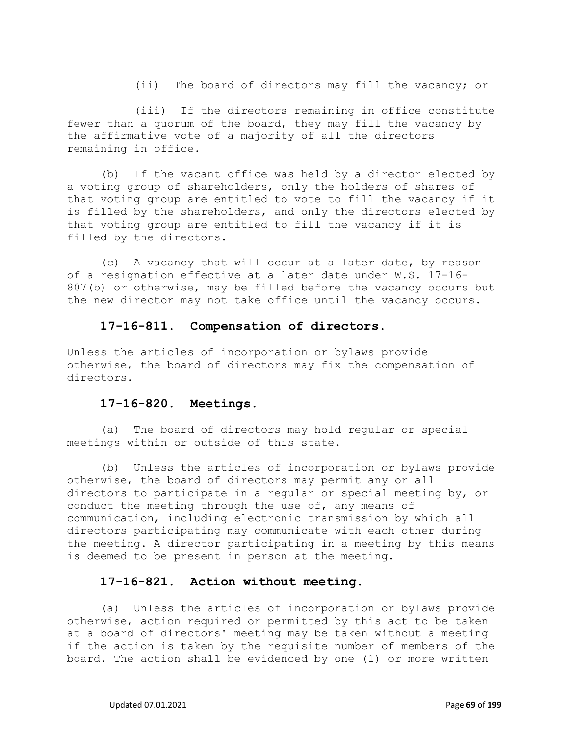(ii) The board of directors may fill the vacancy; or

(iii) If the directors remaining in office constitute fewer than a quorum of the board, they may fill the vacancy by the affirmative vote of a majority of all the directors remaining in office.

(b) If the vacant office was held by a director elected by a voting group of shareholders, only the holders of shares of that voting group are entitled to vote to fill the vacancy if it is filled by the shareholders, and only the directors elected by that voting group are entitled to fill the vacancy if it is filled by the directors.

(c) A vacancy that will occur at a later date, by reason of a resignation effective at a later date under W.S. 17-16- 807(b) or otherwise, may be filled before the vacancy occurs but the new director may not take office until the vacancy occurs.

#### **17-16-811. Compensation of directors.**

Unless the articles of incorporation or bylaws provide otherwise, the board of directors may fix the compensation of directors.

### **17-16-820. Meetings.**

(a) The board of directors may hold regular or special meetings within or outside of this state.

(b) Unless the articles of incorporation or bylaws provide otherwise, the board of directors may permit any or all directors to participate in a regular or special meeting by, or conduct the meeting through the use of, any means of communication, including electronic transmission by which all directors participating may communicate with each other during the meeting. A director participating in a meeting by this means is deemed to be present in person at the meeting.

### **17-16-821. Action without meeting.**

(a) Unless the articles of incorporation or bylaws provide otherwise, action required or permitted by this act to be taken at a board of directors' meeting may be taken without a meeting if the action is taken by the requisite number of members of the board. The action shall be evidenced by one (1) or more written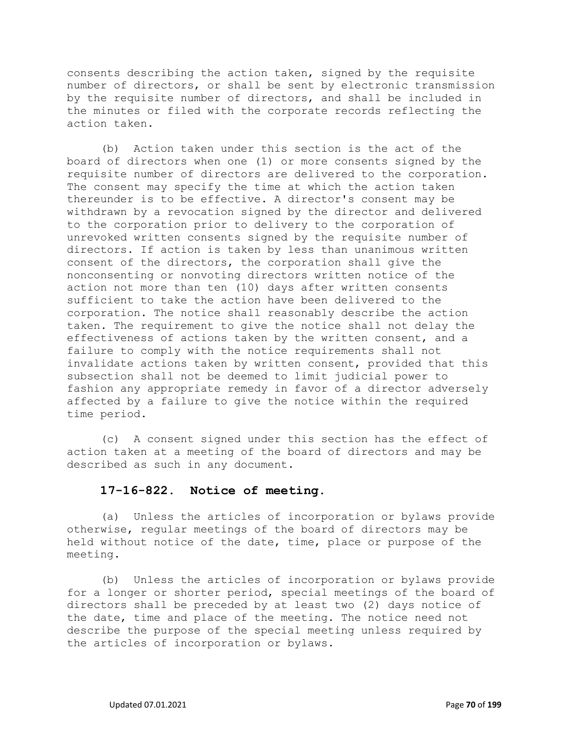consents describing the action taken, signed by the requisite number of directors, or shall be sent by electronic transmission by the requisite number of directors, and shall be included in the minutes or filed with the corporate records reflecting the action taken.

(b) Action taken under this section is the act of the board of directors when one (1) or more consents signed by the requisite number of directors are delivered to the corporation. The consent may specify the time at which the action taken thereunder is to be effective. A director's consent may be withdrawn by a revocation signed by the director and delivered to the corporation prior to delivery to the corporation of unrevoked written consents signed by the requisite number of directors. If action is taken by less than unanimous written consent of the directors, the corporation shall give the nonconsenting or nonvoting directors written notice of the action not more than ten (10) days after written consents sufficient to take the action have been delivered to the corporation. The notice shall reasonably describe the action taken. The requirement to give the notice shall not delay the effectiveness of actions taken by the written consent, and a failure to comply with the notice requirements shall not invalidate actions taken by written consent, provided that this subsection shall not be deemed to limit judicial power to fashion any appropriate remedy in favor of a director adversely affected by a failure to give the notice within the required time period.

(c) A consent signed under this section has the effect of action taken at a meeting of the board of directors and may be described as such in any document.

# **17-16-822. Notice of meeting.**

(a) Unless the articles of incorporation or bylaws provide otherwise, regular meetings of the board of directors may be held without notice of the date, time, place or purpose of the meeting.

(b) Unless the articles of incorporation or bylaws provide for a longer or shorter period, special meetings of the board of directors shall be preceded by at least two (2) days notice of the date, time and place of the meeting. The notice need not describe the purpose of the special meeting unless required by the articles of incorporation or bylaws.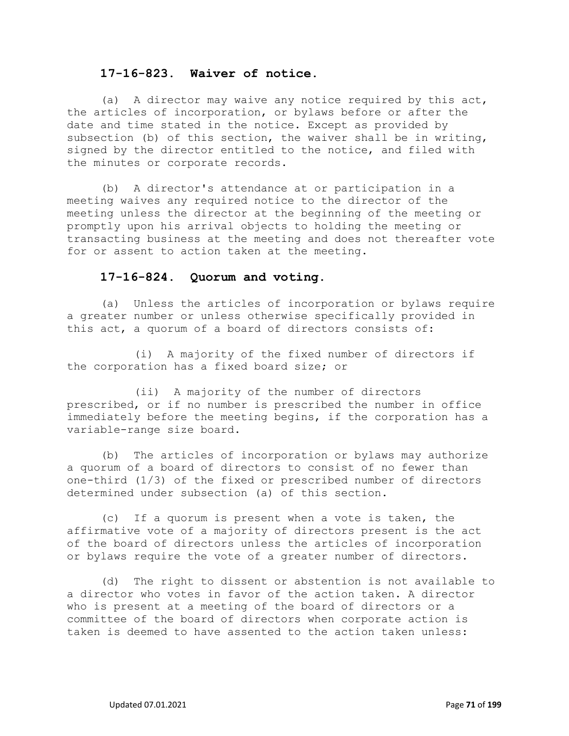### **17-16-823. Waiver of notice.**

(a) A director may waive any notice required by this act, the articles of incorporation, or bylaws before or after the date and time stated in the notice. Except as provided by subsection (b) of this section, the waiver shall be in writing, signed by the director entitled to the notice, and filed with the minutes or corporate records.

(b) A director's attendance at or participation in a meeting waives any required notice to the director of the meeting unless the director at the beginning of the meeting or promptly upon his arrival objects to holding the meeting or transacting business at the meeting and does not thereafter vote for or assent to action taken at the meeting.

### **17-16-824. Quorum and voting.**

(a) Unless the articles of incorporation or bylaws require a greater number or unless otherwise specifically provided in this act, a quorum of a board of directors consists of:

(i) A majority of the fixed number of directors if the corporation has a fixed board size; or

(ii) A majority of the number of directors prescribed, or if no number is prescribed the number in office immediately before the meeting begins, if the corporation has a variable-range size board.

(b) The articles of incorporation or bylaws may authorize a quorum of a board of directors to consist of no fewer than one-third (1/3) of the fixed or prescribed number of directors determined under subsection (a) of this section.

(c) If a quorum is present when a vote is taken, the affirmative vote of a majority of directors present is the act of the board of directors unless the articles of incorporation or bylaws require the vote of a greater number of directors.

(d) The right to dissent or abstention is not available to a director who votes in favor of the action taken. A director who is present at a meeting of the board of directors or a committee of the board of directors when corporate action is taken is deemed to have assented to the action taken unless: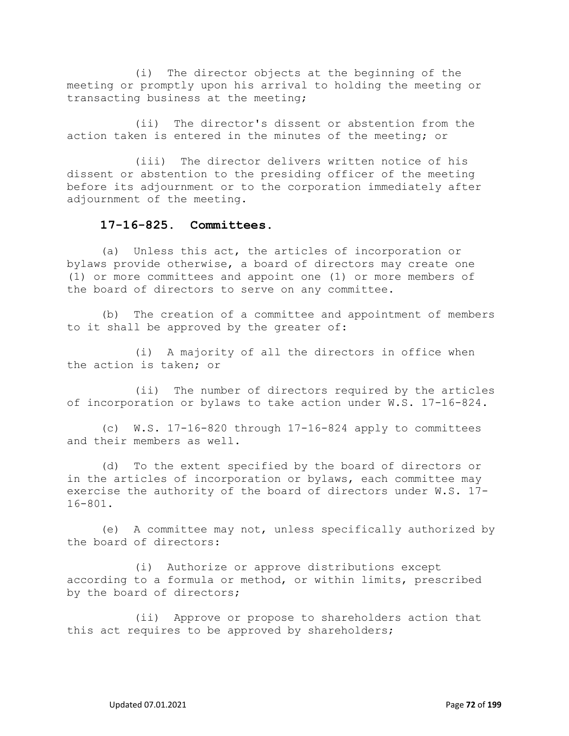(i) The director objects at the beginning of the meeting or promptly upon his arrival to holding the meeting or transacting business at the meeting;

(ii) The director's dissent or abstention from the action taken is entered in the minutes of the meeting; or

(iii) The director delivers written notice of his dissent or abstention to the presiding officer of the meeting before its adjournment or to the corporation immediately after adjournment of the meeting.

# **17-16-825. Committees.**

(a) Unless this act, the articles of incorporation or bylaws provide otherwise, a board of directors may create one (1) or more committees and appoint one (1) or more members of the board of directors to serve on any committee.

(b) The creation of a committee and appointment of members to it shall be approved by the greater of:

(i) A majority of all the directors in office when the action is taken; or

(ii) The number of directors required by the articles of incorporation or bylaws to take action under W.S. 17-16-824.

(c) W.S. 17-16-820 through 17-16-824 apply to committees and their members as well.

(d) To the extent specified by the board of directors or in the articles of incorporation or bylaws, each committee may exercise the authority of the board of directors under W.S. 17- 16-801.

(e) A committee may not, unless specifically authorized by the board of directors:

(i) Authorize or approve distributions except according to a formula or method, or within limits, prescribed by the board of directors;

(ii) Approve or propose to shareholders action that this act requires to be approved by shareholders;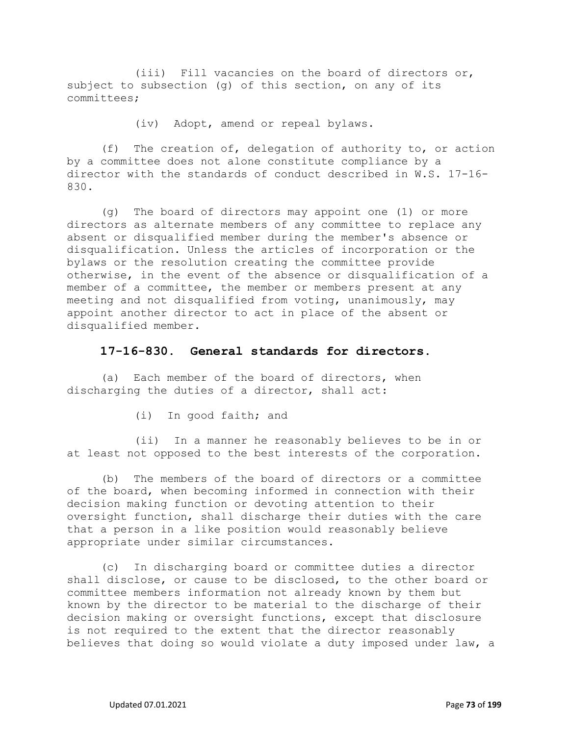(iii) Fill vacancies on the board of directors or, subject to subsection (g) of this section, on any of its committees;

(iv) Adopt, amend or repeal bylaws.

(f) The creation of, delegation of authority to, or action by a committee does not alone constitute compliance by a director with the standards of conduct described in W.S. 17-16- 830.

(g) The board of directors may appoint one (1) or more directors as alternate members of any committee to replace any absent or disqualified member during the member's absence or disqualification. Unless the articles of incorporation or the bylaws or the resolution creating the committee provide otherwise, in the event of the absence or disqualification of a member of a committee, the member or members present at any meeting and not disqualified from voting, unanimously, may appoint another director to act in place of the absent or disqualified member.

#### **17-16-830. General standards for directors.**

(a) Each member of the board of directors, when discharging the duties of a director, shall act:

(i) In good faith; and

(ii) In a manner he reasonably believes to be in or at least not opposed to the best interests of the corporation.

(b) The members of the board of directors or a committee of the board, when becoming informed in connection with their decision making function or devoting attention to their oversight function, shall discharge their duties with the care that a person in a like position would reasonably believe appropriate under similar circumstances.

(c) In discharging board or committee duties a director shall disclose, or cause to be disclosed, to the other board or committee members information not already known by them but known by the director to be material to the discharge of their decision making or oversight functions, except that disclosure is not required to the extent that the director reasonably believes that doing so would violate a duty imposed under law, a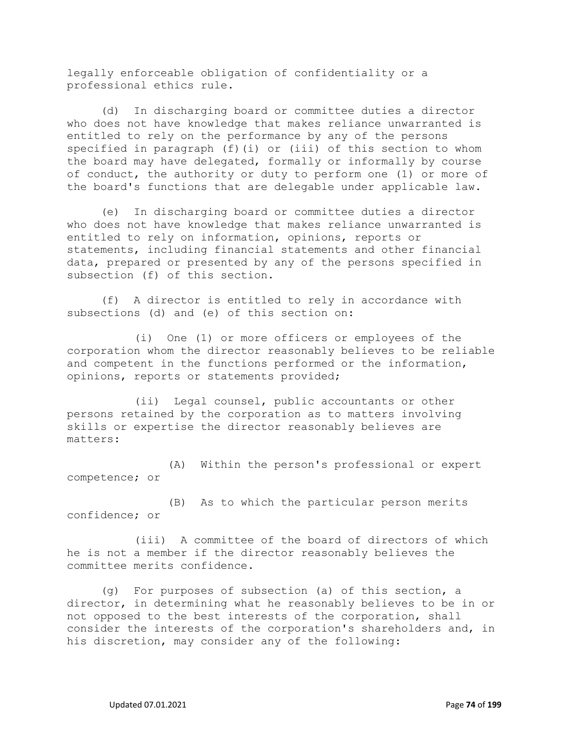legally enforceable obligation of confidentiality or a professional ethics rule.

(d) In discharging board or committee duties a director who does not have knowledge that makes reliance unwarranted is entitled to rely on the performance by any of the persons specified in paragraph (f)(i) or (iii) of this section to whom the board may have delegated, formally or informally by course of conduct, the authority or duty to perform one (1) or more of the board's functions that are delegable under applicable law.

(e) In discharging board or committee duties a director who does not have knowledge that makes reliance unwarranted is entitled to rely on information, opinions, reports or statements, including financial statements and other financial data, prepared or presented by any of the persons specified in subsection (f) of this section.

(f) A director is entitled to rely in accordance with subsections (d) and (e) of this section on:

(i) One (1) or more officers or employees of the corporation whom the director reasonably believes to be reliable and competent in the functions performed or the information, opinions, reports or statements provided;

(ii) Legal counsel, public accountants or other persons retained by the corporation as to matters involving skills or expertise the director reasonably believes are matters:

(A) Within the person's professional or expert competence; or

(B) As to which the particular person merits confidence; or

(iii) A committee of the board of directors of which he is not a member if the director reasonably believes the committee merits confidence.

(g) For purposes of subsection (a) of this section, a director, in determining what he reasonably believes to be in or not opposed to the best interests of the corporation, shall consider the interests of the corporation's shareholders and, in his discretion, may consider any of the following: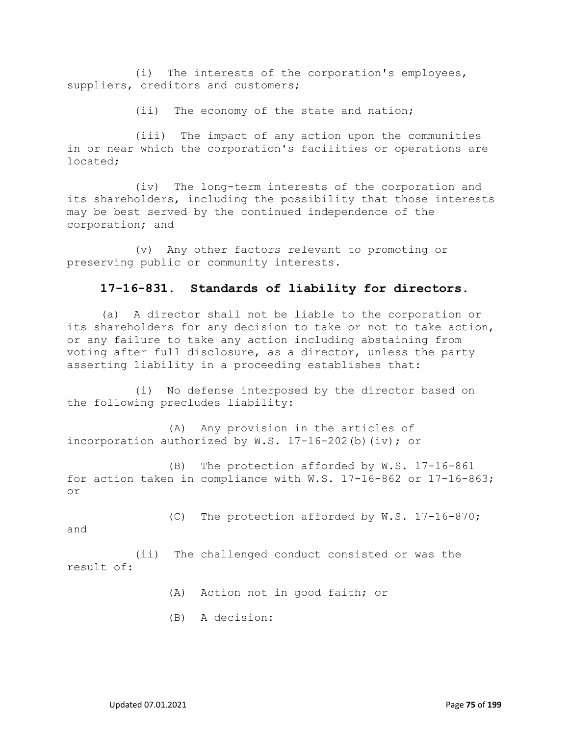(i) The interests of the corporation's employees, suppliers, creditors and customers;

(ii) The economy of the state and nation;

(iii) The impact of any action upon the communities in or near which the corporation's facilities or operations are located;

(iv) The long-term interests of the corporation and its shareholders, including the possibility that those interests may be best served by the continued independence of the corporation; and

(v) Any other factors relevant to promoting or preserving public or community interests.

## **17-16-831. Standards of liability for directors.**

(a) A director shall not be liable to the corporation or its shareholders for any decision to take or not to take action, or any failure to take any action including abstaining from voting after full disclosure, as a director, unless the party asserting liability in a proceeding establishes that:

(i) No defense interposed by the director based on the following precludes liability:

(A) Any provision in the articles of incorporation authorized by W.S.  $17-16-202$  (b) (iv); or

(B) The protection afforded by W.S. 17-16-861 for action taken in compliance with W.S. 17-16-862 or 17-16-863; or

(C) The protection afforded by W.S. 17-16-870;

and

(ii) The challenged conduct consisted or was the result of:

(A) Action not in good faith; or

(B) A decision: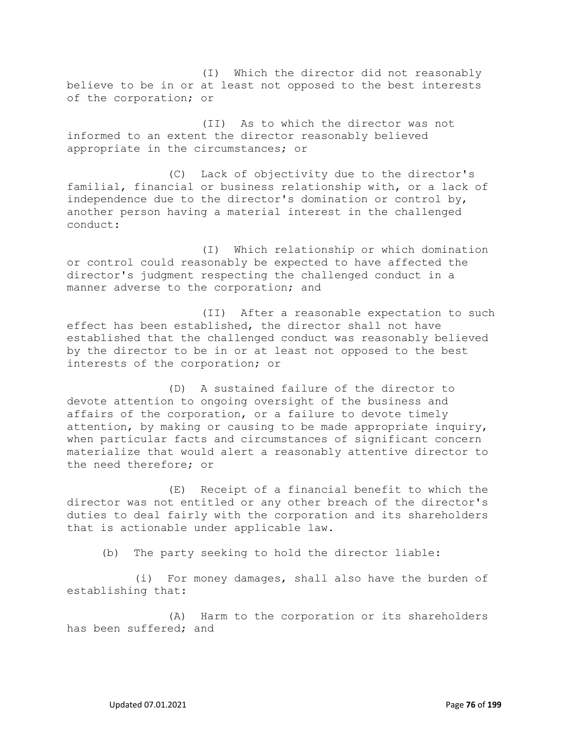(I) Which the director did not reasonably believe to be in or at least not opposed to the best interests of the corporation; or

(II) As to which the director was not informed to an extent the director reasonably believed appropriate in the circumstances; or

(C) Lack of objectivity due to the director's familial, financial or business relationship with, or a lack of independence due to the director's domination or control by, another person having a material interest in the challenged conduct:

(I) Which relationship or which domination or control could reasonably be expected to have affected the director's judgment respecting the challenged conduct in a manner adverse to the corporation; and

(II) After a reasonable expectation to such effect has been established, the director shall not have established that the challenged conduct was reasonably believed by the director to be in or at least not opposed to the best interests of the corporation; or

(D) A sustained failure of the director to devote attention to ongoing oversight of the business and affairs of the corporation, or a failure to devote timely attention, by making or causing to be made appropriate inquiry, when particular facts and circumstances of significant concern materialize that would alert a reasonably attentive director to the need therefore; or

(E) Receipt of a financial benefit to which the director was not entitled or any other breach of the director's duties to deal fairly with the corporation and its shareholders that is actionable under applicable law.

(b) The party seeking to hold the director liable:

(i) For money damages, shall also have the burden of establishing that:

(A) Harm to the corporation or its shareholders has been suffered; and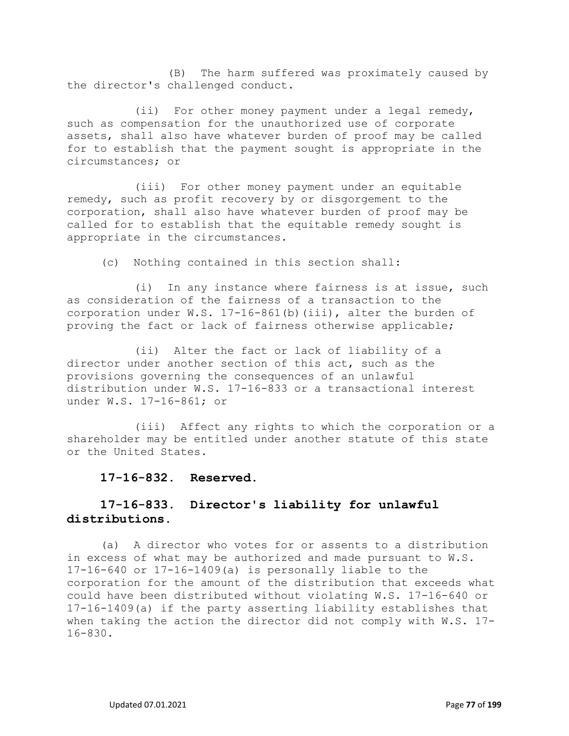(B) The harm suffered was proximately caused by the director's challenged conduct.

(ii) For other money payment under a legal remedy, such as compensation for the unauthorized use of corporate assets, shall also have whatever burden of proof may be called for to establish that the payment sought is appropriate in the circumstances; or

(iii) For other money payment under an equitable remedy, such as profit recovery by or disgorgement to the corporation, shall also have whatever burden of proof may be called for to establish that the equitable remedy sought is appropriate in the circumstances.

(c) Nothing contained in this section shall:

(i) In any instance where fairness is at issue, such as consideration of the fairness of a transaction to the corporation under W.S.  $17-16-861$  (b) (iii), alter the burden of proving the fact or lack of fairness otherwise applicable;

(ii) Alter the fact or lack of liability of a director under another section of this act, such as the provisions governing the consequences of an unlawful distribution under W.S. 17-16-833 or a transactional interest under W.S. 17-16-861; or

(iii) Affect any rights to which the corporation or a shareholder may be entitled under another statute of this state or the United States.

## **17-16-832. Reserved.**

# **17-16-833. Director's liability for unlawful distributions.**

(a) A director who votes for or assents to a distribution in excess of what may be authorized and made pursuant to W.S. 17-16-640 or 17-16-1409(a) is personally liable to the corporation for the amount of the distribution that exceeds what could have been distributed without violating W.S. 17-16-640 or 17-16-1409(a) if the party asserting liability establishes that when taking the action the director did not comply with W.S. 17- 16-830.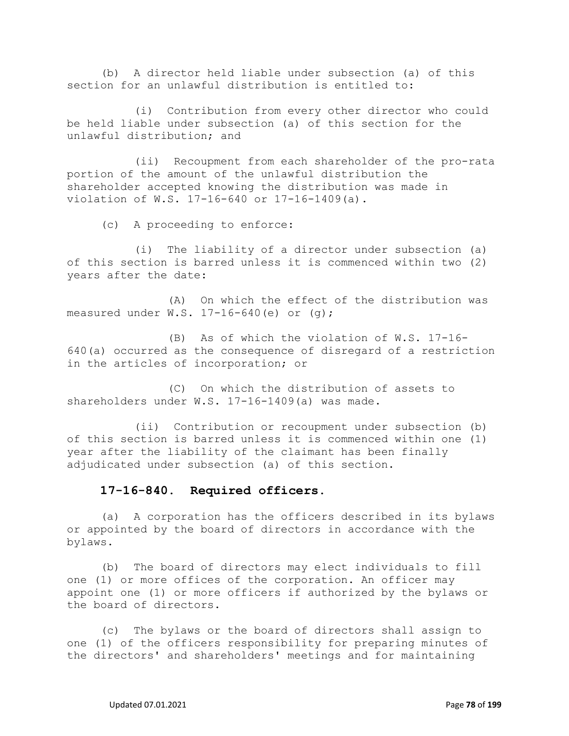(b) A director held liable under subsection (a) of this section for an unlawful distribution is entitled to:

(i) Contribution from every other director who could be held liable under subsection (a) of this section for the unlawful distribution; and

(ii) Recoupment from each shareholder of the pro-rata portion of the amount of the unlawful distribution the shareholder accepted knowing the distribution was made in violation of W.S. 17-16-640 or 17-16-1409(a).

(c) A proceeding to enforce:

(i) The liability of a director under subsection (a) of this section is barred unless it is commenced within two (2) years after the date:

(A) On which the effect of the distribution was measured under  $W.S. 17-16-640(e)$  or  $(g)$ ;

(B) As of which the violation of W.S. 17-16- 640(a) occurred as the consequence of disregard of a restriction in the articles of incorporation; or

(C) On which the distribution of assets to shareholders under W.S. 17-16-1409(a) was made.

(ii) Contribution or recoupment under subsection (b) of this section is barred unless it is commenced within one (1) year after the liability of the claimant has been finally adjudicated under subsection (a) of this section.

#### **17-16-840. Required officers.**

(a) A corporation has the officers described in its bylaws or appointed by the board of directors in accordance with the bylaws.

(b) The board of directors may elect individuals to fill one (1) or more offices of the corporation. An officer may appoint one (1) or more officers if authorized by the bylaws or the board of directors.

(c) The bylaws or the board of directors shall assign to one (1) of the officers responsibility for preparing minutes of the directors' and shareholders' meetings and for maintaining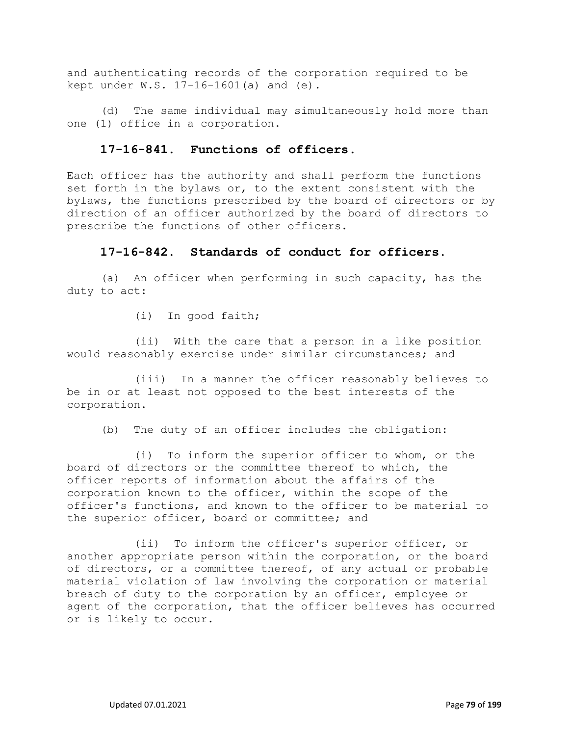and authenticating records of the corporation required to be kept under W.S. 17-16-1601(a) and (e).

(d) The same individual may simultaneously hold more than one (1) office in a corporation.

#### **17-16-841. Functions of officers.**

Each officer has the authority and shall perform the functions set forth in the bylaws or, to the extent consistent with the bylaws, the functions prescribed by the board of directors or by direction of an officer authorized by the board of directors to prescribe the functions of other officers.

### **17-16-842. Standards of conduct for officers.**

(a) An officer when performing in such capacity, has the duty to act:

(i) In good faith;

(ii) With the care that a person in a like position would reasonably exercise under similar circumstances; and

(iii) In a manner the officer reasonably believes to be in or at least not opposed to the best interests of the corporation.

(b) The duty of an officer includes the obligation:

(i) To inform the superior officer to whom, or the board of directors or the committee thereof to which, the officer reports of information about the affairs of the corporation known to the officer, within the scope of the officer's functions, and known to the officer to be material to the superior officer, board or committee; and

(ii) To inform the officer's superior officer, or another appropriate person within the corporation, or the board of directors, or a committee thereof, of any actual or probable material violation of law involving the corporation or material breach of duty to the corporation by an officer, employee or agent of the corporation, that the officer believes has occurred or is likely to occur.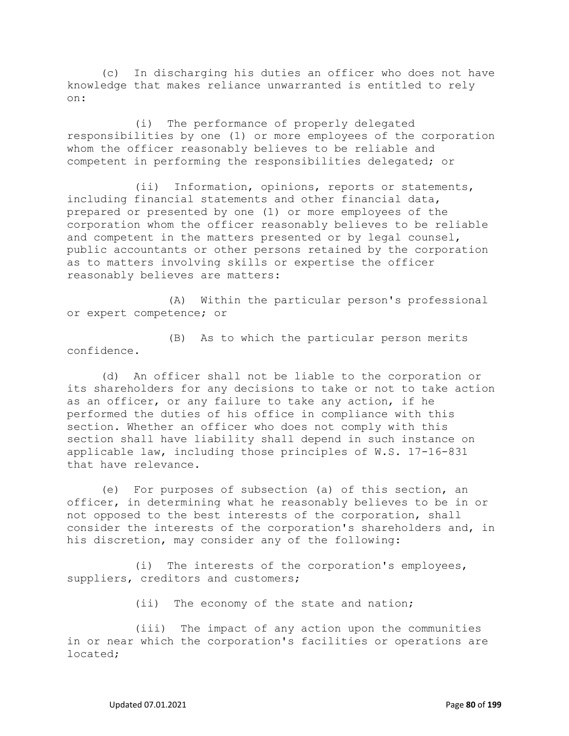(c) In discharging his duties an officer who does not have knowledge that makes reliance unwarranted is entitled to rely on:

(i) The performance of properly delegated responsibilities by one (1) or more employees of the corporation whom the officer reasonably believes to be reliable and competent in performing the responsibilities delegated; or

(ii) Information, opinions, reports or statements, including financial statements and other financial data, prepared or presented by one (1) or more employees of the corporation whom the officer reasonably believes to be reliable and competent in the matters presented or by legal counsel, public accountants or other persons retained by the corporation as to matters involving skills or expertise the officer reasonably believes are matters:

(A) Within the particular person's professional or expert competence; or

(B) As to which the particular person merits confidence.

(d) An officer shall not be liable to the corporation or its shareholders for any decisions to take or not to take action as an officer, or any failure to take any action, if he performed the duties of his office in compliance with this section. Whether an officer who does not comply with this section shall have liability shall depend in such instance on applicable law, including those principles of W.S. 17-16-831 that have relevance.

(e) For purposes of subsection (a) of this section, an officer, in determining what he reasonably believes to be in or not opposed to the best interests of the corporation, shall consider the interests of the corporation's shareholders and, in his discretion, may consider any of the following:

(i) The interests of the corporation's employees, suppliers, creditors and customers;

(ii) The economy of the state and nation;

(iii) The impact of any action upon the communities in or near which the corporation's facilities or operations are located;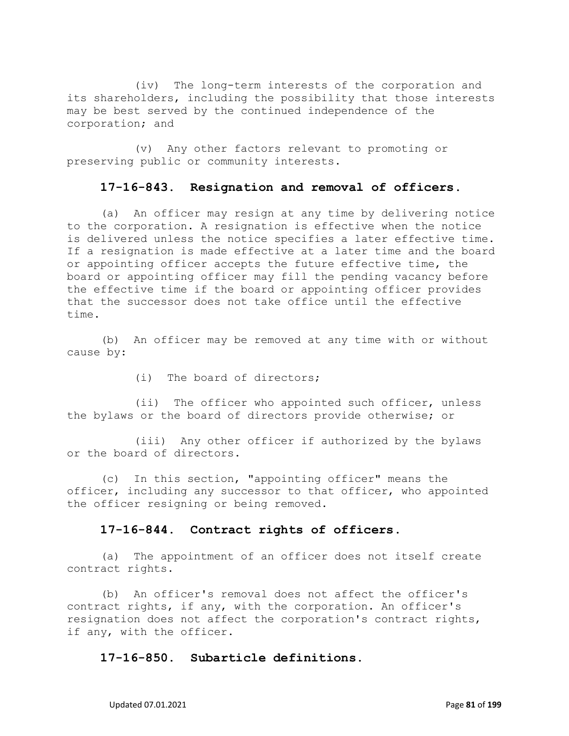(iv) The long-term interests of the corporation and its shareholders, including the possibility that those interests may be best served by the continued independence of the corporation; and

(v) Any other factors relevant to promoting or preserving public or community interests.

### **17-16-843. Resignation and removal of officers.**

(a) An officer may resign at any time by delivering notice to the corporation. A resignation is effective when the notice is delivered unless the notice specifies a later effective time. If a resignation is made effective at a later time and the board or appointing officer accepts the future effective time, the board or appointing officer may fill the pending vacancy before the effective time if the board or appointing officer provides that the successor does not take office until the effective time.

(b) An officer may be removed at any time with or without cause by:

(i) The board of directors;

(ii) The officer who appointed such officer, unless the bylaws or the board of directors provide otherwise; or

(iii) Any other officer if authorized by the bylaws or the board of directors.

(c) In this section, "appointing officer" means the officer, including any successor to that officer, who appointed the officer resigning or being removed.

### **17-16-844. Contract rights of officers.**

(a) The appointment of an officer does not itself create contract rights.

(b) An officer's removal does not affect the officer's contract rights, if any, with the corporation. An officer's resignation does not affect the corporation's contract rights, if any, with the officer.

#### **17-16-850. Subarticle definitions.**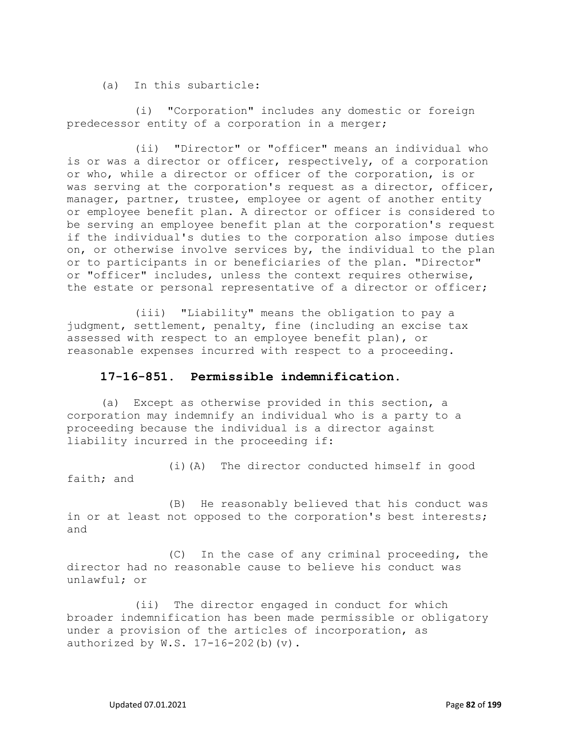(a) In this subarticle:

(i) "Corporation" includes any domestic or foreign predecessor entity of a corporation in a merger;

(ii) "Director" or "officer" means an individual who is or was a director or officer, respectively, of a corporation or who, while a director or officer of the corporation, is or was serving at the corporation's request as a director, officer, manager, partner, trustee, employee or agent of another entity or employee benefit plan. A director or officer is considered to be serving an employee benefit plan at the corporation's request if the individual's duties to the corporation also impose duties on, or otherwise involve services by, the individual to the plan or to participants in or beneficiaries of the plan. "Director" or "officer" includes, unless the context requires otherwise, the estate or personal representative of a director or officer;

(iii) "Liability" means the obligation to pay a judgment, settlement, penalty, fine (including an excise tax assessed with respect to an employee benefit plan), or reasonable expenses incurred with respect to a proceeding.

#### **17-16-851. Permissible indemnification.**

(a) Except as otherwise provided in this section, a corporation may indemnify an individual who is a party to a proceeding because the individual is a director against liability incurred in the proceeding if:

(i)(A) The director conducted himself in good

faith; and

(B) He reasonably believed that his conduct was in or at least not opposed to the corporation's best interests; and

(C) In the case of any criminal proceeding, the director had no reasonable cause to believe his conduct was unlawful; or

(ii) The director engaged in conduct for which broader indemnification has been made permissible or obligatory under a provision of the articles of incorporation, as authorized by  $W.S. 17-16-202(b)(v)$ .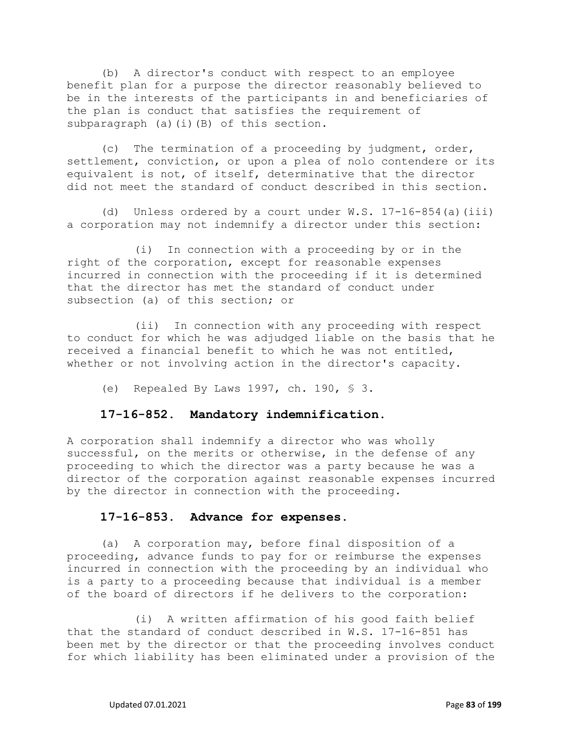(b) A director's conduct with respect to an employee benefit plan for a purpose the director reasonably believed to be in the interests of the participants in and beneficiaries of the plan is conduct that satisfies the requirement of subparagraph (a)(i)(B) of this section.

(c) The termination of a proceeding by judgment, order, settlement, conviction, or upon a plea of nolo contendere or its equivalent is not, of itself, determinative that the director did not meet the standard of conduct described in this section.

(d) Unless ordered by a court under  $W.S. 17-16-854$  (a) (iii) a corporation may not indemnify a director under this section:

(i) In connection with a proceeding by or in the right of the corporation, except for reasonable expenses incurred in connection with the proceeding if it is determined that the director has met the standard of conduct under subsection (a) of this section; or

(ii) In connection with any proceeding with respect to conduct for which he was adjudged liable on the basis that he received a financial benefit to which he was not entitled, whether or not involving action in the director's capacity.

(e) Repealed By Laws 1997, ch. 190, § 3.

### **17-16-852. Mandatory indemnification.**

A corporation shall indemnify a director who was wholly successful, on the merits or otherwise, in the defense of any proceeding to which the director was a party because he was a director of the corporation against reasonable expenses incurred by the director in connection with the proceeding.

## **17-16-853. Advance for expenses.**

(a) A corporation may, before final disposition of a proceeding, advance funds to pay for or reimburse the expenses incurred in connection with the proceeding by an individual who is a party to a proceeding because that individual is a member of the board of directors if he delivers to the corporation:

(i) A written affirmation of his good faith belief that the standard of conduct described in W.S. 17-16-851 has been met by the director or that the proceeding involves conduct for which liability has been eliminated under a provision of the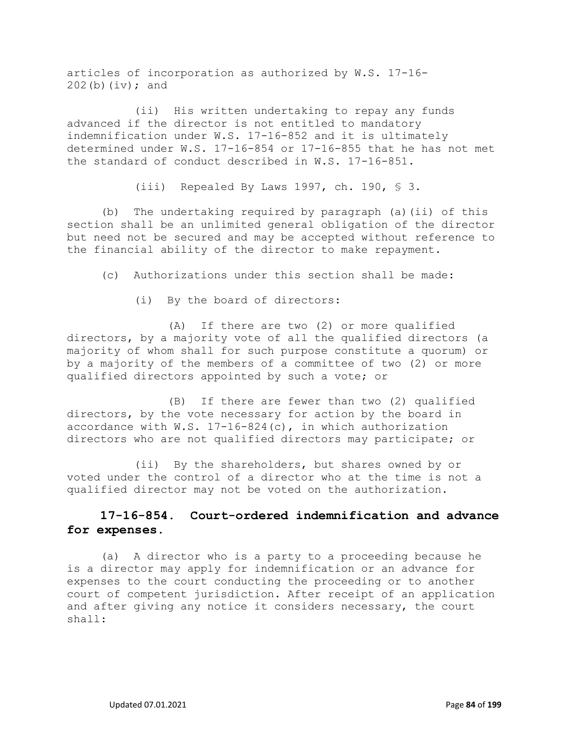articles of incorporation as authorized by W.S. 17-16-  $202(b)(iv);$  and

(ii) His written undertaking to repay any funds advanced if the director is not entitled to mandatory indemnification under W.S. 17-16-852 and it is ultimately determined under W.S. 17-16-854 or 17-16-855 that he has not met the standard of conduct described in W.S. 17-16-851.

(iii) Repealed By Laws 1997, ch. 190, § 3.

(b) The undertaking required by paragraph (a)(ii) of this section shall be an unlimited general obligation of the director but need not be secured and may be accepted without reference to the financial ability of the director to make repayment.

(c) Authorizations under this section shall be made:

(i) By the board of directors:

(A) If there are two (2) or more qualified directors, by a majority vote of all the qualified directors (a majority of whom shall for such purpose constitute a quorum) or by a majority of the members of a committee of two (2) or more qualified directors appointed by such a vote; or

(B) If there are fewer than two (2) qualified directors, by the vote necessary for action by the board in accordance with W.S. 17-16-824(c), in which authorization directors who are not qualified directors may participate; or

(ii) By the shareholders, but shares owned by or voted under the control of a director who at the time is not a qualified director may not be voted on the authorization.

# **17-16-854. Court-ordered indemnification and advance for expenses.**

(a) A director who is a party to a proceeding because he is a director may apply for indemnification or an advance for expenses to the court conducting the proceeding or to another court of competent jurisdiction. After receipt of an application and after giving any notice it considers necessary, the court shall: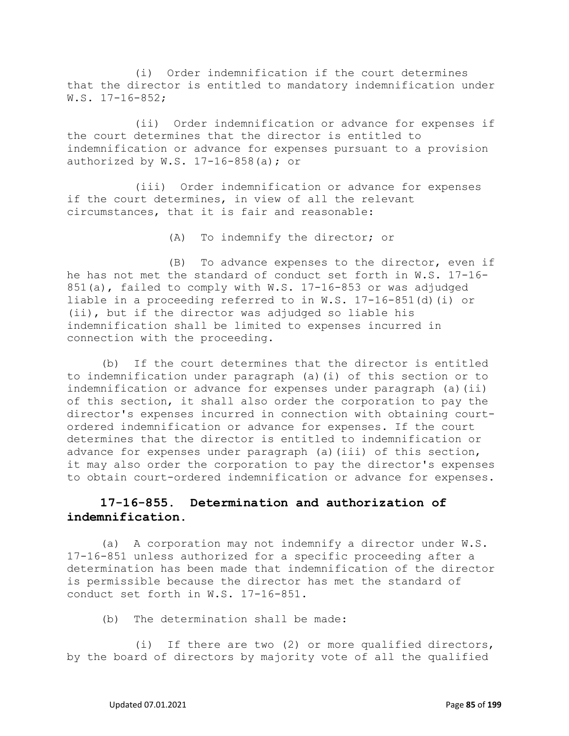(i) Order indemnification if the court determines that the director is entitled to mandatory indemnification under W.S. 17-16-852;

(ii) Order indemnification or advance for expenses if the court determines that the director is entitled to indemnification or advance for expenses pursuant to a provision authorized by  $W.S. 17-16-858(a);$  or

(iii) Order indemnification or advance for expenses if the court determines, in view of all the relevant circumstances, that it is fair and reasonable:

(A) To indemnify the director; or

(B) To advance expenses to the director, even if he has not met the standard of conduct set forth in W.S. 17-16- 851(a), failed to comply with W.S. 17-16-853 or was adjudged liable in a proceeding referred to in W.S. 17-16-851(d)(i) or (ii), but if the director was adjudged so liable his indemnification shall be limited to expenses incurred in connection with the proceeding.

(b) If the court determines that the director is entitled to indemnification under paragraph (a)(i) of this section or to indemnification or advance for expenses under paragraph (a)(ii) of this section, it shall also order the corporation to pay the director's expenses incurred in connection with obtaining courtordered indemnification or advance for expenses. If the court determines that the director is entitled to indemnification or advance for expenses under paragraph (a)(iii) of this section, it may also order the corporation to pay the director's expenses to obtain court-ordered indemnification or advance for expenses.

# **17-16-855. Determination and authorization of indemnification.**

(a) A corporation may not indemnify a director under W.S. 17-16-851 unless authorized for a specific proceeding after a determination has been made that indemnification of the director is permissible because the director has met the standard of conduct set forth in W.S. 17-16-851.

(b) The determination shall be made:

(i) If there are two (2) or more qualified directors, by the board of directors by majority vote of all the qualified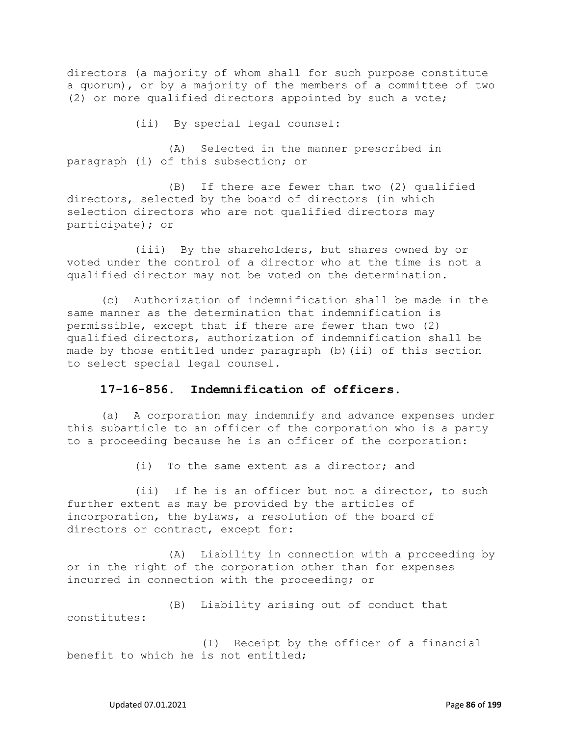directors (a majority of whom shall for such purpose constitute a quorum), or by a majority of the members of a committee of two (2) or more qualified directors appointed by such a vote;

(ii) By special legal counsel:

(A) Selected in the manner prescribed in paragraph (i) of this subsection; or

(B) If there are fewer than two (2) qualified directors, selected by the board of directors (in which selection directors who are not qualified directors may participate); or

(iii) By the shareholders, but shares owned by or voted under the control of a director who at the time is not a qualified director may not be voted on the determination.

(c) Authorization of indemnification shall be made in the same manner as the determination that indemnification is permissible, except that if there are fewer than two (2) qualified directors, authorization of indemnification shall be made by those entitled under paragraph (b)(ii) of this section to select special legal counsel.

### **17-16-856. Indemnification of officers.**

(a) A corporation may indemnify and advance expenses under this subarticle to an officer of the corporation who is a party to a proceeding because he is an officer of the corporation:

(i) To the same extent as a director; and

(ii) If he is an officer but not a director, to such further extent as may be provided by the articles of incorporation, the bylaws, a resolution of the board of directors or contract, except for:

(A) Liability in connection with a proceeding by or in the right of the corporation other than for expenses incurred in connection with the proceeding; or

(B) Liability arising out of conduct that constitutes:

(I) Receipt by the officer of a financial benefit to which he is not entitled;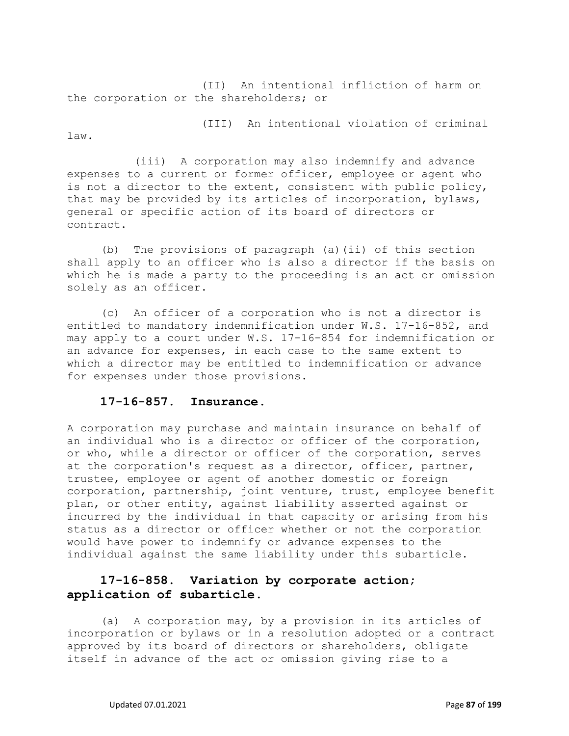(II) An intentional infliction of harm on the corporation or the shareholders; or

(III) An intentional violation of criminal

law.

(iii) A corporation may also indemnify and advance expenses to a current or former officer, employee or agent who is not a director to the extent, consistent with public policy, that may be provided by its articles of incorporation, bylaws, general or specific action of its board of directors or contract.

(b) The provisions of paragraph (a)(ii) of this section shall apply to an officer who is also a director if the basis on which he is made a party to the proceeding is an act or omission solely as an officer.

(c) An officer of a corporation who is not a director is entitled to mandatory indemnification under W.S. 17-16-852, and may apply to a court under W.S. 17-16-854 for indemnification or an advance for expenses, in each case to the same extent to which a director may be entitled to indemnification or advance for expenses under those provisions.

### **17-16-857. Insurance.**

A corporation may purchase and maintain insurance on behalf of an individual who is a director or officer of the corporation, or who, while a director or officer of the corporation, serves at the corporation's request as a director, officer, partner, trustee, employee or agent of another domestic or foreign corporation, partnership, joint venture, trust, employee benefit plan, or other entity, against liability asserted against or incurred by the individual in that capacity or arising from his status as a director or officer whether or not the corporation would have power to indemnify or advance expenses to the individual against the same liability under this subarticle.

# **17-16-858. Variation by corporate action; application of subarticle.**

(a) A corporation may, by a provision in its articles of incorporation or bylaws or in a resolution adopted or a contract approved by its board of directors or shareholders, obligate itself in advance of the act or omission giving rise to a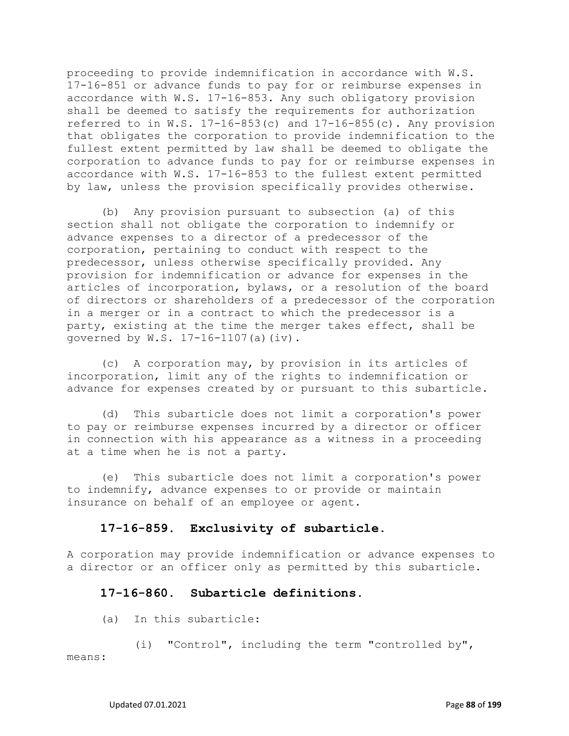proceeding to provide indemnification in accordance with W.S. 17-16-851 or advance funds to pay for or reimburse expenses in accordance with W.S. 17-16-853. Any such obligatory provision shall be deemed to satisfy the requirements for authorization referred to in W.S.  $17-16-853$  (c) and  $17-16-855$  (c). Any provision that obligates the corporation to provide indemnification to the fullest extent permitted by law shall be deemed to obligate the corporation to advance funds to pay for or reimburse expenses in accordance with W.S. 17-16-853 to the fullest extent permitted by law, unless the provision specifically provides otherwise.

(b) Any provision pursuant to subsection (a) of this section shall not obligate the corporation to indemnify or advance expenses to a director of a predecessor of the corporation, pertaining to conduct with respect to the predecessor, unless otherwise specifically provided. Any provision for indemnification or advance for expenses in the articles of incorporation, bylaws, or a resolution of the board of directors or shareholders of a predecessor of the corporation in a merger or in a contract to which the predecessor is a party, existing at the time the merger takes effect, shall be governed by  $W.S. 17-16-1107(a)(iv)$ .

(c) A corporation may, by provision in its articles of incorporation, limit any of the rights to indemnification or advance for expenses created by or pursuant to this subarticle.

(d) This subarticle does not limit a corporation's power to pay or reimburse expenses incurred by a director or officer in connection with his appearance as a witness in a proceeding at a time when he is not a party.

(e) This subarticle does not limit a corporation's power to indemnify, advance expenses to or provide or maintain insurance on behalf of an employee or agent.

#### **17-16-859. Exclusivity of subarticle.**

A corporation may provide indemnification or advance expenses to a director or an officer only as permitted by this subarticle.

#### **17-16-860. Subarticle definitions.**

(a) In this subarticle:

(i) "Control", including the term "controlled by",

means: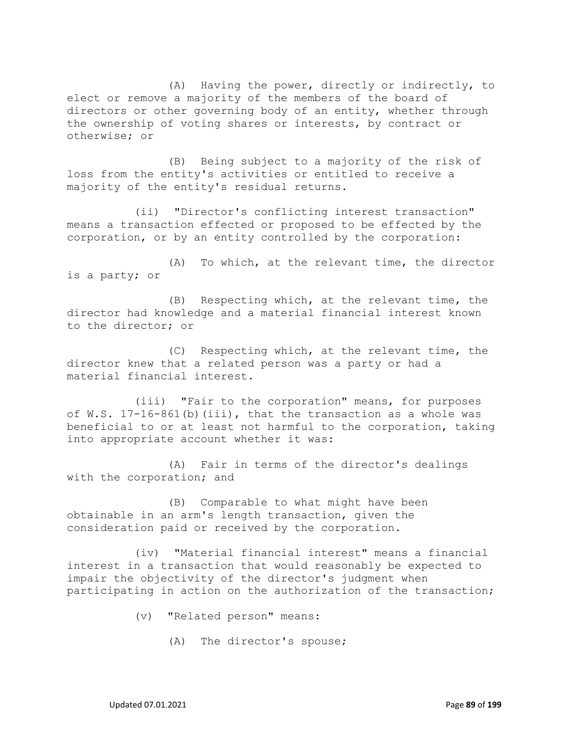(A) Having the power, directly or indirectly, to elect or remove a majority of the members of the board of directors or other governing body of an entity, whether through the ownership of voting shares or interests, by contract or otherwise; or

(B) Being subject to a majority of the risk of loss from the entity's activities or entitled to receive a majority of the entity's residual returns.

(ii) "Director's conflicting interest transaction" means a transaction effected or proposed to be effected by the corporation, or by an entity controlled by the corporation:

(A) To which, at the relevant time, the director is a party; or

(B) Respecting which, at the relevant time, the director had knowledge and a material financial interest known to the director; or

(C) Respecting which, at the relevant time, the director knew that a related person was a party or had a material financial interest.

(iii) "Fair to the corporation" means, for purposes of W.S. 17-16-861(b)(iii), that the transaction as a whole was beneficial to or at least not harmful to the corporation, taking into appropriate account whether it was:

(A) Fair in terms of the director's dealings with the corporation; and

(B) Comparable to what might have been obtainable in an arm's length transaction, given the consideration paid or received by the corporation.

(iv) "Material financial interest" means a financial interest in a transaction that would reasonably be expected to impair the objectivity of the director's judgment when participating in action on the authorization of the transaction;

- (v) "Related person" means:
	- (A) The director's spouse;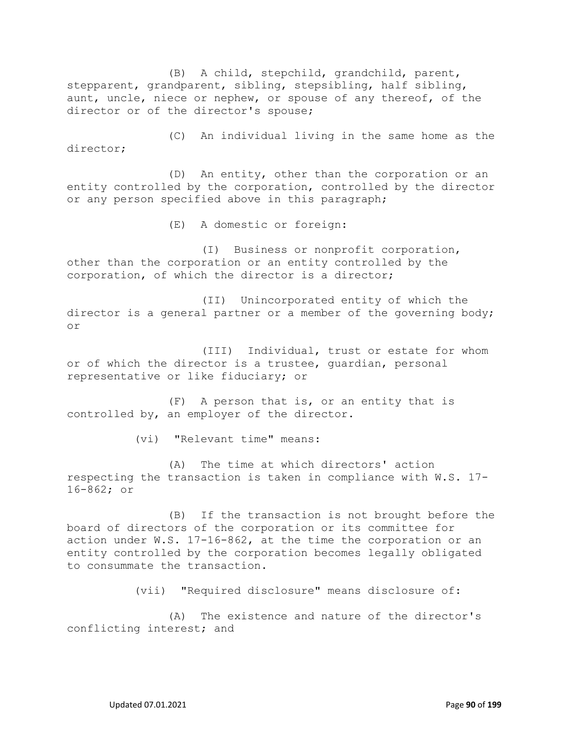(B) A child, stepchild, grandchild, parent, stepparent, grandparent, sibling, stepsibling, half sibling, aunt, uncle, niece or nephew, or spouse of any thereof, of the director or of the director's spouse;

(C) An individual living in the same home as the director;

(D) An entity, other than the corporation or an entity controlled by the corporation, controlled by the director or any person specified above in this paragraph;

(E) A domestic or foreign:

(I) Business or nonprofit corporation, other than the corporation or an entity controlled by the corporation, of which the director is a director;

(II) Unincorporated entity of which the director is a general partner or a member of the governing body; or

(III) Individual, trust or estate for whom or of which the director is a trustee, guardian, personal representative or like fiduciary; or

(F) A person that is, or an entity that is controlled by, an employer of the director.

(vi) "Relevant time" means:

(A) The time at which directors' action respecting the transaction is taken in compliance with W.S. 17- 16-862; or

(B) If the transaction is not brought before the board of directors of the corporation or its committee for action under W.S. 17-16-862, at the time the corporation or an entity controlled by the corporation becomes legally obligated to consummate the transaction.

(vii) "Required disclosure" means disclosure of:

(A) The existence and nature of the director's conflicting interest; and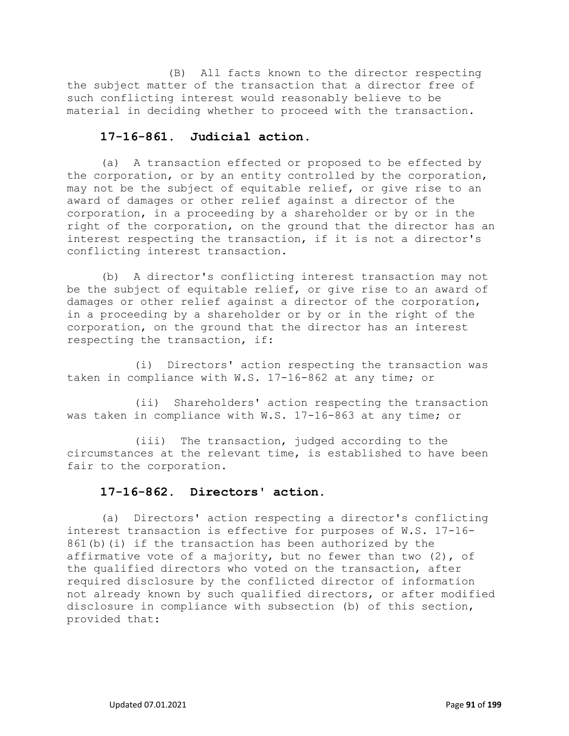(B) All facts known to the director respecting the subject matter of the transaction that a director free of such conflicting interest would reasonably believe to be material in deciding whether to proceed with the transaction.

## **17-16-861. Judicial action.**

(a) A transaction effected or proposed to be effected by the corporation, or by an entity controlled by the corporation, may not be the subject of equitable relief, or give rise to an award of damages or other relief against a director of the corporation, in a proceeding by a shareholder or by or in the right of the corporation, on the ground that the director has an interest respecting the transaction, if it is not a director's conflicting interest transaction.

(b) A director's conflicting interest transaction may not be the subject of equitable relief, or give rise to an award of damages or other relief against a director of the corporation, in a proceeding by a shareholder or by or in the right of the corporation, on the ground that the director has an interest respecting the transaction, if:

(i) Directors' action respecting the transaction was taken in compliance with W.S. 17-16-862 at any time; or

(ii) Shareholders' action respecting the transaction was taken in compliance with W.S. 17-16-863 at any time; or

(iii) The transaction, judged according to the circumstances at the relevant time, is established to have been fair to the corporation.

### **17-16-862. Directors' action.**

(a) Directors' action respecting a director's conflicting interest transaction is effective for purposes of W.S. 17-16- 861(b)(i) if the transaction has been authorized by the affirmative vote of a majority, but no fewer than two (2), of the qualified directors who voted on the transaction, after required disclosure by the conflicted director of information not already known by such qualified directors, or after modified disclosure in compliance with subsection (b) of this section, provided that: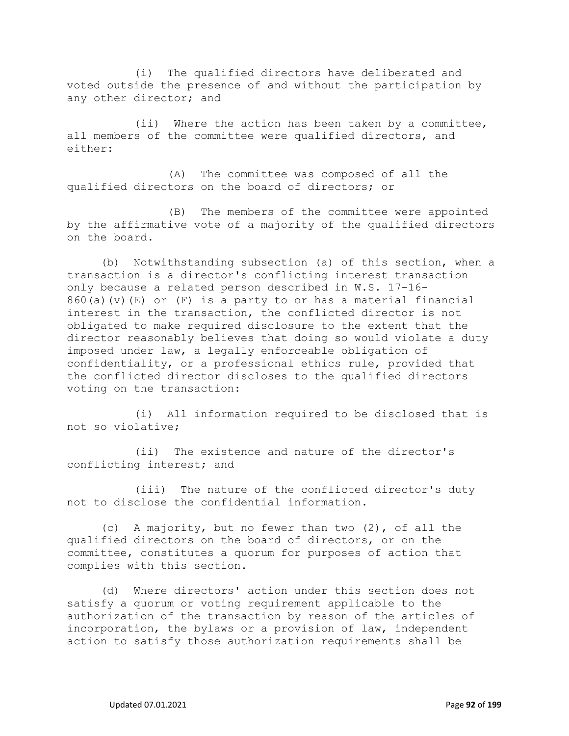(i) The qualified directors have deliberated and voted outside the presence of and without the participation by any other director; and

(ii) Where the action has been taken by a committee, all members of the committee were qualified directors, and either:

(A) The committee was composed of all the qualified directors on the board of directors; or

(B) The members of the committee were appointed by the affirmative vote of a majority of the qualified directors on the board.

(b) Notwithstanding subsection (a) of this section, when a transaction is a director's conflicting interest transaction only because a related person described in W.S. 17-16- 860(a)(v)(E) or (F) is a party to or has a material financial interest in the transaction, the conflicted director is not obligated to make required disclosure to the extent that the director reasonably believes that doing so would violate a duty imposed under law, a legally enforceable obligation of confidentiality, or a professional ethics rule, provided that the conflicted director discloses to the qualified directors voting on the transaction:

(i) All information required to be disclosed that is not so violative;

(ii) The existence and nature of the director's conflicting interest; and

(iii) The nature of the conflicted director's duty not to disclose the confidential information.

(c) A majority, but no fewer than two (2), of all the qualified directors on the board of directors, or on the committee, constitutes a quorum for purposes of action that complies with this section.

(d) Where directors' action under this section does not satisfy a quorum or voting requirement applicable to the authorization of the transaction by reason of the articles of incorporation, the bylaws or a provision of law, independent action to satisfy those authorization requirements shall be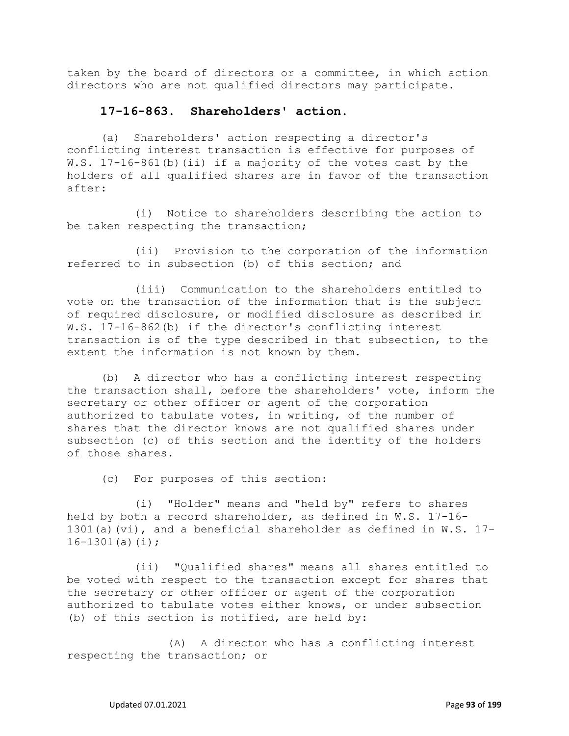taken by the board of directors or a committee, in which action directors who are not qualified directors may participate.

## **17-16-863. Shareholders' action.**

(a) Shareholders' action respecting a director's conflicting interest transaction is effective for purposes of W.S. 17-16-861(b)(ii) if a majority of the votes cast by the holders of all qualified shares are in favor of the transaction after:

(i) Notice to shareholders describing the action to be taken respecting the transaction;

(ii) Provision to the corporation of the information referred to in subsection (b) of this section; and

(iii) Communication to the shareholders entitled to vote on the transaction of the information that is the subject of required disclosure, or modified disclosure as described in W.S. 17-16-862(b) if the director's conflicting interest transaction is of the type described in that subsection, to the extent the information is not known by them.

(b) A director who has a conflicting interest respecting the transaction shall, before the shareholders' vote, inform the secretary or other officer or agent of the corporation authorized to tabulate votes, in writing, of the number of shares that the director knows are not qualified shares under subsection (c) of this section and the identity of the holders of those shares.

(c) For purposes of this section:

(i) "Holder" means and "held by" refers to shares held by both a record shareholder, as defined in W.S. 17-16- 1301(a)(vi), and a beneficial shareholder as defined in W.S. 17-  $16-1301(a)(i);$ 

(ii) "Qualified shares" means all shares entitled to be voted with respect to the transaction except for shares that the secretary or other officer or agent of the corporation authorized to tabulate votes either knows, or under subsection (b) of this section is notified, are held by:

(A) A director who has a conflicting interest respecting the transaction; or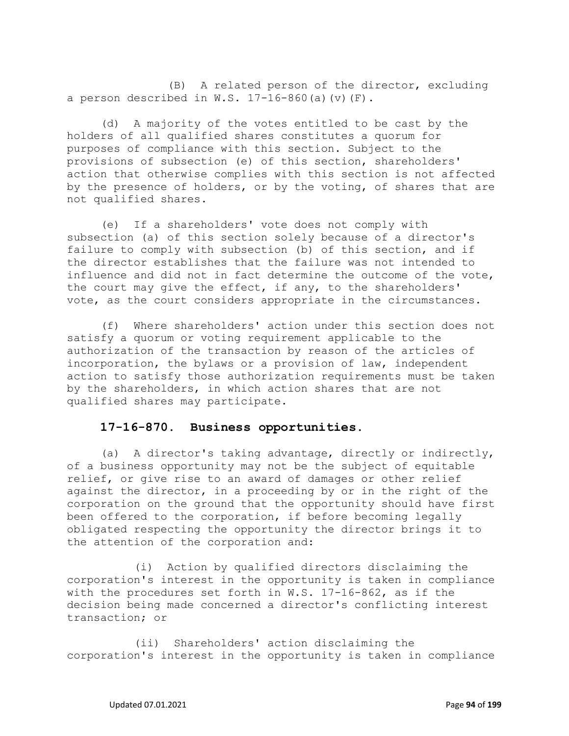(B) A related person of the director, excluding a person described in  $W.S. 17-16-860(a)(v)(F)$ .

(d) A majority of the votes entitled to be cast by the holders of all qualified shares constitutes a quorum for purposes of compliance with this section. Subject to the provisions of subsection (e) of this section, shareholders' action that otherwise complies with this section is not affected by the presence of holders, or by the voting, of shares that are not qualified shares.

(e) If a shareholders' vote does not comply with subsection (a) of this section solely because of a director's failure to comply with subsection (b) of this section, and if the director establishes that the failure was not intended to influence and did not in fact determine the outcome of the vote, the court may give the effect, if any, to the shareholders' vote, as the court considers appropriate in the circumstances.

(f) Where shareholders' action under this section does not satisfy a quorum or voting requirement applicable to the authorization of the transaction by reason of the articles of incorporation, the bylaws or a provision of law, independent action to satisfy those authorization requirements must be taken by the shareholders, in which action shares that are not qualified shares may participate.

#### **17-16-870. Business opportunities.**

(a) A director's taking advantage, directly or indirectly, of a business opportunity may not be the subject of equitable relief, or give rise to an award of damages or other relief against the director, in a proceeding by or in the right of the corporation on the ground that the opportunity should have first been offered to the corporation, if before becoming legally obligated respecting the opportunity the director brings it to the attention of the corporation and:

(i) Action by qualified directors disclaiming the corporation's interest in the opportunity is taken in compliance with the procedures set forth in W.S. 17-16-862, as if the decision being made concerned a director's conflicting interest transaction; or

(ii) Shareholders' action disclaiming the corporation's interest in the opportunity is taken in compliance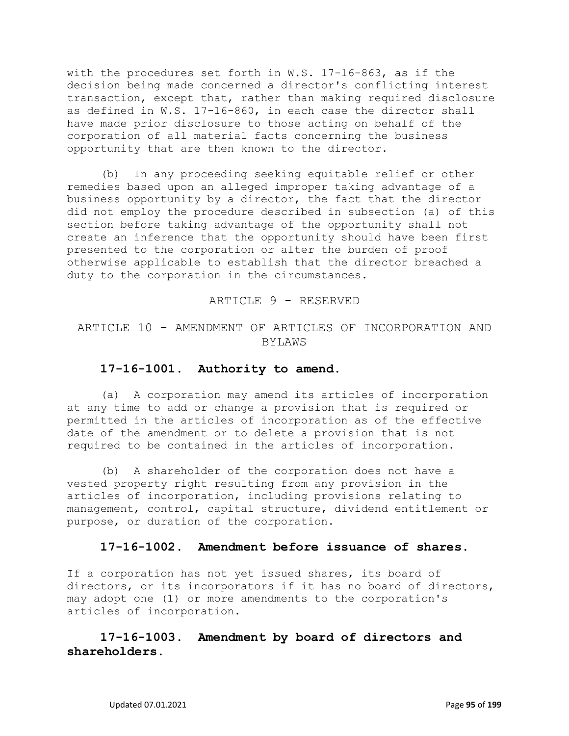with the procedures set forth in W.S. 17-16-863, as if the decision being made concerned a director's conflicting interest transaction, except that, rather than making required disclosure as defined in W.S. 17-16-860, in each case the director shall have made prior disclosure to those acting on behalf of the corporation of all material facts concerning the business opportunity that are then known to the director.

In any proceeding seeking equitable relief or other remedies based upon an alleged improper taking advantage of a business opportunity by a director, the fact that the director did not employ the procedure described in subsection (a) of this section before taking advantage of the opportunity shall not create an inference that the opportunity should have been first presented to the corporation or alter the burden of proof otherwise applicable to establish that the director breached a duty to the corporation in the circumstances.

#### ARTICLE 9 - RESERVED

# ARTICLE 10 - AMENDMENT OF ARTICLES OF INCORPORATION AND BYLAWS

#### **17-16-1001. Authority to amend.**

(a) A corporation may amend its articles of incorporation at any time to add or change a provision that is required or permitted in the articles of incorporation as of the effective date of the amendment or to delete a provision that is not required to be contained in the articles of incorporation.

(b) A shareholder of the corporation does not have a vested property right resulting from any provision in the articles of incorporation, including provisions relating to management, control, capital structure, dividend entitlement or purpose, or duration of the corporation.

### **17-16-1002. Amendment before issuance of shares.**

If a corporation has not yet issued shares, its board of directors, or its incorporators if it has no board of directors, may adopt one (1) or more amendments to the corporation's articles of incorporation.

# **17-16-1003. Amendment by board of directors and shareholders.**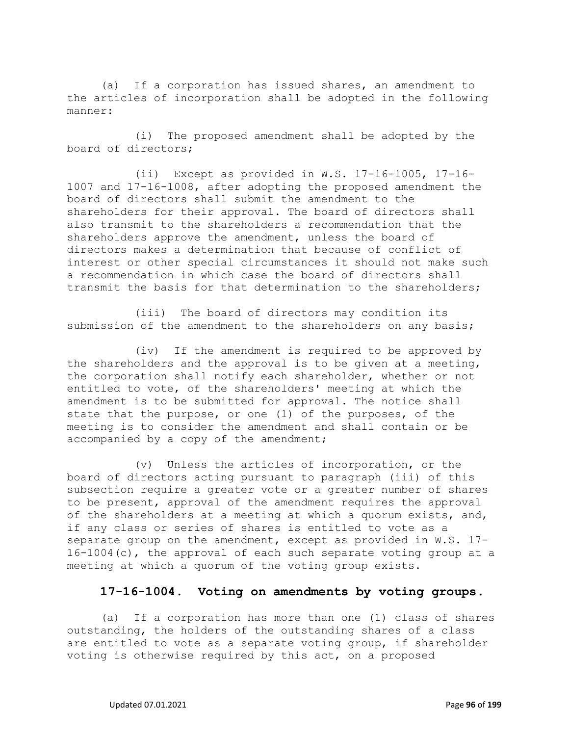(a) If a corporation has issued shares, an amendment to the articles of incorporation shall be adopted in the following manner:

(i) The proposed amendment shall be adopted by the board of directors;

(ii) Except as provided in W.S. 17-16-1005, 17-16- 1007 and 17-16-1008, after adopting the proposed amendment the board of directors shall submit the amendment to the shareholders for their approval. The board of directors shall also transmit to the shareholders a recommendation that the shareholders approve the amendment, unless the board of directors makes a determination that because of conflict of interest or other special circumstances it should not make such a recommendation in which case the board of directors shall transmit the basis for that determination to the shareholders;

(iii) The board of directors may condition its submission of the amendment to the shareholders on any basis;

(iv) If the amendment is required to be approved by the shareholders and the approval is to be given at a meeting, the corporation shall notify each shareholder, whether or not entitled to vote, of the shareholders' meeting at which the amendment is to be submitted for approval. The notice shall state that the purpose, or one (1) of the purposes, of the meeting is to consider the amendment and shall contain or be accompanied by a copy of the amendment;

(v) Unless the articles of incorporation, or the board of directors acting pursuant to paragraph (iii) of this subsection require a greater vote or a greater number of shares to be present, approval of the amendment requires the approval of the shareholders at a meeting at which a quorum exists, and, if any class or series of shares is entitled to vote as a separate group on the amendment, except as provided in W.S. 17- 16-1004(c), the approval of each such separate voting group at a meeting at which a quorum of the voting group exists.

#### **17-16-1004. Voting on amendments by voting groups.**

(a) If a corporation has more than one (1) class of shares outstanding, the holders of the outstanding shares of a class are entitled to vote as a separate voting group, if shareholder voting is otherwise required by this act, on a proposed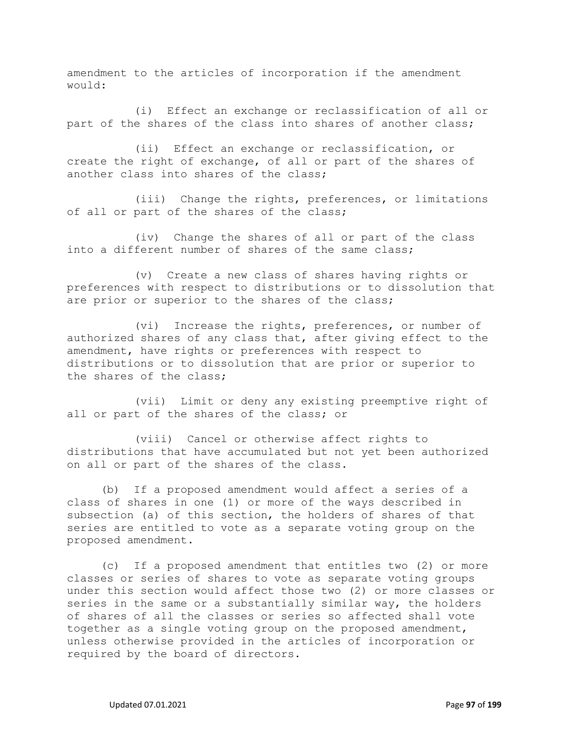amendment to the articles of incorporation if the amendment would:

(i) Effect an exchange or reclassification of all or part of the shares of the class into shares of another class;

(ii) Effect an exchange or reclassification, or create the right of exchange, of all or part of the shares of another class into shares of the class;

(iii) Change the rights, preferences, or limitations of all or part of the shares of the class;

(iv) Change the shares of all or part of the class into a different number of shares of the same class;

(v) Create a new class of shares having rights or preferences with respect to distributions or to dissolution that are prior or superior to the shares of the class;

(vi) Increase the rights, preferences, or number of authorized shares of any class that, after giving effect to the amendment, have rights or preferences with respect to distributions or to dissolution that are prior or superior to the shares of the class;

(vii) Limit or deny any existing preemptive right of all or part of the shares of the class; or

(viii) Cancel or otherwise affect rights to distributions that have accumulated but not yet been authorized on all or part of the shares of the class.

(b) If a proposed amendment would affect a series of a class of shares in one (1) or more of the ways described in subsection (a) of this section, the holders of shares of that series are entitled to vote as a separate voting group on the proposed amendment.

(c) If a proposed amendment that entitles two (2) or more classes or series of shares to vote as separate voting groups under this section would affect those two (2) or more classes or series in the same or a substantially similar way, the holders of shares of all the classes or series so affected shall vote together as a single voting group on the proposed amendment, unless otherwise provided in the articles of incorporation or required by the board of directors.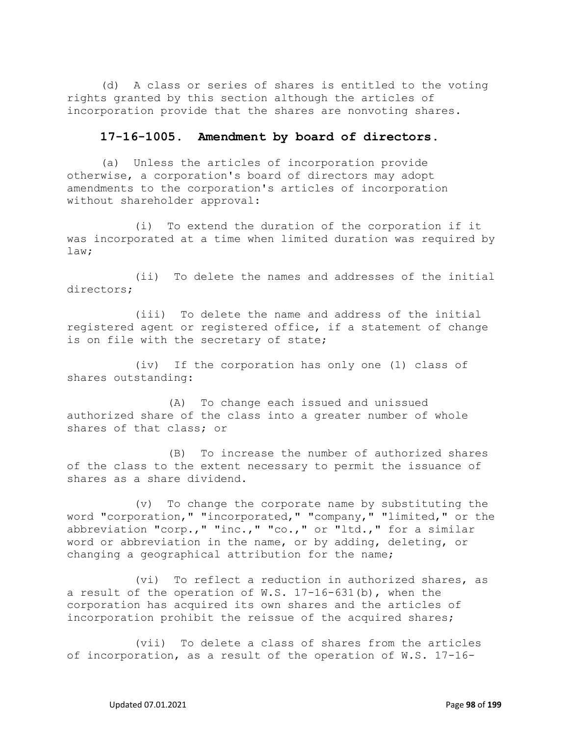(d) A class or series of shares is entitled to the voting rights granted by this section although the articles of incorporation provide that the shares are nonvoting shares.

#### **17-16-1005. Amendment by board of directors.**

(a) Unless the articles of incorporation provide otherwise, a corporation's board of directors may adopt amendments to the corporation's articles of incorporation without shareholder approval:

(i) To extend the duration of the corporation if it was incorporated at a time when limited duration was required by law;

(ii) To delete the names and addresses of the initial directors;

(iii) To delete the name and address of the initial registered agent or registered office, if a statement of change is on file with the secretary of state;

(iv) If the corporation has only one (1) class of shares outstanding:

(A) To change each issued and unissued authorized share of the class into a greater number of whole shares of that class; or

(B) To increase the number of authorized shares of the class to the extent necessary to permit the issuance of shares as a share dividend.

(v) To change the corporate name by substituting the word "corporation," "incorporated," "company," "limited," or the abbreviation "corp.," "inc.," "co.," or "ltd.," for a similar word or abbreviation in the name, or by adding, deleting, or changing a geographical attribution for the name;

(vi) To reflect a reduction in authorized shares, as a result of the operation of W.S. 17-16-631(b), when the corporation has acquired its own shares and the articles of incorporation prohibit the reissue of the acquired shares;

(vii) To delete a class of shares from the articles of incorporation, as a result of the operation of W.S. 17-16-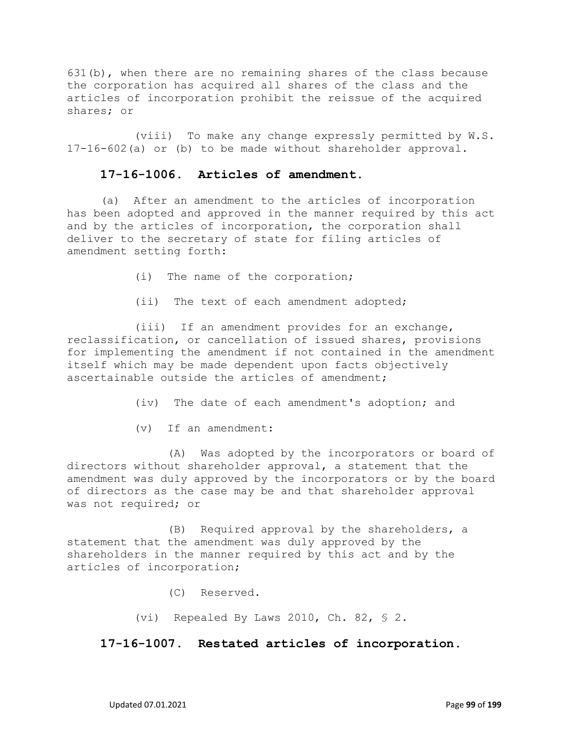631(b), when there are no remaining shares of the class because the corporation has acquired all shares of the class and the articles of incorporation prohibit the reissue of the acquired shares; or

(viii) To make any change expressly permitted by W.S. 17-16-602(a) or (b) to be made without shareholder approval.

## **17-16-1006. Articles of amendment.**

(a) After an amendment to the articles of incorporation has been adopted and approved in the manner required by this act and by the articles of incorporation, the corporation shall deliver to the secretary of state for filing articles of amendment setting forth:

(i) The name of the corporation;

(ii) The text of each amendment adopted;

(iii) If an amendment provides for an exchange, reclassification, or cancellation of issued shares, provisions for implementing the amendment if not contained in the amendment itself which may be made dependent upon facts objectively ascertainable outside the articles of amendment;

(iv) The date of each amendment's adoption; and

(v) If an amendment:

(A) Was adopted by the incorporators or board of directors without shareholder approval, a statement that the amendment was duly approved by the incorporators or by the board of directors as the case may be and that shareholder approval was not required; or

(B) Required approval by the shareholders, a statement that the amendment was duly approved by the shareholders in the manner required by this act and by the articles of incorporation;

- (C) Reserved.
- (vi) Repealed By Laws 2010, Ch. 82, § 2.

**17-16-1007. Restated articles of incorporation.**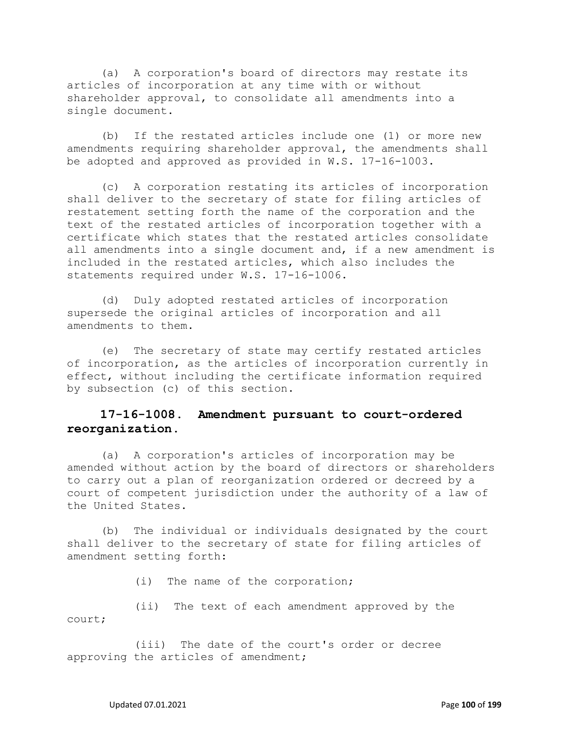(a) A corporation's board of directors may restate its articles of incorporation at any time with or without shareholder approval, to consolidate all amendments into a single document.

(b) If the restated articles include one (1) or more new amendments requiring shareholder approval, the amendments shall be adopted and approved as provided in W.S. 17-16-1003.

(c) A corporation restating its articles of incorporation shall deliver to the secretary of state for filing articles of restatement setting forth the name of the corporation and the text of the restated articles of incorporation together with a certificate which states that the restated articles consolidate all amendments into a single document and, if a new amendment is included in the restated articles, which also includes the statements required under W.S. 17-16-1006.

(d) Duly adopted restated articles of incorporation supersede the original articles of incorporation and all amendments to them.

(e) The secretary of state may certify restated articles of incorporation, as the articles of incorporation currently in effect, without including the certificate information required by subsection (c) of this section.

# **17-16-1008. Amendment pursuant to court-ordered reorganization.**

(a) A corporation's articles of incorporation may be amended without action by the board of directors or shareholders to carry out a plan of reorganization ordered or decreed by a court of competent jurisdiction under the authority of a law of the United States.

(b) The individual or individuals designated by the court shall deliver to the secretary of state for filing articles of amendment setting forth:

(i) The name of the corporation;

(ii) The text of each amendment approved by the court;

(iii) The date of the court's order or decree approving the articles of amendment;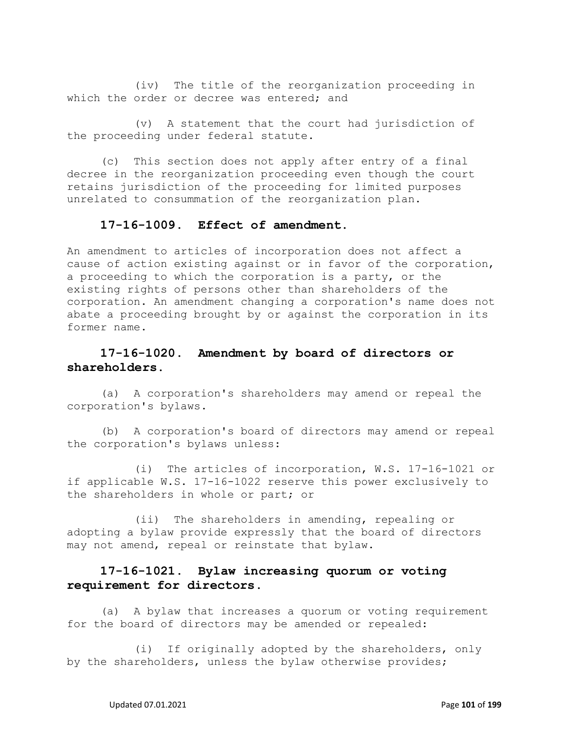(iv) The title of the reorganization proceeding in which the order or decree was entered; and

(v) A statement that the court had jurisdiction of the proceeding under federal statute.

(c) This section does not apply after entry of a final decree in the reorganization proceeding even though the court retains jurisdiction of the proceeding for limited purposes unrelated to consummation of the reorganization plan.

## **17-16-1009. Effect of amendment.**

An amendment to articles of incorporation does not affect a cause of action existing against or in favor of the corporation, a proceeding to which the corporation is a party, or the existing rights of persons other than shareholders of the corporation. An amendment changing a corporation's name does not abate a proceeding brought by or against the corporation in its former name.

## **17-16-1020. Amendment by board of directors or shareholders.**

(a) A corporation's shareholders may amend or repeal the corporation's bylaws.

(b) A corporation's board of directors may amend or repeal the corporation's bylaws unless:

(i) The articles of incorporation, W.S. 17-16-1021 or if applicable W.S. 17-16-1022 reserve this power exclusively to the shareholders in whole or part; or

(ii) The shareholders in amending, repealing or adopting a bylaw provide expressly that the board of directors may not amend, repeal or reinstate that bylaw.

## **17-16-1021. Bylaw increasing quorum or voting requirement for directors.**

(a) A bylaw that increases a quorum or voting requirement for the board of directors may be amended or repealed:

(i) If originally adopted by the shareholders, only by the shareholders, unless the bylaw otherwise provides;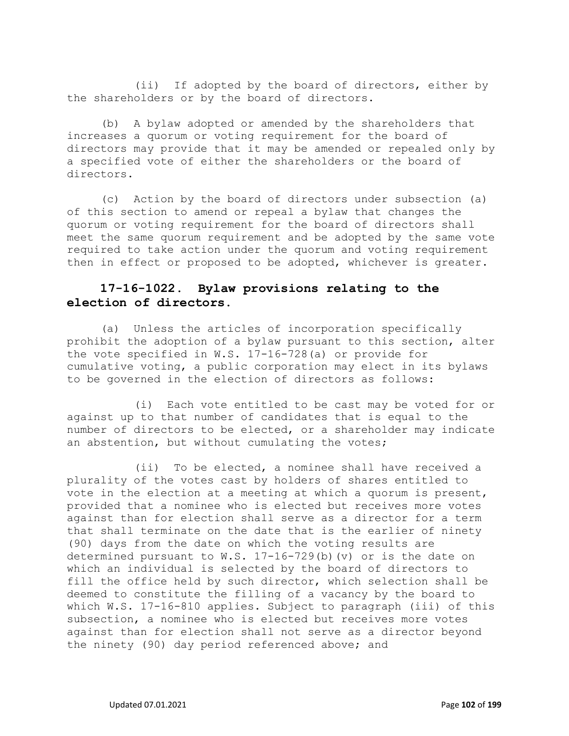(ii) If adopted by the board of directors, either by the shareholders or by the board of directors.

(b) A bylaw adopted or amended by the shareholders that increases a quorum or voting requirement for the board of directors may provide that it may be amended or repealed only by a specified vote of either the shareholders or the board of directors.

(c) Action by the board of directors under subsection (a) of this section to amend or repeal a bylaw that changes the quorum or voting requirement for the board of directors shall meet the same quorum requirement and be adopted by the same vote required to take action under the quorum and voting requirement then in effect or proposed to be adopted, whichever is greater.

## **17-16-1022. Bylaw provisions relating to the election of directors.**

(a) Unless the articles of incorporation specifically prohibit the adoption of a bylaw pursuant to this section, alter the vote specified in W.S. 17-16-728(a) or provide for cumulative voting, a public corporation may elect in its bylaws to be governed in the election of directors as follows:

(i) Each vote entitled to be cast may be voted for or against up to that number of candidates that is equal to the number of directors to be elected, or a shareholder may indicate an abstention, but without cumulating the votes;

(ii) To be elected, a nominee shall have received a plurality of the votes cast by holders of shares entitled to vote in the election at a meeting at which a quorum is present, provided that a nominee who is elected but receives more votes against than for election shall serve as a director for a term that shall terminate on the date that is the earlier of ninety (90) days from the date on which the voting results are determined pursuant to  $W.S. 17-16-729(b)$  (v) or is the date on which an individual is selected by the board of directors to fill the office held by such director, which selection shall be deemed to constitute the filling of a vacancy by the board to which W.S. 17-16-810 applies. Subject to paragraph (iii) of this subsection, a nominee who is elected but receives more votes against than for election shall not serve as a director beyond the ninety (90) day period referenced above; and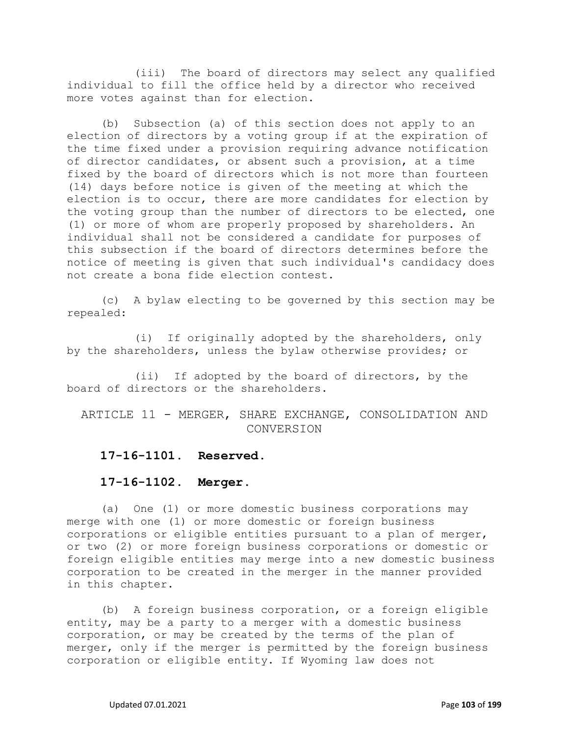(iii) The board of directors may select any qualified individual to fill the office held by a director who received more votes against than for election.

(b) Subsection (a) of this section does not apply to an election of directors by a voting group if at the expiration of the time fixed under a provision requiring advance notification of director candidates, or absent such a provision, at a time fixed by the board of directors which is not more than fourteen (14) days before notice is given of the meeting at which the election is to occur, there are more candidates for election by the voting group than the number of directors to be elected, one (1) or more of whom are properly proposed by shareholders. An individual shall not be considered a candidate for purposes of this subsection if the board of directors determines before the notice of meeting is given that such individual's candidacy does not create a bona fide election contest.

(c) A bylaw electing to be governed by this section may be repealed:

(i) If originally adopted by the shareholders, only by the shareholders, unless the bylaw otherwise provides; or

(ii) If adopted by the board of directors, by the board of directors or the shareholders.

ARTICLE 11 - MERGER, SHARE EXCHANGE, CONSOLIDATION AND CONVERSION

**17-16-1101. Reserved.**

#### **17-16-1102. Merger.**

(a) One (1) or more domestic business corporations may merge with one (1) or more domestic or foreign business corporations or eligible entities pursuant to a plan of merger, or two (2) or more foreign business corporations or domestic or foreign eligible entities may merge into a new domestic business corporation to be created in the merger in the manner provided in this chapter.

(b) A foreign business corporation, or a foreign eligible entity, may be a party to a merger with a domestic business corporation, or may be created by the terms of the plan of merger, only if the merger is permitted by the foreign business corporation or eligible entity. If Wyoming law does not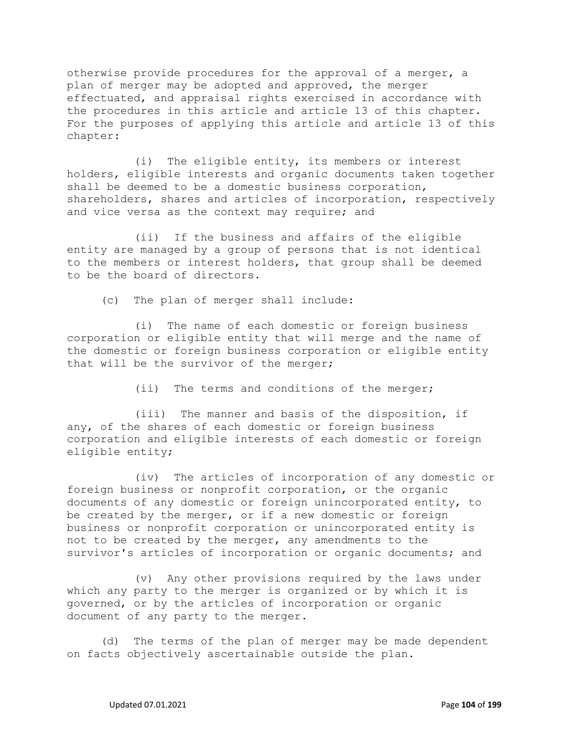otherwise provide procedures for the approval of a merger, a plan of merger may be adopted and approved, the merger effectuated, and appraisal rights exercised in accordance with the procedures in this article and article 13 of this chapter. For the purposes of applying this article and article 13 of this chapter:

(i) The eligible entity, its members or interest holders, eligible interests and organic documents taken together shall be deemed to be a domestic business corporation, shareholders, shares and articles of incorporation, respectively and vice versa as the context may require; and

(ii) If the business and affairs of the eligible entity are managed by a group of persons that is not identical to the members or interest holders, that group shall be deemed to be the board of directors.

(c) The plan of merger shall include:

(i) The name of each domestic or foreign business corporation or eligible entity that will merge and the name of the domestic or foreign business corporation or eligible entity that will be the survivor of the merger;

(ii) The terms and conditions of the merger;

(iii) The manner and basis of the disposition, if any, of the shares of each domestic or foreign business corporation and eligible interests of each domestic or foreign eligible entity;

(iv) The articles of incorporation of any domestic or foreign business or nonprofit corporation, or the organic documents of any domestic or foreign unincorporated entity, to be created by the merger, or if a new domestic or foreign business or nonprofit corporation or unincorporated entity is not to be created by the merger, any amendments to the survivor's articles of incorporation or organic documents; and

(v) Any other provisions required by the laws under which any party to the merger is organized or by which it is governed, or by the articles of incorporation or organic document of any party to the merger.

(d) The terms of the plan of merger may be made dependent on facts objectively ascertainable outside the plan.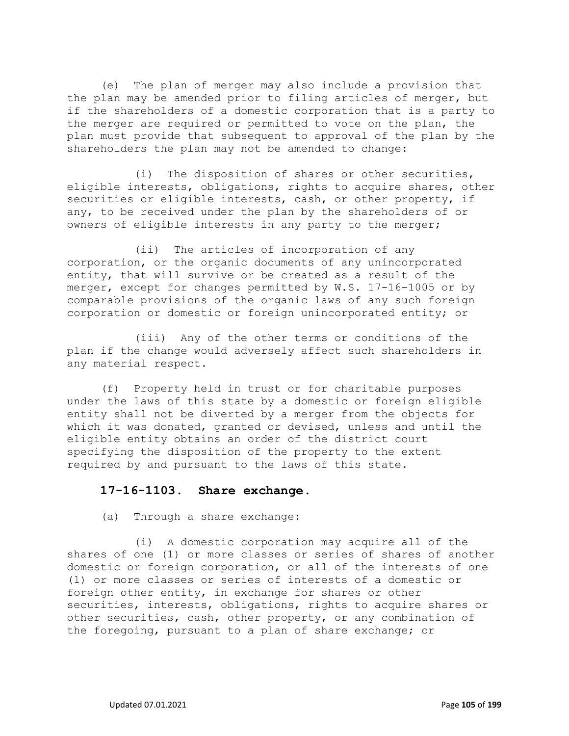(e) The plan of merger may also include a provision that the plan may be amended prior to filing articles of merger, but if the shareholders of a domestic corporation that is a party to the merger are required or permitted to vote on the plan, the plan must provide that subsequent to approval of the plan by the shareholders the plan may not be amended to change:

(i) The disposition of shares or other securities, eligible interests, obligations, rights to acquire shares, other securities or eligible interests, cash, or other property, if any, to be received under the plan by the shareholders of or owners of eligible interests in any party to the merger;

(ii) The articles of incorporation of any corporation, or the organic documents of any unincorporated entity, that will survive or be created as a result of the merger, except for changes permitted by W.S. 17-16-1005 or by comparable provisions of the organic laws of any such foreign corporation or domestic or foreign unincorporated entity; or

(iii) Any of the other terms or conditions of the plan if the change would adversely affect such shareholders in any material respect.

(f) Property held in trust or for charitable purposes under the laws of this state by a domestic or foreign eligible entity shall not be diverted by a merger from the objects for which it was donated, granted or devised, unless and until the eligible entity obtains an order of the district court specifying the disposition of the property to the extent required by and pursuant to the laws of this state.

#### **17-16-1103. Share exchange.**

(a) Through a share exchange:

(i) A domestic corporation may acquire all of the shares of one (1) or more classes or series of shares of another domestic or foreign corporation, or all of the interests of one (1) or more classes or series of interests of a domestic or foreign other entity, in exchange for shares or other securities, interests, obligations, rights to acquire shares or other securities, cash, other property, or any combination of the foregoing, pursuant to a plan of share exchange; or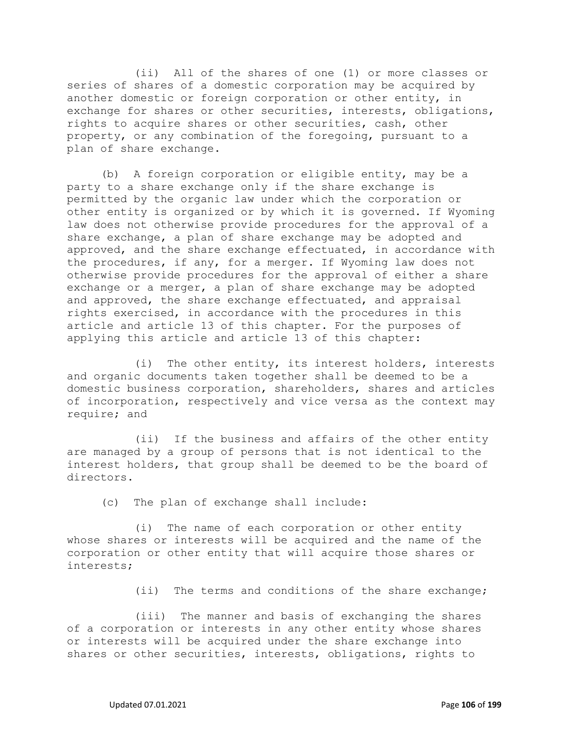(ii) All of the shares of one (1) or more classes or series of shares of a domestic corporation may be acquired by another domestic or foreign corporation or other entity, in exchange for shares or other securities, interests, obligations, rights to acquire shares or other securities, cash, other property, or any combination of the foregoing, pursuant to a plan of share exchange.

(b) A foreign corporation or eligible entity, may be a party to a share exchange only if the share exchange is permitted by the organic law under which the corporation or other entity is organized or by which it is governed. If Wyoming law does not otherwise provide procedures for the approval of a share exchange, a plan of share exchange may be adopted and approved, and the share exchange effectuated, in accordance with the procedures, if any, for a merger. If Wyoming law does not otherwise provide procedures for the approval of either a share exchange or a merger, a plan of share exchange may be adopted and approved, the share exchange effectuated, and appraisal rights exercised, in accordance with the procedures in this article and article 13 of this chapter. For the purposes of applying this article and article 13 of this chapter:

(i) The other entity, its interest holders, interests and organic documents taken together shall be deemed to be a domestic business corporation, shareholders, shares and articles of incorporation, respectively and vice versa as the context may require; and

(ii) If the business and affairs of the other entity are managed by a group of persons that is not identical to the interest holders, that group shall be deemed to be the board of directors.

(c) The plan of exchange shall include:

(i) The name of each corporation or other entity whose shares or interests will be acquired and the name of the corporation or other entity that will acquire those shares or interests;

(ii) The terms and conditions of the share exchange;

(iii) The manner and basis of exchanging the shares of a corporation or interests in any other entity whose shares or interests will be acquired under the share exchange into shares or other securities, interests, obligations, rights to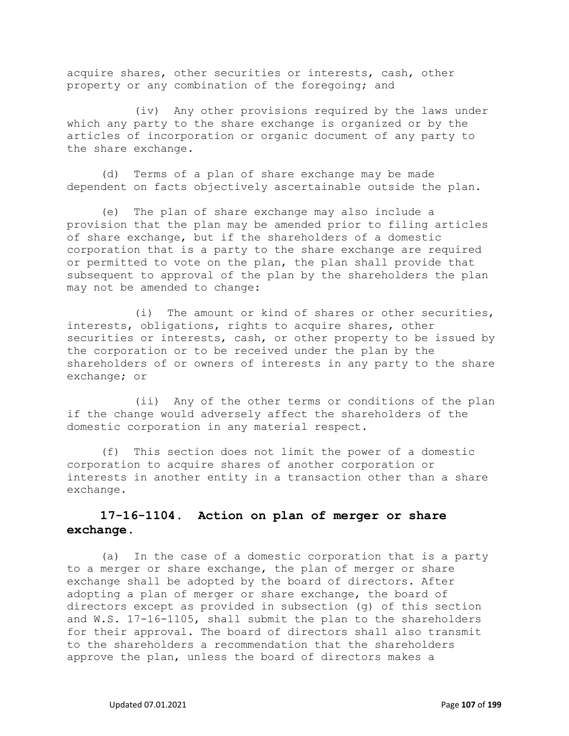acquire shares, other securities or interests, cash, other property or any combination of the foregoing; and

(iv) Any other provisions required by the laws under which any party to the share exchange is organized or by the articles of incorporation or organic document of any party to the share exchange.

(d) Terms of a plan of share exchange may be made dependent on facts objectively ascertainable outside the plan.

(e) The plan of share exchange may also include a provision that the plan may be amended prior to filing articles of share exchange, but if the shareholders of a domestic corporation that is a party to the share exchange are required or permitted to vote on the plan, the plan shall provide that subsequent to approval of the plan by the shareholders the plan may not be amended to change:

(i) The amount or kind of shares or other securities, interests, obligations, rights to acquire shares, other securities or interests, cash, or other property to be issued by the corporation or to be received under the plan by the shareholders of or owners of interests in any party to the share exchange; or

(ii) Any of the other terms or conditions of the plan if the change would adversely affect the shareholders of the domestic corporation in any material respect.

(f) This section does not limit the power of a domestic corporation to acquire shares of another corporation or interests in another entity in a transaction other than a share exchange.

# **17-16-1104. Action on plan of merger or share exchange.**

(a) In the case of a domestic corporation that is a party to a merger or share exchange, the plan of merger or share exchange shall be adopted by the board of directors. After adopting a plan of merger or share exchange, the board of directors except as provided in subsection (g) of this section and W.S. 17-16-1105, shall submit the plan to the shareholders for their approval. The board of directors shall also transmit to the shareholders a recommendation that the shareholders approve the plan, unless the board of directors makes a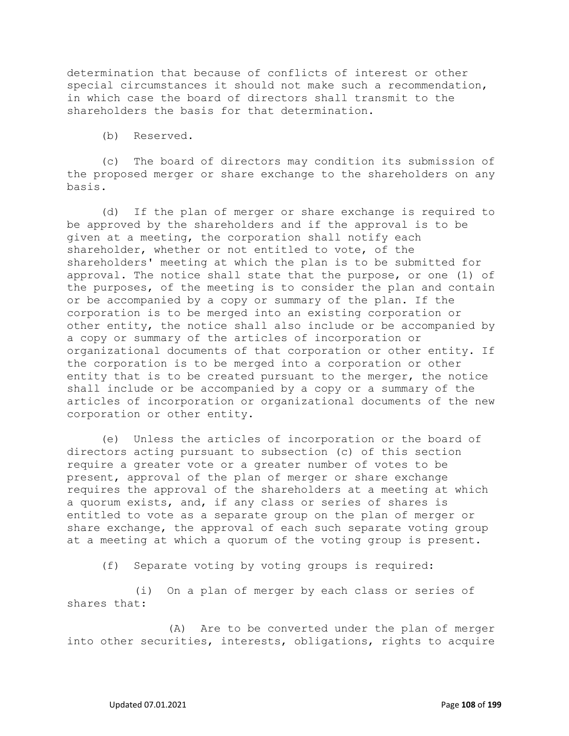determination that because of conflicts of interest or other special circumstances it should not make such a recommendation, in which case the board of directors shall transmit to the shareholders the basis for that determination.

(b) Reserved.

(c) The board of directors may condition its submission of the proposed merger or share exchange to the shareholders on any basis.

(d) If the plan of merger or share exchange is required to be approved by the shareholders and if the approval is to be given at a meeting, the corporation shall notify each shareholder, whether or not entitled to vote, of the shareholders' meeting at which the plan is to be submitted for approval. The notice shall state that the purpose, or one (1) of the purposes, of the meeting is to consider the plan and contain or be accompanied by a copy or summary of the plan. If the corporation is to be merged into an existing corporation or other entity, the notice shall also include or be accompanied by a copy or summary of the articles of incorporation or organizational documents of that corporation or other entity. If the corporation is to be merged into a corporation or other entity that is to be created pursuant to the merger, the notice shall include or be accompanied by a copy or a summary of the articles of incorporation or organizational documents of the new corporation or other entity.

(e) Unless the articles of incorporation or the board of directors acting pursuant to subsection (c) of this section require a greater vote or a greater number of votes to be present, approval of the plan of merger or share exchange requires the approval of the shareholders at a meeting at which a quorum exists, and, if any class or series of shares is entitled to vote as a separate group on the plan of merger or share exchange, the approval of each such separate voting group at a meeting at which a quorum of the voting group is present.

(f) Separate voting by voting groups is required:

(i) On a plan of merger by each class or series of shares that:

(A) Are to be converted under the plan of merger into other securities, interests, obligations, rights to acquire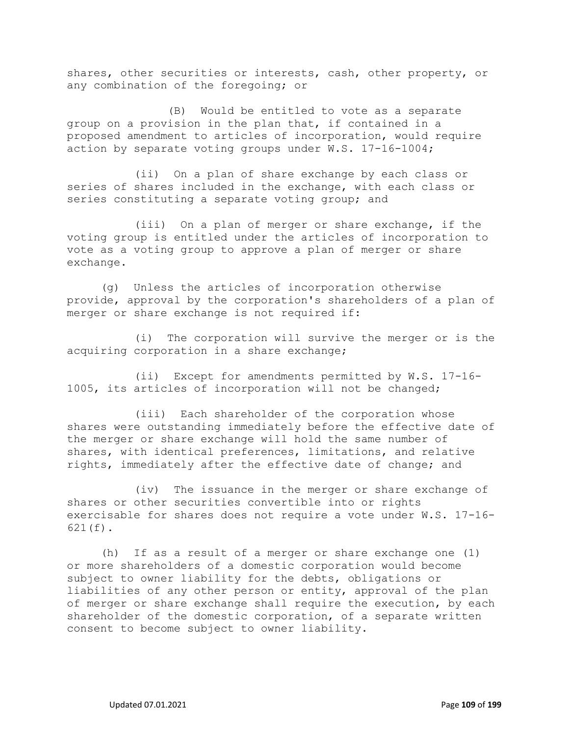shares, other securities or interests, cash, other property, or any combination of the foregoing; or

(B) Would be entitled to vote as a separate group on a provision in the plan that, if contained in a proposed amendment to articles of incorporation, would require action by separate voting groups under W.S. 17-16-1004;

(ii) On a plan of share exchange by each class or series of shares included in the exchange, with each class or series constituting a separate voting group; and

(iii) On a plan of merger or share exchange, if the voting group is entitled under the articles of incorporation to vote as a voting group to approve a plan of merger or share exchange.

(g) Unless the articles of incorporation otherwise provide, approval by the corporation's shareholders of a plan of merger or share exchange is not required if:

(i) The corporation will survive the merger or is the acquiring corporation in a share exchange;

(ii) Except for amendments permitted by W.S. 17-16- 1005, its articles of incorporation will not be changed;

(iii) Each shareholder of the corporation whose shares were outstanding immediately before the effective date of the merger or share exchange will hold the same number of shares, with identical preferences, limitations, and relative rights, immediately after the effective date of change; and

(iv) The issuance in the merger or share exchange of shares or other securities convertible into or rights exercisable for shares does not require a vote under W.S. 17-16- 621(f).

(h) If as a result of a merger or share exchange one (1) or more shareholders of a domestic corporation would become subject to owner liability for the debts, obligations or liabilities of any other person or entity, approval of the plan of merger or share exchange shall require the execution, by each shareholder of the domestic corporation, of a separate written consent to become subject to owner liability.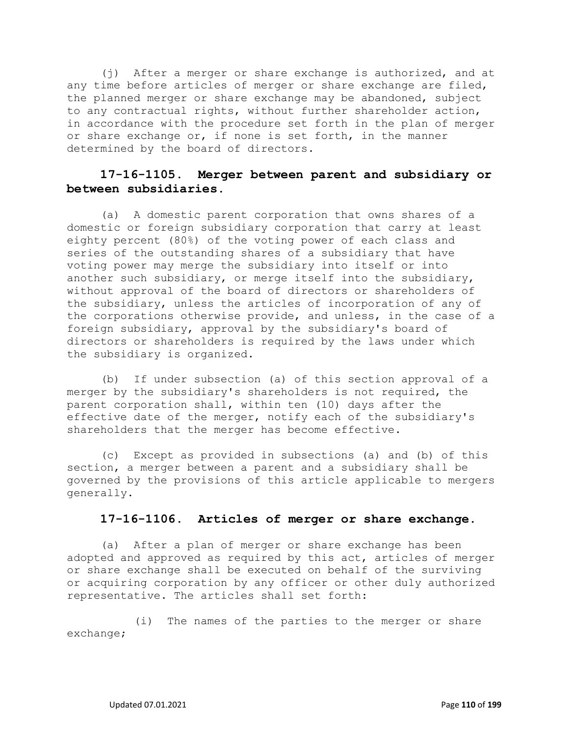(i) After a merger or share exchange is authorized, and at any time before articles of merger or share exchange are filed, the planned merger or share exchange may be abandoned, subject to any contractual rights, without further shareholder action, in accordance with the procedure set forth in the plan of merger or share exchange or, if none is set forth, in the manner determined by the board of directors.

# **17-16-1105. Merger between parent and subsidiary or between subsidiaries.**

(a) A domestic parent corporation that owns shares of a domestic or foreign subsidiary corporation that carry at least eighty percent (80%) of the voting power of each class and series of the outstanding shares of a subsidiary that have voting power may merge the subsidiary into itself or into another such subsidiary, or merge itself into the subsidiary, without approval of the board of directors or shareholders of the subsidiary, unless the articles of incorporation of any of the corporations otherwise provide, and unless, in the case of a foreign subsidiary, approval by the subsidiary's board of directors or shareholders is required by the laws under which the subsidiary is organized.

(b) If under subsection (a) of this section approval of a merger by the subsidiary's shareholders is not required, the parent corporation shall, within ten (10) days after the effective date of the merger, notify each of the subsidiary's shareholders that the merger has become effective.

(c) Except as provided in subsections (a) and (b) of this section, a merger between a parent and a subsidiary shall be governed by the provisions of this article applicable to mergers generally.

### **17-16-1106. Articles of merger or share exchange.**

(a) After a plan of merger or share exchange has been adopted and approved as required by this act, articles of merger or share exchange shall be executed on behalf of the surviving or acquiring corporation by any officer or other duly authorized representative. The articles shall set forth:

(i) The names of the parties to the merger or share exchange;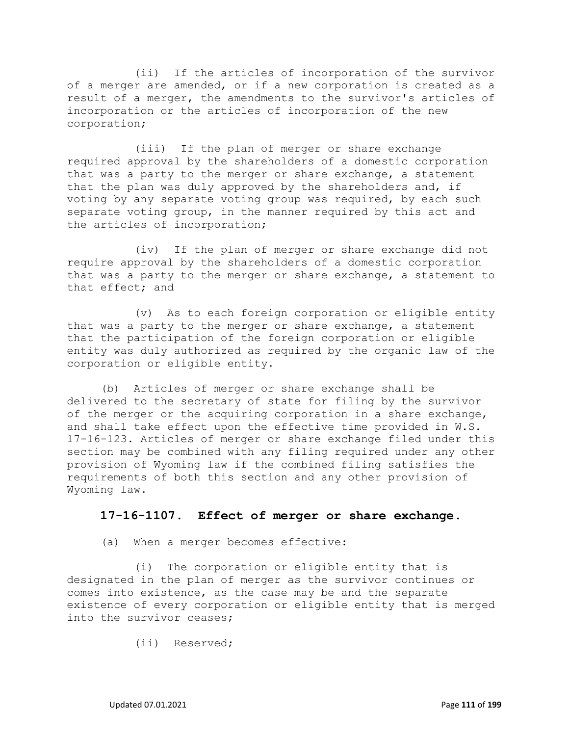(ii) If the articles of incorporation of the survivor of a merger are amended, or if a new corporation is created as a result of a merger, the amendments to the survivor's articles of incorporation or the articles of incorporation of the new corporation;

(iii) If the plan of merger or share exchange required approval by the shareholders of a domestic corporation that was a party to the merger or share exchange, a statement that the plan was duly approved by the shareholders and, if voting by any separate voting group was required, by each such separate voting group, in the manner required by this act and the articles of incorporation;

(iv) If the plan of merger or share exchange did not require approval by the shareholders of a domestic corporation that was a party to the merger or share exchange, a statement to that effect; and

(v) As to each foreign corporation or eligible entity that was a party to the merger or share exchange, a statement that the participation of the foreign corporation or eligible entity was duly authorized as required by the organic law of the corporation or eligible entity.

(b) Articles of merger or share exchange shall be delivered to the secretary of state for filing by the survivor of the merger or the acquiring corporation in a share exchange, and shall take effect upon the effective time provided in W.S. 17-16-123. Articles of merger or share exchange filed under this section may be combined with any filing required under any other provision of Wyoming law if the combined filing satisfies the requirements of both this section and any other provision of Wyoming law.

### **17-16-1107. Effect of merger or share exchange.**

(a) When a merger becomes effective:

(i) The corporation or eligible entity that is designated in the plan of merger as the survivor continues or comes into existence, as the case may be and the separate existence of every corporation or eligible entity that is merged into the survivor ceases;

(ii) Reserved;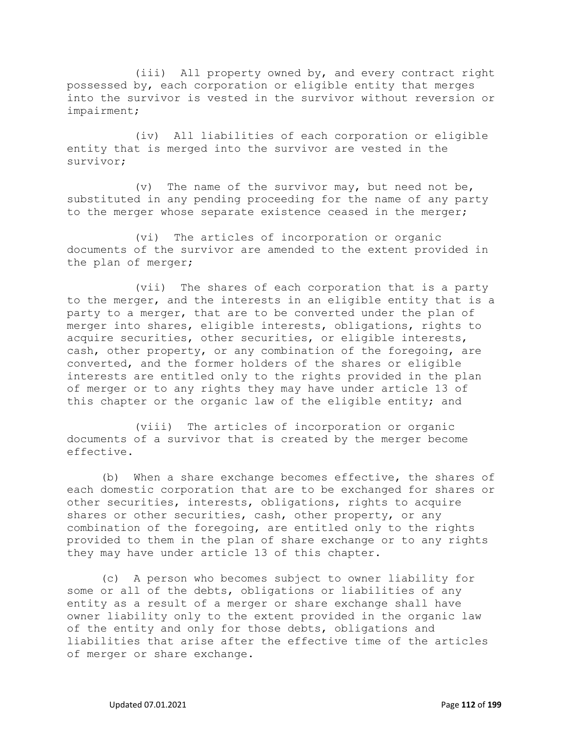(iii) All property owned by, and every contract right possessed by, each corporation or eligible entity that merges into the survivor is vested in the survivor without reversion or impairment;

(iv) All liabilities of each corporation or eligible entity that is merged into the survivor are vested in the survivor;

(v) The name of the survivor may, but need not be, substituted in any pending proceeding for the name of any party to the merger whose separate existence ceased in the merger;

(vi) The articles of incorporation or organic documents of the survivor are amended to the extent provided in the plan of merger;

(vii) The shares of each corporation that is a party to the merger, and the interests in an eligible entity that is a party to a merger, that are to be converted under the plan of merger into shares, eligible interests, obligations, rights to acquire securities, other securities, or eligible interests, cash, other property, or any combination of the foregoing, are converted, and the former holders of the shares or eligible interests are entitled only to the rights provided in the plan of merger or to any rights they may have under article 13 of this chapter or the organic law of the eligible entity; and

(viii) The articles of incorporation or organic documents of a survivor that is created by the merger become effective.

(b) When a share exchange becomes effective, the shares of each domestic corporation that are to be exchanged for shares or other securities, interests, obligations, rights to acquire shares or other securities, cash, other property, or any combination of the foregoing, are entitled only to the rights provided to them in the plan of share exchange or to any rights they may have under article 13 of this chapter.

(c) A person who becomes subject to owner liability for some or all of the debts, obligations or liabilities of any entity as a result of a merger or share exchange shall have owner liability only to the extent provided in the organic law of the entity and only for those debts, obligations and liabilities that arise after the effective time of the articles of merger or share exchange.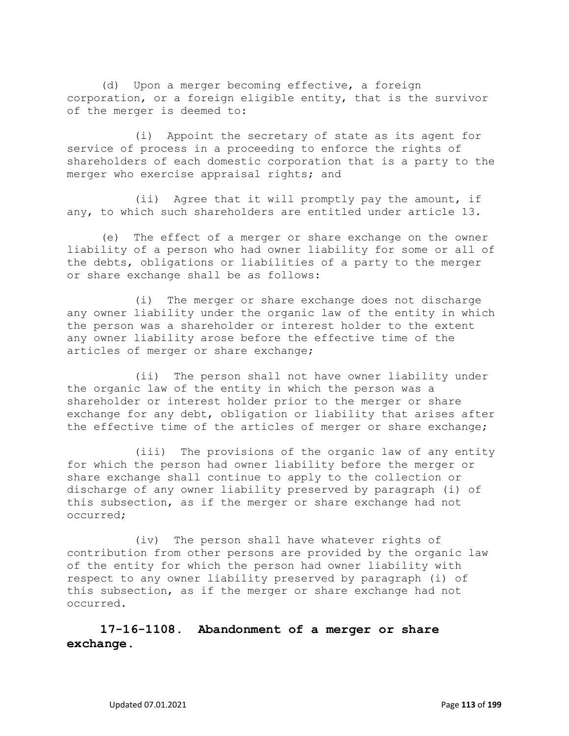(d) Upon a merger becoming effective, a foreign corporation, or a foreign eligible entity, that is the survivor of the merger is deemed to:

(i) Appoint the secretary of state as its agent for service of process in a proceeding to enforce the rights of shareholders of each domestic corporation that is a party to the merger who exercise appraisal rights; and

(ii) Agree that it will promptly pay the amount, if any, to which such shareholders are entitled under article 13.

(e) The effect of a merger or share exchange on the owner liability of a person who had owner liability for some or all of the debts, obligations or liabilities of a party to the merger or share exchange shall be as follows:

(i) The merger or share exchange does not discharge any owner liability under the organic law of the entity in which the person was a shareholder or interest holder to the extent any owner liability arose before the effective time of the articles of merger or share exchange;

(ii) The person shall not have owner liability under the organic law of the entity in which the person was a shareholder or interest holder prior to the merger or share exchange for any debt, obligation or liability that arises after the effective time of the articles of merger or share exchange;

(iii) The provisions of the organic law of any entity for which the person had owner liability before the merger or share exchange shall continue to apply to the collection or discharge of any owner liability preserved by paragraph (i) of this subsection, as if the merger or share exchange had not occurred;

(iv) The person shall have whatever rights of contribution from other persons are provided by the organic law of the entity for which the person had owner liability with respect to any owner liability preserved by paragraph (i) of this subsection, as if the merger or share exchange had not occurred.

**17-16-1108. Abandonment of a merger or share exchange.**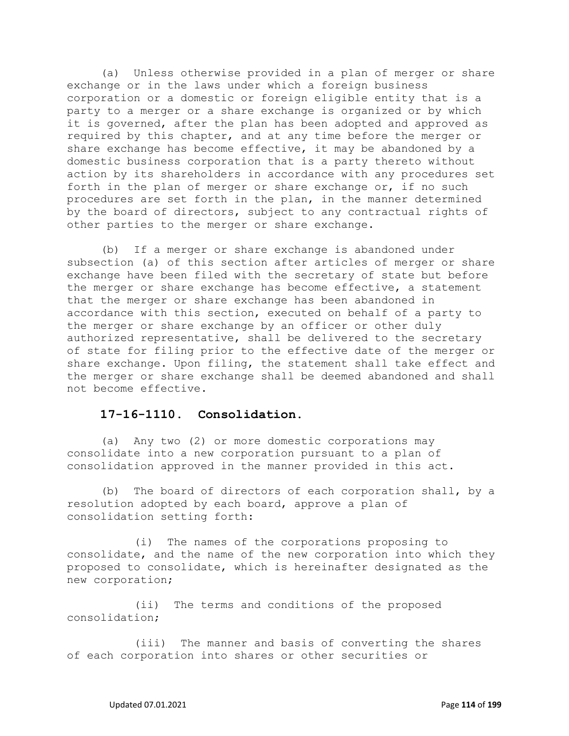(a) Unless otherwise provided in a plan of merger or share exchange or in the laws under which a foreign business corporation or a domestic or foreign eligible entity that is a party to a merger or a share exchange is organized or by which it is governed, after the plan has been adopted and approved as required by this chapter, and at any time before the merger or share exchange has become effective, it may be abandoned by a domestic business corporation that is a party thereto without action by its shareholders in accordance with any procedures set forth in the plan of merger or share exchange or, if no such procedures are set forth in the plan, in the manner determined by the board of directors, subject to any contractual rights of other parties to the merger or share exchange.

(b) If a merger or share exchange is abandoned under subsection (a) of this section after articles of merger or share exchange have been filed with the secretary of state but before the merger or share exchange has become effective, a statement that the merger or share exchange has been abandoned in accordance with this section, executed on behalf of a party to the merger or share exchange by an officer or other duly authorized representative, shall be delivered to the secretary of state for filing prior to the effective date of the merger or share exchange. Upon filing, the statement shall take effect and the merger or share exchange shall be deemed abandoned and shall not become effective.

### **17-16-1110. Consolidation.**

(a) Any two (2) or more domestic corporations may consolidate into a new corporation pursuant to a plan of consolidation approved in the manner provided in this act.

(b) The board of directors of each corporation shall, by a resolution adopted by each board, approve a plan of consolidation setting forth:

(i) The names of the corporations proposing to consolidate, and the name of the new corporation into which they proposed to consolidate, which is hereinafter designated as the new corporation;

(ii) The terms and conditions of the proposed consolidation;

(iii) The manner and basis of converting the shares of each corporation into shares or other securities or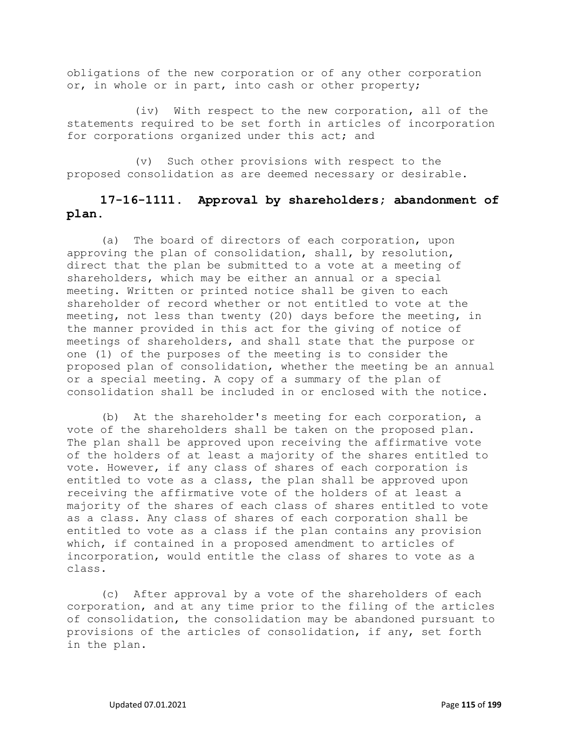obligations of the new corporation or of any other corporation or, in whole or in part, into cash or other property;

(iv) With respect to the new corporation, all of the statements required to be set forth in articles of incorporation for corporations organized under this act; and

(v) Such other provisions with respect to the proposed consolidation as are deemed necessary or desirable.

# **17-16-1111. Approval by shareholders; abandonment of plan.**

(a) The board of directors of each corporation, upon approving the plan of consolidation, shall, by resolution, direct that the plan be submitted to a vote at a meeting of shareholders, which may be either an annual or a special meeting. Written or printed notice shall be given to each shareholder of record whether or not entitled to vote at the meeting, not less than twenty (20) days before the meeting, in the manner provided in this act for the giving of notice of meetings of shareholders, and shall state that the purpose or one (1) of the purposes of the meeting is to consider the proposed plan of consolidation, whether the meeting be an annual or a special meeting. A copy of a summary of the plan of consolidation shall be included in or enclosed with the notice.

(b) At the shareholder's meeting for each corporation, a vote of the shareholders shall be taken on the proposed plan. The plan shall be approved upon receiving the affirmative vote of the holders of at least a majority of the shares entitled to vote. However, if any class of shares of each corporation is entitled to vote as a class, the plan shall be approved upon receiving the affirmative vote of the holders of at least a majority of the shares of each class of shares entitled to vote as a class. Any class of shares of each corporation shall be entitled to vote as a class if the plan contains any provision which, if contained in a proposed amendment to articles of incorporation, would entitle the class of shares to vote as a class.

(c) After approval by a vote of the shareholders of each corporation, and at any time prior to the filing of the articles of consolidation, the consolidation may be abandoned pursuant to provisions of the articles of consolidation, if any, set forth in the plan.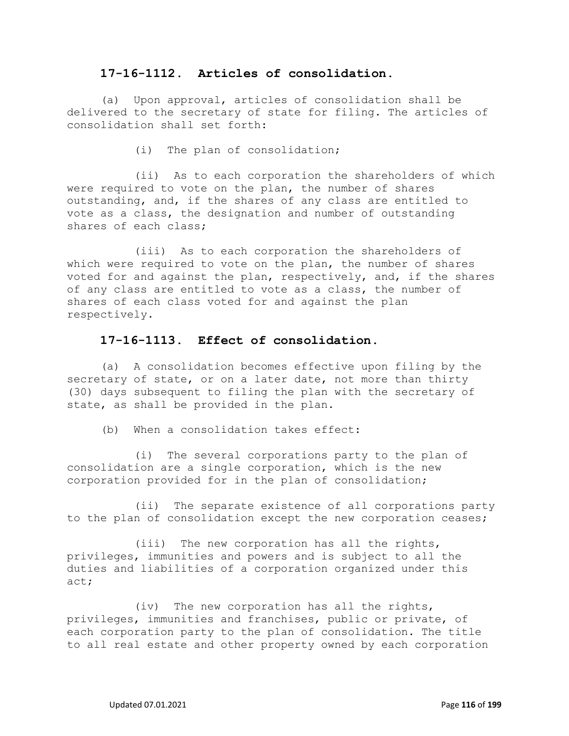## **17-16-1112. Articles of consolidation.**

(a) Upon approval, articles of consolidation shall be delivered to the secretary of state for filing. The articles of consolidation shall set forth:

(i) The plan of consolidation;

(ii) As to each corporation the shareholders of which were required to vote on the plan, the number of shares outstanding, and, if the shares of any class are entitled to vote as a class, the designation and number of outstanding shares of each class;

(iii) As to each corporation the shareholders of which were required to vote on the plan, the number of shares voted for and against the plan, respectively, and, if the shares of any class are entitled to vote as a class, the number of shares of each class voted for and against the plan respectively.

### **17-16-1113. Effect of consolidation.**

(a) A consolidation becomes effective upon filing by the secretary of state, or on a later date, not more than thirty (30) days subsequent to filing the plan with the secretary of state, as shall be provided in the plan.

(b) When a consolidation takes effect:

(i) The several corporations party to the plan of consolidation are a single corporation, which is the new corporation provided for in the plan of consolidation;

(ii) The separate existence of all corporations party to the plan of consolidation except the new corporation ceases;

(iii) The new corporation has all the rights, privileges, immunities and powers and is subject to all the duties and liabilities of a corporation organized under this act;

(iv) The new corporation has all the rights, privileges, immunities and franchises, public or private, of each corporation party to the plan of consolidation. The title to all real estate and other property owned by each corporation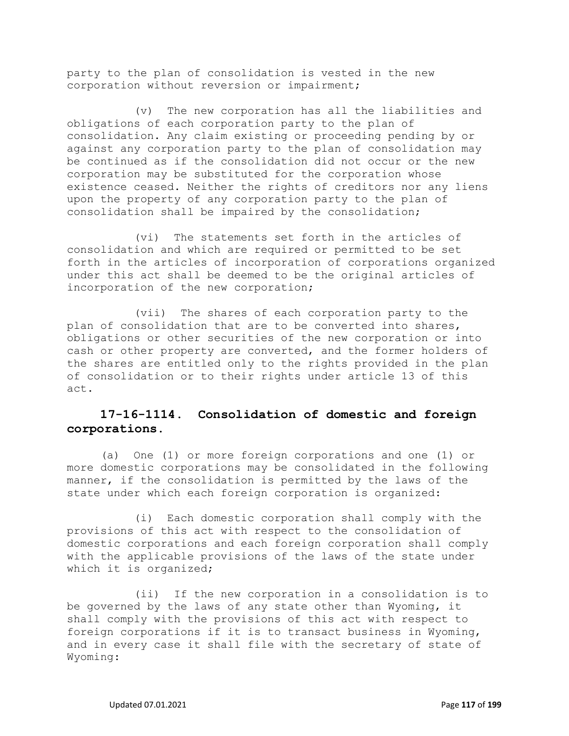party to the plan of consolidation is vested in the new corporation without reversion or impairment;

(v) The new corporation has all the liabilities and obligations of each corporation party to the plan of consolidation. Any claim existing or proceeding pending by or against any corporation party to the plan of consolidation may be continued as if the consolidation did not occur or the new corporation may be substituted for the corporation whose existence ceased. Neither the rights of creditors nor any liens upon the property of any corporation party to the plan of consolidation shall be impaired by the consolidation;

(vi) The statements set forth in the articles of consolidation and which are required or permitted to be set forth in the articles of incorporation of corporations organized under this act shall be deemed to be the original articles of incorporation of the new corporation;

(vii) The shares of each corporation party to the plan of consolidation that are to be converted into shares, obligations or other securities of the new corporation or into cash or other property are converted, and the former holders of the shares are entitled only to the rights provided in the plan of consolidation or to their rights under article 13 of this act.

# **17-16-1114. Consolidation of domestic and foreign corporations.**

(a) One (1) or more foreign corporations and one (1) or more domestic corporations may be consolidated in the following manner, if the consolidation is permitted by the laws of the state under which each foreign corporation is organized:

(i) Each domestic corporation shall comply with the provisions of this act with respect to the consolidation of domestic corporations and each foreign corporation shall comply with the applicable provisions of the laws of the state under which it is organized;

(ii) If the new corporation in a consolidation is to be governed by the laws of any state other than Wyoming, it shall comply with the provisions of this act with respect to foreign corporations if it is to transact business in Wyoming, and in every case it shall file with the secretary of state of Wyoming: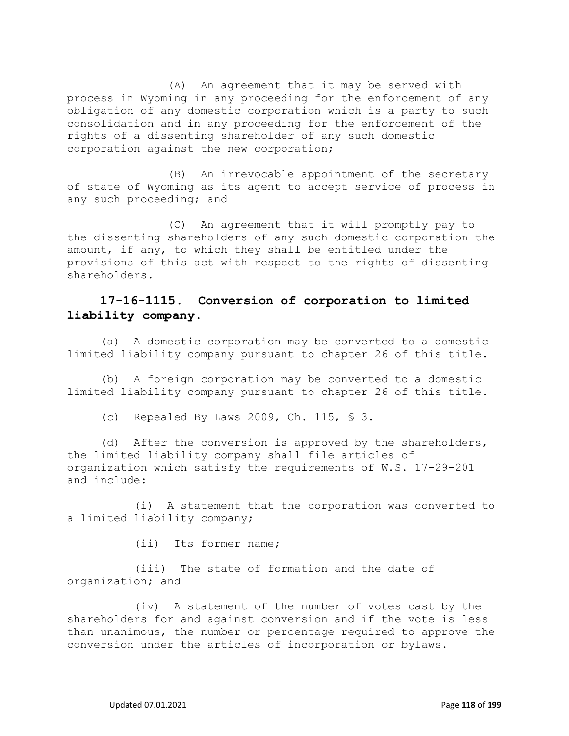(A) An agreement that it may be served with process in Wyoming in any proceeding for the enforcement of any obligation of any domestic corporation which is a party to such consolidation and in any proceeding for the enforcement of the rights of a dissenting shareholder of any such domestic corporation against the new corporation;

(B) An irrevocable appointment of the secretary of state of Wyoming as its agent to accept service of process in any such proceeding; and

(C) An agreement that it will promptly pay to the dissenting shareholders of any such domestic corporation the amount, if any, to which they shall be entitled under the provisions of this act with respect to the rights of dissenting shareholders.

# **17-16-1115. Conversion of corporation to limited liability company.**

(a) A domestic corporation may be converted to a domestic limited liability company pursuant to chapter 26 of this title.

(b) A foreign corporation may be converted to a domestic limited liability company pursuant to chapter 26 of this title.

(c) Repealed By Laws 2009, Ch. 115, § 3.

(d) After the conversion is approved by the shareholders, the limited liability company shall file articles of organization which satisfy the requirements of W.S. 17-29-201 and include:

(i) A statement that the corporation was converted to a limited liability company;

(ii) Its former name;

(iii) The state of formation and the date of organization; and

(iv) A statement of the number of votes cast by the shareholders for and against conversion and if the vote is less than unanimous, the number or percentage required to approve the conversion under the articles of incorporation or bylaws.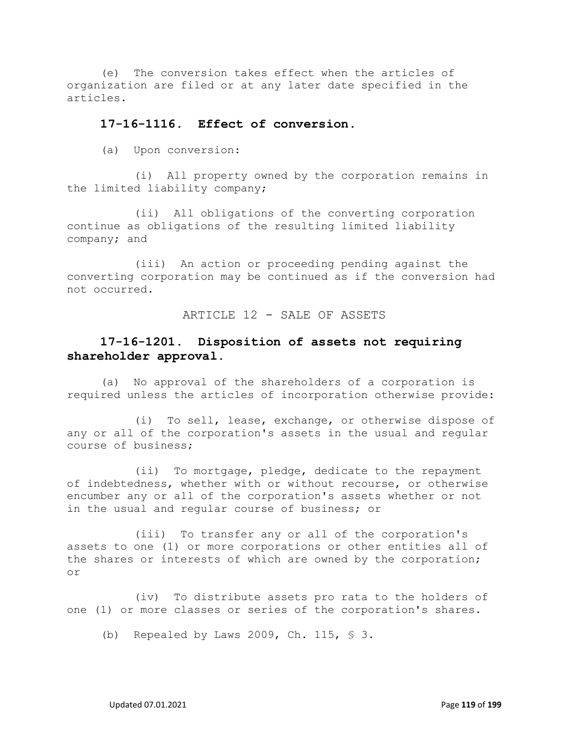(e) The conversion takes effect when the articles of organization are filed or at any later date specified in the articles.

#### **17-16-1116. Effect of conversion.**

(a) Upon conversion:

(i) All property owned by the corporation remains in the limited liability company;

(ii) All obligations of the converting corporation continue as obligations of the resulting limited liability company; and

(iii) An action or proceeding pending against the converting corporation may be continued as if the conversion had not occurred.

#### ARTICLE 12 - SALE OF ASSETS

# **17-16-1201. Disposition of assets not requiring shareholder approval.**

(a) No approval of the shareholders of a corporation is required unless the articles of incorporation otherwise provide:

(i) To sell, lease, exchange, or otherwise dispose of any or all of the corporation's assets in the usual and regular course of business;

(ii) To mortgage, pledge, dedicate to the repayment of indebtedness, whether with or without recourse, or otherwise encumber any or all of the corporation's assets whether or not in the usual and regular course of business; or

(iii) To transfer any or all of the corporation's assets to one (1) or more corporations or other entities all of the shares or interests of which are owned by the corporation; or

(iv) To distribute assets pro rata to the holders of one (1) or more classes or series of the corporation's shares.

(b) Repealed by Laws 2009, Ch. 115, § 3.

Updated 07.01.2021 Page **119** of **199**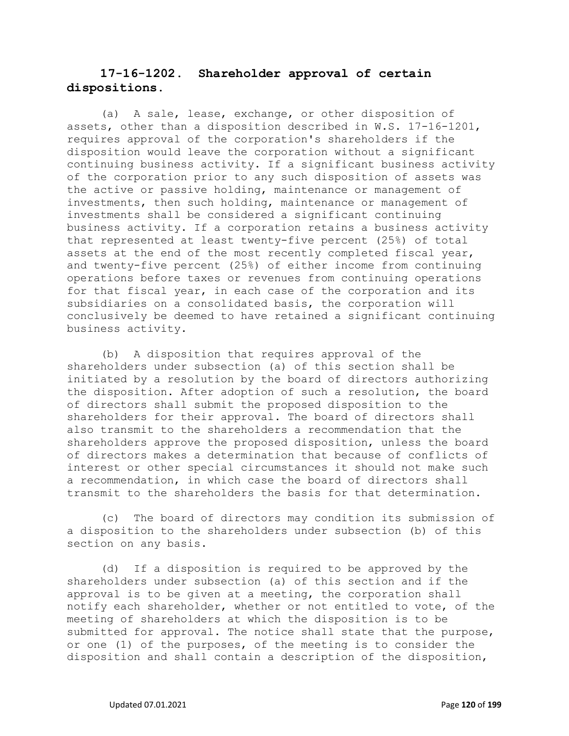# **17-16-1202. Shareholder approval of certain dispositions.**

(a) A sale, lease, exchange, or other disposition of assets, other than a disposition described in W.S. 17-16-1201, requires approval of the corporation's shareholders if the disposition would leave the corporation without a significant continuing business activity. If a significant business activity of the corporation prior to any such disposition of assets was the active or passive holding, maintenance or management of investments, then such holding, maintenance or management of investments shall be considered a significant continuing business activity. If a corporation retains a business activity that represented at least twenty-five percent (25%) of total assets at the end of the most recently completed fiscal year, and twenty-five percent (25%) of either income from continuing operations before taxes or revenues from continuing operations for that fiscal year, in each case of the corporation and its subsidiaries on a consolidated basis, the corporation will conclusively be deemed to have retained a significant continuing business activity.

(b) A disposition that requires approval of the shareholders under subsection (a) of this section shall be initiated by a resolution by the board of directors authorizing the disposition. After adoption of such a resolution, the board of directors shall submit the proposed disposition to the shareholders for their approval. The board of directors shall also transmit to the shareholders a recommendation that the shareholders approve the proposed disposition, unless the board of directors makes a determination that because of conflicts of interest or other special circumstances it should not make such a recommendation, in which case the board of directors shall transmit to the shareholders the basis for that determination.

(c) The board of directors may condition its submission of a disposition to the shareholders under subsection (b) of this section on any basis.

(d) If a disposition is required to be approved by the shareholders under subsection (a) of this section and if the approval is to be given at a meeting, the corporation shall notify each shareholder, whether or not entitled to vote, of the meeting of shareholders at which the disposition is to be submitted for approval. The notice shall state that the purpose, or one (1) of the purposes, of the meeting is to consider the disposition and shall contain a description of the disposition,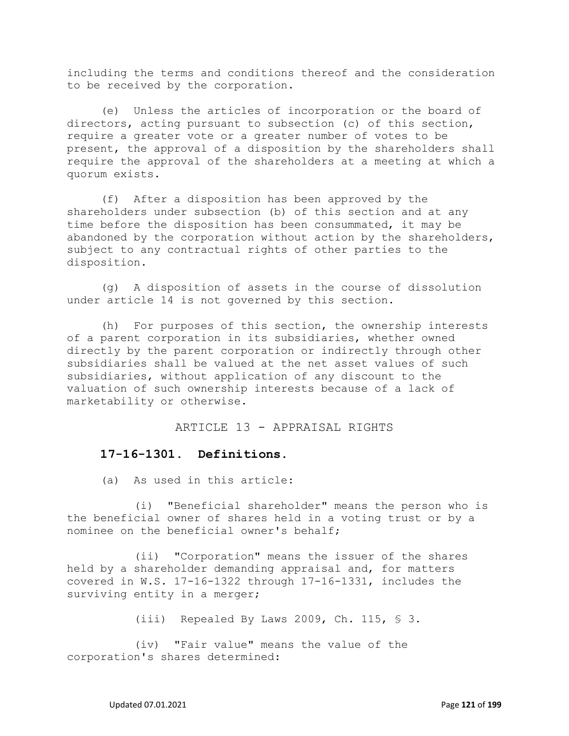including the terms and conditions thereof and the consideration to be received by the corporation.

(e) Unless the articles of incorporation or the board of directors, acting pursuant to subsection (c) of this section, require a greater vote or a greater number of votes to be present, the approval of a disposition by the shareholders shall require the approval of the shareholders at a meeting at which a quorum exists.

(f) After a disposition has been approved by the shareholders under subsection (b) of this section and at any time before the disposition has been consummated, it may be abandoned by the corporation without action by the shareholders, subject to any contractual rights of other parties to the disposition.

(g) A disposition of assets in the course of dissolution under article 14 is not governed by this section.

(h) For purposes of this section, the ownership interests of a parent corporation in its subsidiaries, whether owned directly by the parent corporation or indirectly through other subsidiaries shall be valued at the net asset values of such subsidiaries, without application of any discount to the valuation of such ownership interests because of a lack of marketability or otherwise.

ARTICLE 13 - APPRAISAL RIGHTS

### **17-16-1301. Definitions.**

(a) As used in this article:

(i) "Beneficial shareholder" means the person who is the beneficial owner of shares held in a voting trust or by a nominee on the beneficial owner's behalf;

(ii) "Corporation" means the issuer of the shares held by a shareholder demanding appraisal and, for matters covered in W.S. 17-16-1322 through 17-16-1331, includes the surviving entity in a merger;

(iii) Repealed By Laws 2009, Ch. 115, § 3.

(iv) "Fair value" means the value of the corporation's shares determined: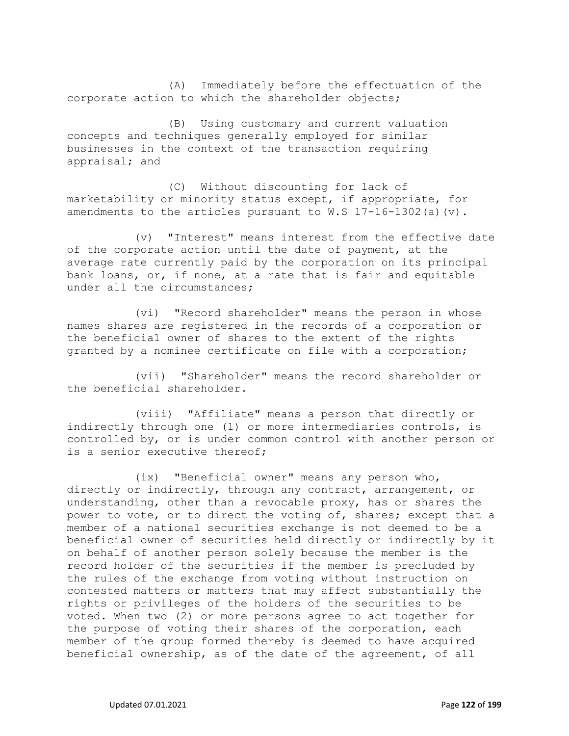(A) Immediately before the effectuation of the corporate action to which the shareholder objects;

(B) Using customary and current valuation concepts and techniques generally employed for similar businesses in the context of the transaction requiring appraisal; and

(C) Without discounting for lack of marketability or minority status except, if appropriate, for amendments to the articles pursuant to W.S 17-16-1302(a)(v).

(v) "Interest" means interest from the effective date of the corporate action until the date of payment, at the average rate currently paid by the corporation on its principal bank loans, or, if none, at a rate that is fair and equitable under all the circumstances;

(vi) "Record shareholder" means the person in whose names shares are registered in the records of a corporation or the beneficial owner of shares to the extent of the rights granted by a nominee certificate on file with a corporation;

(vii) "Shareholder" means the record shareholder or the beneficial shareholder.

(viii) "Affiliate" means a person that directly or indirectly through one (1) or more intermediaries controls, is controlled by, or is under common control with another person or is a senior executive thereof;

(ix) "Beneficial owner" means any person who, directly or indirectly, through any contract, arrangement, or understanding, other than a revocable proxy, has or shares the power to vote, or to direct the voting of, shares; except that a member of a national securities exchange is not deemed to be a beneficial owner of securities held directly or indirectly by it on behalf of another person solely because the member is the record holder of the securities if the member is precluded by the rules of the exchange from voting without instruction on contested matters or matters that may affect substantially the rights or privileges of the holders of the securities to be voted. When two (2) or more persons agree to act together for the purpose of voting their shares of the corporation, each member of the group formed thereby is deemed to have acquired beneficial ownership, as of the date of the agreement, of all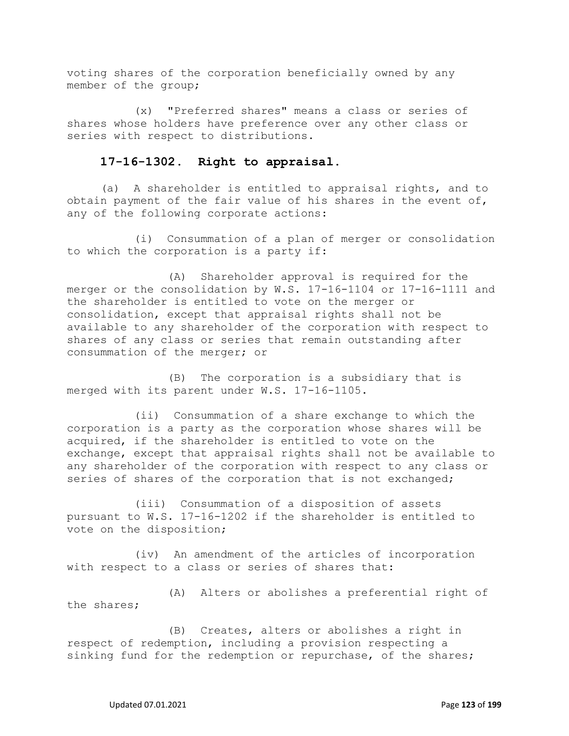voting shares of the corporation beneficially owned by any member of the group;

(x) "Preferred shares" means a class or series of shares whose holders have preference over any other class or series with respect to distributions.

### **17-16-1302. Right to appraisal.**

(a) A shareholder is entitled to appraisal rights, and to obtain payment of the fair value of his shares in the event of, any of the following corporate actions:

(i) Consummation of a plan of merger or consolidation to which the corporation is a party if:

(A) Shareholder approval is required for the merger or the consolidation by W.S. 17-16-1104 or 17-16-1111 and the shareholder is entitled to vote on the merger or consolidation, except that appraisal rights shall not be available to any shareholder of the corporation with respect to shares of any class or series that remain outstanding after consummation of the merger; or

(B) The corporation is a subsidiary that is merged with its parent under W.S. 17-16-1105.

(ii) Consummation of a share exchange to which the corporation is a party as the corporation whose shares will be acquired, if the shareholder is entitled to vote on the exchange, except that appraisal rights shall not be available to any shareholder of the corporation with respect to any class or series of shares of the corporation that is not exchanged;

(iii) Consummation of a disposition of assets pursuant to W.S. 17-16-1202 if the shareholder is entitled to vote on the disposition;

(iv) An amendment of the articles of incorporation with respect to a class or series of shares that:

(A) Alters or abolishes a preferential right of the shares;

(B) Creates, alters or abolishes a right in respect of redemption, including a provision respecting a sinking fund for the redemption or repurchase, of the shares;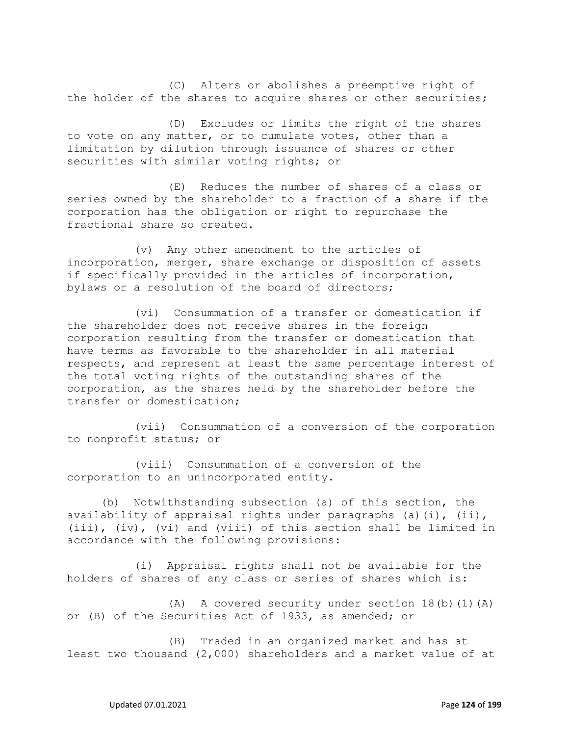(C) Alters or abolishes a preemptive right of the holder of the shares to acquire shares or other securities;

(D) Excludes or limits the right of the shares to vote on any matter, or to cumulate votes, other than a limitation by dilution through issuance of shares or other securities with similar voting rights; or

(E) Reduces the number of shares of a class or series owned by the shareholder to a fraction of a share if the corporation has the obligation or right to repurchase the fractional share so created.

(v) Any other amendment to the articles of incorporation, merger, share exchange or disposition of assets if specifically provided in the articles of incorporation, bylaws or a resolution of the board of directors;

(vi) Consummation of a transfer or domestication if the shareholder does not receive shares in the foreign corporation resulting from the transfer or domestication that have terms as favorable to the shareholder in all material respects, and represent at least the same percentage interest of the total voting rights of the outstanding shares of the corporation, as the shares held by the shareholder before the transfer or domestication;

(vii) Consummation of a conversion of the corporation to nonprofit status; or

(viii) Consummation of a conversion of the corporation to an unincorporated entity.

(b) Notwithstanding subsection (a) of this section, the availability of appraisal rights under paragraphs (a)(i), (ii), (iii), (iv), (vi) and (viii) of this section shall be limited in accordance with the following provisions:

(i) Appraisal rights shall not be available for the holders of shares of any class or series of shares which is:

(A) A covered security under section 18(b)(1)(A) or (B) of the Securities Act of 1933, as amended; or

(B) Traded in an organized market and has at least two thousand (2,000) shareholders and a market value of at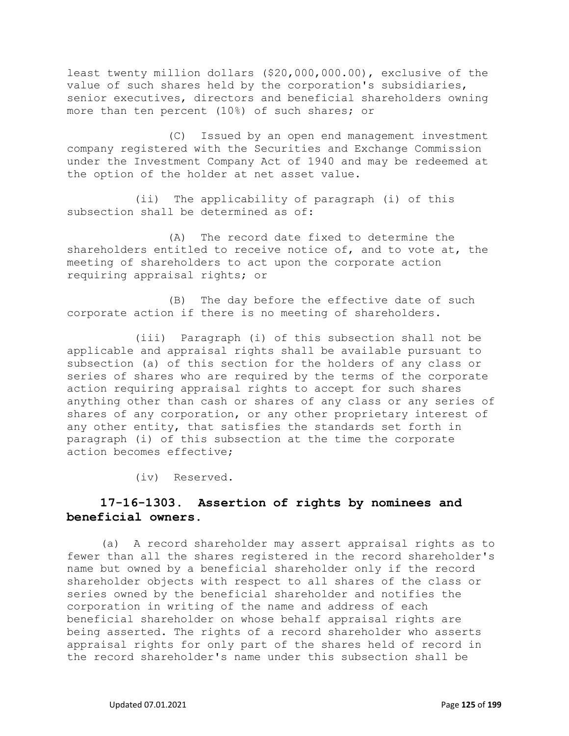least twenty million dollars (\$20,000,000.00), exclusive of the value of such shares held by the corporation's subsidiaries, senior executives, directors and beneficial shareholders owning more than ten percent (10%) of such shares; or

(C) Issued by an open end management investment company registered with the Securities and Exchange Commission under the Investment Company Act of 1940 and may be redeemed at the option of the holder at net asset value.

(ii) The applicability of paragraph (i) of this subsection shall be determined as of:

(A) The record date fixed to determine the shareholders entitled to receive notice of, and to vote at, the meeting of shareholders to act upon the corporate action requiring appraisal rights; or

(B) The day before the effective date of such corporate action if there is no meeting of shareholders.

(iii) Paragraph (i) of this subsection shall not be applicable and appraisal rights shall be available pursuant to subsection (a) of this section for the holders of any class or series of shares who are required by the terms of the corporate action requiring appraisal rights to accept for such shares anything other than cash or shares of any class or any series of shares of any corporation, or any other proprietary interest of any other entity, that satisfies the standards set forth in paragraph (i) of this subsection at the time the corporate action becomes effective;

(iv) Reserved.

# **17-16-1303. Assertion of rights by nominees and beneficial owners.**

(a) A record shareholder may assert appraisal rights as to fewer than all the shares registered in the record shareholder's name but owned by a beneficial shareholder only if the record shareholder objects with respect to all shares of the class or series owned by the beneficial shareholder and notifies the corporation in writing of the name and address of each beneficial shareholder on whose behalf appraisal rights are being asserted. The rights of a record shareholder who asserts appraisal rights for only part of the shares held of record in the record shareholder's name under this subsection shall be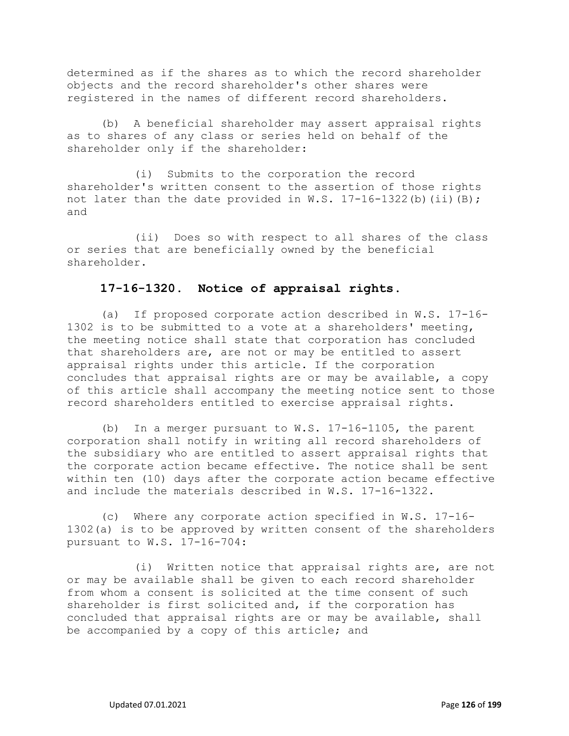determined as if the shares as to which the record shareholder objects and the record shareholder's other shares were registered in the names of different record shareholders.

(b) A beneficial shareholder may assert appraisal rights as to shares of any class or series held on behalf of the shareholder only if the shareholder:

(i) Submits to the corporation the record shareholder's written consent to the assertion of those rights not later than the date provided in W.S. 17-16-1322(b)(ii)(B); and

(ii) Does so with respect to all shares of the class or series that are beneficially owned by the beneficial shareholder.

### **17-16-1320. Notice of appraisal rights.**

(a) If proposed corporate action described in W.S. 17-16- 1302 is to be submitted to a vote at a shareholders' meeting, the meeting notice shall state that corporation has concluded that shareholders are, are not or may be entitled to assert appraisal rights under this article. If the corporation concludes that appraisal rights are or may be available, a copy of this article shall accompany the meeting notice sent to those record shareholders entitled to exercise appraisal rights.

(b) In a merger pursuant to W.S. 17-16-1105, the parent corporation shall notify in writing all record shareholders of the subsidiary who are entitled to assert appraisal rights that the corporate action became effective. The notice shall be sent within ten (10) days after the corporate action became effective and include the materials described in W.S. 17-16-1322.

(c) Where any corporate action specified in W.S. 17-16- 1302(a) is to be approved by written consent of the shareholders pursuant to W.S. 17-16-704:

(i) Written notice that appraisal rights are, are not or may be available shall be given to each record shareholder from whom a consent is solicited at the time consent of such shareholder is first solicited and, if the corporation has concluded that appraisal rights are or may be available, shall be accompanied by a copy of this article; and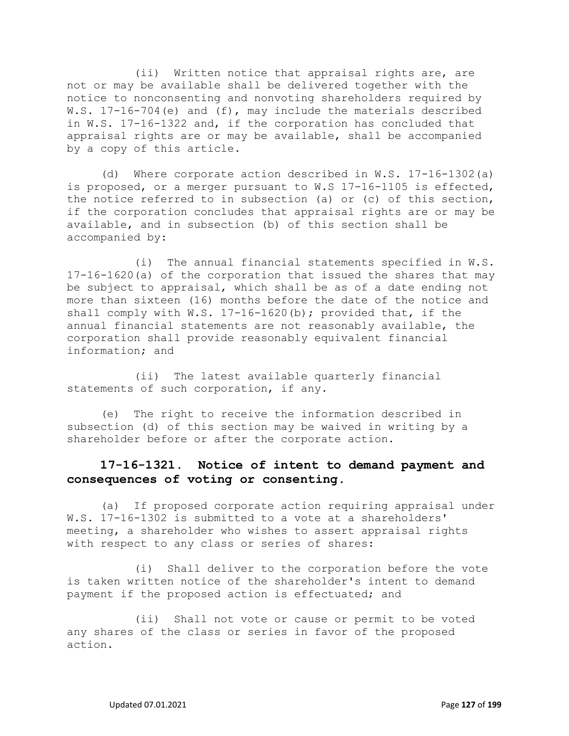(ii) Written notice that appraisal rights are, are not or may be available shall be delivered together with the notice to nonconsenting and nonvoting shareholders required by W.S. 17-16-704(e) and (f), may include the materials described in W.S. 17-16-1322 and, if the corporation has concluded that appraisal rights are or may be available, shall be accompanied by a copy of this article.

(d) Where corporate action described in W.S. 17-16-1302(a) is proposed, or a merger pursuant to W.S 17-16-1105 is effected, the notice referred to in subsection (a) or (c) of this section, if the corporation concludes that appraisal rights are or may be available, and in subsection (b) of this section shall be accompanied by:

(i) The annual financial statements specified in W.S. 17-16-1620(a) of the corporation that issued the shares that may be subject to appraisal, which shall be as of a date ending not more than sixteen (16) months before the date of the notice and shall comply with W.S.  $17-16-1620(b)$ ; provided that, if the annual financial statements are not reasonably available, the corporation shall provide reasonably equivalent financial information; and

(ii) The latest available quarterly financial statements of such corporation, if any.

(e) The right to receive the information described in subsection (d) of this section may be waived in writing by a shareholder before or after the corporate action.

# **17-16-1321. Notice of intent to demand payment and consequences of voting or consenting.**

(a) If proposed corporate action requiring appraisal under W.S. 17-16-1302 is submitted to a vote at a shareholders' meeting, a shareholder who wishes to assert appraisal rights with respect to any class or series of shares:

(i) Shall deliver to the corporation before the vote is taken written notice of the shareholder's intent to demand payment if the proposed action is effectuated; and

(ii) Shall not vote or cause or permit to be voted any shares of the class or series in favor of the proposed action.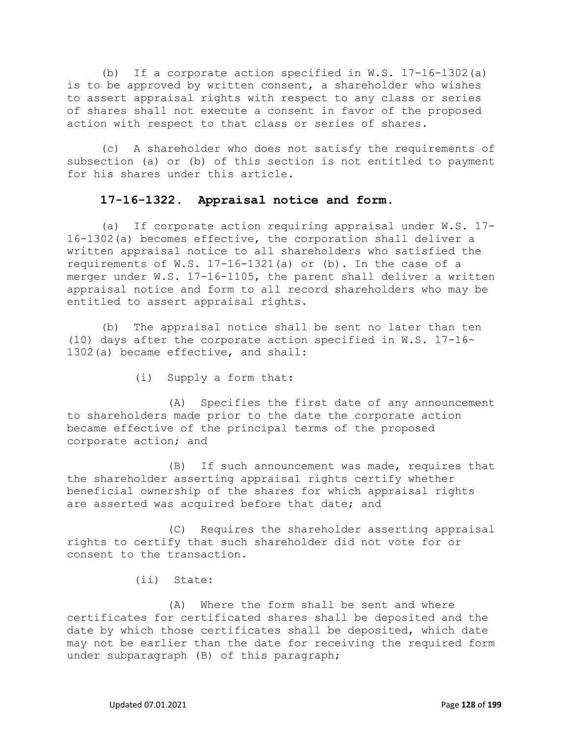(b) If a corporate action specified in W.S. 17-16-1302(a) is to be approved by written consent, a shareholder who wishes to assert appraisal rights with respect to any class or series of shares shall not execute a consent in favor of the proposed action with respect to that class or series of shares.

(c) A shareholder who does not satisfy the requirements of subsection (a) or (b) of this section is not entitled to payment for his shares under this article.

## **17-16-1322. Appraisal notice and form.**

(a) If corporate action requiring appraisal under W.S. 17- 16-1302(a) becomes effective, the corporation shall deliver a written appraisal notice to all shareholders who satisfied the requirements of W.S. 17-16-1321(a) or (b). In the case of a merger under W.S. 17-16-1105, the parent shall deliver a written appraisal notice and form to all record shareholders who may be entitled to assert appraisal rights.

(b) The appraisal notice shall be sent no later than ten (10) days after the corporate action specified in W.S. 17-16- 1302(a) became effective, and shall:

(i) Supply a form that:

(A) Specifies the first date of any announcement to shareholders made prior to the date the corporate action became effective of the principal terms of the proposed corporate action; and

(B) If such announcement was made, requires that the shareholder asserting appraisal rights certify whether beneficial ownership of the shares for which appraisal rights are asserted was acquired before that date; and

(C) Requires the shareholder asserting appraisal rights to certify that such shareholder did not vote for or consent to the transaction.

(ii) State:

(A) Where the form shall be sent and where certificates for certificated shares shall be deposited and the date by which those certificates shall be deposited, which date may not be earlier than the date for receiving the required form under subparagraph (B) of this paragraph;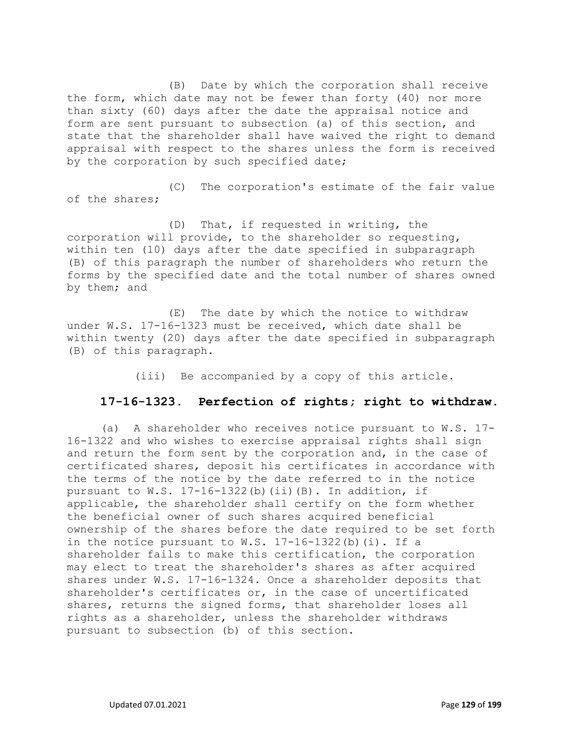(B) Date by which the corporation shall receive the form, which date may not be fewer than forty (40) nor more than sixty (60) days after the date the appraisal notice and form are sent pursuant to subsection (a) of this section, and state that the shareholder shall have waived the right to demand appraisal with respect to the shares unless the form is received by the corporation by such specified date;

(C) The corporation's estimate of the fair value of the shares;

(D) That, if requested in writing, the corporation will provide, to the shareholder so requesting, within ten (10) days after the date specified in subparagraph (B) of this paragraph the number of shareholders who return the forms by the specified date and the total number of shares owned by them; and

(E) The date by which the notice to withdraw under W.S. 17-16-1323 must be received, which date shall be within twenty (20) days after the date specified in subparagraph (B) of this paragraph.

(iii) Be accompanied by a copy of this article.

### **17-16-1323. Perfection of rights; right to withdraw.**

(a) A shareholder who receives notice pursuant to W.S. 17- 16-1322 and who wishes to exercise appraisal rights shall sign and return the form sent by the corporation and, in the case of certificated shares, deposit his certificates in accordance with the terms of the notice by the date referred to in the notice pursuant to  $W.S. 17-16-1322(b)$  (ii)(B). In addition, if applicable, the shareholder shall certify on the form whether the beneficial owner of such shares acquired beneficial ownership of the shares before the date required to be set forth in the notice pursuant to  $W.S. 17-16-1322(b)(i)$ . If a shareholder fails to make this certification, the corporation may elect to treat the shareholder's shares as after acquired shares under W.S. 17-16-1324. Once a shareholder deposits that shareholder's certificates or, in the case of uncertificated shares, returns the signed forms, that shareholder loses all rights as a shareholder, unless the shareholder withdraws pursuant to subsection (b) of this section.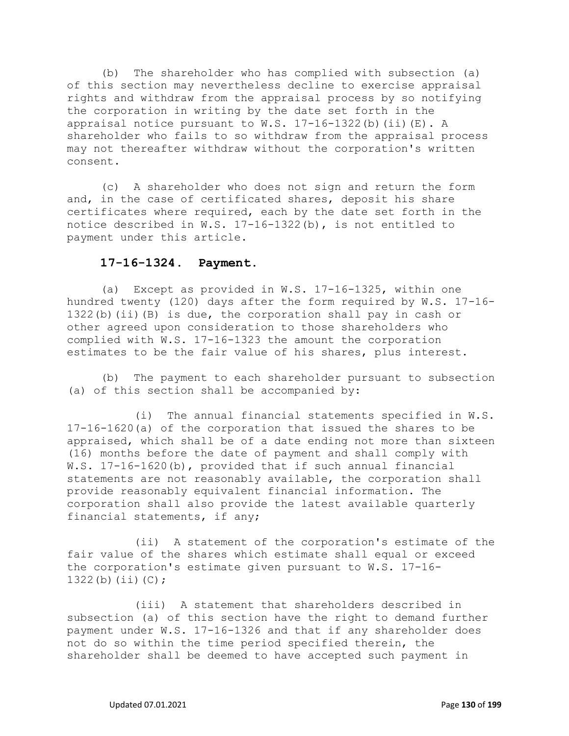(b) The shareholder who has complied with subsection (a) of this section may nevertheless decline to exercise appraisal rights and withdraw from the appraisal process by so notifying the corporation in writing by the date set forth in the appraisal notice pursuant to  $W.S. 17-16-1322(b)$  (ii)(E). A shareholder who fails to so withdraw from the appraisal process may not thereafter withdraw without the corporation's written consent.

(c) A shareholder who does not sign and return the form and, in the case of certificated shares, deposit his share certificates where required, each by the date set forth in the notice described in W.S. 17-16-1322(b), is not entitled to payment under this article.

### **17-16-1324. Payment.**

(a) Except as provided in W.S. 17-16-1325, within one hundred twenty (120) days after the form required by W.S. 17-16- 1322(b)(ii)(B) is due, the corporation shall pay in cash or other agreed upon consideration to those shareholders who complied with W.S. 17-16-1323 the amount the corporation estimates to be the fair value of his shares, plus interest.

(b) The payment to each shareholder pursuant to subsection (a) of this section shall be accompanied by:

(i) The annual financial statements specified in W.S. 17-16-1620(a) of the corporation that issued the shares to be appraised, which shall be of a date ending not more than sixteen (16) months before the date of payment and shall comply with W.S. 17-16-1620(b), provided that if such annual financial statements are not reasonably available, the corporation shall provide reasonably equivalent financial information. The corporation shall also provide the latest available quarterly financial statements, if any;

(ii) A statement of the corporation's estimate of the fair value of the shares which estimate shall equal or exceed the corporation's estimate given pursuant to W.S. 17-16- 1322(b)(ii)(C);

(iii) A statement that shareholders described in subsection (a) of this section have the right to demand further payment under W.S. 17-16-1326 and that if any shareholder does not do so within the time period specified therein, the shareholder shall be deemed to have accepted such payment in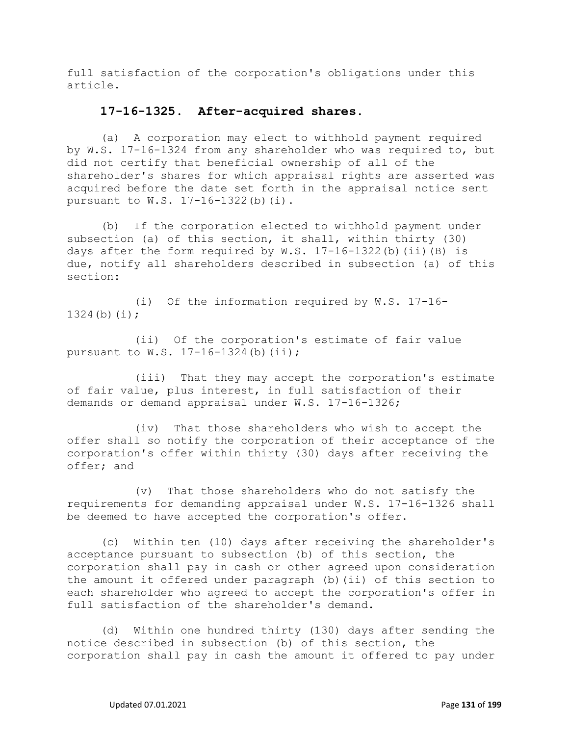full satisfaction of the corporation's obligations under this article.

### **17-16-1325. After-acquired shares.**

(a) A corporation may elect to withhold payment required by W.S. 17-16-1324 from any shareholder who was required to, but did not certify that beneficial ownership of all of the shareholder's shares for which appraisal rights are asserted was acquired before the date set forth in the appraisal notice sent pursuant to W.S. 17-16-1322(b)(i).

(b) If the corporation elected to withhold payment under subsection (a) of this section, it shall, within thirty (30) days after the form required by  $W.S. 17-16-1322(b)$  (ii)(B) is due, notify all shareholders described in subsection (a) of this section:

(i) Of the information required by W.S. 17-16- 1324(b)(i);

(ii) Of the corporation's estimate of fair value pursuant to  $W.S. 17-16-1324(b)$  (ii);

(iii) That they may accept the corporation's estimate of fair value, plus interest, in full satisfaction of their demands or demand appraisal under W.S. 17-16-1326;

(iv) That those shareholders who wish to accept the offer shall so notify the corporation of their acceptance of the corporation's offer within thirty (30) days after receiving the offer; and

(v) That those shareholders who do not satisfy the requirements for demanding appraisal under W.S. 17-16-1326 shall be deemed to have accepted the corporation's offer.

(c) Within ten (10) days after receiving the shareholder's acceptance pursuant to subsection (b) of this section, the corporation shall pay in cash or other agreed upon consideration the amount it offered under paragraph (b)(ii) of this section to each shareholder who agreed to accept the corporation's offer in full satisfaction of the shareholder's demand.

(d) Within one hundred thirty (130) days after sending the notice described in subsection (b) of this section, the corporation shall pay in cash the amount it offered to pay under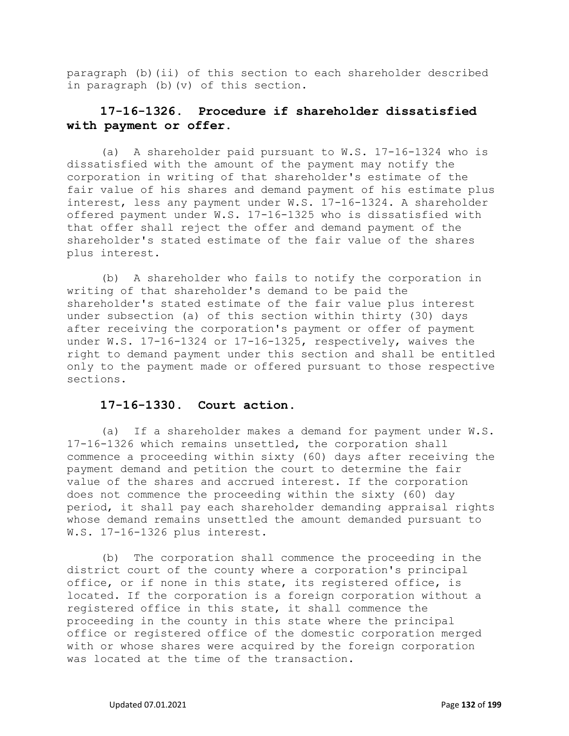paragraph (b)(ii) of this section to each shareholder described in paragraph (b)(v) of this section.

# **17-16-1326. Procedure if shareholder dissatisfied with payment or offer.**

(a) A shareholder paid pursuant to W.S. 17-16-1324 who is dissatisfied with the amount of the payment may notify the corporation in writing of that shareholder's estimate of the fair value of his shares and demand payment of his estimate plus interest, less any payment under W.S. 17-16-1324. A shareholder offered payment under W.S. 17-16-1325 who is dissatisfied with that offer shall reject the offer and demand payment of the shareholder's stated estimate of the fair value of the shares plus interest.

(b) A shareholder who fails to notify the corporation in writing of that shareholder's demand to be paid the shareholder's stated estimate of the fair value plus interest under subsection (a) of this section within thirty (30) days after receiving the corporation's payment or offer of payment under W.S. 17-16-1324 or 17-16-1325, respectively, waives the right to demand payment under this section and shall be entitled only to the payment made or offered pursuant to those respective sections.

### **17-16-1330. Court action.**

(a) If a shareholder makes a demand for payment under W.S. 17-16-1326 which remains unsettled, the corporation shall commence a proceeding within sixty (60) days after receiving the payment demand and petition the court to determine the fair value of the shares and accrued interest. If the corporation does not commence the proceeding within the sixty (60) day period, it shall pay each shareholder demanding appraisal rights whose demand remains unsettled the amount demanded pursuant to W.S. 17-16-1326 plus interest.

(b) The corporation shall commence the proceeding in the district court of the county where a corporation's principal office, or if none in this state, its registered office, is located. If the corporation is a foreign corporation without a registered office in this state, it shall commence the proceeding in the county in this state where the principal office or registered office of the domestic corporation merged with or whose shares were acquired by the foreign corporation was located at the time of the transaction.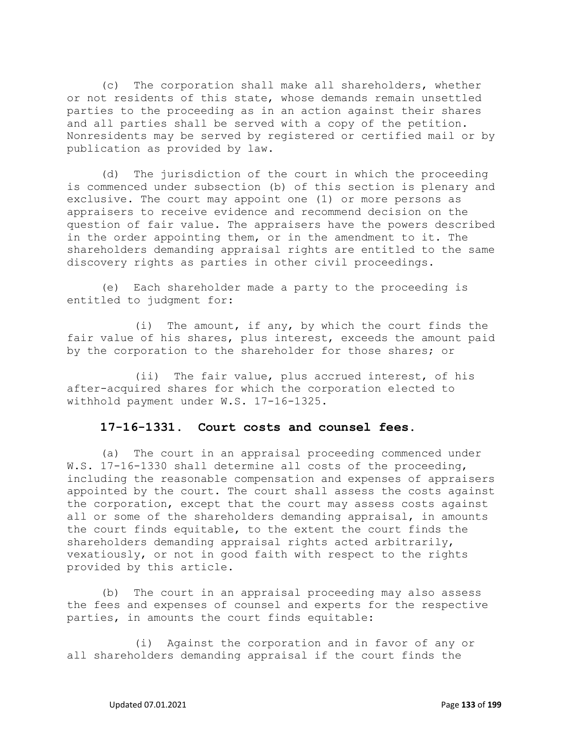(c) The corporation shall make all shareholders, whether or not residents of this state, whose demands remain unsettled parties to the proceeding as in an action against their shares and all parties shall be served with a copy of the petition. Nonresidents may be served by registered or certified mail or by publication as provided by law.

(d) The jurisdiction of the court in which the proceeding is commenced under subsection (b) of this section is plenary and exclusive. The court may appoint one (1) or more persons as appraisers to receive evidence and recommend decision on the question of fair value. The appraisers have the powers described in the order appointing them, or in the amendment to it. The shareholders demanding appraisal rights are entitled to the same discovery rights as parties in other civil proceedings.

(e) Each shareholder made a party to the proceeding is entitled to judgment for:

(i) The amount, if any, by which the court finds the fair value of his shares, plus interest, exceeds the amount paid by the corporation to the shareholder for those shares; or

(ii) The fair value, plus accrued interest, of his after-acquired shares for which the corporation elected to withhold payment under W.S. 17-16-1325.

## **17-16-1331. Court costs and counsel fees.**

(a) The court in an appraisal proceeding commenced under W.S. 17-16-1330 shall determine all costs of the proceeding, including the reasonable compensation and expenses of appraisers appointed by the court. The court shall assess the costs against the corporation, except that the court may assess costs against all or some of the shareholders demanding appraisal, in amounts the court finds equitable, to the extent the court finds the shareholders demanding appraisal rights acted arbitrarily, vexatiously, or not in good faith with respect to the rights provided by this article.

(b) The court in an appraisal proceeding may also assess the fees and expenses of counsel and experts for the respective parties, in amounts the court finds equitable:

(i) Against the corporation and in favor of any or all shareholders demanding appraisal if the court finds the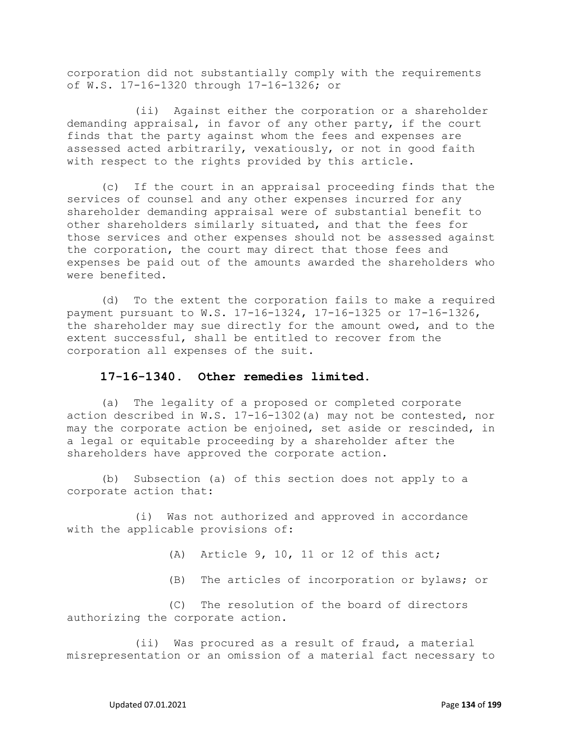corporation did not substantially comply with the requirements of W.S. 17-16-1320 through 17-16-1326; or

(ii) Against either the corporation or a shareholder demanding appraisal, in favor of any other party, if the court finds that the party against whom the fees and expenses are assessed acted arbitrarily, vexatiously, or not in good faith with respect to the rights provided by this article.

(c) If the court in an appraisal proceeding finds that the services of counsel and any other expenses incurred for any shareholder demanding appraisal were of substantial benefit to other shareholders similarly situated, and that the fees for those services and other expenses should not be assessed against the corporation, the court may direct that those fees and expenses be paid out of the amounts awarded the shareholders who were benefited.

(d) To the extent the corporation fails to make a required payment pursuant to W.S. 17-16-1324, 17-16-1325 or 17-16-1326, the shareholder may sue directly for the amount owed, and to the extent successful, shall be entitled to recover from the corporation all expenses of the suit.

### **17-16-1340. Other remedies limited.**

(a) The legality of a proposed or completed corporate action described in W.S. 17-16-1302(a) may not be contested, nor may the corporate action be enjoined, set aside or rescinded, in a legal or equitable proceeding by a shareholder after the shareholders have approved the corporate action.

(b) Subsection (a) of this section does not apply to a corporate action that:

(i) Was not authorized and approved in accordance with the applicable provisions of:

- (A) Article 9, 10, 11 or 12 of this act;
- (B) The articles of incorporation or bylaws; or

(C) The resolution of the board of directors authorizing the corporate action.

(ii) Was procured as a result of fraud, a material misrepresentation or an omission of a material fact necessary to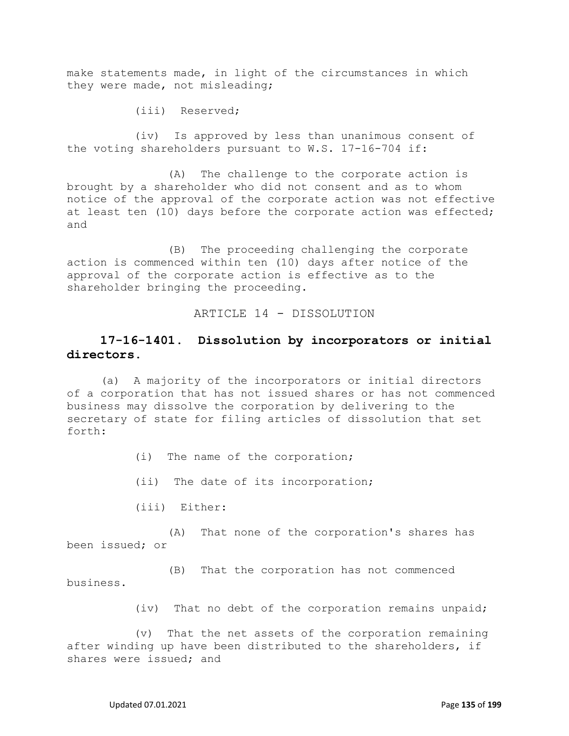make statements made, in light of the circumstances in which they were made, not misleading;

(iii) Reserved;

(iv) Is approved by less than unanimous consent of the voting shareholders pursuant to W.S. 17-16-704 if:

(A) The challenge to the corporate action is brought by a shareholder who did not consent and as to whom notice of the approval of the corporate action was not effective at least ten (10) days before the corporate action was effected; and

(B) The proceeding challenging the corporate action is commenced within ten (10) days after notice of the approval of the corporate action is effective as to the shareholder bringing the proceeding.

### ARTICLE 14 - DISSOLUTION

## **17-16-1401. Dissolution by incorporators or initial directors.**

(a) A majority of the incorporators or initial directors of a corporation that has not issued shares or has not commenced business may dissolve the corporation by delivering to the secretary of state for filing articles of dissolution that set forth:

(i) The name of the corporation;

(ii) The date of its incorporation;

(iii) Either:

(A) That none of the corporation's shares has been issued; or

(B) That the corporation has not commenced business.

(iv) That no debt of the corporation remains unpaid;

(v) That the net assets of the corporation remaining after winding up have been distributed to the shareholders, if shares were issued; and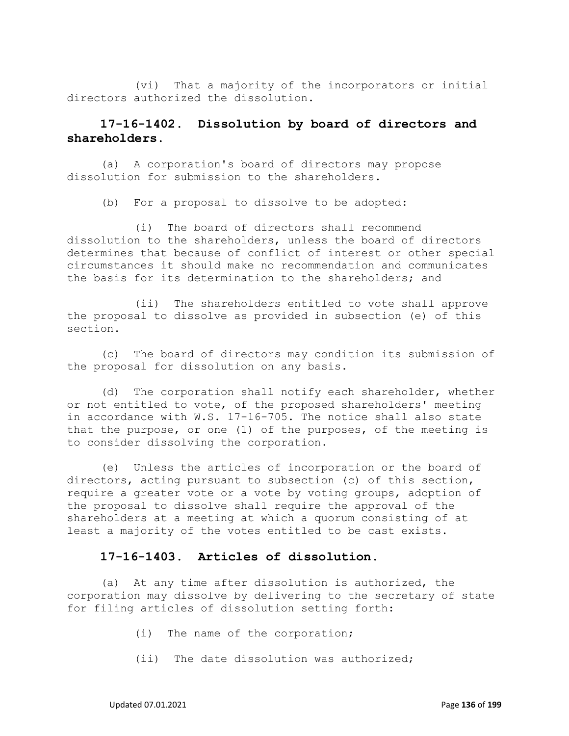(vi) That a majority of the incorporators or initial directors authorized the dissolution.

# **17-16-1402. Dissolution by board of directors and shareholders.**

(a) A corporation's board of directors may propose dissolution for submission to the shareholders.

(b) For a proposal to dissolve to be adopted:

(i) The board of directors shall recommend dissolution to the shareholders, unless the board of directors determines that because of conflict of interest or other special circumstances it should make no recommendation and communicates the basis for its determination to the shareholders; and

(ii) The shareholders entitled to vote shall approve the proposal to dissolve as provided in subsection (e) of this section.

(c) The board of directors may condition its submission of the proposal for dissolution on any basis.

(d) The corporation shall notify each shareholder, whether or not entitled to vote, of the proposed shareholders' meeting in accordance with W.S. 17-16-705. The notice shall also state that the purpose, or one (1) of the purposes, of the meeting is to consider dissolving the corporation.

(e) Unless the articles of incorporation or the board of directors, acting pursuant to subsection (c) of this section, require a greater vote or a vote by voting groups, adoption of the proposal to dissolve shall require the approval of the shareholders at a meeting at which a quorum consisting of at least a majority of the votes entitled to be cast exists.

### **17-16-1403. Articles of dissolution.**

(a) At any time after dissolution is authorized, the corporation may dissolve by delivering to the secretary of state for filing articles of dissolution setting forth:

- (i) The name of the corporation;
- (ii) The date dissolution was authorized;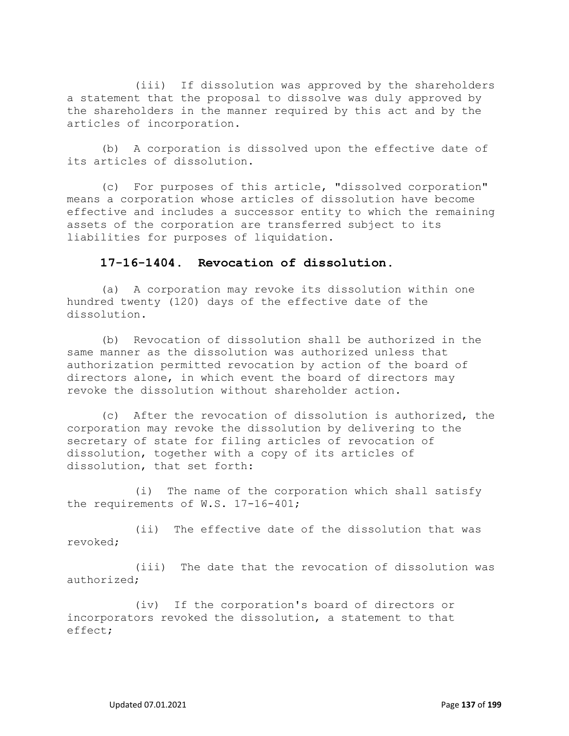(iii) If dissolution was approved by the shareholders a statement that the proposal to dissolve was duly approved by the shareholders in the manner required by this act and by the articles of incorporation.

(b) A corporation is dissolved upon the effective date of its articles of dissolution.

(c) For purposes of this article, "dissolved corporation" means a corporation whose articles of dissolution have become effective and includes a successor entity to which the remaining assets of the corporation are transferred subject to its liabilities for purposes of liquidation.

### **17-16-1404. Revocation of dissolution.**

(a) A corporation may revoke its dissolution within one hundred twenty (120) days of the effective date of the dissolution.

(b) Revocation of dissolution shall be authorized in the same manner as the dissolution was authorized unless that authorization permitted revocation by action of the board of directors alone, in which event the board of directors may revoke the dissolution without shareholder action.

(c) After the revocation of dissolution is authorized, the corporation may revoke the dissolution by delivering to the secretary of state for filing articles of revocation of dissolution, together with a copy of its articles of dissolution, that set forth:

(i) The name of the corporation which shall satisfy the requirements of W.S. 17-16-401;

(ii) The effective date of the dissolution that was revoked;

(iii) The date that the revocation of dissolution was authorized;

(iv) If the corporation's board of directors or incorporators revoked the dissolution, a statement to that effect;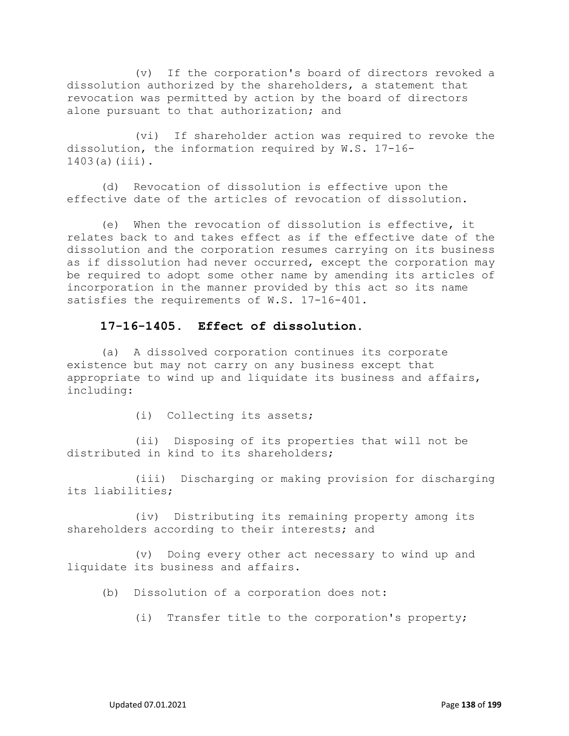(v) If the corporation's board of directors revoked a dissolution authorized by the shareholders, a statement that revocation was permitted by action by the board of directors alone pursuant to that authorization; and

(vi) If shareholder action was required to revoke the dissolution, the information required by W.S. 17-16-  $1403(a)$  (iii).

(d) Revocation of dissolution is effective upon the effective date of the articles of revocation of dissolution.

(e) When the revocation of dissolution is effective, it relates back to and takes effect as if the effective date of the dissolution and the corporation resumes carrying on its business as if dissolution had never occurred, except the corporation may be required to adopt some other name by amending its articles of incorporation in the manner provided by this act so its name satisfies the requirements of W.S. 17-16-401.

### **17-16-1405. Effect of dissolution.**

(a) A dissolved corporation continues its corporate existence but may not carry on any business except that appropriate to wind up and liquidate its business and affairs, including:

(i) Collecting its assets;

(ii) Disposing of its properties that will not be distributed in kind to its shareholders;

(iii) Discharging or making provision for discharging its liabilities;

(iv) Distributing its remaining property among its shareholders according to their interests; and

(v) Doing every other act necessary to wind up and liquidate its business and affairs.

(b) Dissolution of a corporation does not:

(i) Transfer title to the corporation's property;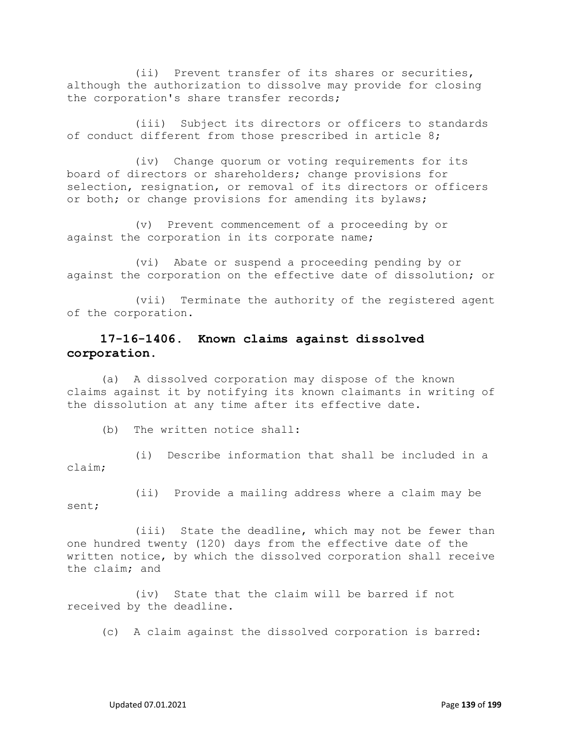(ii) Prevent transfer of its shares or securities, although the authorization to dissolve may provide for closing the corporation's share transfer records;

(iii) Subject its directors or officers to standards of conduct different from those prescribed in article 8;

(iv) Change quorum or voting requirements for its board of directors or shareholders; change provisions for selection, resignation, or removal of its directors or officers or both; or change provisions for amending its bylaws;

(v) Prevent commencement of a proceeding by or against the corporation in its corporate name;

(vi) Abate or suspend a proceeding pending by or against the corporation on the effective date of dissolution; or

(vii) Terminate the authority of the registered agent of the corporation.

## **17-16-1406. Known claims against dissolved corporation.**

(a) A dissolved corporation may dispose of the known claims against it by notifying its known claimants in writing of the dissolution at any time after its effective date.

(b) The written notice shall:

(i) Describe information that shall be included in a claim;

(ii) Provide a mailing address where a claim may be sent;

(iii) State the deadline, which may not be fewer than one hundred twenty (120) days from the effective date of the written notice, by which the dissolved corporation shall receive the claim; and

(iv) State that the claim will be barred if not received by the deadline.

(c) A claim against the dissolved corporation is barred: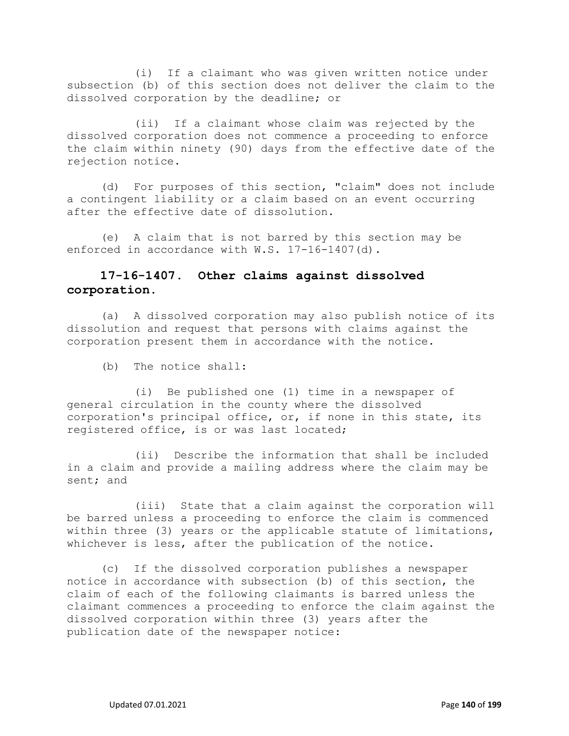(i) If a claimant who was given written notice under subsection (b) of this section does not deliver the claim to the dissolved corporation by the deadline; or

(ii) If a claimant whose claim was rejected by the dissolved corporation does not commence a proceeding to enforce the claim within ninety (90) days from the effective date of the rejection notice.

(d) For purposes of this section, "claim" does not include a contingent liability or a claim based on an event occurring after the effective date of dissolution.

(e) A claim that is not barred by this section may be enforced in accordance with W.S. 17-16-1407(d).

# **17-16-1407. Other claims against dissolved corporation.**

(a) A dissolved corporation may also publish notice of its dissolution and request that persons with claims against the corporation present them in accordance with the notice.

(b) The notice shall:

(i) Be published one (1) time in a newspaper of general circulation in the county where the dissolved corporation's principal office, or, if none in this state, its registered office, is or was last located;

(ii) Describe the information that shall be included in a claim and provide a mailing address where the claim may be sent; and

(iii) State that a claim against the corporation will be barred unless a proceeding to enforce the claim is commenced within three (3) years or the applicable statute of limitations, whichever is less, after the publication of the notice.

(c) If the dissolved corporation publishes a newspaper notice in accordance with subsection (b) of this section, the claim of each of the following claimants is barred unless the claimant commences a proceeding to enforce the claim against the dissolved corporation within three (3) years after the publication date of the newspaper notice: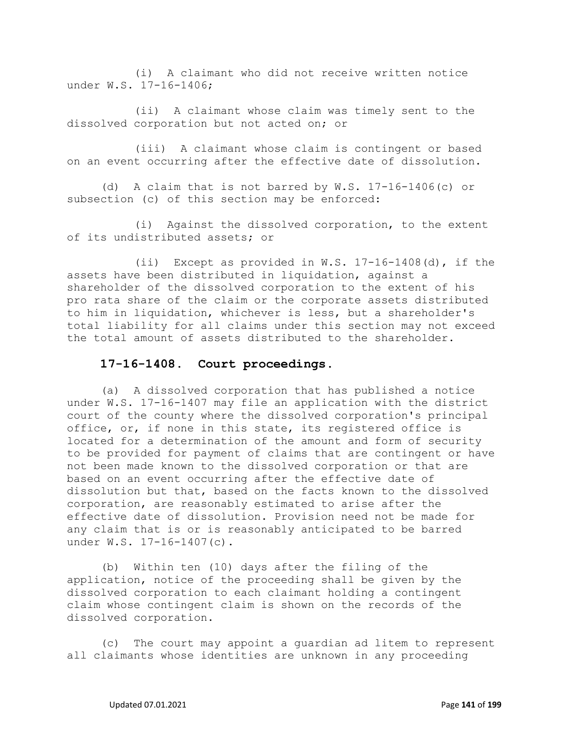(i) A claimant who did not receive written notice under W.S. 17-16-1406;

(ii) A claimant whose claim was timely sent to the dissolved corporation but not acted on; or

(iii) A claimant whose claim is contingent or based on an event occurring after the effective date of dissolution.

(d) A claim that is not barred by W.S. 17-16-1406(c) or subsection (c) of this section may be enforced:

(i) Against the dissolved corporation, to the extent of its undistributed assets; or

(ii) Except as provided in  $W.S. 17-16-1408$  (d), if the assets have been distributed in liquidation, against a shareholder of the dissolved corporation to the extent of his pro rata share of the claim or the corporate assets distributed to him in liquidation, whichever is less, but a shareholder's total liability for all claims under this section may not exceed the total amount of assets distributed to the shareholder.

### **17-16-1408. Court proceedings.**

(a) A dissolved corporation that has published a notice under W.S. 17-16-1407 may file an application with the district court of the county where the dissolved corporation's principal office, or, if none in this state, its registered office is located for a determination of the amount and form of security to be provided for payment of claims that are contingent or have not been made known to the dissolved corporation or that are based on an event occurring after the effective date of dissolution but that, based on the facts known to the dissolved corporation, are reasonably estimated to arise after the effective date of dissolution. Provision need not be made for any claim that is or is reasonably anticipated to be barred under W.S. 17-16-1407(c).

(b) Within ten (10) days after the filing of the application, notice of the proceeding shall be given by the dissolved corporation to each claimant holding a contingent claim whose contingent claim is shown on the records of the dissolved corporation.

(c) The court may appoint a guardian ad litem to represent all claimants whose identities are unknown in any proceeding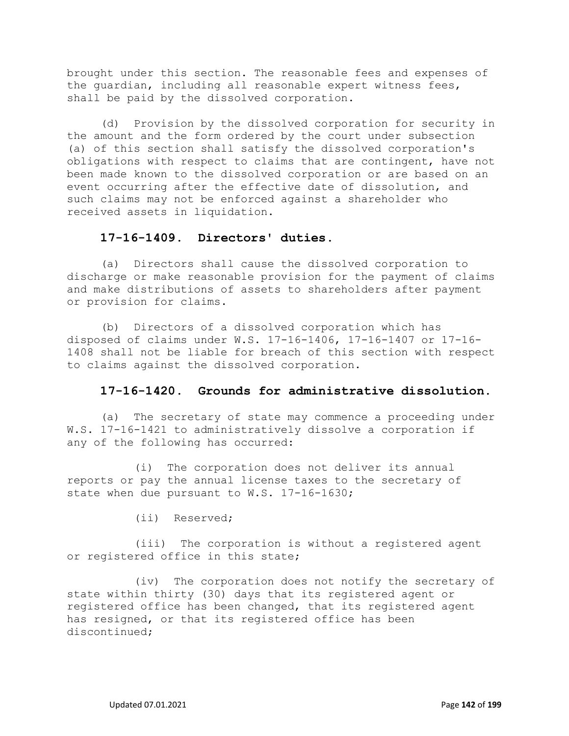brought under this section. The reasonable fees and expenses of the guardian, including all reasonable expert witness fees, shall be paid by the dissolved corporation.

(d) Provision by the dissolved corporation for security in the amount and the form ordered by the court under subsection (a) of this section shall satisfy the dissolved corporation's obligations with respect to claims that are contingent, have not been made known to the dissolved corporation or are based on an event occurring after the effective date of dissolution, and such claims may not be enforced against a shareholder who received assets in liquidation.

## **17-16-1409. Directors' duties.**

(a) Directors shall cause the dissolved corporation to discharge or make reasonable provision for the payment of claims and make distributions of assets to shareholders after payment or provision for claims.

(b) Directors of a dissolved corporation which has disposed of claims under W.S. 17-16-1406, 17-16-1407 or 17-16- 1408 shall not be liable for breach of this section with respect to claims against the dissolved corporation.

### **17-16-1420. Grounds for administrative dissolution.**

(a) The secretary of state may commence a proceeding under W.S. 17-16-1421 to administratively dissolve a corporation if any of the following has occurred:

(i) The corporation does not deliver its annual reports or pay the annual license taxes to the secretary of state when due pursuant to W.S. 17-16-1630;

(ii) Reserved;

(iii) The corporation is without a registered agent or registered office in this state;

(iv) The corporation does not notify the secretary of state within thirty (30) days that its registered agent or registered office has been changed, that its registered agent has resigned, or that its registered office has been discontinued;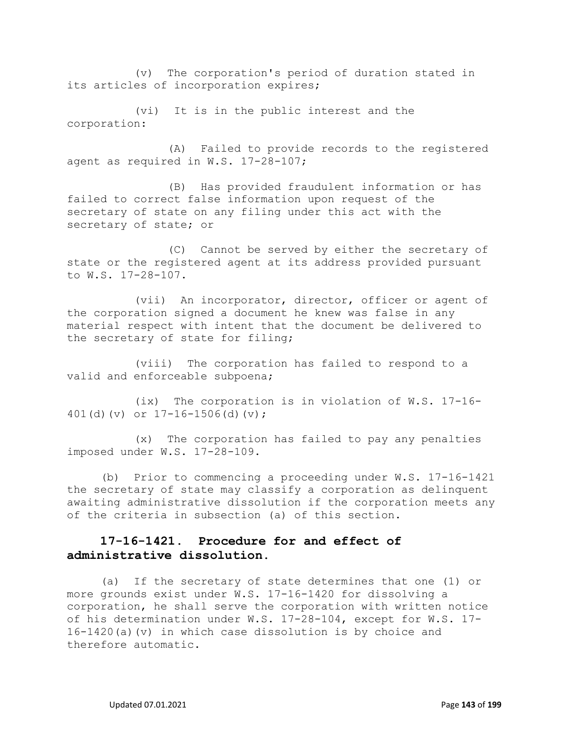(v) The corporation's period of duration stated in its articles of incorporation expires;

(vi) It is in the public interest and the corporation:

(A) Failed to provide records to the registered agent as required in W.S. 17-28-107;

(B) Has provided fraudulent information or has failed to correct false information upon request of the secretary of state on any filing under this act with the secretary of state; or

(C) Cannot be served by either the secretary of state or the registered agent at its address provided pursuant to W.S. 17-28-107.

(vii) An incorporator, director, officer or agent of the corporation signed a document he knew was false in any material respect with intent that the document be delivered to the secretary of state for filing;

(viii) The corporation has failed to respond to a valid and enforceable subpoena;

(ix) The corporation is in violation of W.S. 17-16- 401(d)(v) or 17-16-1506(d)(v);

(x) The corporation has failed to pay any penalties imposed under W.S. 17-28-109.

(b) Prior to commencing a proceeding under W.S. 17-16-1421 the secretary of state may classify a corporation as delinquent awaiting administrative dissolution if the corporation meets any of the criteria in subsection (a) of this section.

## **17-16-1421. Procedure for and effect of administrative dissolution.**

(a) If the secretary of state determines that one (1) or more grounds exist under W.S. 17-16-1420 for dissolving a corporation, he shall serve the corporation with written notice of his determination under W.S. 17-28-104, except for W.S. 17- 16-1420(a)(v) in which case dissolution is by choice and therefore automatic.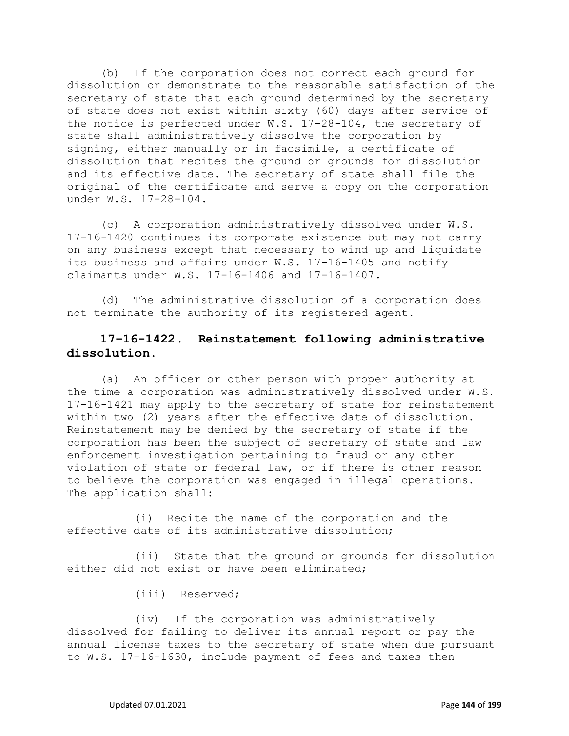(b) If the corporation does not correct each ground for dissolution or demonstrate to the reasonable satisfaction of the secretary of state that each ground determined by the secretary of state does not exist within sixty (60) days after service of the notice is perfected under W.S. 17-28-104, the secretary of state shall administratively dissolve the corporation by signing, either manually or in facsimile, a certificate of dissolution that recites the ground or grounds for dissolution and its effective date. The secretary of state shall file the original of the certificate and serve a copy on the corporation under W.S. 17-28-104.

(c) A corporation administratively dissolved under W.S. 17-16-1420 continues its corporate existence but may not carry on any business except that necessary to wind up and liquidate its business and affairs under W.S. 17-16-1405 and notify claimants under W.S. 17-16-1406 and 17-16-1407.

(d) The administrative dissolution of a corporation does not terminate the authority of its registered agent.

## **17-16-1422. Reinstatement following administrative dissolution.**

(a) An officer or other person with proper authority at the time a corporation was administratively dissolved under W.S. 17-16-1421 may apply to the secretary of state for reinstatement within two (2) years after the effective date of dissolution. Reinstatement may be denied by the secretary of state if the corporation has been the subject of secretary of state and law enforcement investigation pertaining to fraud or any other violation of state or federal law, or if there is other reason to believe the corporation was engaged in illegal operations. The application shall:

(i) Recite the name of the corporation and the effective date of its administrative dissolution;

(ii) State that the ground or grounds for dissolution either did not exist or have been eliminated;

(iii) Reserved;

(iv) If the corporation was administratively dissolved for failing to deliver its annual report or pay the annual license taxes to the secretary of state when due pursuant to W.S. 17-16-1630, include payment of fees and taxes then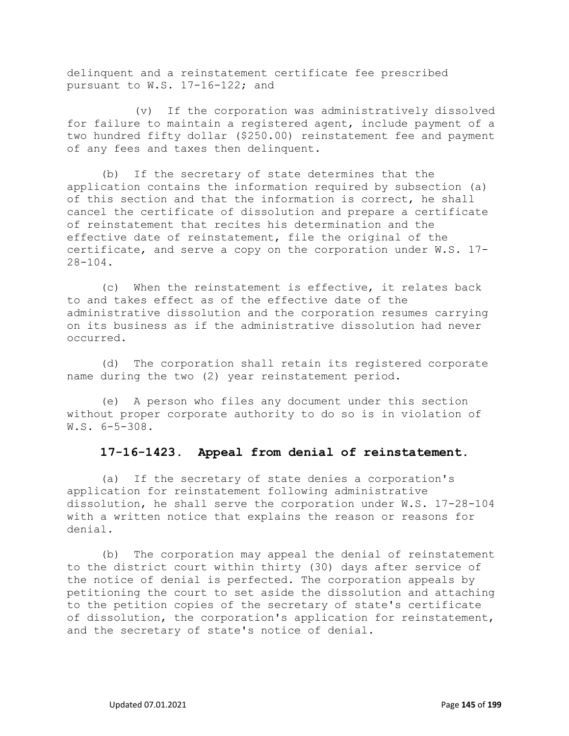delinquent and a reinstatement certificate fee prescribed pursuant to W.S. 17-16-122; and

(v) If the corporation was administratively dissolved for failure to maintain a registered agent, include payment of a two hundred fifty dollar (\$250.00) reinstatement fee and payment of any fees and taxes then delinquent.

(b) If the secretary of state determines that the application contains the information required by subsection (a) of this section and that the information is correct, he shall cancel the certificate of dissolution and prepare a certificate of reinstatement that recites his determination and the effective date of reinstatement, file the original of the certificate, and serve a copy on the corporation under W.S. 17- 28-104.

(c) When the reinstatement is effective, it relates back to and takes effect as of the effective date of the administrative dissolution and the corporation resumes carrying on its business as if the administrative dissolution had never occurred.

(d) The corporation shall retain its registered corporate name during the two (2) year reinstatement period.

(e) A person who files any document under this section without proper corporate authority to do so is in violation of W.S. 6-5-308.

### **17-16-1423. Appeal from denial of reinstatement.**

(a) If the secretary of state denies a corporation's application for reinstatement following administrative dissolution, he shall serve the corporation under W.S. 17-28-104 with a written notice that explains the reason or reasons for denial.

(b) The corporation may appeal the denial of reinstatement to the district court within thirty (30) days after service of the notice of denial is perfected. The corporation appeals by petitioning the court to set aside the dissolution and attaching to the petition copies of the secretary of state's certificate of dissolution, the corporation's application for reinstatement, and the secretary of state's notice of denial.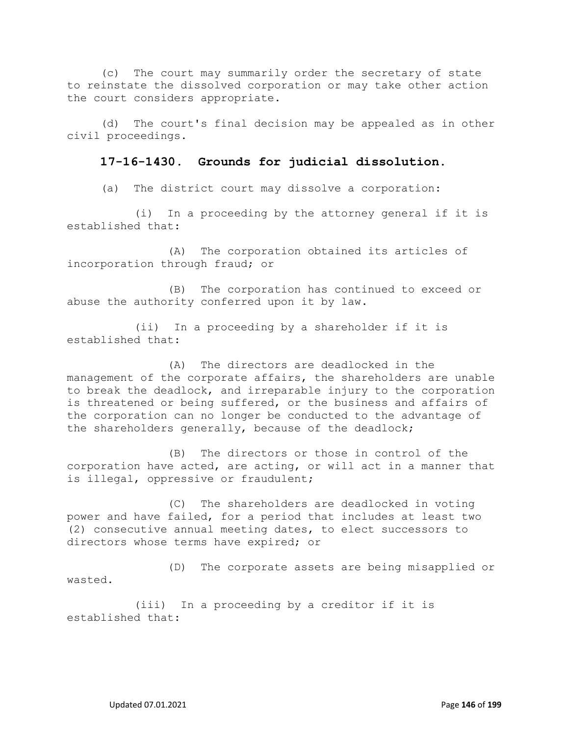(c) The court may summarily order the secretary of state to reinstate the dissolved corporation or may take other action the court considers appropriate.

(d) The court's final decision may be appealed as in other civil proceedings.

## **17-16-1430. Grounds for judicial dissolution.**

(a) The district court may dissolve a corporation:

(i) In a proceeding by the attorney general if it is established that:

(A) The corporation obtained its articles of incorporation through fraud; or

(B) The corporation has continued to exceed or abuse the authority conferred upon it by law.

(ii) In a proceeding by a shareholder if it is established that:

(A) The directors are deadlocked in the management of the corporate affairs, the shareholders are unable to break the deadlock, and irreparable injury to the corporation is threatened or being suffered, or the business and affairs of the corporation can no longer be conducted to the advantage of the shareholders generally, because of the deadlock;

(B) The directors or those in control of the corporation have acted, are acting, or will act in a manner that is illegal, oppressive or fraudulent;

(C) The shareholders are deadlocked in voting power and have failed, for a period that includes at least two (2) consecutive annual meeting dates, to elect successors to directors whose terms have expired; or

(D) The corporate assets are being misapplied or wasted.

(iii) In a proceeding by a creditor if it is established that: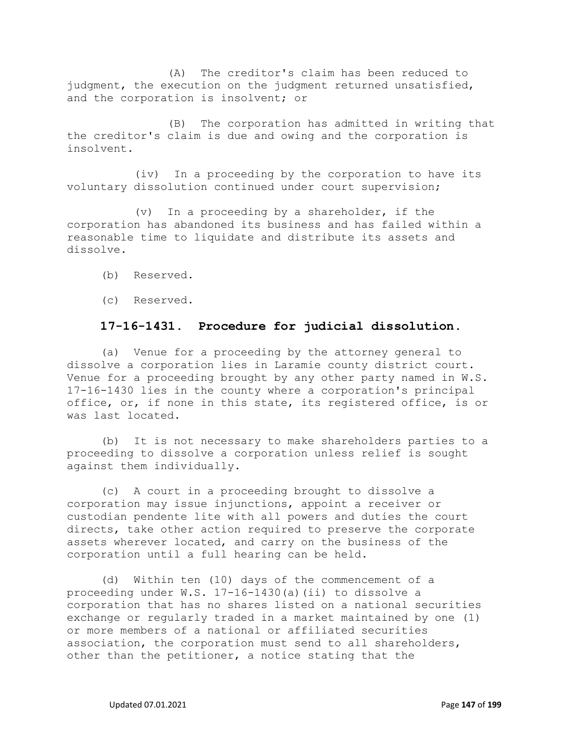(A) The creditor's claim has been reduced to judgment, the execution on the judgment returned unsatisfied, and the corporation is insolvent; or

(B) The corporation has admitted in writing that the creditor's claim is due and owing and the corporation is insolvent.

(iv) In a proceeding by the corporation to have its voluntary dissolution continued under court supervision;

(v) In a proceeding by a shareholder, if the corporation has abandoned its business and has failed within a reasonable time to liquidate and distribute its assets and dissolve.

- (b) Reserved.
- (c) Reserved.

#### **17-16-1431. Procedure for judicial dissolution.**

(a) Venue for a proceeding by the attorney general to dissolve a corporation lies in Laramie county district court. Venue for a proceeding brought by any other party named in W.S. 17-16-1430 lies in the county where a corporation's principal office, or, if none in this state, its registered office, is or was last located.

(b) It is not necessary to make shareholders parties to a proceeding to dissolve a corporation unless relief is sought against them individually.

(c) A court in a proceeding brought to dissolve a corporation may issue injunctions, appoint a receiver or custodian pendente lite with all powers and duties the court directs, take other action required to preserve the corporate assets wherever located, and carry on the business of the corporation until a full hearing can be held.

(d) Within ten (10) days of the commencement of a proceeding under W.S. 17-16-1430(a)(ii) to dissolve a corporation that has no shares listed on a national securities exchange or regularly traded in a market maintained by one (1) or more members of a national or affiliated securities association, the corporation must send to all shareholders, other than the petitioner, a notice stating that the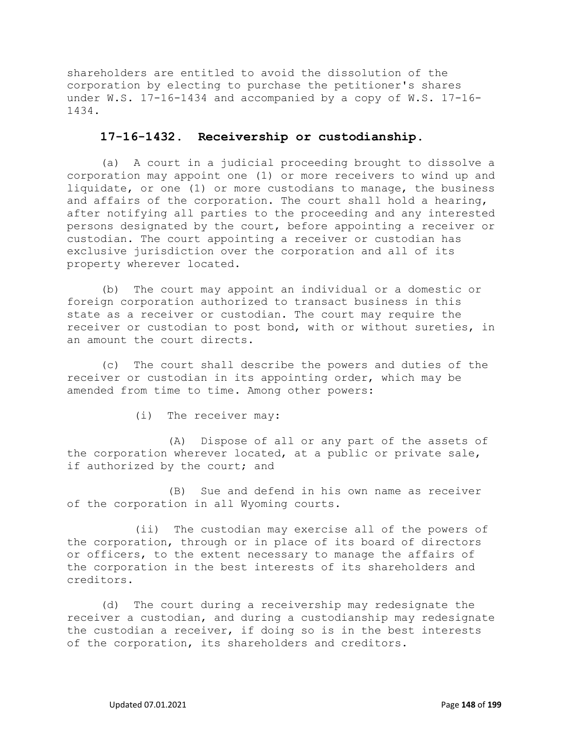shareholders are entitled to avoid the dissolution of the corporation by electing to purchase the petitioner's shares under W.S. 17-16-1434 and accompanied by a copy of W.S. 17-16-1434.

### **17-16-1432. Receivership or custodianship.**

(a) A court in a judicial proceeding brought to dissolve a corporation may appoint one (1) or more receivers to wind up and liquidate, or one (1) or more custodians to manage, the business and affairs of the corporation. The court shall hold a hearing, after notifying all parties to the proceeding and any interested persons designated by the court, before appointing a receiver or custodian. The court appointing a receiver or custodian has exclusive jurisdiction over the corporation and all of its property wherever located.

(b) The court may appoint an individual or a domestic or foreign corporation authorized to transact business in this state as a receiver or custodian. The court may require the receiver or custodian to post bond, with or without sureties, in an amount the court directs.

(c) The court shall describe the powers and duties of the receiver or custodian in its appointing order, which may be amended from time to time. Among other powers:

(i) The receiver may:

(A) Dispose of all or any part of the assets of the corporation wherever located, at a public or private sale, if authorized by the court; and

(B) Sue and defend in his own name as receiver of the corporation in all Wyoming courts.

(ii) The custodian may exercise all of the powers of the corporation, through or in place of its board of directors or officers, to the extent necessary to manage the affairs of the corporation in the best interests of its shareholders and creditors.

(d) The court during a receivership may redesignate the receiver a custodian, and during a custodianship may redesignate the custodian a receiver, if doing so is in the best interests of the corporation, its shareholders and creditors.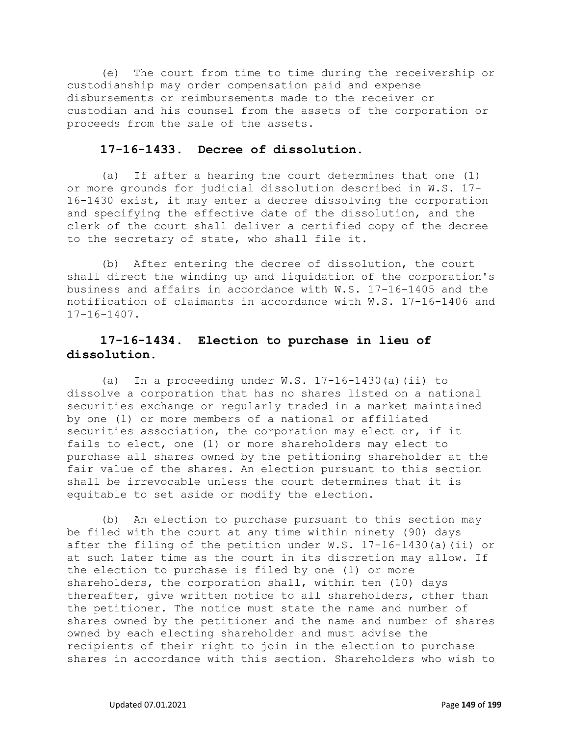(e) The court from time to time during the receivership or custodianship may order compensation paid and expense disbursements or reimbursements made to the receiver or custodian and his counsel from the assets of the corporation or proceeds from the sale of the assets.

### **17-16-1433. Decree of dissolution.**

(a) If after a hearing the court determines that one (1) or more grounds for judicial dissolution described in W.S. 17- 16-1430 exist, it may enter a decree dissolving the corporation and specifying the effective date of the dissolution, and the clerk of the court shall deliver a certified copy of the decree to the secretary of state, who shall file it.

(b) After entering the decree of dissolution, the court shall direct the winding up and liquidation of the corporation's business and affairs in accordance with W.S. 17-16-1405 and the notification of claimants in accordance with W.S. 17-16-1406 and  $17 - 16 - 1407$ .

## **17-16-1434. Election to purchase in lieu of dissolution.**

(a) In a proceeding under  $W.S. 17-16-1430(a)$  (ii) to dissolve a corporation that has no shares listed on a national securities exchange or regularly traded in a market maintained by one (1) or more members of a national or affiliated securities association, the corporation may elect or, if it fails to elect, one (1) or more shareholders may elect to purchase all shares owned by the petitioning shareholder at the fair value of the shares. An election pursuant to this section shall be irrevocable unless the court determines that it is equitable to set aside or modify the election.

(b) An election to purchase pursuant to this section may be filed with the court at any time within ninety (90) days after the filing of the petition under W.S. 17-16-1430(a)(ii) or at such later time as the court in its discretion may allow. If the election to purchase is filed by one (1) or more shareholders, the corporation shall, within ten (10) days thereafter, give written notice to all shareholders, other than the petitioner. The notice must state the name and number of shares owned by the petitioner and the name and number of shares owned by each electing shareholder and must advise the recipients of their right to join in the election to purchase shares in accordance with this section. Shareholders who wish to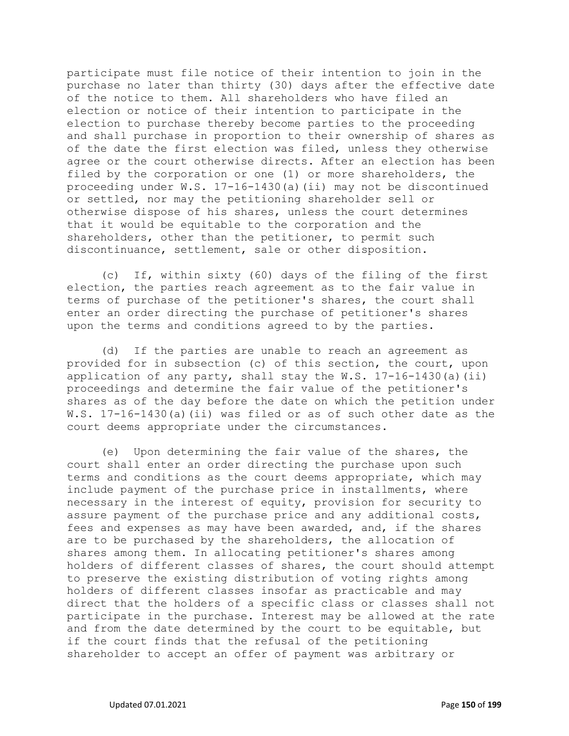participate must file notice of their intention to join in the purchase no later than thirty (30) days after the effective date of the notice to them. All shareholders who have filed an election or notice of their intention to participate in the election to purchase thereby become parties to the proceeding and shall purchase in proportion to their ownership of shares as of the date the first election was filed, unless they otherwise agree or the court otherwise directs. After an election has been filed by the corporation or one (1) or more shareholders, the proceeding under W.S. 17-16-1430(a)(ii) may not be discontinued or settled, nor may the petitioning shareholder sell or otherwise dispose of his shares, unless the court determines that it would be equitable to the corporation and the shareholders, other than the petitioner, to permit such discontinuance, settlement, sale or other disposition.

(c) If, within sixty (60) days of the filing of the first election, the parties reach agreement as to the fair value in terms of purchase of the petitioner's shares, the court shall enter an order directing the purchase of petitioner's shares upon the terms and conditions agreed to by the parties.

(d) If the parties are unable to reach an agreement as provided for in subsection (c) of this section, the court, upon application of any party, shall stay the W.S.  $17-16-1430$  (a) (ii) proceedings and determine the fair value of the petitioner's shares as of the day before the date on which the petition under W.S. 17-16-1430(a)(ii) was filed or as of such other date as the court deems appropriate under the circumstances.

(e) Upon determining the fair value of the shares, the court shall enter an order directing the purchase upon such terms and conditions as the court deems appropriate, which may include payment of the purchase price in installments, where necessary in the interest of equity, provision for security to assure payment of the purchase price and any additional costs, fees and expenses as may have been awarded, and, if the shares are to be purchased by the shareholders, the allocation of shares among them. In allocating petitioner's shares among holders of different classes of shares, the court should attempt to preserve the existing distribution of voting rights among holders of different classes insofar as practicable and may direct that the holders of a specific class or classes shall not participate in the purchase. Interest may be allowed at the rate and from the date determined by the court to be equitable, but if the court finds that the refusal of the petitioning shareholder to accept an offer of payment was arbitrary or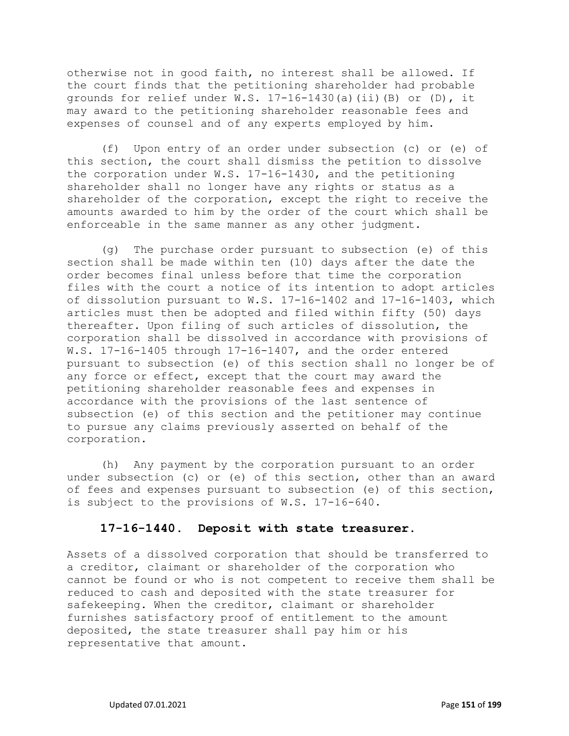otherwise not in good faith, no interest shall be allowed. If the court finds that the petitioning shareholder had probable grounds for relief under W.S. 17-16-1430(a)(ii)(B) or (D), it may award to the petitioning shareholder reasonable fees and expenses of counsel and of any experts employed by him.

(f) Upon entry of an order under subsection (c) or (e) of this section, the court shall dismiss the petition to dissolve the corporation under W.S. 17-16-1430, and the petitioning shareholder shall no longer have any rights or status as a shareholder of the corporation, except the right to receive the amounts awarded to him by the order of the court which shall be enforceable in the same manner as any other judgment.

(g) The purchase order pursuant to subsection (e) of this section shall be made within ten (10) days after the date the order becomes final unless before that time the corporation files with the court a notice of its intention to adopt articles of dissolution pursuant to W.S. 17-16-1402 and 17-16-1403, which articles must then be adopted and filed within fifty (50) days thereafter. Upon filing of such articles of dissolution, the corporation shall be dissolved in accordance with provisions of W.S. 17-16-1405 through 17-16-1407, and the order entered pursuant to subsection (e) of this section shall no longer be of any force or effect, except that the court may award the petitioning shareholder reasonable fees and expenses in accordance with the provisions of the last sentence of subsection (e) of this section and the petitioner may continue to pursue any claims previously asserted on behalf of the corporation.

(h) Any payment by the corporation pursuant to an order under subsection (c) or (e) of this section, other than an award of fees and expenses pursuant to subsection (e) of this section, is subject to the provisions of W.S. 17-16-640.

### **17-16-1440. Deposit with state treasurer.**

Assets of a dissolved corporation that should be transferred to a creditor, claimant or shareholder of the corporation who cannot be found or who is not competent to receive them shall be reduced to cash and deposited with the state treasurer for safekeeping. When the creditor, claimant or shareholder furnishes satisfactory proof of entitlement to the amount deposited, the state treasurer shall pay him or his representative that amount.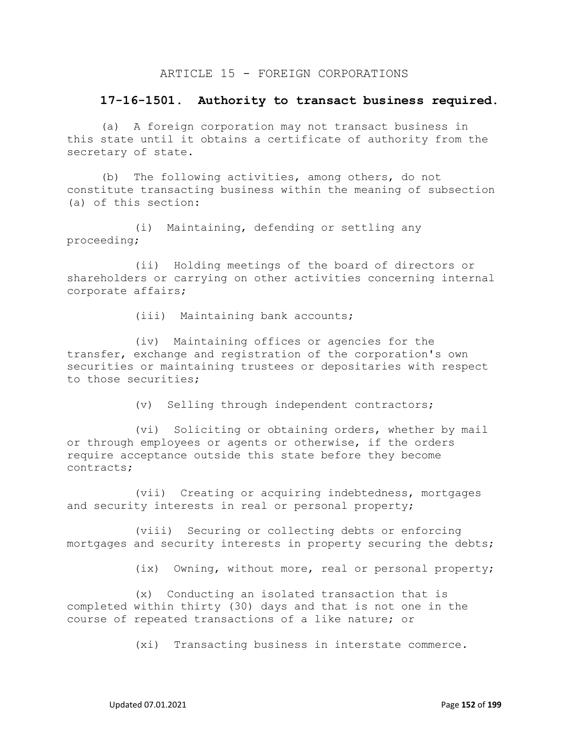### ARTICLE 15 - FOREIGN CORPORATIONS

### **17-16-1501. Authority to transact business required.**

(a) A foreign corporation may not transact business in this state until it obtains a certificate of authority from the secretary of state.

(b) The following activities, among others, do not constitute transacting business within the meaning of subsection (a) of this section:

(i) Maintaining, defending or settling any proceeding;

(ii) Holding meetings of the board of directors or shareholders or carrying on other activities concerning internal corporate affairs;

(iii) Maintaining bank accounts;

(iv) Maintaining offices or agencies for the transfer, exchange and registration of the corporation's own securities or maintaining trustees or depositaries with respect to those securities;

(v) Selling through independent contractors;

(vi) Soliciting or obtaining orders, whether by mail or through employees or agents or otherwise, if the orders require acceptance outside this state before they become contracts;

(vii) Creating or acquiring indebtedness, mortgages and security interests in real or personal property;

(viii) Securing or collecting debts or enforcing mortgages and security interests in property securing the debts;

(ix) Owning, without more, real or personal property;

(x) Conducting an isolated transaction that is completed within thirty (30) days and that is not one in the course of repeated transactions of a like nature; or

(xi) Transacting business in interstate commerce.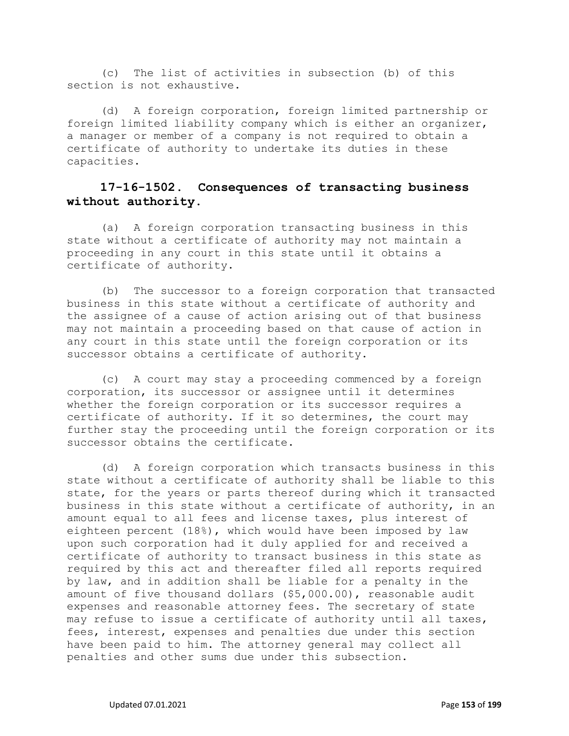(c) The list of activities in subsection (b) of this section is not exhaustive.

(d) A foreign corporation, foreign limited partnership or foreign limited liability company which is either an organizer, a manager or member of a company is not required to obtain a certificate of authority to undertake its duties in these capacities.

## **17-16-1502. Consequences of transacting business without authority.**

(a) A foreign corporation transacting business in this state without a certificate of authority may not maintain a proceeding in any court in this state until it obtains a certificate of authority.

(b) The successor to a foreign corporation that transacted business in this state without a certificate of authority and the assignee of a cause of action arising out of that business may not maintain a proceeding based on that cause of action in any court in this state until the foreign corporation or its successor obtains a certificate of authority.

(c) A court may stay a proceeding commenced by a foreign corporation, its successor or assignee until it determines whether the foreign corporation or its successor requires a certificate of authority. If it so determines, the court may further stay the proceeding until the foreign corporation or its successor obtains the certificate.

(d) A foreign corporation which transacts business in this state without a certificate of authority shall be liable to this state, for the years or parts thereof during which it transacted business in this state without a certificate of authority, in an amount equal to all fees and license taxes, plus interest of eighteen percent (18%), which would have been imposed by law upon such corporation had it duly applied for and received a certificate of authority to transact business in this state as required by this act and thereafter filed all reports required by law, and in addition shall be liable for a penalty in the amount of five thousand dollars (\$5,000.00), reasonable audit expenses and reasonable attorney fees. The secretary of state may refuse to issue a certificate of authority until all taxes, fees, interest, expenses and penalties due under this section have been paid to him. The attorney general may collect all penalties and other sums due under this subsection.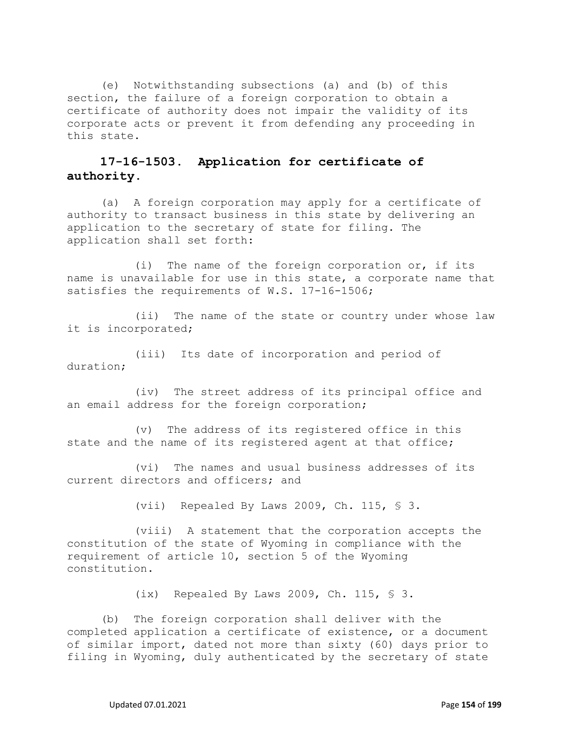(e) Notwithstanding subsections (a) and (b) of this section, the failure of a foreign corporation to obtain a certificate of authority does not impair the validity of its corporate acts or prevent it from defending any proceeding in this state.

## **17-16-1503. Application for certificate of authority.**

(a) A foreign corporation may apply for a certificate of authority to transact business in this state by delivering an application to the secretary of state for filing. The application shall set forth:

(i) The name of the foreign corporation or, if its name is unavailable for use in this state, a corporate name that satisfies the requirements of W.S. 17-16-1506;

(ii) The name of the state or country under whose law it is incorporated;

(iii) Its date of incorporation and period of duration;

(iv) The street address of its principal office and an email address for the foreign corporation;

(v) The address of its registered office in this state and the name of its registered agent at that office;

(vi) The names and usual business addresses of its current directors and officers; and

(vii) Repealed By Laws 2009, Ch. 115, § 3.

(viii) A statement that the corporation accepts the constitution of the state of Wyoming in compliance with the requirement of article 10, section 5 of the Wyoming constitution.

(ix) Repealed By Laws 2009, Ch. 115, § 3.

(b) The foreign corporation shall deliver with the completed application a certificate of existence, or a document of similar import, dated not more than sixty (60) days prior to filing in Wyoming, duly authenticated by the secretary of state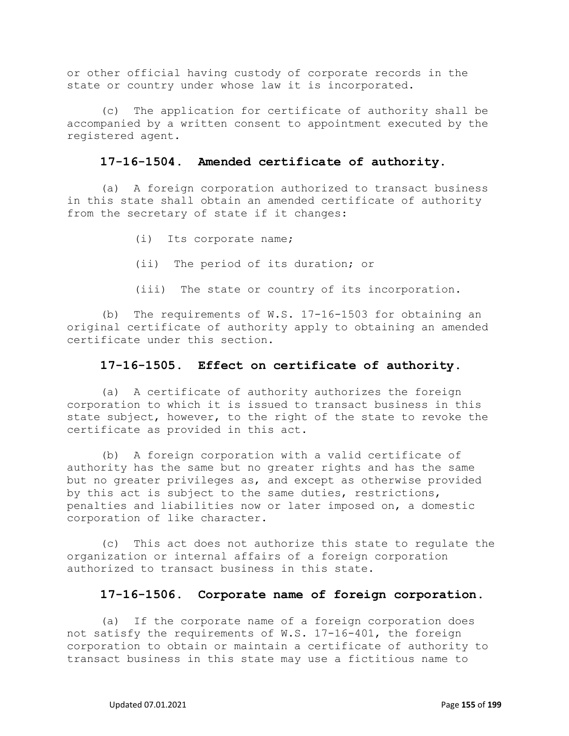or other official having custody of corporate records in the state or country under whose law it is incorporated.

(c) The application for certificate of authority shall be accompanied by a written consent to appointment executed by the registered agent.

## **17-16-1504. Amended certificate of authority.**

(a) A foreign corporation authorized to transact business in this state shall obtain an amended certificate of authority from the secretary of state if it changes:

- (i) Its corporate name;
- (ii) The period of its duration; or
- (iii) The state or country of its incorporation.

(b) The requirements of W.S. 17-16-1503 for obtaining an original certificate of authority apply to obtaining an amended certificate under this section.

### **17-16-1505. Effect on certificate of authority.**

(a) A certificate of authority authorizes the foreign corporation to which it is issued to transact business in this state subject, however, to the right of the state to revoke the certificate as provided in this act.

(b) A foreign corporation with a valid certificate of authority has the same but no greater rights and has the same but no greater privileges as, and except as otherwise provided by this act is subject to the same duties, restrictions, penalties and liabilities now or later imposed on, a domestic corporation of like character.

(c) This act does not authorize this state to regulate the organization or internal affairs of a foreign corporation authorized to transact business in this state.

### **17-16-1506. Corporate name of foreign corporation.**

(a) If the corporate name of a foreign corporation does not satisfy the requirements of W.S. 17-16-401, the foreign corporation to obtain or maintain a certificate of authority to transact business in this state may use a fictitious name to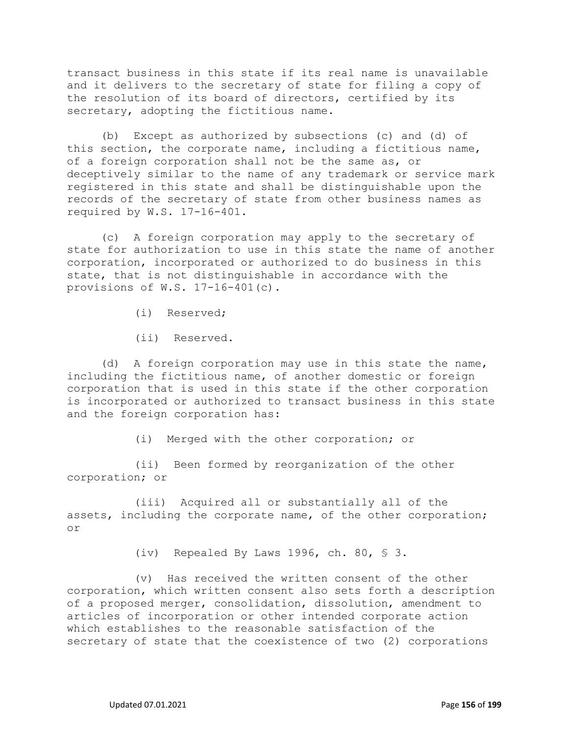transact business in this state if its real name is unavailable and it delivers to the secretary of state for filing a copy of the resolution of its board of directors, certified by its secretary, adopting the fictitious name.

(b) Except as authorized by subsections (c) and (d) of this section, the corporate name, including a fictitious name, of a foreign corporation shall not be the same as, or deceptively similar to the name of any trademark or service mark registered in this state and shall be distinguishable upon the records of the secretary of state from other business names as required by W.S. 17-16-401.

(c) A foreign corporation may apply to the secretary of state for authorization to use in this state the name of another corporation, incorporated or authorized to do business in this state, that is not distinguishable in accordance with the provisions of W.S. 17-16-401(c).

(i) Reserved;

(ii) Reserved.

(d) A foreign corporation may use in this state the name, including the fictitious name, of another domestic or foreign corporation that is used in this state if the other corporation is incorporated or authorized to transact business in this state and the foreign corporation has:

(i) Merged with the other corporation; or

(ii) Been formed by reorganization of the other corporation; or

(iii) Acquired all or substantially all of the assets, including the corporate name, of the other corporation; or

(iv) Repealed By Laws 1996, ch. 80, § 3.

(v) Has received the written consent of the other corporation, which written consent also sets forth a description of a proposed merger, consolidation, dissolution, amendment to articles of incorporation or other intended corporate action which establishes to the reasonable satisfaction of the secretary of state that the coexistence of two (2) corporations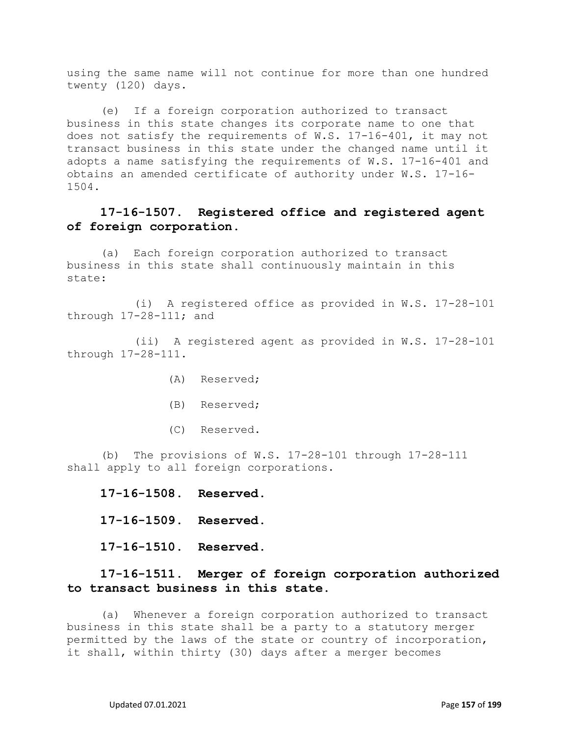using the same name will not continue for more than one hundred twenty (120) days.

(e) If a foreign corporation authorized to transact business in this state changes its corporate name to one that does not satisfy the requirements of W.S. 17-16-401, it may not transact business in this state under the changed name until it adopts a name satisfying the requirements of W.S. 17-16-401 and obtains an amended certificate of authority under W.S. 17-16- 1504.

# **17-16-1507. Registered office and registered agent of foreign corporation.**

(a) Each foreign corporation authorized to transact business in this state shall continuously maintain in this state:

(i) A registered office as provided in W.S. 17-28-101 through 17-28-111; and

(ii) A registered agent as provided in W.S. 17-28-101 through 17-28-111.

- (A) Reserved;
- (B) Reserved;
- (C) Reserved.

(b) The provisions of W.S. 17-28-101 through 17-28-111 shall apply to all foreign corporations.

**17-16-1508. Reserved. 17-16-1509. Reserved. 17-16-1510. Reserved.**

# **17-16-1511. Merger of foreign corporation authorized to transact business in this state.**

(a) Whenever a foreign corporation authorized to transact business in this state shall be a party to a statutory merger permitted by the laws of the state or country of incorporation, it shall, within thirty (30) days after a merger becomes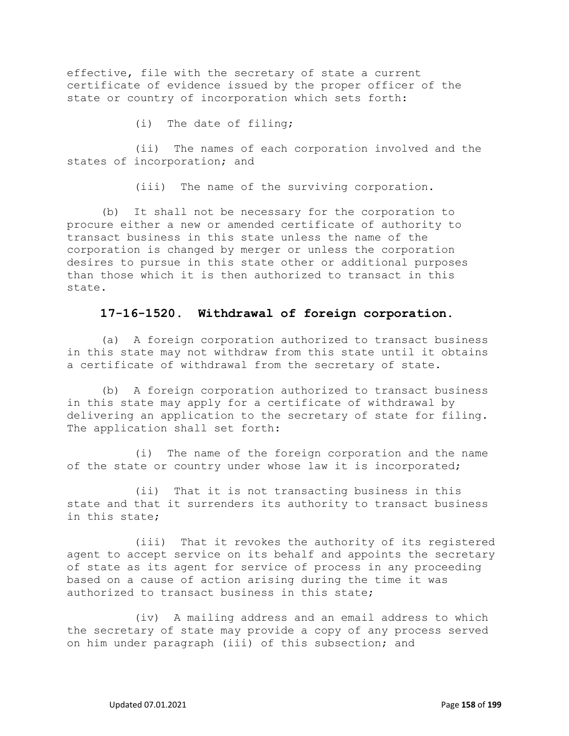effective, file with the secretary of state a current certificate of evidence issued by the proper officer of the state or country of incorporation which sets forth:

(i) The date of filing;

(ii) The names of each corporation involved and the states of incorporation; and

(iii) The name of the surviving corporation.

(b) It shall not be necessary for the corporation to procure either a new or amended certificate of authority to transact business in this state unless the name of the corporation is changed by merger or unless the corporation desires to pursue in this state other or additional purposes than those which it is then authorized to transact in this state.

## **17-16-1520. Withdrawal of foreign corporation.**

(a) A foreign corporation authorized to transact business in this state may not withdraw from this state until it obtains a certificate of withdrawal from the secretary of state.

(b) A foreign corporation authorized to transact business in this state may apply for a certificate of withdrawal by delivering an application to the secretary of state for filing. The application shall set forth:

(i) The name of the foreign corporation and the name of the state or country under whose law it is incorporated;

(ii) That it is not transacting business in this state and that it surrenders its authority to transact business in this state;

(iii) That it revokes the authority of its registered agent to accept service on its behalf and appoints the secretary of state as its agent for service of process in any proceeding based on a cause of action arising during the time it was authorized to transact business in this state;

(iv) A mailing address and an email address to which the secretary of state may provide a copy of any process served on him under paragraph (iii) of this subsection; and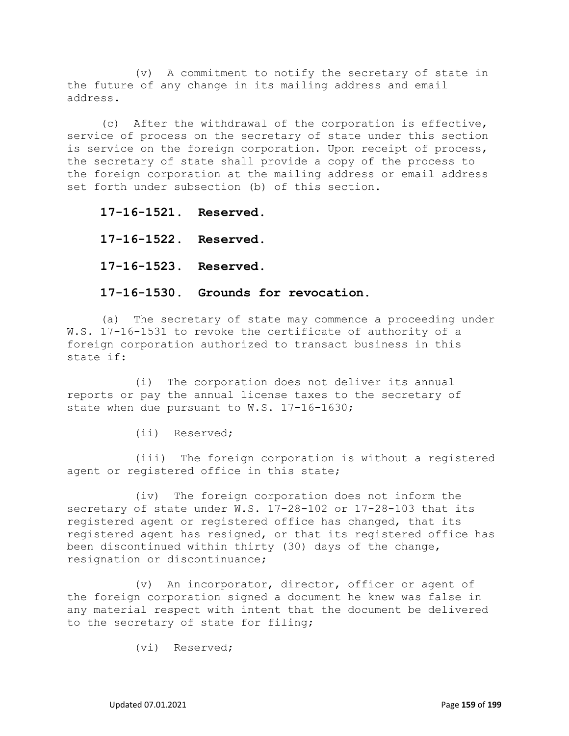(v) A commitment to notify the secretary of state in the future of any change in its mailing address and email address.

(c) After the withdrawal of the corporation is effective, service of process on the secretary of state under this section is service on the foreign corporation. Upon receipt of process, the secretary of state shall provide a copy of the process to the foreign corporation at the mailing address or email address set forth under subsection (b) of this section.

**17-16-1521. Reserved. 17-16-1522. Reserved.**

**17-16-1523. Reserved.**

**17-16-1530. Grounds for revocation.**

(a) The secretary of state may commence a proceeding under W.S. 17-16-1531 to revoke the certificate of authority of a foreign corporation authorized to transact business in this state if:

(i) The corporation does not deliver its annual reports or pay the annual license taxes to the secretary of state when due pursuant to W.S. 17-16-1630;

(ii) Reserved;

(iii) The foreign corporation is without a registered agent or registered office in this state;

(iv) The foreign corporation does not inform the secretary of state under W.S. 17-28-102 or 17-28-103 that its registered agent or registered office has changed, that its registered agent has resigned, or that its registered office has been discontinued within thirty (30) days of the change, resignation or discontinuance;

(v) An incorporator, director, officer or agent of the foreign corporation signed a document he knew was false in any material respect with intent that the document be delivered to the secretary of state for filing;

(vi) Reserved;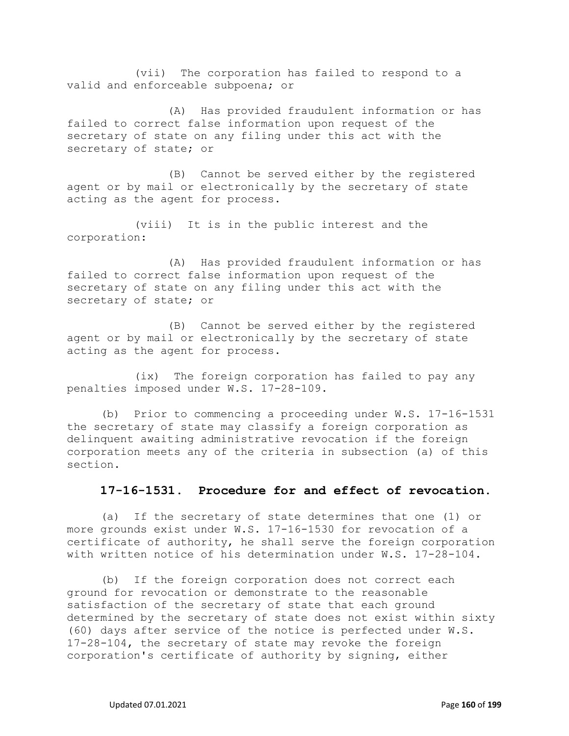(vii) The corporation has failed to respond to a valid and enforceable subpoena; or

(A) Has provided fraudulent information or has failed to correct false information upon request of the secretary of state on any filing under this act with the secretary of state; or

(B) Cannot be served either by the registered agent or by mail or electronically by the secretary of state acting as the agent for process.

(viii) It is in the public interest and the corporation:

(A) Has provided fraudulent information or has failed to correct false information upon request of the secretary of state on any filing under this act with the secretary of state; or

(B) Cannot be served either by the registered agent or by mail or electronically by the secretary of state acting as the agent for process.

(ix) The foreign corporation has failed to pay any penalties imposed under W.S. 17-28-109.

(b) Prior to commencing a proceeding under W.S. 17-16-1531 the secretary of state may classify a foreign corporation as delinquent awaiting administrative revocation if the foreign corporation meets any of the criteria in subsection (a) of this section.

### **17-16-1531. Procedure for and effect of revocation.**

(a) If the secretary of state determines that one (1) or more grounds exist under W.S. 17-16-1530 for revocation of a certificate of authority, he shall serve the foreign corporation with written notice of his determination under W.S. 17-28-104.

(b) If the foreign corporation does not correct each ground for revocation or demonstrate to the reasonable satisfaction of the secretary of state that each ground determined by the secretary of state does not exist within sixty (60) days after service of the notice is perfected under W.S. 17-28-104, the secretary of state may revoke the foreign corporation's certificate of authority by signing, either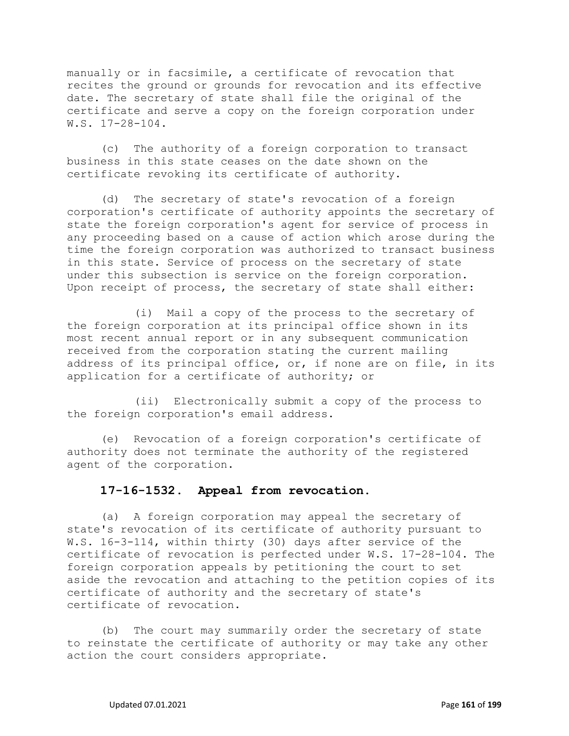manually or in facsimile, a certificate of revocation that recites the ground or grounds for revocation and its effective date. The secretary of state shall file the original of the certificate and serve a copy on the foreign corporation under W.S. 17-28-104.

(c) The authority of a foreign corporation to transact business in this state ceases on the date shown on the certificate revoking its certificate of authority.

(d) The secretary of state's revocation of a foreign corporation's certificate of authority appoints the secretary of state the foreign corporation's agent for service of process in any proceeding based on a cause of action which arose during the time the foreign corporation was authorized to transact business in this state. Service of process on the secretary of state under this subsection is service on the foreign corporation. Upon receipt of process, the secretary of state shall either:

(i) Mail a copy of the process to the secretary of the foreign corporation at its principal office shown in its most recent annual report or in any subsequent communication received from the corporation stating the current mailing address of its principal office, or, if none are on file, in its application for a certificate of authority; or

(ii) Electronically submit a copy of the process to the foreign corporation's email address.

(e) Revocation of a foreign corporation's certificate of authority does not terminate the authority of the registered agent of the corporation.

### **17-16-1532. Appeal from revocation.**

(a) A foreign corporation may appeal the secretary of state's revocation of its certificate of authority pursuant to W.S. 16-3-114, within thirty (30) days after service of the certificate of revocation is perfected under W.S. 17-28-104. The foreign corporation appeals by petitioning the court to set aside the revocation and attaching to the petition copies of its certificate of authority and the secretary of state's certificate of revocation.

(b) The court may summarily order the secretary of state to reinstate the certificate of authority or may take any other action the court considers appropriate.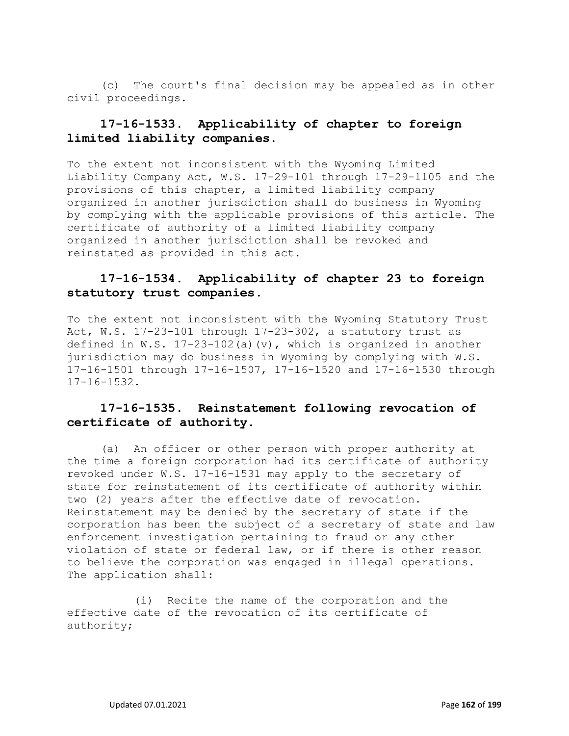(c) The court's final decision may be appealed as in other civil proceedings.

# **17-16-1533. Applicability of chapter to foreign limited liability companies.**

To the extent not inconsistent with the Wyoming Limited Liability Company Act, W.S. 17-29-101 through 17-29-1105 and the provisions of this chapter, a limited liability company organized in another jurisdiction shall do business in Wyoming by complying with the applicable provisions of this article. The certificate of authority of a limited liability company organized in another jurisdiction shall be revoked and reinstated as provided in this act.

# **17-16-1534. Applicability of chapter 23 to foreign statutory trust companies.**

To the extent not inconsistent with the Wyoming Statutory Trust Act, W.S. 17-23-101 through 17-23-302, a statutory trust as defined in W.S.  $17-23-102$  (a) (v), which is organized in another jurisdiction may do business in Wyoming by complying with W.S. 17-16-1501 through 17-16-1507, 17-16-1520 and 17-16-1530 through 17-16-1532.

# **17-16-1535. Reinstatement following revocation of certificate of authority.**

(a) An officer or other person with proper authority at the time a foreign corporation had its certificate of authority revoked under W.S. 17-16-1531 may apply to the secretary of state for reinstatement of its certificate of authority within two (2) years after the effective date of revocation. Reinstatement may be denied by the secretary of state if the corporation has been the subject of a secretary of state and law enforcement investigation pertaining to fraud or any other violation of state or federal law, or if there is other reason to believe the corporation was engaged in illegal operations. The application shall:

(i) Recite the name of the corporation and the effective date of the revocation of its certificate of authority;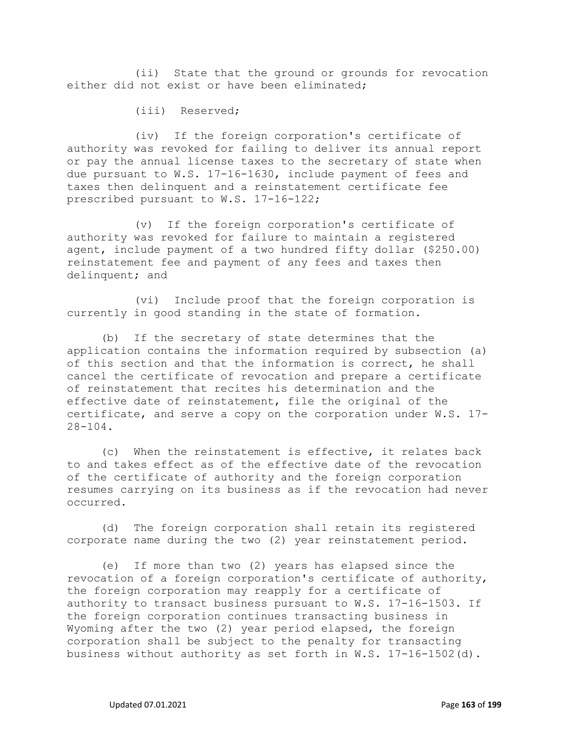(ii) State that the ground or grounds for revocation either did not exist or have been eliminated;

(iii) Reserved;

(iv) If the foreign corporation's certificate of authority was revoked for failing to deliver its annual report or pay the annual license taxes to the secretary of state when due pursuant to W.S. 17-16-1630, include payment of fees and taxes then delinquent and a reinstatement certificate fee prescribed pursuant to W.S. 17-16-122;

(v) If the foreign corporation's certificate of authority was revoked for failure to maintain a registered agent, include payment of a two hundred fifty dollar (\$250.00) reinstatement fee and payment of any fees and taxes then delinquent; and

(vi) Include proof that the foreign corporation is currently in good standing in the state of formation.

(b) If the secretary of state determines that the application contains the information required by subsection (a) of this section and that the information is correct, he shall cancel the certificate of revocation and prepare a certificate of reinstatement that recites his determination and the effective date of reinstatement, file the original of the certificate, and serve a copy on the corporation under W.S. 17-  $28 - 104$ .

(c) When the reinstatement is effective, it relates back to and takes effect as of the effective date of the revocation of the certificate of authority and the foreign corporation resumes carrying on its business as if the revocation had never occurred.

(d) The foreign corporation shall retain its registered corporate name during the two (2) year reinstatement period.

(e) If more than two (2) years has elapsed since the revocation of a foreign corporation's certificate of authority, the foreign corporation may reapply for a certificate of authority to transact business pursuant to W.S. 17-16-1503. If the foreign corporation continues transacting business in Wyoming after the two (2) year period elapsed, the foreign corporation shall be subject to the penalty for transacting business without authority as set forth in W.S. 17-16-1502(d).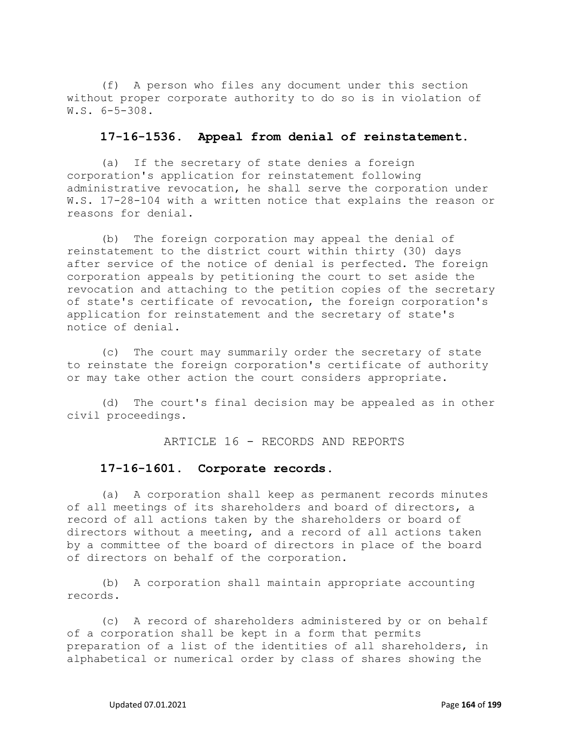(f) A person who files any document under this section without proper corporate authority to do so is in violation of W.S. 6-5-308.

### **17-16-1536. Appeal from denial of reinstatement.**

(a) If the secretary of state denies a foreign corporation's application for reinstatement following administrative revocation, he shall serve the corporation under W.S. 17-28-104 with a written notice that explains the reason or reasons for denial.

(b) The foreign corporation may appeal the denial of reinstatement to the district court within thirty (30) days after service of the notice of denial is perfected. The foreign corporation appeals by petitioning the court to set aside the revocation and attaching to the petition copies of the secretary of state's certificate of revocation, the foreign corporation's application for reinstatement and the secretary of state's notice of denial.

(c) The court may summarily order the secretary of state to reinstate the foreign corporation's certificate of authority or may take other action the court considers appropriate.

(d) The court's final decision may be appealed as in other civil proceedings.

### ARTICLE 16 - RECORDS AND REPORTS

### **17-16-1601. Corporate records.**

(a) A corporation shall keep as permanent records minutes of all meetings of its shareholders and board of directors, a record of all actions taken by the shareholders or board of directors without a meeting, and a record of all actions taken by a committee of the board of directors in place of the board of directors on behalf of the corporation.

(b) A corporation shall maintain appropriate accounting records.

(c) A record of shareholders administered by or on behalf of a corporation shall be kept in a form that permits preparation of a list of the identities of all shareholders, in alphabetical or numerical order by class of shares showing the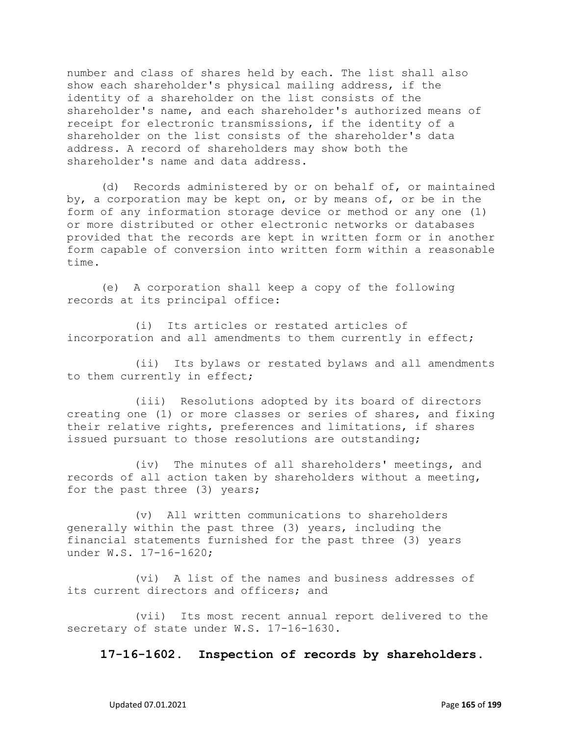number and class of shares held by each. The list shall also show each shareholder's physical mailing address, if the identity of a shareholder on the list consists of the shareholder's name, and each shareholder's authorized means of receipt for electronic transmissions, if the identity of a shareholder on the list consists of the shareholder's data address. A record of shareholders may show both the shareholder's name and data address.

(d) Records administered by or on behalf of, or maintained by, a corporation may be kept on, or by means of, or be in the form of any information storage device or method or any one (1) or more distributed or other electronic networks or databases provided that the records are kept in written form or in another form capable of conversion into written form within a reasonable time.

(e) A corporation shall keep a copy of the following records at its principal office:

(i) Its articles or restated articles of incorporation and all amendments to them currently in effect;

(ii) Its bylaws or restated bylaws and all amendments to them currently in effect;

(iii) Resolutions adopted by its board of directors creating one (1) or more classes or series of shares, and fixing their relative rights, preferences and limitations, if shares issued pursuant to those resolutions are outstanding;

(iv) The minutes of all shareholders' meetings, and records of all action taken by shareholders without a meeting, for the past three (3) years;

(v) All written communications to shareholders generally within the past three (3) years, including the financial statements furnished for the past three (3) years under W.S. 17-16-1620;

(vi) A list of the names and business addresses of its current directors and officers; and

(vii) Its most recent annual report delivered to the secretary of state under W.S. 17-16-1630.

**17-16-1602. Inspection of records by shareholders.**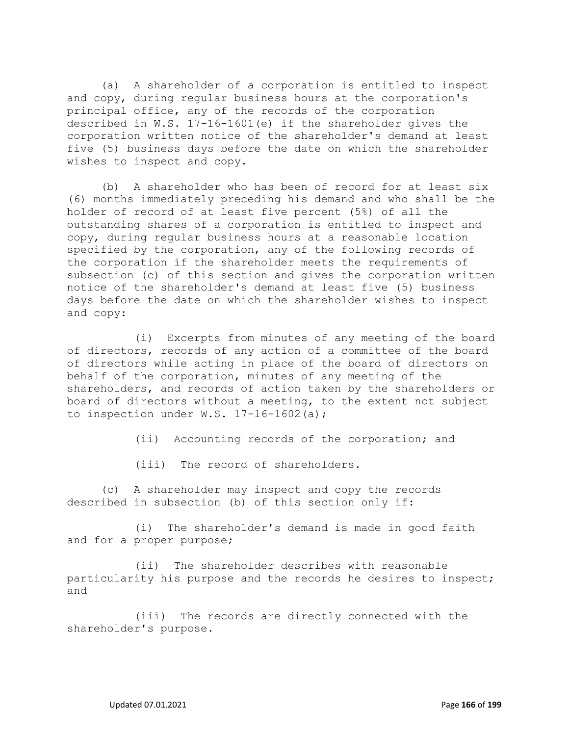(a) A shareholder of a corporation is entitled to inspect and copy, during regular business hours at the corporation's principal office, any of the records of the corporation described in W.S. 17-16-1601(e) if the shareholder gives the corporation written notice of the shareholder's demand at least five (5) business days before the date on which the shareholder wishes to inspect and copy.

(b) A shareholder who has been of record for at least six (6) months immediately preceding his demand and who shall be the holder of record of at least five percent (5%) of all the outstanding shares of a corporation is entitled to inspect and copy, during regular business hours at a reasonable location specified by the corporation, any of the following records of the corporation if the shareholder meets the requirements of subsection (c) of this section and gives the corporation written notice of the shareholder's demand at least five (5) business days before the date on which the shareholder wishes to inspect and copy:

(i) Excerpts from minutes of any meeting of the board of directors, records of any action of a committee of the board of directors while acting in place of the board of directors on behalf of the corporation, minutes of any meeting of the shareholders, and records of action taken by the shareholders or board of directors without a meeting, to the extent not subject to inspection under  $W.S. 17-16-1602(a)$ ;

(ii) Accounting records of the corporation; and

(iii) The record of shareholders.

(c) A shareholder may inspect and copy the records described in subsection (b) of this section only if:

(i) The shareholder's demand is made in good faith and for a proper purpose;

(ii) The shareholder describes with reasonable particularity his purpose and the records he desires to inspect; and

(iii) The records are directly connected with the shareholder's purpose.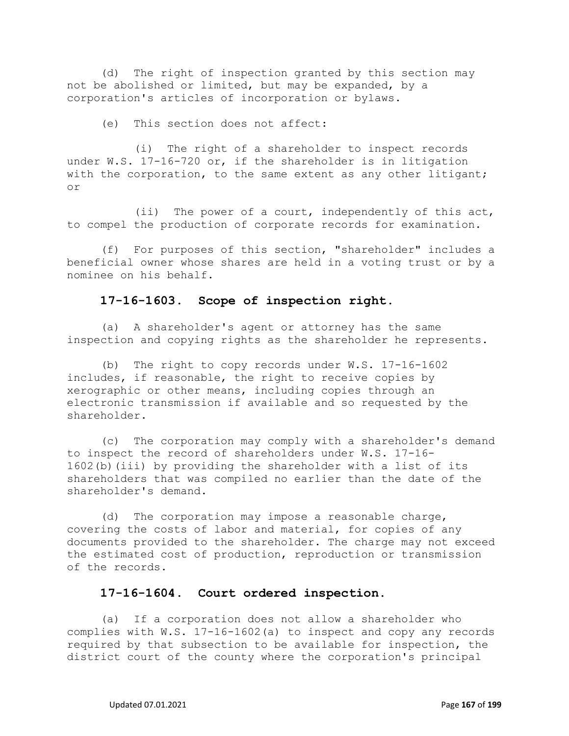(d) The right of inspection granted by this section may not be abolished or limited, but may be expanded, by a corporation's articles of incorporation or bylaws.

(e) This section does not affect:

(i) The right of a shareholder to inspect records under W.S. 17-16-720 or, if the shareholder is in litigation with the corporation, to the same extent as any other litigant; or

(ii) The power of a court, independently of this act, to compel the production of corporate records for examination.

(f) For purposes of this section, "shareholder" includes a beneficial owner whose shares are held in a voting trust or by a nominee on his behalf.

### **17-16-1603. Scope of inspection right.**

(a) A shareholder's agent or attorney has the same inspection and copying rights as the shareholder he represents.

(b) The right to copy records under W.S. 17-16-1602 includes, if reasonable, the right to receive copies by xerographic or other means, including copies through an electronic transmission if available and so requested by the shareholder.

(c) The corporation may comply with a shareholder's demand to inspect the record of shareholders under W.S. 17-16- 1602(b)(iii) by providing the shareholder with a list of its shareholders that was compiled no earlier than the date of the shareholder's demand.

(d) The corporation may impose a reasonable charge, covering the costs of labor and material, for copies of any documents provided to the shareholder. The charge may not exceed the estimated cost of production, reproduction or transmission of the records.

### **17-16-1604. Court ordered inspection.**

(a) If a corporation does not allow a shareholder who complies with W.S. 17-16-1602(a) to inspect and copy any records required by that subsection to be available for inspection, the district court of the county where the corporation's principal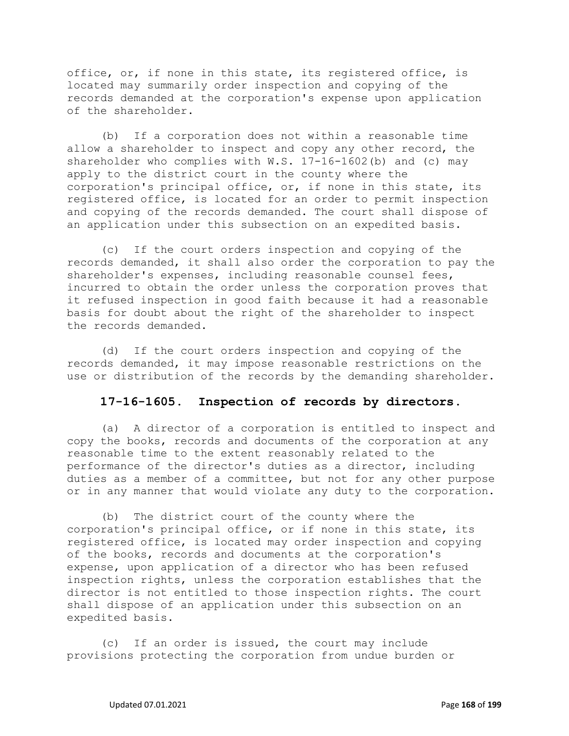office, or, if none in this state, its registered office, is located may summarily order inspection and copying of the records demanded at the corporation's expense upon application of the shareholder.

(b) If a corporation does not within a reasonable time allow a shareholder to inspect and copy any other record, the shareholder who complies with W.S. 17-16-1602(b) and (c) may apply to the district court in the county where the corporation's principal office, or, if none in this state, its registered office, is located for an order to permit inspection and copying of the records demanded. The court shall dispose of an application under this subsection on an expedited basis.

(c) If the court orders inspection and copying of the records demanded, it shall also order the corporation to pay the shareholder's expenses, including reasonable counsel fees, incurred to obtain the order unless the corporation proves that it refused inspection in good faith because it had a reasonable basis for doubt about the right of the shareholder to inspect the records demanded.

(d) If the court orders inspection and copying of the records demanded, it may impose reasonable restrictions on the use or distribution of the records by the demanding shareholder.

### **17-16-1605. Inspection of records by directors.**

(a) A director of a corporation is entitled to inspect and copy the books, records and documents of the corporation at any reasonable time to the extent reasonably related to the performance of the director's duties as a director, including duties as a member of a committee, but not for any other purpose or in any manner that would violate any duty to the corporation.

(b) The district court of the county where the corporation's principal office, or if none in this state, its registered office, is located may order inspection and copying of the books, records and documents at the corporation's expense, upon application of a director who has been refused inspection rights, unless the corporation establishes that the director is not entitled to those inspection rights. The court shall dispose of an application under this subsection on an expedited basis.

(c) If an order is issued, the court may include provisions protecting the corporation from undue burden or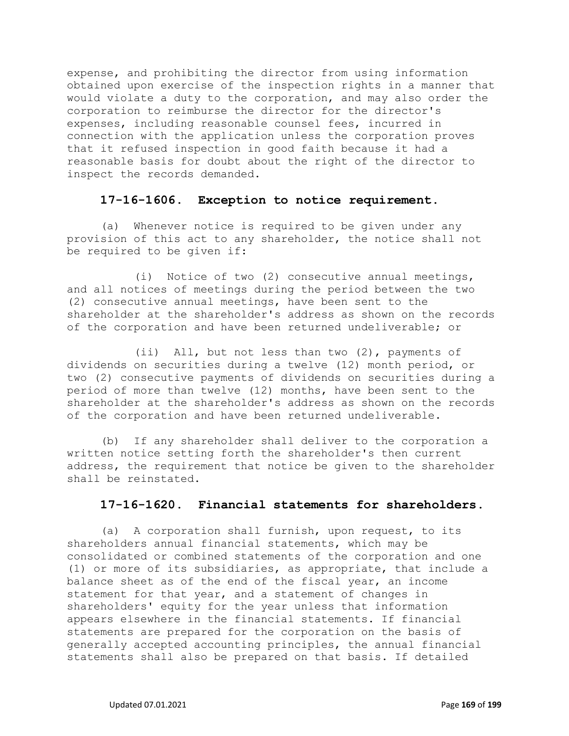expense, and prohibiting the director from using information obtained upon exercise of the inspection rights in a manner that would violate a duty to the corporation, and may also order the corporation to reimburse the director for the director's expenses, including reasonable counsel fees, incurred in connection with the application unless the corporation proves that it refused inspection in good faith because it had a reasonable basis for doubt about the right of the director to inspect the records demanded.

### **17-16-1606. Exception to notice requirement.**

(a) Whenever notice is required to be given under any provision of this act to any shareholder, the notice shall not be required to be given if:

(i) Notice of two (2) consecutive annual meetings, and all notices of meetings during the period between the two (2) consecutive annual meetings, have been sent to the shareholder at the shareholder's address as shown on the records of the corporation and have been returned undeliverable; or

(ii) All, but not less than two (2), payments of dividends on securities during a twelve (12) month period, or two (2) consecutive payments of dividends on securities during a period of more than twelve (12) months, have been sent to the shareholder at the shareholder's address as shown on the records of the corporation and have been returned undeliverable.

(b) If any shareholder shall deliver to the corporation a written notice setting forth the shareholder's then current address, the requirement that notice be given to the shareholder shall be reinstated.

### **17-16-1620. Financial statements for shareholders.**

(a) A corporation shall furnish, upon request, to its shareholders annual financial statements, which may be consolidated or combined statements of the corporation and one (1) or more of its subsidiaries, as appropriate, that include a balance sheet as of the end of the fiscal year, an income statement for that year, and a statement of changes in shareholders' equity for the year unless that information appears elsewhere in the financial statements. If financial statements are prepared for the corporation on the basis of generally accepted accounting principles, the annual financial statements shall also be prepared on that basis. If detailed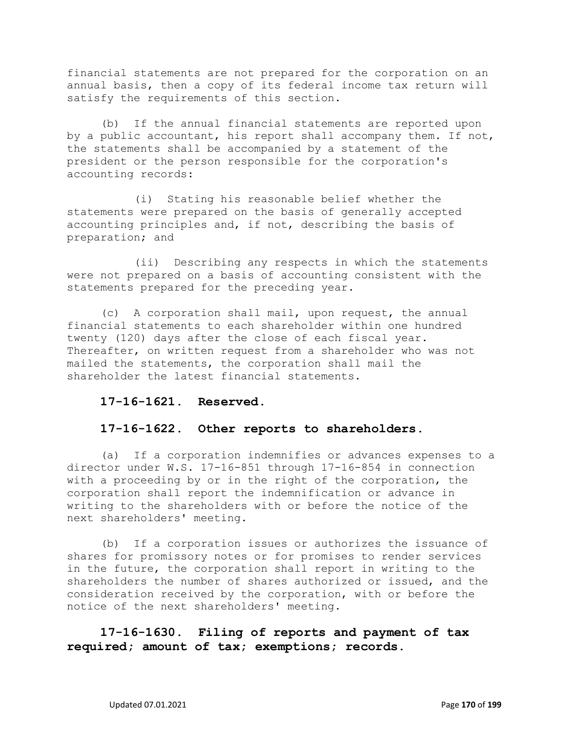financial statements are not prepared for the corporation on an annual basis, then a copy of its federal income tax return will satisfy the requirements of this section.

(b) If the annual financial statements are reported upon by a public accountant, his report shall accompany them. If not, the statements shall be accompanied by a statement of the president or the person responsible for the corporation's accounting records:

(i) Stating his reasonable belief whether the statements were prepared on the basis of generally accepted accounting principles and, if not, describing the basis of preparation; and

(ii) Describing any respects in which the statements were not prepared on a basis of accounting consistent with the statements prepared for the preceding year.

(c) A corporation shall mail, upon request, the annual financial statements to each shareholder within one hundred twenty (120) days after the close of each fiscal year. Thereafter, on written request from a shareholder who was not mailed the statements, the corporation shall mail the shareholder the latest financial statements.

**17-16-1621. Reserved.**

### **17-16-1622. Other reports to shareholders.**

(a) If a corporation indemnifies or advances expenses to a director under W.S. 17-16-851 through 17-16-854 in connection with a proceeding by or in the right of the corporation, the corporation shall report the indemnification or advance in writing to the shareholders with or before the notice of the next shareholders' meeting.

(b) If a corporation issues or authorizes the issuance of shares for promissory notes or for promises to render services in the future, the corporation shall report in writing to the shareholders the number of shares authorized or issued, and the consideration received by the corporation, with or before the notice of the next shareholders' meeting.

**17-16-1630. Filing of reports and payment of tax required; amount of tax; exemptions; records.**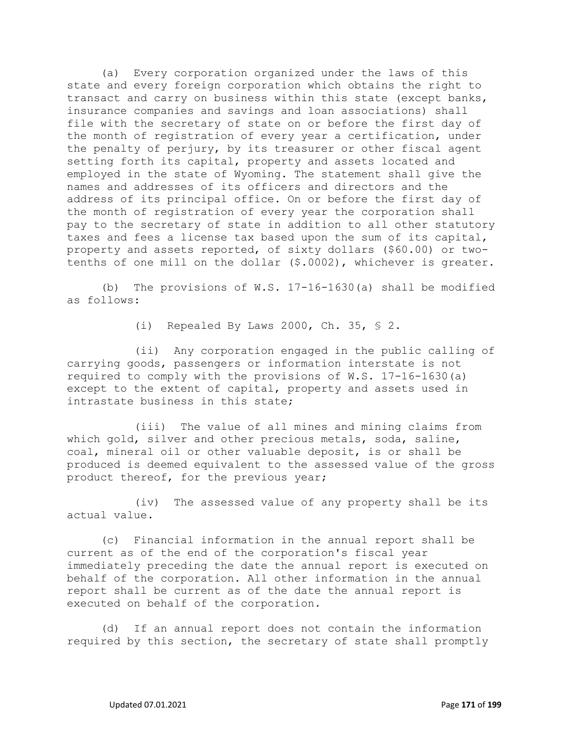(a) Every corporation organized under the laws of this state and every foreign corporation which obtains the right to transact and carry on business within this state (except banks, insurance companies and savings and loan associations) shall file with the secretary of state on or before the first day of the month of registration of every year a certification, under the penalty of perjury, by its treasurer or other fiscal agent setting forth its capital, property and assets located and employed in the state of Wyoming. The statement shall give the names and addresses of its officers and directors and the address of its principal office. On or before the first day of the month of registration of every year the corporation shall pay to the secretary of state in addition to all other statutory taxes and fees a license tax based upon the sum of its capital, property and assets reported, of sixty dollars (\$60.00) or twotenths of one mill on the dollar (\$.0002), whichever is greater.

(b) The provisions of W.S. 17-16-1630(a) shall be modified as follows:

(i) Repealed By Laws 2000, Ch. 35, § 2.

(ii) Any corporation engaged in the public calling of carrying goods, passengers or information interstate is not required to comply with the provisions of W.S. 17-16-1630(a) except to the extent of capital, property and assets used in intrastate business in this state;

(iii) The value of all mines and mining claims from which gold, silver and other precious metals, soda, saline, coal, mineral oil or other valuable deposit, is or shall be produced is deemed equivalent to the assessed value of the gross product thereof, for the previous year;

(iv) The assessed value of any property shall be its actual value.

(c) Financial information in the annual report shall be current as of the end of the corporation's fiscal year immediately preceding the date the annual report is executed on behalf of the corporation. All other information in the annual report shall be current as of the date the annual report is executed on behalf of the corporation.

(d) If an annual report does not contain the information required by this section, the secretary of state shall promptly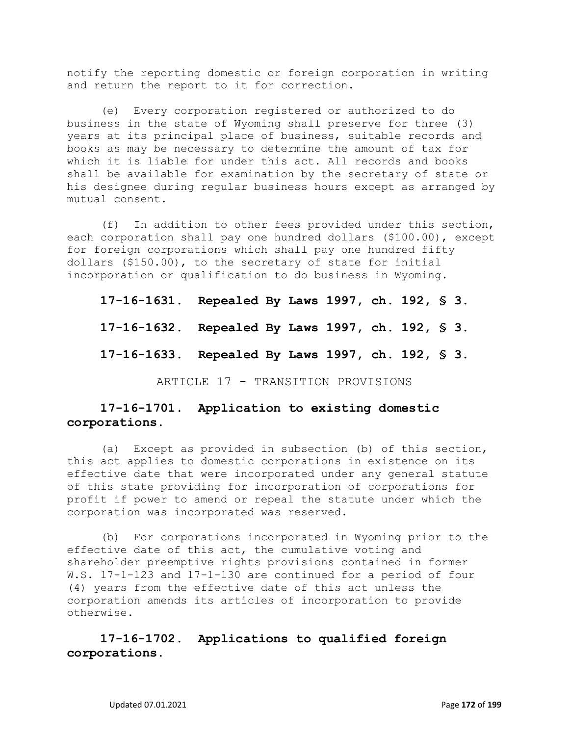notify the reporting domestic or foreign corporation in writing and return the report to it for correction.

(e) Every corporation registered or authorized to do business in the state of Wyoming shall preserve for three (3) years at its principal place of business, suitable records and books as may be necessary to determine the amount of tax for which it is liable for under this act. All records and books shall be available for examination by the secretary of state or his designee during regular business hours except as arranged by mutual consent.

(f) In addition to other fees provided under this section, each corporation shall pay one hundred dollars (\$100.00), except for foreign corporations which shall pay one hundred fifty dollars (\$150.00), to the secretary of state for initial incorporation or qualification to do business in Wyoming.

**17-16-1631. Repealed By Laws 1997, ch. 192, § 3. 17-16-1632. Repealed By Laws 1997, ch. 192, § 3. 17-16-1633. Repealed By Laws 1997, ch. 192, § 3.**

ARTICLE 17 - TRANSITION PROVISIONS

# **17-16-1701. Application to existing domestic corporations.**

(a) Except as provided in subsection (b) of this section, this act applies to domestic corporations in existence on its effective date that were incorporated under any general statute of this state providing for incorporation of corporations for profit if power to amend or repeal the statute under which the corporation was incorporated was reserved.

(b) For corporations incorporated in Wyoming prior to the effective date of this act, the cumulative voting and shareholder preemptive rights provisions contained in former W.S. 17-1-123 and 17-1-130 are continued for a period of four (4) years from the effective date of this act unless the corporation amends its articles of incorporation to provide otherwise.

**17-16-1702. Applications to qualified foreign corporations.**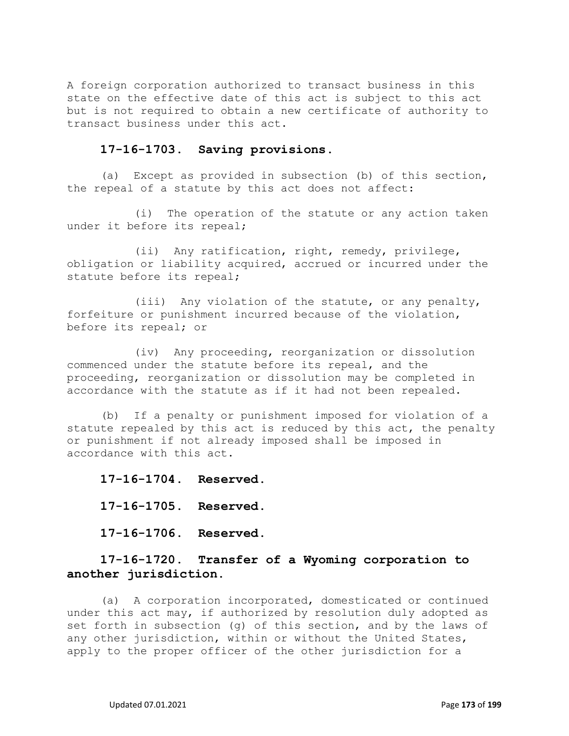A foreign corporation authorized to transact business in this state on the effective date of this act is subject to this act but is not required to obtain a new certificate of authority to transact business under this act.

### **17-16-1703. Saving provisions.**

(a) Except as provided in subsection (b) of this section, the repeal of a statute by this act does not affect:

(i) The operation of the statute or any action taken under it before its repeal;

(ii) Any ratification, right, remedy, privilege, obligation or liability acquired, accrued or incurred under the statute before its repeal;

(iii) Any violation of the statute, or any penalty, forfeiture or punishment incurred because of the violation, before its repeal; or

(iv) Any proceeding, reorganization or dissolution commenced under the statute before its repeal, and the proceeding, reorganization or dissolution may be completed in accordance with the statute as if it had not been repealed.

(b) If a penalty or punishment imposed for violation of a statute repealed by this act is reduced by this act, the penalty or punishment if not already imposed shall be imposed in accordance with this act.

**17-16-1704. Reserved.**

**17-16-1705. Reserved.**

**17-16-1706. Reserved.**

# **17-16-1720. Transfer of a Wyoming corporation to another jurisdiction.**

(a) A corporation incorporated, domesticated or continued under this act may, if authorized by resolution duly adopted as set forth in subsection (g) of this section, and by the laws of any other jurisdiction, within or without the United States, apply to the proper officer of the other jurisdiction for a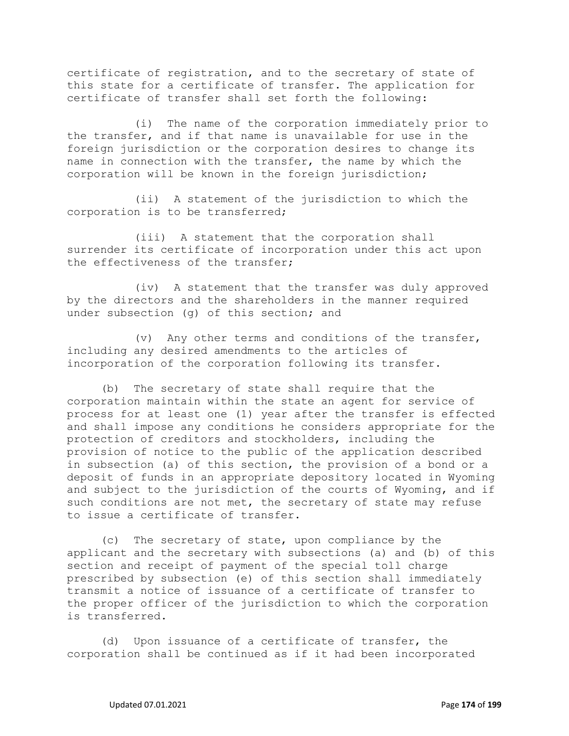certificate of registration, and to the secretary of state of this state for a certificate of transfer. The application for certificate of transfer shall set forth the following:

(i) The name of the corporation immediately prior to the transfer, and if that name is unavailable for use in the foreign jurisdiction or the corporation desires to change its name in connection with the transfer, the name by which the corporation will be known in the foreign jurisdiction;

(ii) A statement of the jurisdiction to which the corporation is to be transferred;

(iii) A statement that the corporation shall surrender its certificate of incorporation under this act upon the effectiveness of the transfer;

(iv) A statement that the transfer was duly approved by the directors and the shareholders in the manner required under subsection (g) of this section; and

(v) Any other terms and conditions of the transfer, including any desired amendments to the articles of incorporation of the corporation following its transfer.

(b) The secretary of state shall require that the corporation maintain within the state an agent for service of process for at least one (1) year after the transfer is effected and shall impose any conditions he considers appropriate for the protection of creditors and stockholders, including the provision of notice to the public of the application described in subsection (a) of this section, the provision of a bond or a deposit of funds in an appropriate depository located in Wyoming and subject to the jurisdiction of the courts of Wyoming, and if such conditions are not met, the secretary of state may refuse to issue a certificate of transfer.

(c) The secretary of state, upon compliance by the applicant and the secretary with subsections (a) and (b) of this section and receipt of payment of the special toll charge prescribed by subsection (e) of this section shall immediately transmit a notice of issuance of a certificate of transfer to the proper officer of the jurisdiction to which the corporation is transferred.

(d) Upon issuance of a certificate of transfer, the corporation shall be continued as if it had been incorporated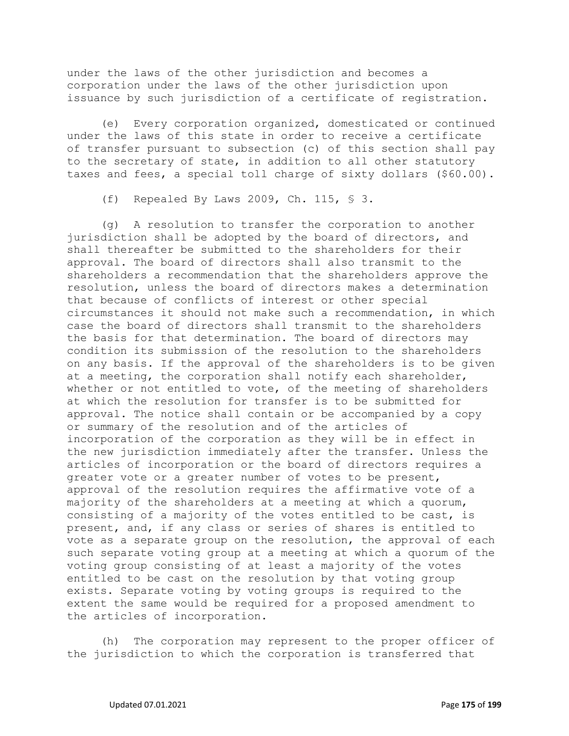under the laws of the other jurisdiction and becomes a corporation under the laws of the other jurisdiction upon issuance by such jurisdiction of a certificate of registration.

(e) Every corporation organized, domesticated or continued under the laws of this state in order to receive a certificate of transfer pursuant to subsection (c) of this section shall pay to the secretary of state, in addition to all other statutory taxes and fees, a special toll charge of sixty dollars (\$60.00).

(f) Repealed By Laws 2009, Ch. 115, § 3.

(g) A resolution to transfer the corporation to another jurisdiction shall be adopted by the board of directors, and shall thereafter be submitted to the shareholders for their approval. The board of directors shall also transmit to the shareholders a recommendation that the shareholders approve the resolution, unless the board of directors makes a determination that because of conflicts of interest or other special circumstances it should not make such a recommendation, in which case the board of directors shall transmit to the shareholders the basis for that determination. The board of directors may condition its submission of the resolution to the shareholders on any basis. If the approval of the shareholders is to be given at a meeting, the corporation shall notify each shareholder, whether or not entitled to vote, of the meeting of shareholders at which the resolution for transfer is to be submitted for approval. The notice shall contain or be accompanied by a copy or summary of the resolution and of the articles of incorporation of the corporation as they will be in effect in the new jurisdiction immediately after the transfer. Unless the articles of incorporation or the board of directors requires a greater vote or a greater number of votes to be present, approval of the resolution requires the affirmative vote of a majority of the shareholders at a meeting at which a quorum, consisting of a majority of the votes entitled to be cast, is present, and, if any class or series of shares is entitled to vote as a separate group on the resolution, the approval of each such separate voting group at a meeting at which a quorum of the voting group consisting of at least a majority of the votes entitled to be cast on the resolution by that voting group exists. Separate voting by voting groups is required to the extent the same would be required for a proposed amendment to the articles of incorporation.

(h) The corporation may represent to the proper officer of the jurisdiction to which the corporation is transferred that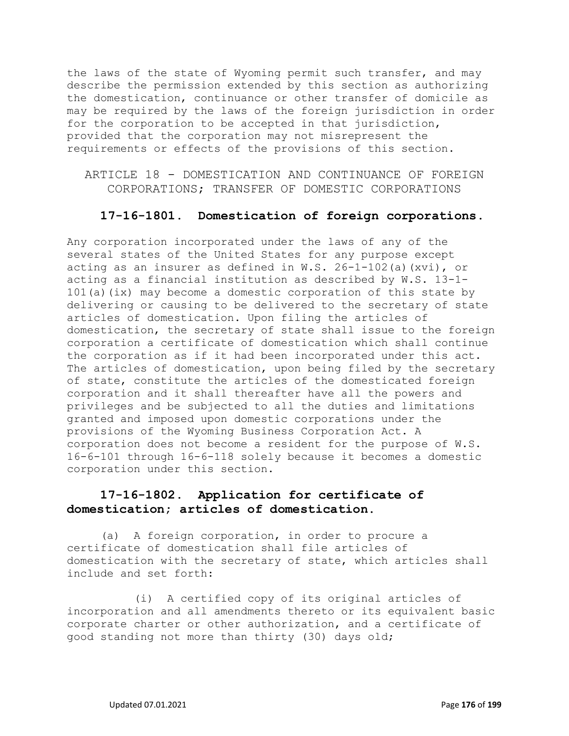the laws of the state of Wyoming permit such transfer, and may describe the permission extended by this section as authorizing the domestication, continuance or other transfer of domicile as may be required by the laws of the foreign jurisdiction in order for the corporation to be accepted in that jurisdiction, provided that the corporation may not misrepresent the requirements or effects of the provisions of this section.

## ARTICLE 18 - DOMESTICATION AND CONTINUANCE OF FOREIGN CORPORATIONS; TRANSFER OF DOMESTIC CORPORATIONS

### **17-16-1801. Domestication of foreign corporations.**

Any corporation incorporated under the laws of any of the several states of the United States for any purpose except acting as an insurer as defined in W.S.  $26-1-102$  (a) (xvi), or acting as a financial institution as described by W.S. 13-1- 101(a)(ix) may become a domestic corporation of this state by delivering or causing to be delivered to the secretary of state articles of domestication. Upon filing the articles of domestication, the secretary of state shall issue to the foreign corporation a certificate of domestication which shall continue the corporation as if it had been incorporated under this act. The articles of domestication, upon being filed by the secretary of state, constitute the articles of the domesticated foreign corporation and it shall thereafter have all the powers and privileges and be subjected to all the duties and limitations granted and imposed upon domestic corporations under the provisions of the Wyoming Business Corporation Act. A corporation does not become a resident for the purpose of W.S. 16-6-101 through 16-6-118 solely because it becomes a domestic corporation under this section.

# **17-16-1802. Application for certificate of domestication; articles of domestication.**

(a) A foreign corporation, in order to procure a certificate of domestication shall file articles of domestication with the secretary of state, which articles shall include and set forth:

(i) A certified copy of its original articles of incorporation and all amendments thereto or its equivalent basic corporate charter or other authorization, and a certificate of good standing not more than thirty (30) days old;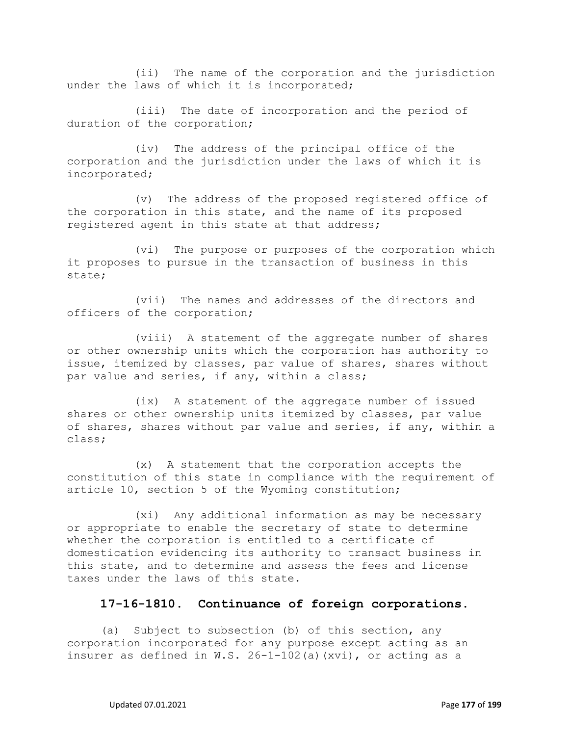(ii) The name of the corporation and the jurisdiction under the laws of which it is incorporated;

(iii) The date of incorporation and the period of duration of the corporation;

(iv) The address of the principal office of the corporation and the jurisdiction under the laws of which it is incorporated;

(v) The address of the proposed registered office of the corporation in this state, and the name of its proposed registered agent in this state at that address;

(vi) The purpose or purposes of the corporation which it proposes to pursue in the transaction of business in this state;

(vii) The names and addresses of the directors and officers of the corporation;

(viii) A statement of the aggregate number of shares or other ownership units which the corporation has authority to issue, itemized by classes, par value of shares, shares without par value and series, if any, within a class;

(ix) A statement of the aggregate number of issued shares or other ownership units itemized by classes, par value of shares, shares without par value and series, if any, within a class;

(x) A statement that the corporation accepts the constitution of this state in compliance with the requirement of article 10, section 5 of the Wyoming constitution;

(xi) Any additional information as may be necessary or appropriate to enable the secretary of state to determine whether the corporation is entitled to a certificate of domestication evidencing its authority to transact business in this state, and to determine and assess the fees and license taxes under the laws of this state.

### **17-16-1810. Continuance of foreign corporations.**

(a) Subject to subsection (b) of this section, any corporation incorporated for any purpose except acting as an insurer as defined in W.S. 26-1-102(a)(xvi), or acting as a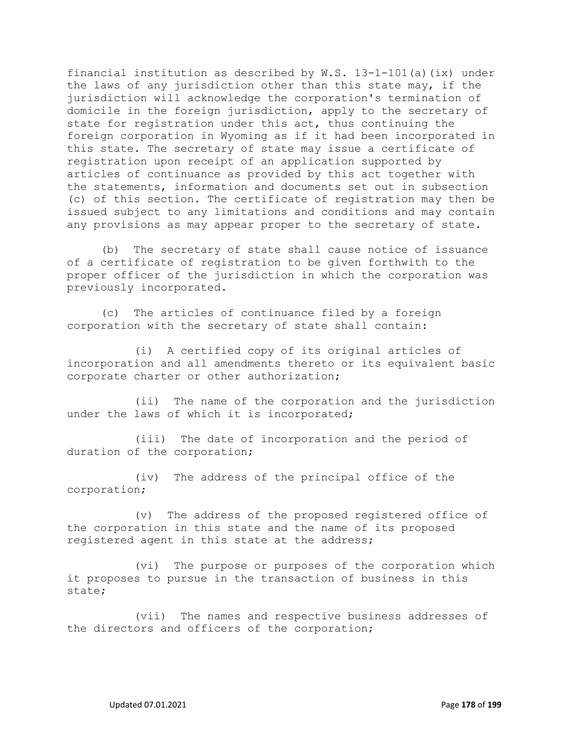financial institution as described by  $W.S. 13-1-101(a)$  (ix) under the laws of any jurisdiction other than this state may, if the jurisdiction will acknowledge the corporation's termination of domicile in the foreign jurisdiction, apply to the secretary of state for registration under this act, thus continuing the foreign corporation in Wyoming as if it had been incorporated in this state. The secretary of state may issue a certificate of registration upon receipt of an application supported by articles of continuance as provided by this act together with the statements, information and documents set out in subsection (c) of this section. The certificate of registration may then be issued subject to any limitations and conditions and may contain any provisions as may appear proper to the secretary of state.

(b) The secretary of state shall cause notice of issuance of a certificate of registration to be given forthwith to the proper officer of the jurisdiction in which the corporation was previously incorporated.

(c) The articles of continuance filed by a foreign corporation with the secretary of state shall contain:

(i) A certified copy of its original articles of incorporation and all amendments thereto or its equivalent basic corporate charter or other authorization;

(ii) The name of the corporation and the jurisdiction under the laws of which it is incorporated;

(iii) The date of incorporation and the period of duration of the corporation;

(iv) The address of the principal office of the corporation;

(v) The address of the proposed registered office of the corporation in this state and the name of its proposed registered agent in this state at the address;

(vi) The purpose or purposes of the corporation which it proposes to pursue in the transaction of business in this state;

(vii) The names and respective business addresses of the directors and officers of the corporation;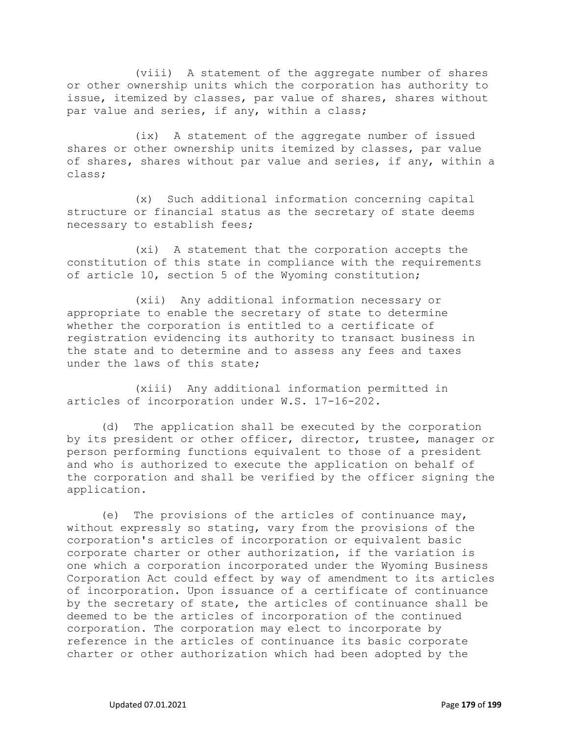(viii) A statement of the aggregate number of shares or other ownership units which the corporation has authority to issue, itemized by classes, par value of shares, shares without par value and series, if any, within a class;

(ix) A statement of the aggregate number of issued shares or other ownership units itemized by classes, par value of shares, shares without par value and series, if any, within a class;

(x) Such additional information concerning capital structure or financial status as the secretary of state deems necessary to establish fees;

(xi) A statement that the corporation accepts the constitution of this state in compliance with the requirements of article 10, section 5 of the Wyoming constitution;

(xii) Any additional information necessary or appropriate to enable the secretary of state to determine whether the corporation is entitled to a certificate of registration evidencing its authority to transact business in the state and to determine and to assess any fees and taxes under the laws of this state;

(xiii) Any additional information permitted in articles of incorporation under W.S. 17-16-202.

(d) The application shall be executed by the corporation by its president or other officer, director, trustee, manager or person performing functions equivalent to those of a president and who is authorized to execute the application on behalf of the corporation and shall be verified by the officer signing the application.

(e) The provisions of the articles of continuance may, without expressly so stating, vary from the provisions of the corporation's articles of incorporation or equivalent basic corporate charter or other authorization, if the variation is one which a corporation incorporated under the Wyoming Business Corporation Act could effect by way of amendment to its articles of incorporation. Upon issuance of a certificate of continuance by the secretary of state, the articles of continuance shall be deemed to be the articles of incorporation of the continued corporation. The corporation may elect to incorporate by reference in the articles of continuance its basic corporate charter or other authorization which had been adopted by the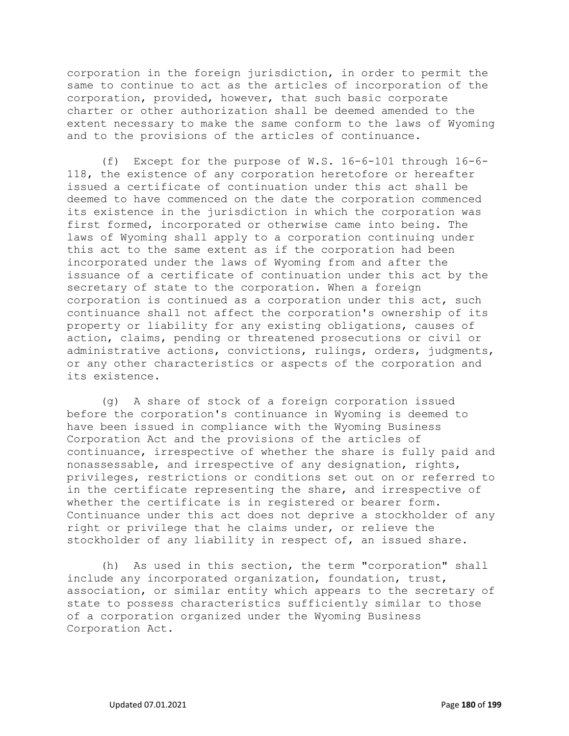corporation in the foreign jurisdiction, in order to permit the same to continue to act as the articles of incorporation of the corporation, provided, however, that such basic corporate charter or other authorization shall be deemed amended to the extent necessary to make the same conform to the laws of Wyoming and to the provisions of the articles of continuance.

(f) Except for the purpose of W.S. 16-6-101 through 16-6- 118, the existence of any corporation heretofore or hereafter issued a certificate of continuation under this act shall be deemed to have commenced on the date the corporation commenced its existence in the jurisdiction in which the corporation was first formed, incorporated or otherwise came into being. The laws of Wyoming shall apply to a corporation continuing under this act to the same extent as if the corporation had been incorporated under the laws of Wyoming from and after the issuance of a certificate of continuation under this act by the secretary of state to the corporation. When a foreign corporation is continued as a corporation under this act, such continuance shall not affect the corporation's ownership of its property or liability for any existing obligations, causes of action, claims, pending or threatened prosecutions or civil or administrative actions, convictions, rulings, orders, judgments, or any other characteristics or aspects of the corporation and its existence.

(g) A share of stock of a foreign corporation issued before the corporation's continuance in Wyoming is deemed to have been issued in compliance with the Wyoming Business Corporation Act and the provisions of the articles of continuance, irrespective of whether the share is fully paid and nonassessable, and irrespective of any designation, rights, privileges, restrictions or conditions set out on or referred to in the certificate representing the share, and irrespective of whether the certificate is in registered or bearer form. Continuance under this act does not deprive a stockholder of any right or privilege that he claims under, or relieve the stockholder of any liability in respect of, an issued share.

(h) As used in this section, the term "corporation" shall include any incorporated organization, foundation, trust, association, or similar entity which appears to the secretary of state to possess characteristics sufficiently similar to those of a corporation organized under the Wyoming Business Corporation Act.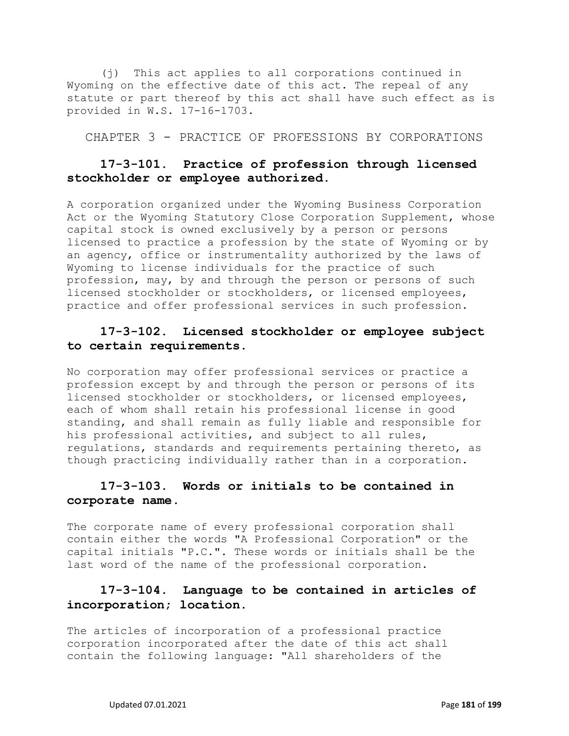(j) This act applies to all corporations continued in Wyoming on the effective date of this act. The repeal of any statute or part thereof by this act shall have such effect as is provided in W.S. 17-16-1703.

CHAPTER 3 - PRACTICE OF PROFESSIONS BY CORPORATIONS

# **17-3-101. Practice of profession through licensed stockholder or employee authorized.**

A corporation organized under the Wyoming Business Corporation Act or the Wyoming Statutory Close Corporation Supplement, whose capital stock is owned exclusively by a person or persons licensed to practice a profession by the state of Wyoming or by an agency, office or instrumentality authorized by the laws of Wyoming to license individuals for the practice of such profession, may, by and through the person or persons of such licensed stockholder or stockholders, or licensed employees, practice and offer professional services in such profession.

## **17-3-102. Licensed stockholder or employee subject to certain requirements.**

No corporation may offer professional services or practice a profession except by and through the person or persons of its licensed stockholder or stockholders, or licensed employees, each of whom shall retain his professional license in good standing, and shall remain as fully liable and responsible for his professional activities, and subject to all rules, regulations, standards and requirements pertaining thereto, as though practicing individually rather than in a corporation.

# **17-3-103. Words or initials to be contained in corporate name.**

The corporate name of every professional corporation shall contain either the words "A Professional Corporation" or the capital initials "P.C.". These words or initials shall be the last word of the name of the professional corporation.

# **17-3-104. Language to be contained in articles of incorporation; location.**

The articles of incorporation of a professional practice corporation incorporated after the date of this act shall contain the following language: "All shareholders of the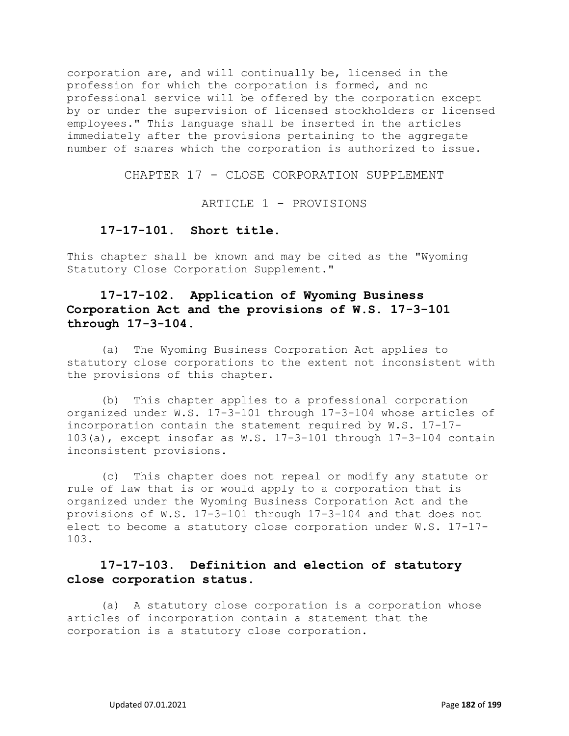corporation are, and will continually be, licensed in the profession for which the corporation is formed, and no professional service will be offered by the corporation except by or under the supervision of licensed stockholders or licensed employees." This language shall be inserted in the articles immediately after the provisions pertaining to the aggregate number of shares which the corporation is authorized to issue.

CHAPTER 17 - CLOSE CORPORATION SUPPLEMENT

ARTICLE 1 - PROVISIONS

### **17-17-101. Short title.**

This chapter shall be known and may be cited as the "Wyoming Statutory Close Corporation Supplement."

# **17-17-102. Application of Wyoming Business Corporation Act and the provisions of W.S. 17-3-101 through 17-3-104.**

(a) The Wyoming Business Corporation Act applies to statutory close corporations to the extent not inconsistent with the provisions of this chapter.

(b) This chapter applies to a professional corporation organized under W.S. 17-3-101 through 17-3-104 whose articles of incorporation contain the statement required by W.S. 17-17- 103(a), except insofar as W.S. 17-3-101 through 17-3-104 contain inconsistent provisions.

(c) This chapter does not repeal or modify any statute or rule of law that is or would apply to a corporation that is organized under the Wyoming Business Corporation Act and the provisions of W.S. 17-3-101 through 17-3-104 and that does not elect to become a statutory close corporation under W.S. 17-17- 103.

# **17-17-103. Definition and election of statutory close corporation status.**

(a) A statutory close corporation is a corporation whose articles of incorporation contain a statement that the corporation is a statutory close corporation.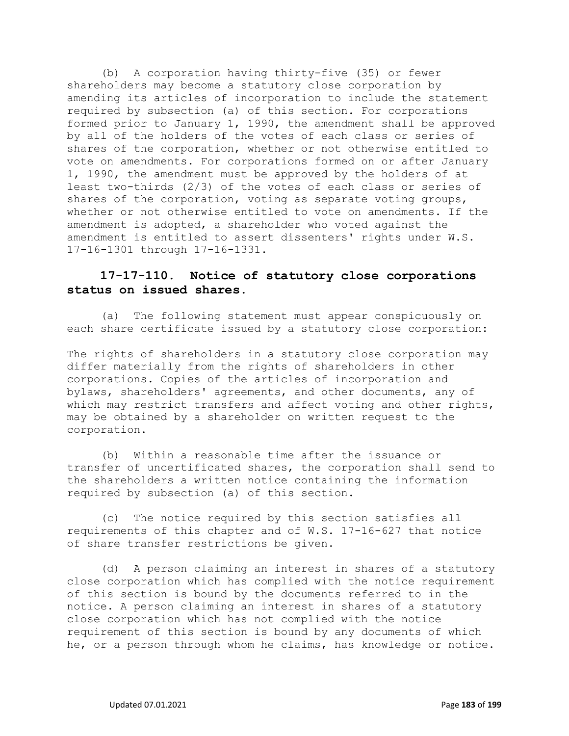(b) A corporation having thirty-five (35) or fewer shareholders may become a statutory close corporation by amending its articles of incorporation to include the statement required by subsection (a) of this section. For corporations formed prior to January 1, 1990, the amendment shall be approved by all of the holders of the votes of each class or series of shares of the corporation, whether or not otherwise entitled to vote on amendments. For corporations formed on or after January 1, 1990, the amendment must be approved by the holders of at least two-thirds (2/3) of the votes of each class or series of shares of the corporation, voting as separate voting groups, whether or not otherwise entitled to vote on amendments. If the amendment is adopted, a shareholder who voted against the amendment is entitled to assert dissenters' rights under W.S. 17-16-1301 through 17-16-1331.

## **17-17-110. Notice of statutory close corporations status on issued shares.**

(a) The following statement must appear conspicuously on each share certificate issued by a statutory close corporation:

The rights of shareholders in a statutory close corporation may differ materially from the rights of shareholders in other corporations. Copies of the articles of incorporation and bylaws, shareholders' agreements, and other documents, any of which may restrict transfers and affect voting and other rights, may be obtained by a shareholder on written request to the corporation.

(b) Within a reasonable time after the issuance or transfer of uncertificated shares, the corporation shall send to the shareholders a written notice containing the information required by subsection (a) of this section.

(c) The notice required by this section satisfies all requirements of this chapter and of W.S. 17-16-627 that notice of share transfer restrictions be given.

(d) A person claiming an interest in shares of a statutory close corporation which has complied with the notice requirement of this section is bound by the documents referred to in the notice. A person claiming an interest in shares of a statutory close corporation which has not complied with the notice requirement of this section is bound by any documents of which he, or a person through whom he claims, has knowledge or notice.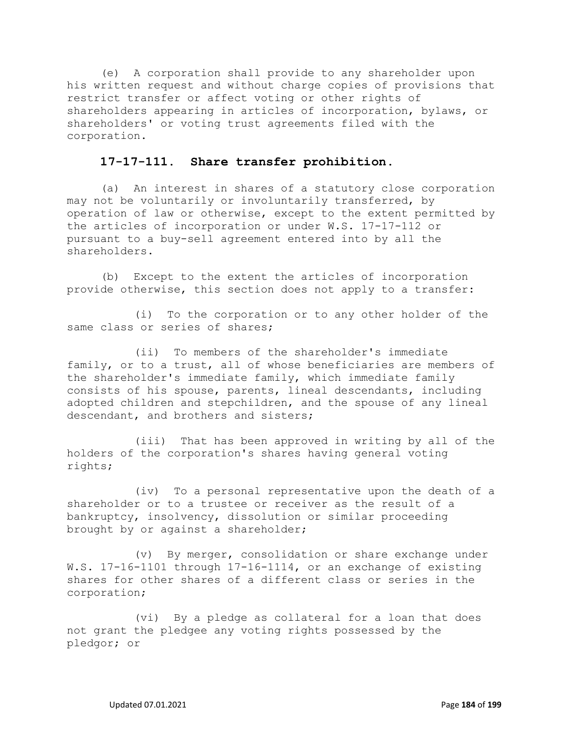(e) A corporation shall provide to any shareholder upon his written request and without charge copies of provisions that restrict transfer or affect voting or other rights of shareholders appearing in articles of incorporation, bylaws, or shareholders' or voting trust agreements filed with the corporation.

### **17-17-111. Share transfer prohibition.**

(a) An interest in shares of a statutory close corporation may not be voluntarily or involuntarily transferred, by operation of law or otherwise, except to the extent permitted by the articles of incorporation or under W.S. 17-17-112 or pursuant to a buy-sell agreement entered into by all the shareholders.

(b) Except to the extent the articles of incorporation provide otherwise, this section does not apply to a transfer:

(i) To the corporation or to any other holder of the same class or series of shares;

(ii) To members of the shareholder's immediate family, or to a trust, all of whose beneficiaries are members of the shareholder's immediate family, which immediate family consists of his spouse, parents, lineal descendants, including adopted children and stepchildren, and the spouse of any lineal descendant, and brothers and sisters;

(iii) That has been approved in writing by all of the holders of the corporation's shares having general voting rights;

(iv) To a personal representative upon the death of a shareholder or to a trustee or receiver as the result of a bankruptcy, insolvency, dissolution or similar proceeding brought by or against a shareholder;

(v) By merger, consolidation or share exchange under W.S. 17-16-1101 through 17-16-1114, or an exchange of existing shares for other shares of a different class or series in the corporation;

(vi) By a pledge as collateral for a loan that does not grant the pledgee any voting rights possessed by the pledgor; or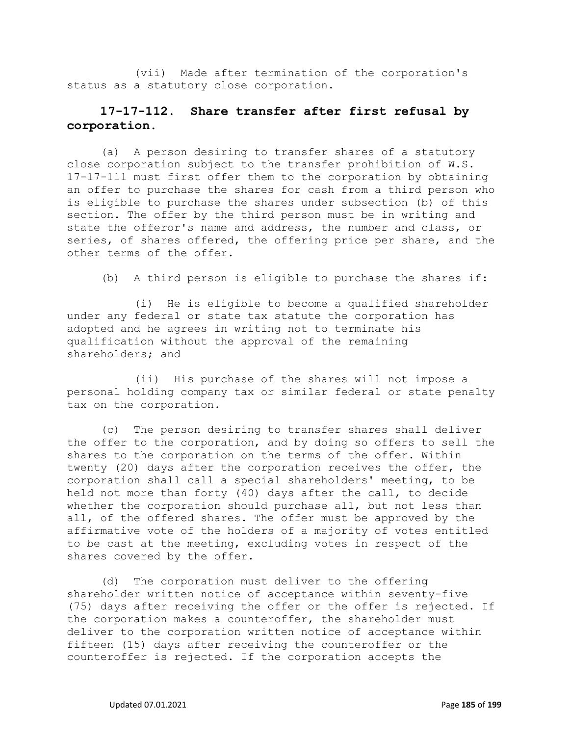(vii) Made after termination of the corporation's status as a statutory close corporation.

## **17-17-112. Share transfer after first refusal by corporation.**

(a) A person desiring to transfer shares of a statutory close corporation subject to the transfer prohibition of W.S. 17-17-111 must first offer them to the corporation by obtaining an offer to purchase the shares for cash from a third person who is eligible to purchase the shares under subsection (b) of this section. The offer by the third person must be in writing and state the offeror's name and address, the number and class, or series, of shares offered, the offering price per share, and the other terms of the offer.

(b) A third person is eligible to purchase the shares if:

(i) He is eligible to become a qualified shareholder under any federal or state tax statute the corporation has adopted and he agrees in writing not to terminate his qualification without the approval of the remaining shareholders; and

(ii) His purchase of the shares will not impose a personal holding company tax or similar federal or state penalty tax on the corporation.

(c) The person desiring to transfer shares shall deliver the offer to the corporation, and by doing so offers to sell the shares to the corporation on the terms of the offer. Within twenty (20) days after the corporation receives the offer, the corporation shall call a special shareholders' meeting, to be held not more than forty (40) days after the call, to decide whether the corporation should purchase all, but not less than all, of the offered shares. The offer must be approved by the affirmative vote of the holders of a majority of votes entitled to be cast at the meeting, excluding votes in respect of the shares covered by the offer.

(d) The corporation must deliver to the offering shareholder written notice of acceptance within seventy-five (75) days after receiving the offer or the offer is rejected. If the corporation makes a counteroffer, the shareholder must deliver to the corporation written notice of acceptance within fifteen (15) days after receiving the counteroffer or the counteroffer is rejected. If the corporation accepts the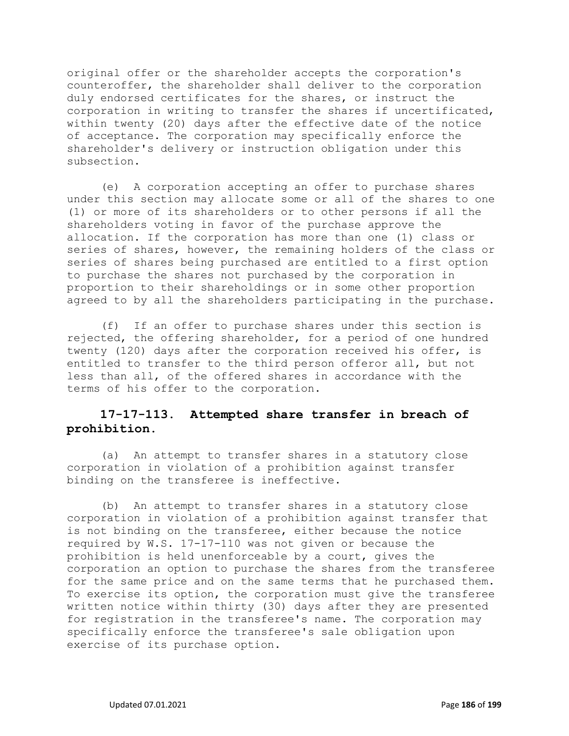original offer or the shareholder accepts the corporation's counteroffer, the shareholder shall deliver to the corporation duly endorsed certificates for the shares, or instruct the corporation in writing to transfer the shares if uncertificated, within twenty (20) days after the effective date of the notice of acceptance. The corporation may specifically enforce the shareholder's delivery or instruction obligation under this subsection.

(e) A corporation accepting an offer to purchase shares under this section may allocate some or all of the shares to one (1) or more of its shareholders or to other persons if all the shareholders voting in favor of the purchase approve the allocation. If the corporation has more than one (1) class or series of shares, however, the remaining holders of the class or series of shares being purchased are entitled to a first option to purchase the shares not purchased by the corporation in proportion to their shareholdings or in some other proportion agreed to by all the shareholders participating in the purchase.

(f) If an offer to purchase shares under this section is rejected, the offering shareholder, for a period of one hundred twenty (120) days after the corporation received his offer, is entitled to transfer to the third person offeror all, but not less than all, of the offered shares in accordance with the terms of his offer to the corporation.

# **17-17-113. Attempted share transfer in breach of prohibition.**

(a) An attempt to transfer shares in a statutory close corporation in violation of a prohibition against transfer binding on the transferee is ineffective.

(b) An attempt to transfer shares in a statutory close corporation in violation of a prohibition against transfer that is not binding on the transferee, either because the notice required by W.S. 17-17-110 was not given or because the prohibition is held unenforceable by a court, gives the corporation an option to purchase the shares from the transferee for the same price and on the same terms that he purchased them. To exercise its option, the corporation must give the transferee written notice within thirty (30) days after they are presented for registration in the transferee's name. The corporation may specifically enforce the transferee's sale obligation upon exercise of its purchase option.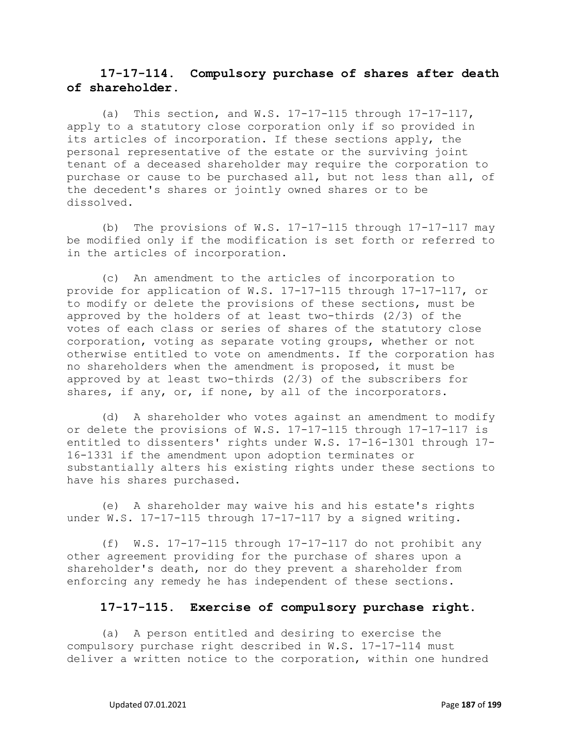### **17-17-114. Compulsory purchase of shares after death of shareholder.**

(a) This section, and  $W.S. 17-17-115$  through  $17-17-117$ , apply to a statutory close corporation only if so provided in its articles of incorporation. If these sections apply, the personal representative of the estate or the surviving joint tenant of a deceased shareholder may require the corporation to purchase or cause to be purchased all, but not less than all, of the decedent's shares or jointly owned shares or to be dissolved.

(b) The provisions of  $W.S. 17-17-115$  through  $17-17-117$  may be modified only if the modification is set forth or referred to in the articles of incorporation.

(c) An amendment to the articles of incorporation to provide for application of W.S. 17-17-115 through 17-17-117, or to modify or delete the provisions of these sections, must be approved by the holders of at least two-thirds (2/3) of the votes of each class or series of shares of the statutory close corporation, voting as separate voting groups, whether or not otherwise entitled to vote on amendments. If the corporation has no shareholders when the amendment is proposed, it must be approved by at least two-thirds (2/3) of the subscribers for shares, if any, or, if none, by all of the incorporators.

(d) A shareholder who votes against an amendment to modify or delete the provisions of W.S. 17-17-115 through 17-17-117 is entitled to dissenters' rights under W.S. 17-16-1301 through 17- 16-1331 if the amendment upon adoption terminates or substantially alters his existing rights under these sections to have his shares purchased.

(e) A shareholder may waive his and his estate's rights under W.S. 17-17-115 through 17-17-117 by a signed writing.

(f) W.S. 17-17-115 through 17-17-117 do not prohibit any other agreement providing for the purchase of shares upon a shareholder's death, nor do they prevent a shareholder from enforcing any remedy he has independent of these sections.

### **17-17-115. Exercise of compulsory purchase right.**

(a) A person entitled and desiring to exercise the compulsory purchase right described in W.S. 17-17-114 must deliver a written notice to the corporation, within one hundred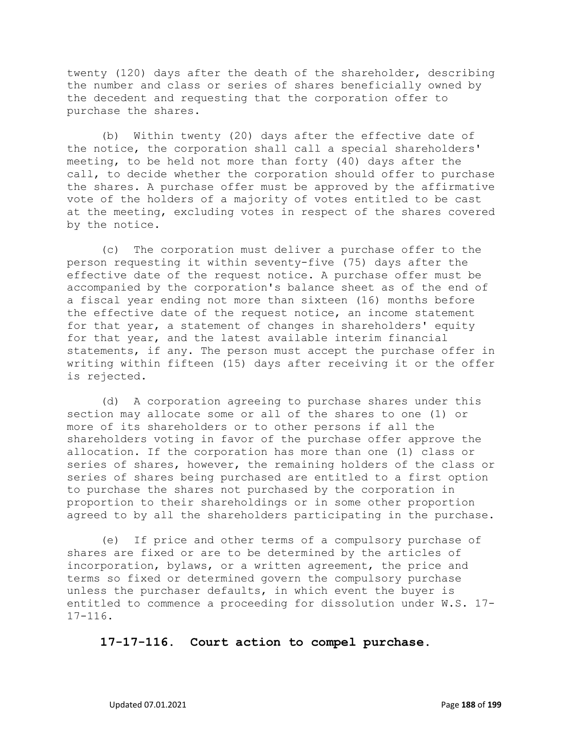twenty (120) days after the death of the shareholder, describing the number and class or series of shares beneficially owned by the decedent and requesting that the corporation offer to purchase the shares.

(b) Within twenty (20) days after the effective date of the notice, the corporation shall call a special shareholders' meeting, to be held not more than forty (40) days after the call, to decide whether the corporation should offer to purchase the shares. A purchase offer must be approved by the affirmative vote of the holders of a majority of votes entitled to be cast at the meeting, excluding votes in respect of the shares covered by the notice.

(c) The corporation must deliver a purchase offer to the person requesting it within seventy-five (75) days after the effective date of the request notice. A purchase offer must be accompanied by the corporation's balance sheet as of the end of a fiscal year ending not more than sixteen (16) months before the effective date of the request notice, an income statement for that year, a statement of changes in shareholders' equity for that year, and the latest available interim financial statements, if any. The person must accept the purchase offer in writing within fifteen (15) days after receiving it or the offer is rejected.

(d) A corporation agreeing to purchase shares under this section may allocate some or all of the shares to one (1) or more of its shareholders or to other persons if all the shareholders voting in favor of the purchase offer approve the allocation. If the corporation has more than one (1) class or series of shares, however, the remaining holders of the class or series of shares being purchased are entitled to a first option to purchase the shares not purchased by the corporation in proportion to their shareholdings or in some other proportion agreed to by all the shareholders participating in the purchase.

(e) If price and other terms of a compulsory purchase of shares are fixed or are to be determined by the articles of incorporation, bylaws, or a written agreement, the price and terms so fixed or determined govern the compulsory purchase unless the purchaser defaults, in which event the buyer is entitled to commence a proceeding for dissolution under W.S. 17- 17-116.

#### **17-17-116. Court action to compel purchase.**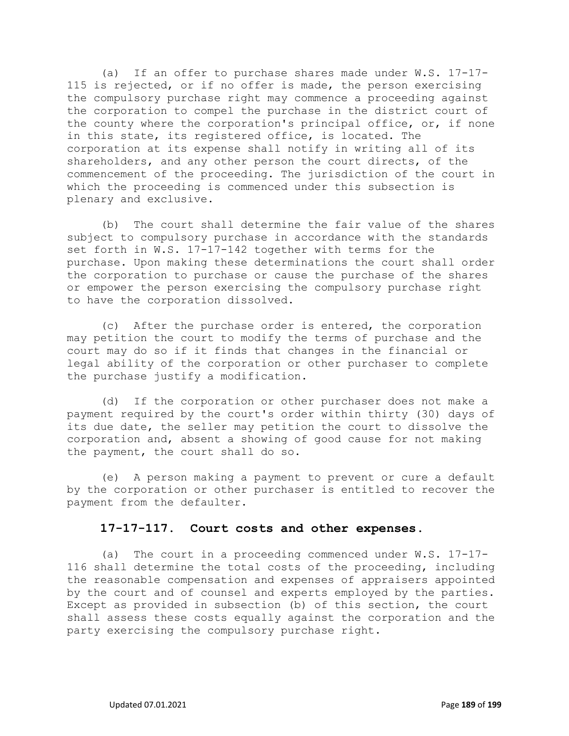(a) If an offer to purchase shares made under W.S. 17-17- 115 is rejected, or if no offer is made, the person exercising the compulsory purchase right may commence a proceeding against the corporation to compel the purchase in the district court of the county where the corporation's principal office, or, if none in this state, its registered office, is located. The corporation at its expense shall notify in writing all of its shareholders, and any other person the court directs, of the commencement of the proceeding. The jurisdiction of the court in which the proceeding is commenced under this subsection is plenary and exclusive.

(b) The court shall determine the fair value of the shares subject to compulsory purchase in accordance with the standards set forth in W.S. 17-17-142 together with terms for the purchase. Upon making these determinations the court shall order the corporation to purchase or cause the purchase of the shares or empower the person exercising the compulsory purchase right to have the corporation dissolved.

(c) After the purchase order is entered, the corporation may petition the court to modify the terms of purchase and the court may do so if it finds that changes in the financial or legal ability of the corporation or other purchaser to complete the purchase justify a modification.

(d) If the corporation or other purchaser does not make a payment required by the court's order within thirty (30) days of its due date, the seller may petition the court to dissolve the corporation and, absent a showing of good cause for not making the payment, the court shall do so.

(e) A person making a payment to prevent or cure a default by the corporation or other purchaser is entitled to recover the payment from the defaulter.

### **17-17-117. Court costs and other expenses.**

(a) The court in a proceeding commenced under W.S. 17-17- 116 shall determine the total costs of the proceeding, including the reasonable compensation and expenses of appraisers appointed by the court and of counsel and experts employed by the parties. Except as provided in subsection (b) of this section, the court shall assess these costs equally against the corporation and the party exercising the compulsory purchase right.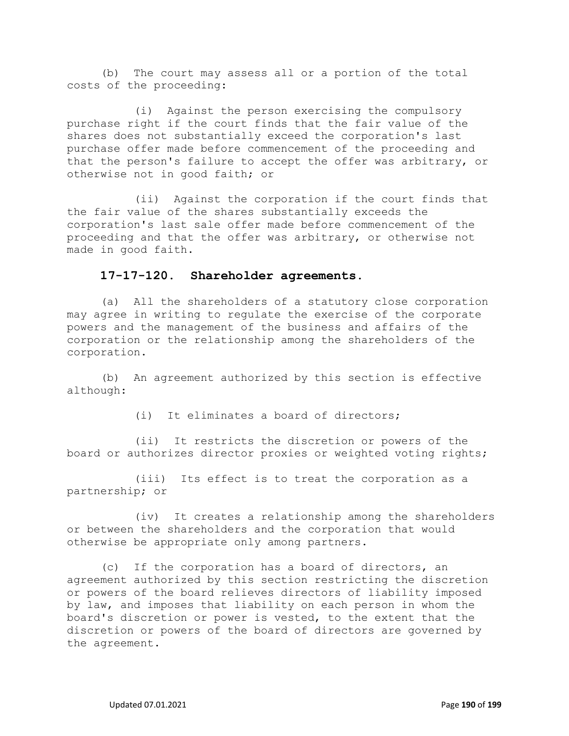(b) The court may assess all or a portion of the total costs of the proceeding:

(i) Against the person exercising the compulsory purchase right if the court finds that the fair value of the shares does not substantially exceed the corporation's last purchase offer made before commencement of the proceeding and that the person's failure to accept the offer was arbitrary, or otherwise not in good faith; or

(ii) Against the corporation if the court finds that the fair value of the shares substantially exceeds the corporation's last sale offer made before commencement of the proceeding and that the offer was arbitrary, or otherwise not made in good faith.

### **17-17-120. Shareholder agreements.**

(a) All the shareholders of a statutory close corporation may agree in writing to regulate the exercise of the corporate powers and the management of the business and affairs of the corporation or the relationship among the shareholders of the corporation.

(b) An agreement authorized by this section is effective although:

(i) It eliminates a board of directors;

(ii) It restricts the discretion or powers of the board or authorizes director proxies or weighted voting rights;

(iii) Its effect is to treat the corporation as a partnership; or

(iv) It creates a relationship among the shareholders or between the shareholders and the corporation that would otherwise be appropriate only among partners.

(c) If the corporation has a board of directors, an agreement authorized by this section restricting the discretion or powers of the board relieves directors of liability imposed by law, and imposes that liability on each person in whom the board's discretion or power is vested, to the extent that the discretion or powers of the board of directors are governed by the agreement.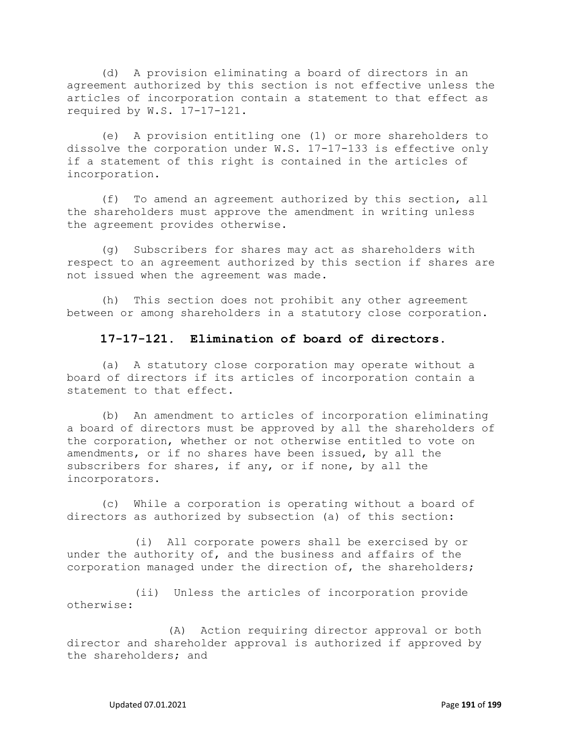(d) A provision eliminating a board of directors in an agreement authorized by this section is not effective unless the articles of incorporation contain a statement to that effect as required by W.S. 17-17-121.

(e) A provision entitling one (1) or more shareholders to dissolve the corporation under W.S. 17-17-133 is effective only if a statement of this right is contained in the articles of incorporation.

(f) To amend an agreement authorized by this section, all the shareholders must approve the amendment in writing unless the agreement provides otherwise.

(g) Subscribers for shares may act as shareholders with respect to an agreement authorized by this section if shares are not issued when the agreement was made.

(h) This section does not prohibit any other agreement between or among shareholders in a statutory close corporation.

#### **17-17-121. Elimination of board of directors.**

(a) A statutory close corporation may operate without a board of directors if its articles of incorporation contain a statement to that effect.

(b) An amendment to articles of incorporation eliminating a board of directors must be approved by all the shareholders of the corporation, whether or not otherwise entitled to vote on amendments, or if no shares have been issued, by all the subscribers for shares, if any, or if none, by all the incorporators.

(c) While a corporation is operating without a board of directors as authorized by subsection (a) of this section:

(i) All corporate powers shall be exercised by or under the authority of, and the business and affairs of the corporation managed under the direction of, the shareholders;

(ii) Unless the articles of incorporation provide otherwise:

(A) Action requiring director approval or both director and shareholder approval is authorized if approved by the shareholders; and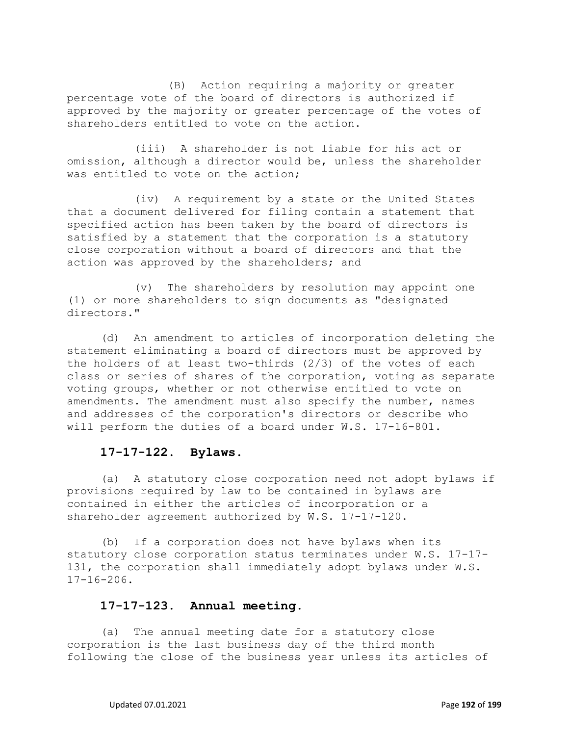(B) Action requiring a majority or greater percentage vote of the board of directors is authorized if approved by the majority or greater percentage of the votes of shareholders entitled to vote on the action.

(iii) A shareholder is not liable for his act or omission, although a director would be, unless the shareholder was entitled to vote on the action;

(iv) A requirement by a state or the United States that a document delivered for filing contain a statement that specified action has been taken by the board of directors is satisfied by a statement that the corporation is a statutory close corporation without a board of directors and that the action was approved by the shareholders; and

(v) The shareholders by resolution may appoint one (1) or more shareholders to sign documents as "designated directors."

(d) An amendment to articles of incorporation deleting the statement eliminating a board of directors must be approved by the holders of at least two-thirds (2/3) of the votes of each class or series of shares of the corporation, voting as separate voting groups, whether or not otherwise entitled to vote on amendments. The amendment must also specify the number, names and addresses of the corporation's directors or describe who will perform the duties of a board under W.S. 17-16-801.

### **17-17-122. Bylaws.**

(a) A statutory close corporation need not adopt bylaws if provisions required by law to be contained in bylaws are contained in either the articles of incorporation or a shareholder agreement authorized by W.S. 17-17-120.

(b) If a corporation does not have bylaws when its statutory close corporation status terminates under W.S. 17-17- 131, the corporation shall immediately adopt bylaws under W.S.  $17-16-206$ .

## **17-17-123. Annual meeting.**

(a) The annual meeting date for a statutory close corporation is the last business day of the third month following the close of the business year unless its articles of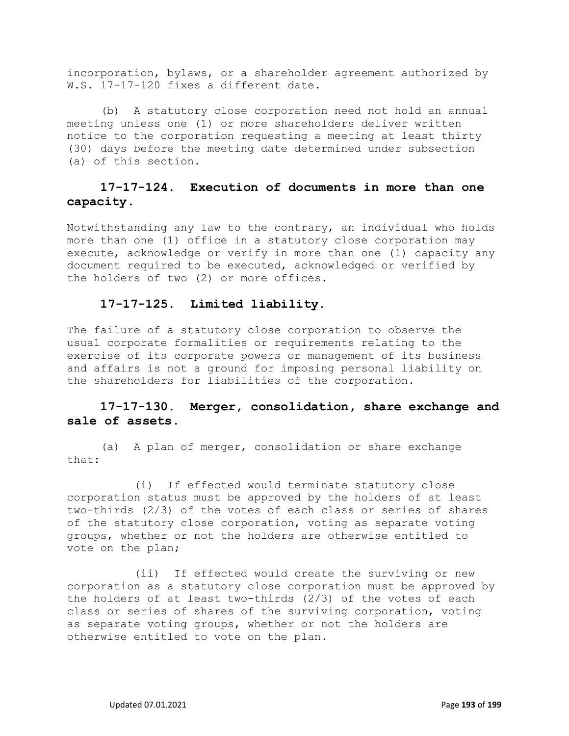incorporation, bylaws, or a shareholder agreement authorized by W.S. 17-17-120 fixes a different date.

(b) A statutory close corporation need not hold an annual meeting unless one (1) or more shareholders deliver written notice to the corporation requesting a meeting at least thirty (30) days before the meeting date determined under subsection (a) of this section.

# **17-17-124. Execution of documents in more than one capacity.**

Notwithstanding any law to the contrary, an individual who holds more than one (1) office in a statutory close corporation may execute, acknowledge or verify in more than one (1) capacity any document required to be executed, acknowledged or verified by the holders of two (2) or more offices.

### **17-17-125. Limited liability.**

The failure of a statutory close corporation to observe the usual corporate formalities or requirements relating to the exercise of its corporate powers or management of its business and affairs is not a ground for imposing personal liability on the shareholders for liabilities of the corporation.

## **17-17-130. Merger, consolidation, share exchange and sale of assets.**

(a) A plan of merger, consolidation or share exchange that:

(i) If effected would terminate statutory close corporation status must be approved by the holders of at least two-thirds (2/3) of the votes of each class or series of shares of the statutory close corporation, voting as separate voting groups, whether or not the holders are otherwise entitled to vote on the plan;

(ii) If effected would create the surviving or new corporation as a statutory close corporation must be approved by the holders of at least two-thirds (2/3) of the votes of each class or series of shares of the surviving corporation, voting as separate voting groups, whether or not the holders are otherwise entitled to vote on the plan.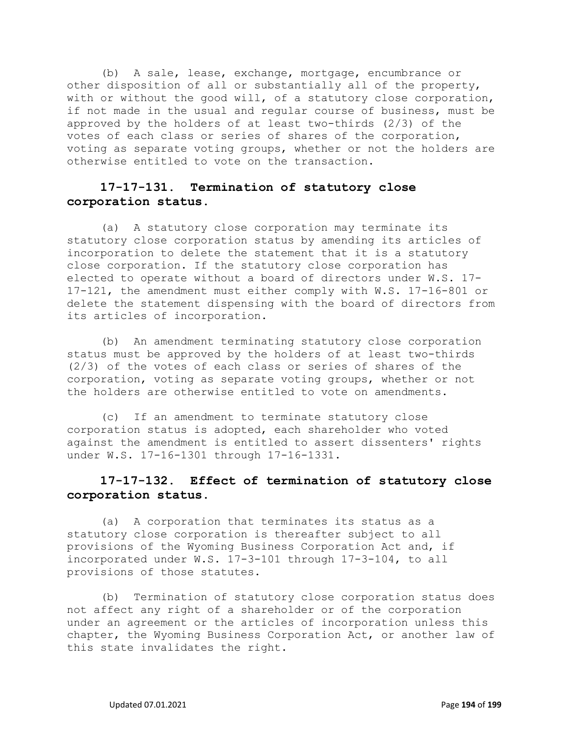(b) A sale, lease, exchange, mortgage, encumbrance or other disposition of all or substantially all of the property, with or without the good will, of a statutory close corporation, if not made in the usual and regular course of business, must be approved by the holders of at least two-thirds (2/3) of the votes of each class or series of shares of the corporation, voting as separate voting groups, whether or not the holders are otherwise entitled to vote on the transaction.

## **17-17-131. Termination of statutory close corporation status.**

(a) A statutory close corporation may terminate its statutory close corporation status by amending its articles of incorporation to delete the statement that it is a statutory close corporation. If the statutory close corporation has elected to operate without a board of directors under W.S. 17- 17-121, the amendment must either comply with W.S. 17-16-801 or delete the statement dispensing with the board of directors from its articles of incorporation.

(b) An amendment terminating statutory close corporation status must be approved by the holders of at least two-thirds (2/3) of the votes of each class or series of shares of the corporation, voting as separate voting groups, whether or not the holders are otherwise entitled to vote on amendments.

(c) If an amendment to terminate statutory close corporation status is adopted, each shareholder who voted against the amendment is entitled to assert dissenters' rights under W.S. 17-16-1301 through 17-16-1331.

# **17-17-132. Effect of termination of statutory close corporation status.**

(a) A corporation that terminates its status as a statutory close corporation is thereafter subject to all provisions of the Wyoming Business Corporation Act and, if incorporated under W.S. 17-3-101 through 17-3-104, to all provisions of those statutes.

(b) Termination of statutory close corporation status does not affect any right of a shareholder or of the corporation under an agreement or the articles of incorporation unless this chapter, the Wyoming Business Corporation Act, or another law of this state invalidates the right.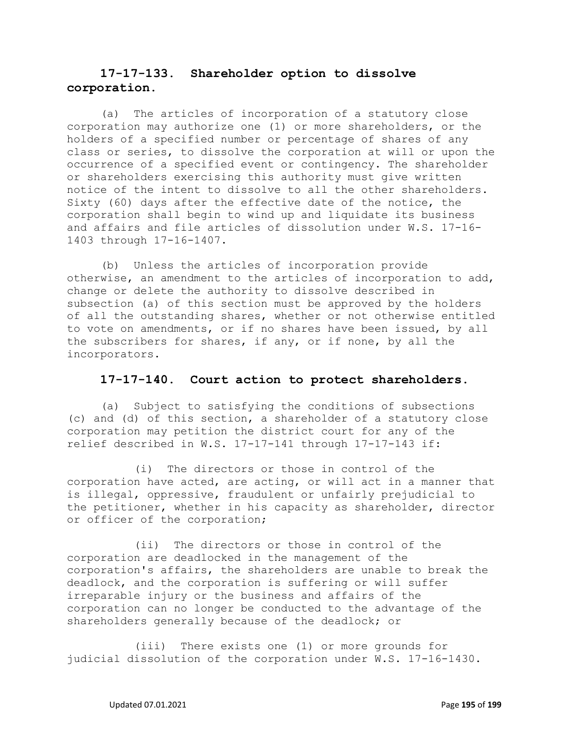## **17-17-133. Shareholder option to dissolve corporation.**

(a) The articles of incorporation of a statutory close corporation may authorize one (1) or more shareholders, or the holders of a specified number or percentage of shares of any class or series, to dissolve the corporation at will or upon the occurrence of a specified event or contingency. The shareholder or shareholders exercising this authority must give written notice of the intent to dissolve to all the other shareholders. Sixty (60) days after the effective date of the notice, the corporation shall begin to wind up and liquidate its business and affairs and file articles of dissolution under W.S. 17-16- 1403 through 17-16-1407.

(b) Unless the articles of incorporation provide otherwise, an amendment to the articles of incorporation to add, change or delete the authority to dissolve described in subsection (a) of this section must be approved by the holders of all the outstanding shares, whether or not otherwise entitled to vote on amendments, or if no shares have been issued, by all the subscribers for shares, if any, or if none, by all the incorporators.

#### **17-17-140. Court action to protect shareholders.**

(a) Subject to satisfying the conditions of subsections (c) and (d) of this section, a shareholder of a statutory close corporation may petition the district court for any of the relief described in W.S. 17-17-141 through 17-17-143 if:

(i) The directors or those in control of the corporation have acted, are acting, or will act in a manner that is illegal, oppressive, fraudulent or unfairly prejudicial to the petitioner, whether in his capacity as shareholder, director or officer of the corporation;

(ii) The directors or those in control of the corporation are deadlocked in the management of the corporation's affairs, the shareholders are unable to break the deadlock, and the corporation is suffering or will suffer irreparable injury or the business and affairs of the corporation can no longer be conducted to the advantage of the shareholders generally because of the deadlock; or

(iii) There exists one (1) or more grounds for judicial dissolution of the corporation under W.S. 17-16-1430.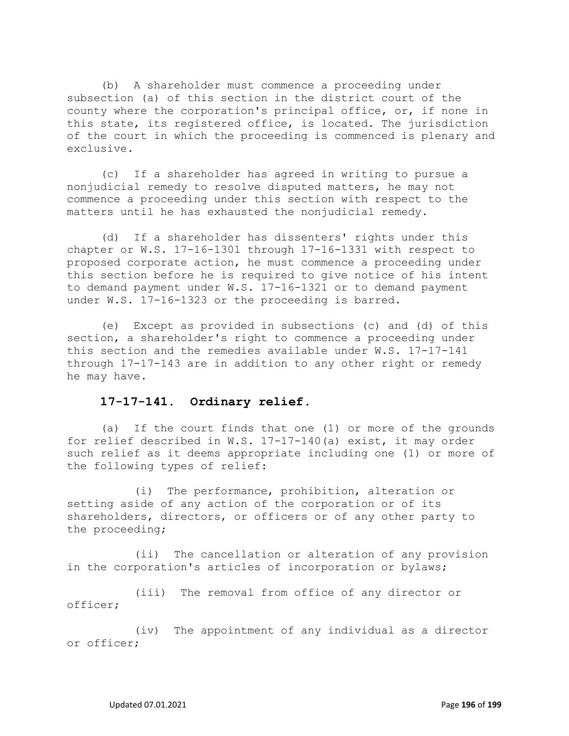(b) A shareholder must commence a proceeding under subsection (a) of this section in the district court of the county where the corporation's principal office, or, if none in this state, its registered office, is located. The jurisdiction of the court in which the proceeding is commenced is plenary and exclusive.

(c) If a shareholder has agreed in writing to pursue a nonjudicial remedy to resolve disputed matters, he may not commence a proceeding under this section with respect to the matters until he has exhausted the nonjudicial remedy.

(d) If a shareholder has dissenters' rights under this chapter or W.S. 17-16-1301 through 17-16-1331 with respect to proposed corporate action, he must commence a proceeding under this section before he is required to give notice of his intent to demand payment under W.S. 17-16-1321 or to demand payment under W.S. 17-16-1323 or the proceeding is barred.

(e) Except as provided in subsections (c) and (d) of this section, a shareholder's right to commence a proceeding under this section and the remedies available under W.S. 17-17-141 through 17-17-143 are in addition to any other right or remedy he may have.

#### **17-17-141. Ordinary relief.**

(a) If the court finds that one (1) or more of the grounds for relief described in W.S. 17-17-140(a) exist, it may order such relief as it deems appropriate including one (1) or more of the following types of relief:

(i) The performance, prohibition, alteration or setting aside of any action of the corporation or of its shareholders, directors, or officers or of any other party to the proceeding;

(ii) The cancellation or alteration of any provision in the corporation's articles of incorporation or bylaws;

(iii) The removal from office of any director or officer;

(iv) The appointment of any individual as a director or officer;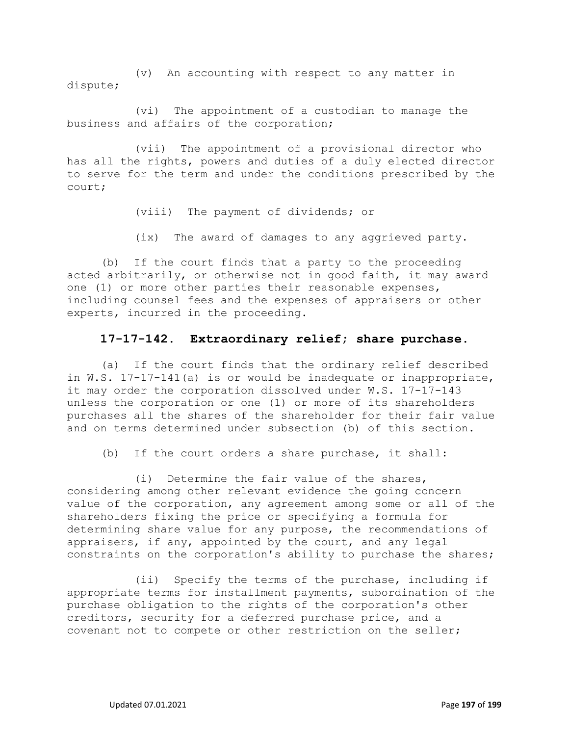(v) An accounting with respect to any matter in dispute;

(vi) The appointment of a custodian to manage the business and affairs of the corporation;

(vii) The appointment of a provisional director who has all the rights, powers and duties of a duly elected director to serve for the term and under the conditions prescribed by the court;

(viii) The payment of dividends; or

(ix) The award of damages to any aggrieved party.

(b) If the court finds that a party to the proceeding acted arbitrarily, or otherwise not in good faith, it may award one (1) or more other parties their reasonable expenses, including counsel fees and the expenses of appraisers or other experts, incurred in the proceeding.

#### **17-17-142. Extraordinary relief; share purchase.**

(a) If the court finds that the ordinary relief described in W.S. 17-17-141(a) is or would be inadequate or inappropriate, it may order the corporation dissolved under W.S. 17-17-143 unless the corporation or one (1) or more of its shareholders purchases all the shares of the shareholder for their fair value and on terms determined under subsection (b) of this section.

(b) If the court orders a share purchase, it shall:

(i) Determine the fair value of the shares, considering among other relevant evidence the going concern value of the corporation, any agreement among some or all of the shareholders fixing the price or specifying a formula for determining share value for any purpose, the recommendations of appraisers, if any, appointed by the court, and any legal constraints on the corporation's ability to purchase the shares;

(ii) Specify the terms of the purchase, including if appropriate terms for installment payments, subordination of the purchase obligation to the rights of the corporation's other creditors, security for a deferred purchase price, and a covenant not to compete or other restriction on the seller;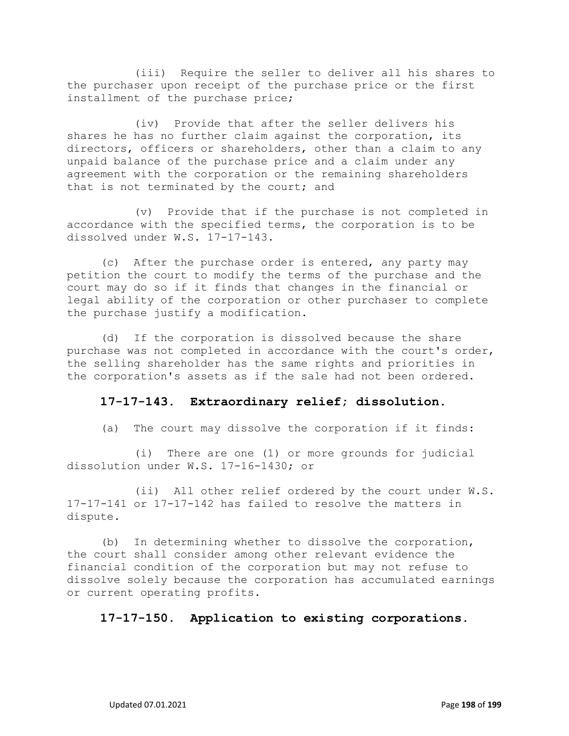(iii) Require the seller to deliver all his shares to the purchaser upon receipt of the purchase price or the first installment of the purchase price;

(iv) Provide that after the seller delivers his shares he has no further claim against the corporation, its directors, officers or shareholders, other than a claim to any unpaid balance of the purchase price and a claim under any agreement with the corporation or the remaining shareholders that is not terminated by the court; and

(v) Provide that if the purchase is not completed in accordance with the specified terms, the corporation is to be dissolved under W.S. 17-17-143.

(c) After the purchase order is entered, any party may petition the court to modify the terms of the purchase and the court may do so if it finds that changes in the financial or legal ability of the corporation or other purchaser to complete the purchase justify a modification.

(d) If the corporation is dissolved because the share purchase was not completed in accordance with the court's order, the selling shareholder has the same rights and priorities in the corporation's assets as if the sale had not been ordered.

### **17-17-143. Extraordinary relief; dissolution.**

(a) The court may dissolve the corporation if it finds:

(i) There are one (1) or more grounds for judicial dissolution under W.S. 17-16-1430; or

(ii) All other relief ordered by the court under W.S. 17-17-141 or 17-17-142 has failed to resolve the matters in dispute.

(b) In determining whether to dissolve the corporation, the court shall consider among other relevant evidence the financial condition of the corporation but may not refuse to dissolve solely because the corporation has accumulated earnings or current operating profits.

**17-17-150. Application to existing corporations.**